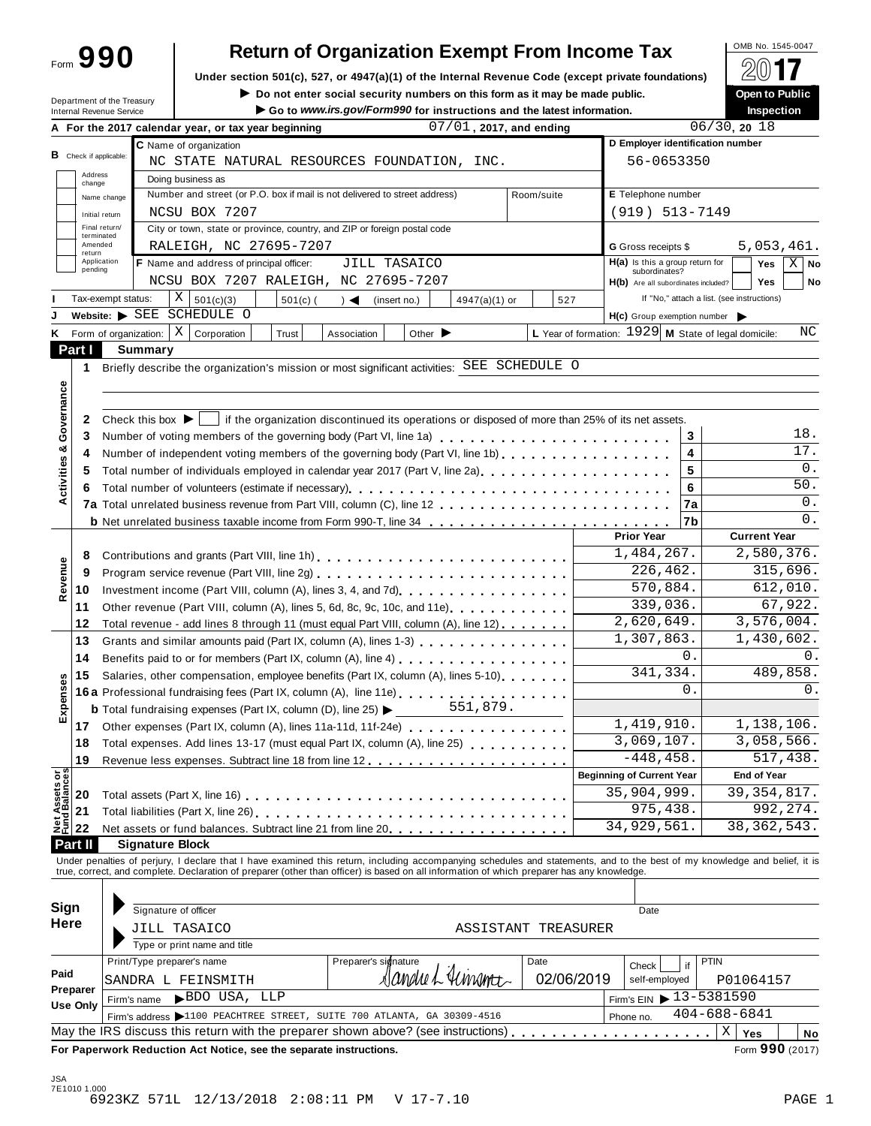Form **990**

# **Return of Organization Exempt From Income Tax**

Under section 501(c), 527, or 4947(a)(1) of the Internal Revenue Code (except private foundations) **△**<del>○</del><br> **▶ Do not enter social security numbers on this form as it may be made public. ● ● ● ● ● ● ● ● ● ● ● ● ● ● ● ● ● ●** 

Under section 501(c), 527, or 4947(a)(1) or the Internal Revenue Code (except private foundations)<br>Department of the Treasury **Department of the Treasury Department of the Treasury Department of the Treasury** 

| Department of the Treasury<br>Internal Revenue Service | $\blacktriangleright$ Do not enter social security numbers on this form as it may be made public.<br>Go to www.irs.gov/Form990 for instructions and the latest information.                                                    |                                                        | <b>Open to Public</b><br><b>Inspection</b> |
|--------------------------------------------------------|--------------------------------------------------------------------------------------------------------------------------------------------------------------------------------------------------------------------------------|--------------------------------------------------------|--------------------------------------------|
|                                                        | $07/01$ , 2017, and ending<br>A For the 2017 calendar year, or tax year beginning                                                                                                                                              |                                                        | 06/30, 2018                                |
|                                                        | C Name of organization                                                                                                                                                                                                         | D Employer identification number                       |                                            |
| <b>B</b> Check if applicable:                          | NC STATE NATURAL RESOURCES FOUNDATION, INC.                                                                                                                                                                                    | 56-0653350                                             |                                            |
| Address<br>change                                      | Doing business as                                                                                                                                                                                                              |                                                        |                                            |
| Name change                                            | Number and street (or P.O. box if mail is not delivered to street address)<br>Room/suite                                                                                                                                       | E Telephone number                                     |                                            |
| Initial return                                         | NCSU BOX 7207                                                                                                                                                                                                                  | $(919) 513 - 7149$                                     |                                            |
| Final return/                                          | City or town, state or province, country, and ZIP or foreign postal code                                                                                                                                                       |                                                        |                                            |
| terminated<br>Amended                                  | RALEIGH, NC 27695-7207                                                                                                                                                                                                         | G Gross receipts \$                                    | 5,053,461.                                 |
| return<br>Application                                  | F Name and address of principal officer:<br>JILL TASAICO                                                                                                                                                                       | $H(a)$ is this a group return for                      | $X \mid$ No<br>Yes                         |
| pending                                                | NCSU BOX 7207 RALEIGH, NC 27695-7207                                                                                                                                                                                           | subordinates?<br>H(b) Are all subordinates included?   | <b>Yes</b><br>No                           |
| Tax-exempt status:                                     | Χ<br>501(c)(3)<br>$501(c)$ (<br>$\rightarrow$<br>4947(a)(1) or<br>(insert no.)                                                                                                                                                 | 527                                                    | If "No," attach a list. (see instructions) |
|                                                        | Website: SEE SCHEDULE O                                                                                                                                                                                                        | $H(c)$ Group exemption number                          |                                            |
| Form of organization:                                  | X<br>Corporation<br>Trust<br>Other $\blacktriangleright$<br>Association                                                                                                                                                        | L Year of formation: $1929$ M State of legal domicile: | NC                                         |
| Part I                                                 | <b>Summary</b>                                                                                                                                                                                                                 |                                                        |                                            |
| 1                                                      | Briefly describe the organization's mission or most significant activities: SEE SCHEDULE O                                                                                                                                     |                                                        |                                            |
|                                                        |                                                                                                                                                                                                                                |                                                        |                                            |
| Governance                                             |                                                                                                                                                                                                                                |                                                        |                                            |
|                                                        |                                                                                                                                                                                                                                |                                                        |                                            |
| 2                                                      | if the organization discontinued its operations or disposed of more than 25% of its net assets.<br>Check this box $\blacktriangleright$                                                                                        |                                                        | 18.                                        |
| 3<br>Activities &                                      | Number of voting members of the governing body (Part VI, line 1a)                                                                                                                                                              | 3                                                      | 17.                                        |
| 4                                                      | Number of independent voting members of the governing body (Part VI, line 1b)                                                                                                                                                  | 4                                                      | 0.                                         |
| 5                                                      | Total number of individuals employed in calendar year 2017 (Part V, line 2a)                                                                                                                                                   | 5                                                      | $50.$                                      |
| 6                                                      |                                                                                                                                                                                                                                | 6                                                      |                                            |
|                                                        |                                                                                                                                                                                                                                | 7a                                                     | 0.                                         |
|                                                        | <b>b</b> Net unrelated business taxable income from Form 990-T, line 34                                                                                                                                                        | 7b                                                     | 0.<br><b>Current Year</b>                  |
|                                                        |                                                                                                                                                                                                                                | <b>Prior Year</b>                                      |                                            |
| 8                                                      |                                                                                                                                                                                                                                | 1,484,267.                                             | 2,580,376.                                 |
| 9                                                      |                                                                                                                                                                                                                                | 226,462.                                               | 315,696.                                   |
| Revenue<br>10                                          |                                                                                                                                                                                                                                | 570,884.                                               | 612,010.                                   |
| 11                                                     | Other revenue (Part VIII, column (A), lines 5, 6d, 8c, 9c, 10c, and 11e)                                                                                                                                                       | 339,036.                                               | 67,922.                                    |
| 12                                                     | Total revenue - add lines 8 through 11 (must equal Part VIII, column (A), line 12)                                                                                                                                             | 2,620,649.                                             | 3,576,004.                                 |
| 13                                                     | Grants and similar amounts paid (Part IX, column (A), lines 1-3)                                                                                                                                                               | 1,307,863.                                             | 1,430,602.                                 |
| 14                                                     |                                                                                                                                                                                                                                | 0.                                                     | 0.                                         |
| 15                                                     | Salaries, other compensation, employee benefits (Part IX, column (A), lines 5-10)                                                                                                                                              | 341, 334.                                              | 489,858.                                   |
| Expenses                                               | 16a Professional fundraising fees (Part IX, column (A), line 11e).                                                                                                                                                             | 0.                                                     | 0.                                         |
|                                                        | 551,879.<br><b>b</b> Total fundraising expenses (Part IX, column (D), line 25) $\blacktriangleright$                                                                                                                           |                                                        |                                            |
|                                                        | 17 Other expenses (Part IX, column (A), lines 11a-11d, 11f-24e)                                                                                                                                                                | 1,419,910.                                             | 1,138,106.                                 |
| 18                                                     | Total expenses. Add lines 13-17 (must equal Part IX, column (A), line 25) [100]                                                                                                                                                | 3,069,107.                                             | 3,058,566.                                 |
| 19                                                     | Revenue less expenses. Subtract line 18 from line 12.                                                                                                                                                                          | $-448, 458.$                                           | 517,438.                                   |
|                                                        |                                                                                                                                                                                                                                | <b>Beginning of Current Year</b>                       | <b>End of Year</b>                         |
| 20                                                     |                                                                                                                                                                                                                                | 35,904,999.                                            | 39, 354, 817.                              |
| Net Assets or<br>21                                    |                                                                                                                                                                                                                                | 975,438.                                               | 992, 274.                                  |
| 22                                                     | Net assets or fund balances. Subtract line 21 from line 20.                                                                                                                                                                    | 34,929,561.                                            | 38, 362, 543.                              |
| Part II                                                | <b>Signature Block</b>                                                                                                                                                                                                         |                                                        |                                            |
|                                                        | Under penalties of perjury, I declare that I have examined this return, including accompanying schedules and statements, and to the best of my knowledge and belief, it is true, correct, and complete. Declaration of prepare |                                                        |                                            |
|                                                        |                                                                                                                                                                                                                                |                                                        |                                            |
|                                                        |                                                                                                                                                                                                                                |                                                        |                                            |
| Sign                                                   | Signature of officer                                                                                                                                                                                                           | Date                                                   |                                            |
| Here                                                   | JILL TASAICO<br>ASSISTANT TREASURER                                                                                                                                                                                            |                                                        |                                            |
|                                                        | Type or print name and title                                                                                                                                                                                                   |                                                        |                                            |
|                                                        | Print/Type preparer's name<br>Preparer's signature<br>Date                                                                                                                                                                     | if<br>Check                                            | PTIN                                       |
| Paid                                                   | andue L Himam <del>i</del> c<br>SANDRA L FEINSMITH                                                                                                                                                                             | 02/06/2019<br>self-employed                            | P01064157                                  |
| Preparer                                               | BDO USA, LLP<br>Firm's name                                                                                                                                                                                                    | Firm's EIN 13-5381590                                  |                                            |
| Use Only                                               | Firm's address >1100 PEACHTREE STREET, SUITE 700 ATLANTA, GA 30309-4516                                                                                                                                                        | Phone no.                                              | $404 - 688 - 6841$                         |
|                                                        |                                                                                                                                                                                                                                |                                                        | No                                         |
|                                                        | May the IRS discuss this return with the preparer shown above? (see instructions)<br>For Paperwork Reduction Act Notice, see the separate instructions.                                                                        |                                                        | X<br>Yes<br>Form 990 (2017)                |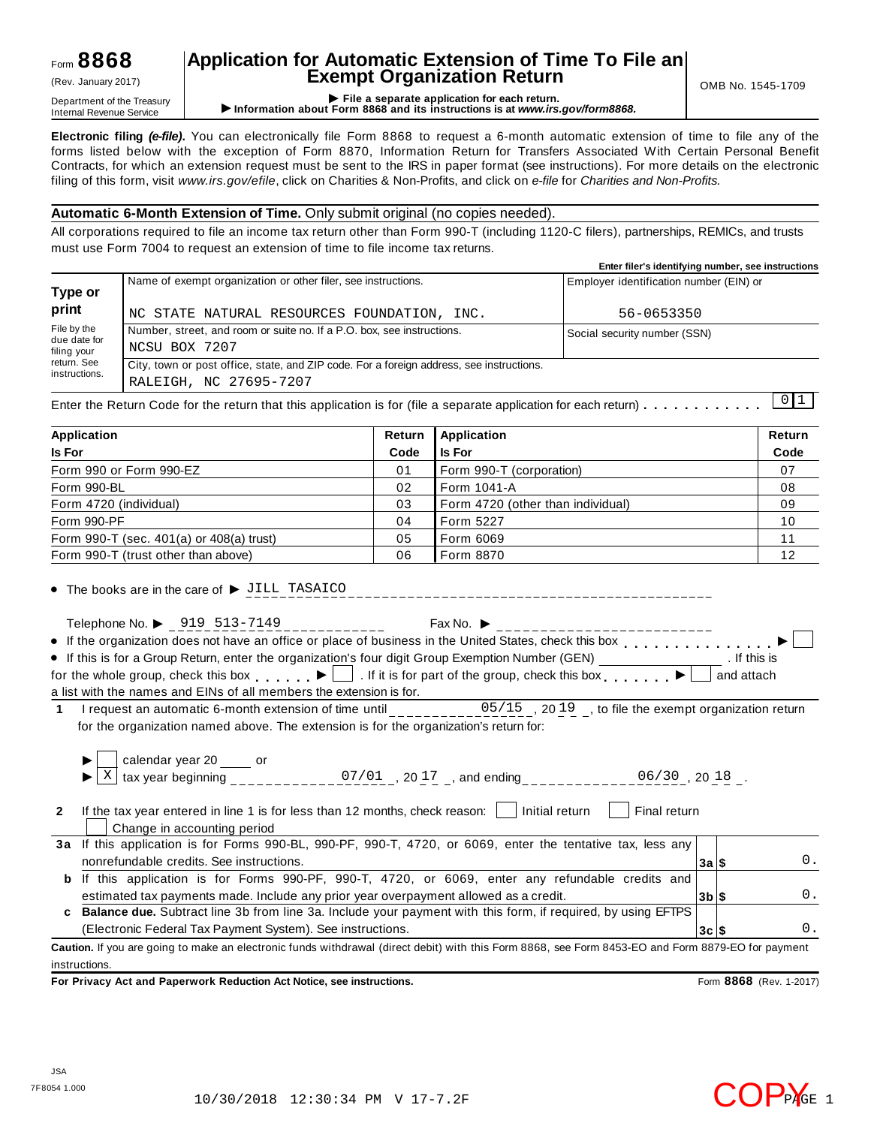#### Form **8868**

## **Application for Automatic Extension of Time To File an Exempt Organization Return** (Rev. January 2017) OMB No. 1545-1709

Department of the Treasury<br>Department of the Treasury<br>Internal Revenue Service **CONFICE 1999 File a separate application for each return.**<br>Internal Revenue Service **CONFICE 1999 File a separate application for each return.** 

**Electronic filing** *(e-file)***.** You can electronically file Form 8868 to request a 6-month automatic extension of time to file any of the forms listed below with the exception of Form 8870, Information Return for Transfers Associated With Certain Personal Benefit Contracts, for which an extension request must be sent to the IRS in paper format (see instructions). For more details on the electronic filing of this form, visit *www.irs.gov/efile*, click on Charities & Non-Profits, and click on *e-file* for *Charities and Non-Profits.*

#### **Automatic 6-Month Extension of Time.** Only submit original (no copies needed).

All corporations required to file an income tax return other than Form 990-T (including 1120-C filers), partnerships, REMICs, and trusts must use Form 7004 to request an extension of time to file income tax returns.

|                                            |                                                                                                                    | Enter filer's identifying number, see instructions |
|--------------------------------------------|--------------------------------------------------------------------------------------------------------------------|----------------------------------------------------|
| Type or                                    | Name of exempt organization or other filer, see instructions.                                                      | Employer identification number (EIN) or            |
| print                                      | NC STATE NATURAL RESOURCES FOUNDATION, INC.                                                                        | 56-0653350                                         |
| File by the<br>due date for<br>filing your | Number, street, and room or suite no. If a P.O. box, see instructions.<br>NCSU BOX 7207                            | Social security number (SSN)                       |
| return. See<br>instructions.               | City, town or post office, state, and ZIP code. For a foreign address, see instructions.<br>RALEIGH, NC 27695-7207 |                                                    |

Enter the Return Code for the return that this application is for (file a separate application for each return)  $\dots \dots \dots$  $\vert 0 \vert 1 \vert$ 

| Application                              | Return | <b>Application</b>                | Return |
|------------------------------------------|--------|-----------------------------------|--------|
| <b>Is For</b>                            | Code   | <b>Is For</b>                     | Code   |
| Form 990 or Form 990-EZ                  | 01     | Form 990-T (corporation)          | 07     |
| Form 990-BL                              | 02     | l Form 1041-A                     | 08     |
| Form 4720 (individual)                   | 03     | Form 4720 (other than individual) | 09     |
| Form 990-PF                              | 04     | Form 5227                         | 10     |
| Form 990-T (sec. 401(a) or 408(a) trust) | 05     | Form 6069                         | 11     |
| Form 990-T (trust other than above)      | 06     | Form 8870                         | 12     |

 $\bullet$  The books are in the care of  $\triangleright$  JILL TASAICO

|  | Telephone No. ▶ 919 513-7149 | Fax No. $\blacktriangleright$                                                                               |              |
|--|------------------------------|-------------------------------------------------------------------------------------------------------------|--------------|
|  |                              | • If the organization does not have an office or place of business in the United States, check this box     |              |
|  |                              | • If this is for a Group Return, enter the organization's four digit Group Exemption Number (GEN)           | . If this is |
|  |                              | for the whole group, check this box $\Box$ If it is for part of the group, check this box $\Box$ and attach |              |
|  |                              | a list with the names and FINs of all members the extension is for                                          |              |

| I request an automatic 6-month extension of time until                                |  | $05/15$ , 20 19, to file the exempt organization return |
|---------------------------------------------------------------------------------------|--|---------------------------------------------------------|
| for the organization named above. The extension is for the organization's return for: |  |                                                         |

|                | _  calendar year 20 _____ or<br>∑  tax year beginning<br>07/01, 2017, and ending<br>$06/30$ , 20 18.                                               |          |  |               |  |  |  |
|----------------|----------------------------------------------------------------------------------------------------------------------------------------------------|----------|--|---------------|--|--|--|
| $\overline{2}$ | If the tax year entered in line 1 is for less than 12 months, check reason:<br>Initial return<br>Final return<br>Change in accounting period       |          |  |               |  |  |  |
|                | 3a If this application is for Forms 990-BL, 990-PF, 990-T, 4720, or 6069, enter the tentative tax, less any                                        |          |  |               |  |  |  |
|                | nonrefundable credits. See instructions.                                                                                                           | 3a S     |  | 0.            |  |  |  |
| b              | If this application is for Forms 990-PF, 990-T, 4720, or 6069, enter any refundable credits and                                                    |          |  |               |  |  |  |
|                | estimated tax payments made. Include any prior year overpayment allowed as a credit.                                                               | $3b$ s   |  | 0.            |  |  |  |
| C.             | Balance due. Subtract line 3b from line 3a. Include your payment with this form, if required, by using EFTPS                                       |          |  |               |  |  |  |
|                | (Electronic Federal Tax Payment System). See instructions.                                                                                         | $3c$ $s$ |  | $\mathbf 0$ . |  |  |  |
|                | Caution. If you are going to make an electronic funds withdrawal (direct debit) with this Form 8868, see Form 8453-EO and Form 8879-EO for payment |          |  |               |  |  |  |

instructions.

**For Privacy Act and Paperwork Reduction Act Notice, see instructions.** Form **8868** (Rev. 1-2017)

COPPAGE 1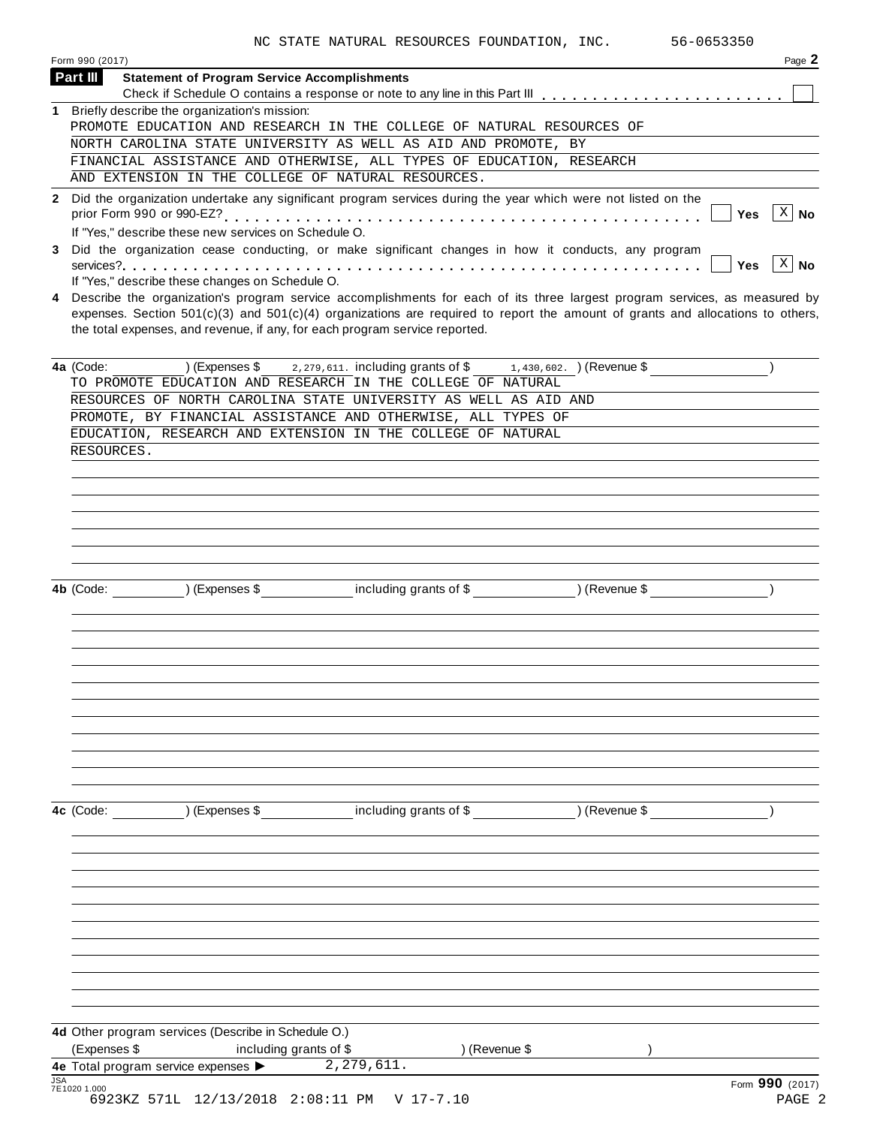NC STATE NATURAL RESOURCES FOUNDATION, INC. 56-0653350

|            | Form 990 (2017)                                                                                                                                                                                                                                                                                                                                                                                    | Page 2                    |
|------------|----------------------------------------------------------------------------------------------------------------------------------------------------------------------------------------------------------------------------------------------------------------------------------------------------------------------------------------------------------------------------------------------------|---------------------------|
|            | Part III<br><b>Statement of Program Service Accomplishments</b>                                                                                                                                                                                                                                                                                                                                    |                           |
|            | 1 Briefly describe the organization's mission:                                                                                                                                                                                                                                                                                                                                                     |                           |
|            | PROMOTE EDUCATION AND RESEARCH IN THE COLLEGE OF NATURAL RESOURCES OF                                                                                                                                                                                                                                                                                                                              |                           |
|            | NORTH CAROLINA STATE UNIVERSITY AS WELL AS AID AND PROMOTE, BY                                                                                                                                                                                                                                                                                                                                     |                           |
|            | FINANCIAL ASSISTANCE AND OTHERWISE, ALL TYPES OF EDUCATION, RESEARCH                                                                                                                                                                                                                                                                                                                               |                           |
|            | AND EXTENSION IN THE COLLEGE OF NATURAL RESOURCES.                                                                                                                                                                                                                                                                                                                                                 |                           |
|            | 2 Did the organization undertake any significant program services during the year which were not listed on the<br>If "Yes," describe these new services on Schedule O.<br>Did the organization cease conducting, or make significant changes in how it conducts, any program                                                                                                                       | $ X $ No<br>Yes           |
|            | If "Yes," describe these changes on Schedule O.<br>Describe the organization's program service accomplishments for each of its three largest program services, as measured by<br>expenses. Section $501(c)(3)$ and $501(c)(4)$ organizations are required to report the amount of grants and allocations to others,<br>the total expenses, and revenue, if any, for each program service reported. | $ X $ No<br>Yes           |
|            | 4a (Code:<br>$2,279,611$ . including grants of \$<br>1,430,602. ) (Revenue \$<br>) (Expenses \$                                                                                                                                                                                                                                                                                                    |                           |
|            | TO PROMOTE EDUCATION AND RESEARCH IN THE COLLEGE OF NATURAL<br>RESOURCES OF NORTH CAROLINA STATE UNIVERSITY AS WELL AS AID AND                                                                                                                                                                                                                                                                     |                           |
|            | PROMOTE, BY FINANCIAL ASSISTANCE AND OTHERWISE, ALL TYPES OF                                                                                                                                                                                                                                                                                                                                       |                           |
|            | EDUCATION, RESEARCH AND EXTENSION IN THE COLLEGE OF NATURAL                                                                                                                                                                                                                                                                                                                                        |                           |
|            | RESOURCES.                                                                                                                                                                                                                                                                                                                                                                                         |                           |
|            |                                                                                                                                                                                                                                                                                                                                                                                                    |                           |
|            | including grants of \$ ) (Revenue \$<br>) (Expenses \$<br>4b (Code:                                                                                                                                                                                                                                                                                                                                |                           |
|            |                                                                                                                                                                                                                                                                                                                                                                                                    |                           |
|            | 4c (Code: ) (Expenses \$ including grants of \$ ) (Revenue \$                                                                                                                                                                                                                                                                                                                                      |                           |
|            |                                                                                                                                                                                                                                                                                                                                                                                                    |                           |
|            | 4d Other program services (Describe in Schedule O.)<br>(Expenses \$<br>including grants of \$<br>) (Revenue \$                                                                                                                                                                                                                                                                                     |                           |
|            | 4e Total program service expenses ><br>2, 279, 611.                                                                                                                                                                                                                                                                                                                                                |                           |
| <b>JSA</b> | 7E1020 1.000<br>6923KZ 571L 12/13/2018 2:08:11 PM V 17-7.10                                                                                                                                                                                                                                                                                                                                        | Form 990 (2017)<br>PAGE 2 |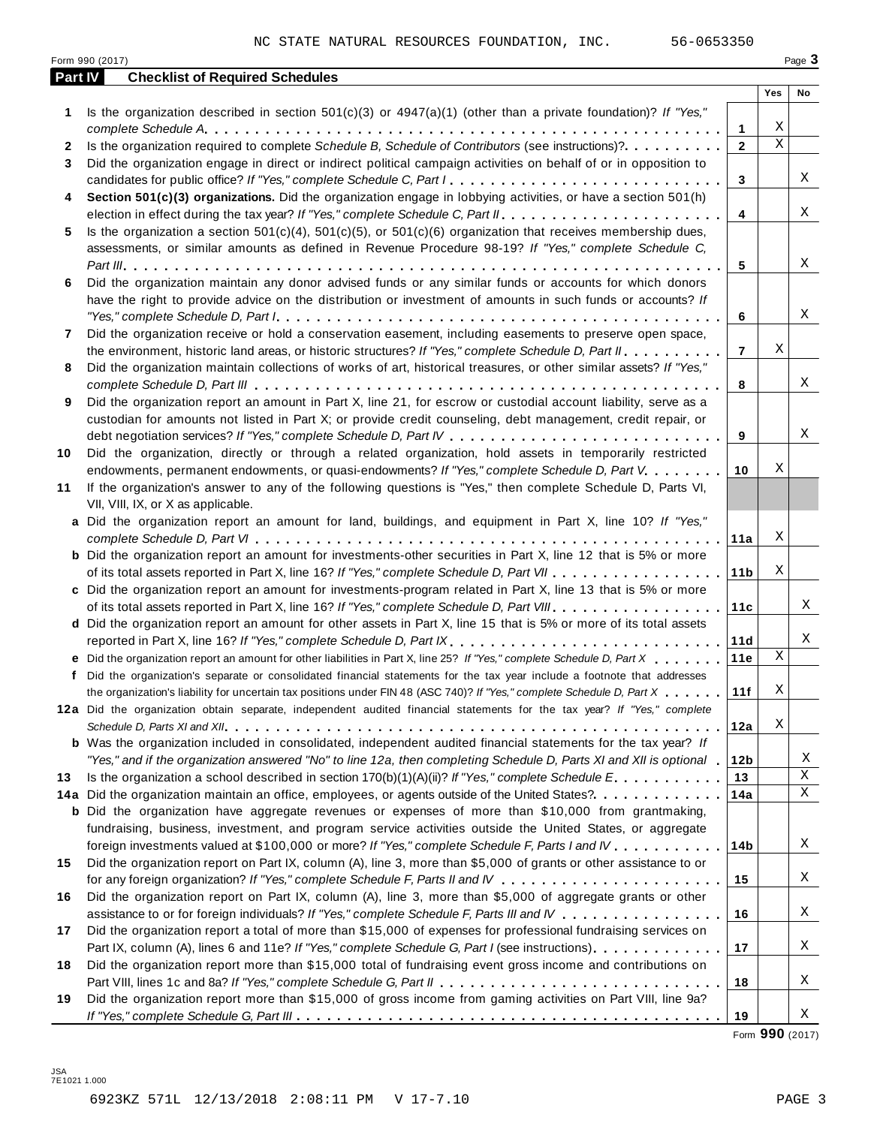NC STATE NATURAL RESOURCES FOUNDATION, INC. 56-0653350

|         | Form 990 (2017)                                                                                                                                                                                                                                                                                                                                                                               |                 |                  | Page 3 |
|---------|-----------------------------------------------------------------------------------------------------------------------------------------------------------------------------------------------------------------------------------------------------------------------------------------------------------------------------------------------------------------------------------------------|-----------------|------------------|--------|
| Part IV | <b>Checklist of Required Schedules</b>                                                                                                                                                                                                                                                                                                                                                        |                 |                  |        |
|         |                                                                                                                                                                                                                                                                                                                                                                                               |                 | Yes              | No     |
| 1       | Is the organization described in section $501(c)(3)$ or $4947(a)(1)$ (other than a private foundation)? If "Yes,"                                                                                                                                                                                                                                                                             |                 |                  |        |
|         |                                                                                                                                                                                                                                                                                                                                                                                               | 1               | Χ<br>$\mathbf X$ |        |
| 2       | Is the organization required to complete Schedule B, Schedule of Contributors (see instructions)?.                                                                                                                                                                                                                                                                                            | $\mathbf{2}$    |                  |        |
| 3       | Did the organization engage in direct or indirect political campaign activities on behalf of or in opposition to                                                                                                                                                                                                                                                                              |                 |                  |        |
|         | candidates for public office? If "Yes," complete Schedule C, Part I.                                                                                                                                                                                                                                                                                                                          | 3               |                  | Χ      |
| 4       | Section 501(c)(3) organizations. Did the organization engage in lobbying activities, or have a section 501(h)                                                                                                                                                                                                                                                                                 |                 |                  |        |
|         |                                                                                                                                                                                                                                                                                                                                                                                               | $\overline{4}$  |                  | Χ      |
| 5       | Is the organization a section $501(c)(4)$ , $501(c)(5)$ , or $501(c)(6)$ organization that receives membership dues,                                                                                                                                                                                                                                                                          |                 |                  |        |
|         | assessments, or similar amounts as defined in Revenue Procedure 98-19? If "Yes," complete Schedule C,                                                                                                                                                                                                                                                                                         |                 |                  |        |
|         |                                                                                                                                                                                                                                                                                                                                                                                               | 5               |                  | Χ      |
| 6       | Did the organization maintain any donor advised funds or any similar funds or accounts for which donors                                                                                                                                                                                                                                                                                       |                 |                  |        |
|         | have the right to provide advice on the distribution or investment of amounts in such funds or accounts? If                                                                                                                                                                                                                                                                                   |                 |                  |        |
|         | "Yes," complete Schedule D, Part $l_1, \ldots, l_k, \ldots, l_k, \ldots, l_k, \ldots, l_k, \ldots, l_k, \ldots, l_k, \ldots, l_k, \ldots, l_k, \ldots, l_k, \ldots, l_k, \ldots, l_k, \ldots, l_k, \ldots, l_k, \ldots, l_k, \ldots, l_k, \ldots, l_k, \ldots, l_k, \ldots, l_k, \ldots, l_k, \ldots, l_k, \ldots, l_k, \ldots, l_k, \ldots, l_k, \ldots, l_k, \ldots, l_k, \ldots, l_k, \ld$ | 6               |                  | Χ      |
| 7       | Did the organization receive or hold a conservation easement, including easements to preserve open space,                                                                                                                                                                                                                                                                                     |                 |                  |        |
|         | the environment, historic land areas, or historic structures? If "Yes," complete Schedule D, Part II.                                                                                                                                                                                                                                                                                         | $\overline{7}$  | Χ                |        |
| 8       | Did the organization maintain collections of works of art, historical treasures, or other similar assets? If "Yes,"                                                                                                                                                                                                                                                                           |                 |                  |        |
|         |                                                                                                                                                                                                                                                                                                                                                                                               | 8               |                  | Χ      |
| 9       | Did the organization report an amount in Part X, line 21, for escrow or custodial account liability, serve as a                                                                                                                                                                                                                                                                               |                 |                  |        |
|         | custodian for amounts not listed in Part X; or provide credit counseling, debt management, credit repair, or                                                                                                                                                                                                                                                                                  |                 |                  |        |
|         |                                                                                                                                                                                                                                                                                                                                                                                               | 9               |                  | Χ      |
| 10      | Did the organization, directly or through a related organization, hold assets in temporarily restricted                                                                                                                                                                                                                                                                                       |                 |                  |        |
|         | endowments, permanent endowments, or quasi-endowments? If "Yes," complete Schedule D, Part V.                                                                                                                                                                                                                                                                                                 | 10              | Χ                |        |
| 11      | If the organization's answer to any of the following questions is "Yes," then complete Schedule D, Parts VI,                                                                                                                                                                                                                                                                                  |                 |                  |        |
|         | VII, VIII, IX, or X as applicable.                                                                                                                                                                                                                                                                                                                                                            |                 |                  |        |
|         | a Did the organization report an amount for land, buildings, and equipment in Part X, line 10? If "Yes,"                                                                                                                                                                                                                                                                                      |                 |                  |        |
|         |                                                                                                                                                                                                                                                                                                                                                                                               | 11a             | Χ                |        |
|         | <b>b</b> Did the organization report an amount for investments-other securities in Part X, line 12 that is 5% or more                                                                                                                                                                                                                                                                         |                 |                  |        |
|         |                                                                                                                                                                                                                                                                                                                                                                                               | 11 <sub>b</sub> | Χ                |        |
|         | c Did the organization report an amount for investments-program related in Part X, line 13 that is 5% or more                                                                                                                                                                                                                                                                                 |                 |                  |        |
|         |                                                                                                                                                                                                                                                                                                                                                                                               | 11c             |                  | Χ      |
|         | d Did the organization report an amount for other assets in Part X, line 15 that is 5% or more of its total assets                                                                                                                                                                                                                                                                            |                 |                  |        |
|         | reported in Part X, line 16? If "Yes," complete Schedule D, Part IX.                                                                                                                                                                                                                                                                                                                          | 11d             |                  | Χ      |
|         | e Did the organization report an amount for other liabilities in Part X, line 25? If "Yes," complete Schedule D, Part X                                                                                                                                                                                                                                                                       | 11e             | Χ                |        |
|         | f Did the organization's separate or consolidated financial statements for the tax year include a footnote that addresses                                                                                                                                                                                                                                                                     |                 |                  |        |
|         | the organization's liability for uncertain tax positions under FIN 48 (ASC 740)? If "Yes," complete Schedule D, Part X                                                                                                                                                                                                                                                                        | 11f             | Χ                |        |
|         | 12a Did the organization obtain separate, independent audited financial statements for the tax year? If "Yes," complete                                                                                                                                                                                                                                                                       |                 |                  |        |
|         |                                                                                                                                                                                                                                                                                                                                                                                               | 12a             | Χ                |        |
|         | <b>b</b> Was the organization included in consolidated, independent audited financial statements for the tax year? If                                                                                                                                                                                                                                                                         |                 |                  |        |
|         | "Yes," and if the organization answered "No" to line 12a, then completing Schedule D, Parts XI and XII is optional 1                                                                                                                                                                                                                                                                          | 12b             |                  | Χ      |
| 13      | Is the organization a school described in section $170(b)(1)(A)(ii)?$ If "Yes," complete Schedule E.                                                                                                                                                                                                                                                                                          | 13              |                  | Χ      |
|         | 14a Did the organization maintain an office, employees, or agents outside of the United States?.                                                                                                                                                                                                                                                                                              | 14a             |                  | X      |
|         | <b>b</b> Did the organization have aggregate revenues or expenses of more than \$10,000 from grantmaking,                                                                                                                                                                                                                                                                                     |                 |                  |        |
|         | fundraising, business, investment, and program service activities outside the United States, or aggregate                                                                                                                                                                                                                                                                                     |                 |                  |        |
|         | foreign investments valued at \$100,000 or more? If "Yes," complete Schedule F, Parts I and IV                                                                                                                                                                                                                                                                                                | 14 <sub>b</sub> |                  | Χ      |
| 15      | Did the organization report on Part IX, column (A), line 3, more than \$5,000 of grants or other assistance to or                                                                                                                                                                                                                                                                             |                 |                  |        |
|         |                                                                                                                                                                                                                                                                                                                                                                                               | 15              |                  | Χ      |
| 16      | Did the organization report on Part IX, column (A), line 3, more than \$5,000 of aggregate grants or other                                                                                                                                                                                                                                                                                    |                 |                  |        |
|         | assistance to or for foreign individuals? If "Yes," complete Schedule F, Parts III and IV                                                                                                                                                                                                                                                                                                     | 16              |                  | Χ      |
| 17      | Did the organization report a total of more than \$15,000 of expenses for professional fundraising services on                                                                                                                                                                                                                                                                                |                 |                  |        |
|         | Part IX, column (A), lines 6 and 11e? If "Yes," complete Schedule G, Part I (see instructions)                                                                                                                                                                                                                                                                                                | 17              |                  | Χ      |
| 18      | Did the organization report more than \$15,000 total of fundraising event gross income and contributions on                                                                                                                                                                                                                                                                                   |                 |                  |        |
|         |                                                                                                                                                                                                                                                                                                                                                                                               | 18              |                  | Χ      |
| 19      | Did the organization report more than \$15,000 of gross income from gaming activities on Part VIII, line 9a?                                                                                                                                                                                                                                                                                  |                 |                  |        |
|         |                                                                                                                                                                                                                                                                                                                                                                                               | 19              |                  | Χ      |
|         |                                                                                                                                                                                                                                                                                                                                                                                               |                 |                  |        |

Form **990** (2017)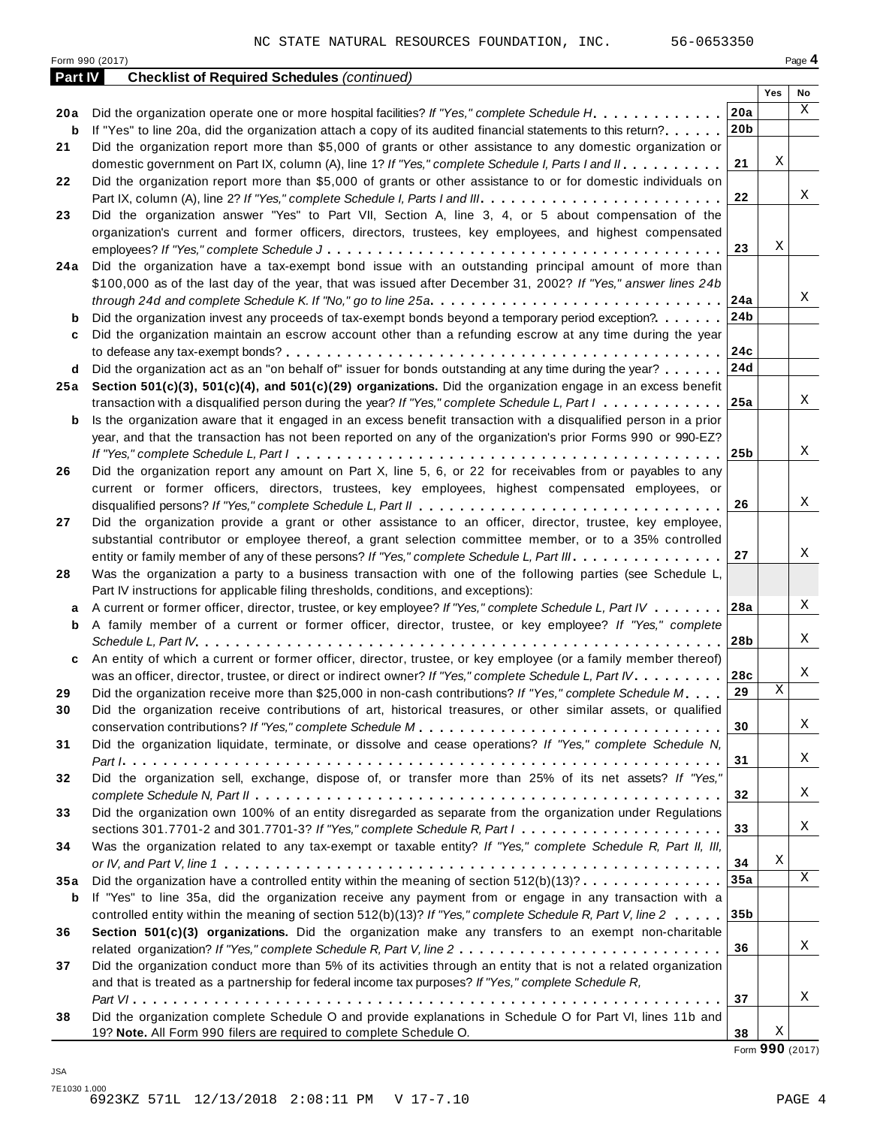Form <sup>990</sup> (2017) Page **4**

| <b>Part IV</b> | <b>Checklist of Required Schedules (continued)</b>                                                                                                                                                             |                 |     |    |
|----------------|----------------------------------------------------------------------------------------------------------------------------------------------------------------------------------------------------------------|-----------------|-----|----|
|                |                                                                                                                                                                                                                |                 | Yes | No |
| 20 a           | Did the organization operate one or more hospital facilities? If "Yes," complete Schedule H.                                                                                                                   | 20a             |     | X  |
| b              | If "Yes" to line 20a, did the organization attach a copy of its audited financial statements to this return?                                                                                                   | 20b             |     |    |
| 21             | Did the organization report more than \$5,000 of grants or other assistance to any domestic organization or                                                                                                    |                 | Χ   |    |
|                | domestic government on Part IX, column (A), line 1? If "Yes," complete Schedule I, Parts I and II.                                                                                                             | 21              |     |    |
| 22             | Did the organization report more than \$5,000 of grants or other assistance to or for domestic individuals on                                                                                                  | 22              |     | Χ  |
|                |                                                                                                                                                                                                                |                 |     |    |
| 23             | Did the organization answer "Yes" to Part VII, Section A, line 3, 4, or 5 about compensation of the<br>organization's current and former officers, directors, trustees, key employees, and highest compensated |                 |     |    |
|                |                                                                                                                                                                                                                | 23              | Χ   |    |
| 24 a           | Did the organization have a tax-exempt bond issue with an outstanding principal amount of more than                                                                                                            |                 |     |    |
|                | \$100,000 as of the last day of the year, that was issued after December 31, 2002? If "Yes," answer lines 24b                                                                                                  |                 |     |    |
|                | through 24d and complete Schedule K. If "No," go to line 25a                                                                                                                                                   | 24a             |     | Χ  |
| b              | Did the organization invest any proceeds of tax-exempt bonds beyond a temporary period exception?                                                                                                              | 24b             |     |    |
| c              | Did the organization maintain an escrow account other than a refunding escrow at any time during the year                                                                                                      |                 |     |    |
|                |                                                                                                                                                                                                                | 24c             |     |    |
| d              | Did the organization act as an "on behalf of" issuer for bonds outstanding at any time during the year?                                                                                                        | 24d             |     |    |
| 25 a           | Section 501(c)(3), 501(c)(4), and 501(c)(29) organizations. Did the organization engage in an excess benefit                                                                                                   |                 |     |    |
|                | transaction with a disqualified person during the year? If "Yes," complete Schedule L, Part $1, \ldots, \ldots, \ldots$                                                                                        | 25a             |     | Χ  |
| b              | Is the organization aware that it engaged in an excess benefit transaction with a disqualified person in a prior                                                                                               |                 |     |    |
|                | year, and that the transaction has not been reported on any of the organization's prior Forms 990 or 990-EZ?                                                                                                   |                 |     |    |
|                |                                                                                                                                                                                                                | 25 <sub>b</sub> |     | Χ  |
| 26             | Did the organization report any amount on Part X, line 5, 6, or 22 for receivables from or payables to any                                                                                                     |                 |     |    |
|                | current or former officers, directors, trustees, key employees, highest compensated employees, or                                                                                                              |                 |     |    |
|                |                                                                                                                                                                                                                | 26              |     | Χ  |
| 27             | Did the organization provide a grant or other assistance to an officer, director, trustee, key employee,                                                                                                       |                 |     |    |
|                | substantial contributor or employee thereof, a grant selection committee member, or to a 35% controlled                                                                                                        | 27              |     | X  |
| 28             | entity or family member of any of these persons? If "Yes," complete Schedule L, Part III.<br>Was the organization a party to a business transaction with one of the following parties (see Schedule L,         |                 |     |    |
|                | Part IV instructions for applicable filing thresholds, conditions, and exceptions):                                                                                                                            |                 |     |    |
| a              | A current or former officer, director, trustee, or key employee? If "Yes," complete Schedule L, Part IV                                                                                                        | 28a             |     | Χ  |
| b              | A family member of a current or former officer, director, trustee, or key employee? If "Yes," complete                                                                                                         |                 |     |    |
|                |                                                                                                                                                                                                                | 28b             |     | Χ  |
| c              | An entity of which a current or former officer, director, trustee, or key employee (or a family member thereof)                                                                                                |                 |     |    |
|                | was an officer, director, trustee, or direct or indirect owner? If "Yes," complete Schedule L, Part IV.                                                                                                        | 28c             |     | Χ  |
| 29             | Did the organization receive more than \$25,000 in non-cash contributions? If "Yes," complete Schedule M.                                                                                                      | 29              | Χ   |    |
| 30             | Did the organization receive contributions of art, historical treasures, or other similar assets, or qualified                                                                                                 |                 |     |    |
|                |                                                                                                                                                                                                                | 30              |     | Χ  |
| 31             | Did the organization liquidate, terminate, or dissolve and cease operations? If "Yes," complete Schedule N,                                                                                                    |                 |     |    |
|                |                                                                                                                                                                                                                | 31              |     | X  |
| 32             | Did the organization sell, exchange, dispose of, or transfer more than 25% of its net assets? If "Yes,"                                                                                                        |                 |     |    |
|                |                                                                                                                                                                                                                | 32              |     | X  |
| 33             | Did the organization own 100% of an entity disregarded as separate from the organization under Regulations                                                                                                     |                 |     | X  |
|                | sections 301.7701-2 and 301.7701-3? If "Yes," complete Schedule R, Part $1, \ldots, \ldots, \ldots, \ldots, \ldots, \ldots$                                                                                    | 33              |     |    |
| 34             | Was the organization related to any tax-exempt or taxable entity? If "Yes," complete Schedule R, Part II, III,                                                                                                 | 34              | Χ   |    |
| 35a            | Did the organization have a controlled entity within the meaning of section $512(b)(13)? \ldots \ldots \ldots \ldots$                                                                                          | 35a             |     | X  |
| b              | If "Yes" to line 35a, did the organization receive any payment from or engage in any transaction with a                                                                                                        |                 |     |    |
|                | controlled entity within the meaning of section 512(b)(13)? If "Yes," complete Schedule R, Part V, line 2                                                                                                      | 35 <sub>b</sub> |     |    |
| 36             | Section 501(c)(3) organizations. Did the organization make any transfers to an exempt non-charitable                                                                                                           |                 |     |    |
|                |                                                                                                                                                                                                                | 36              |     | Χ  |
| 37             | Did the organization conduct more than 5% of its activities through an entity that is not a related organization                                                                                               |                 |     |    |
|                | and that is treated as a partnership for federal income tax purposes? If "Yes," complete Schedule R,                                                                                                           |                 |     |    |
|                |                                                                                                                                                                                                                | 37              |     | Χ  |
| 38             | Did the organization complete Schedule O and provide explanations in Schedule O for Part VI, lines 11b and                                                                                                     |                 |     |    |
|                | 19? Note. All Form 990 filers are required to complete Schedule O.                                                                                                                                             | 38              | Χ   |    |

Form **990** (2017)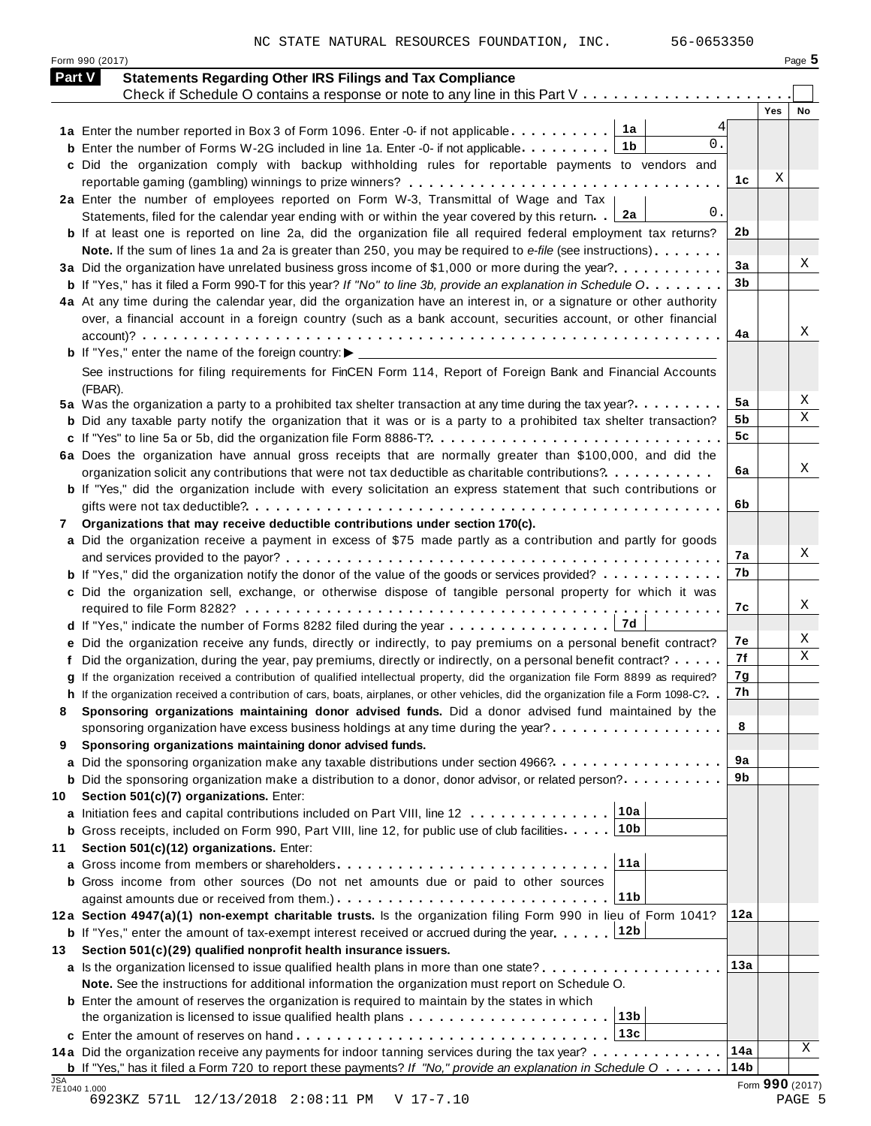Form <sup>990</sup> (2017) Page **5** NC STATE NATURAL RESOURCES FOUNDATION, INC. 56-0653350

|     | Check if Schedule O contains a response or note to any line in this Part $V_1, \ldots, V_k, \ldots, V_k, \ldots$<br>1a Enter the number reported in Box 3 of Form 1096. Enter -0- if not applicable 1a<br>0.<br>1b<br><b>b</b> Enter the number of Forms W-2G included in line 1a. Enter -0- if not applicable. $\dots \dots \dots$<br>c Did the organization comply with backup withholding rules for reportable payments to vendors and<br>2a Enter the number of employees reported on Form W-3, Transmittal of Wage and Tax<br>0.<br>2a<br>Statements, filed for the calendar year ending with or within the year covered by this return.<br><b>b</b> If at least one is reported on line 2a, did the organization file all required federal employment tax returns?<br>Note. If the sum of lines 1a and 2a is greater than 250, you may be required to e-file (see instructions)<br>3a Did the organization have unrelated business gross income of \$1,000 or more during the year?<br><b>b</b> If "Yes," has it filed a Form 990-T for this year? If "No" to line 3b, provide an explanation in Schedule O<br>4a At any time during the calendar year, did the organization have an interest in, or a signature or other authority<br>over, a financial account in a foreign country (such as a bank account, securities account, or other financial<br>See instructions for filing requirements for FinCEN Form 114, Report of Foreign Bank and Financial Accounts<br>(FBAR).<br>5a Was the organization a party to a prohibited tax shelter transaction at any time during the tax year? | 1c<br>2b<br>3a<br>3b<br>4a | Yes<br>No<br>Χ<br>X |
|-----|---------------------------------------------------------------------------------------------------------------------------------------------------------------------------------------------------------------------------------------------------------------------------------------------------------------------------------------------------------------------------------------------------------------------------------------------------------------------------------------------------------------------------------------------------------------------------------------------------------------------------------------------------------------------------------------------------------------------------------------------------------------------------------------------------------------------------------------------------------------------------------------------------------------------------------------------------------------------------------------------------------------------------------------------------------------------------------------------------------------------------------------------------------------------------------------------------------------------------------------------------------------------------------------------------------------------------------------------------------------------------------------------------------------------------------------------------------------------------------------------------------------------------------------------------------------------------------------------------|----------------------------|---------------------|
|     |                                                                                                                                                                                                                                                                                                                                                                                                                                                                                                                                                                                                                                                                                                                                                                                                                                                                                                                                                                                                                                                                                                                                                                                                                                                                                                                                                                                                                                                                                                                                                                                                   |                            |                     |
|     |                                                                                                                                                                                                                                                                                                                                                                                                                                                                                                                                                                                                                                                                                                                                                                                                                                                                                                                                                                                                                                                                                                                                                                                                                                                                                                                                                                                                                                                                                                                                                                                                   |                            |                     |
|     |                                                                                                                                                                                                                                                                                                                                                                                                                                                                                                                                                                                                                                                                                                                                                                                                                                                                                                                                                                                                                                                                                                                                                                                                                                                                                                                                                                                                                                                                                                                                                                                                   |                            |                     |
|     |                                                                                                                                                                                                                                                                                                                                                                                                                                                                                                                                                                                                                                                                                                                                                                                                                                                                                                                                                                                                                                                                                                                                                                                                                                                                                                                                                                                                                                                                                                                                                                                                   |                            |                     |
|     |                                                                                                                                                                                                                                                                                                                                                                                                                                                                                                                                                                                                                                                                                                                                                                                                                                                                                                                                                                                                                                                                                                                                                                                                                                                                                                                                                                                                                                                                                                                                                                                                   |                            |                     |
|     |                                                                                                                                                                                                                                                                                                                                                                                                                                                                                                                                                                                                                                                                                                                                                                                                                                                                                                                                                                                                                                                                                                                                                                                                                                                                                                                                                                                                                                                                                                                                                                                                   |                            |                     |
|     |                                                                                                                                                                                                                                                                                                                                                                                                                                                                                                                                                                                                                                                                                                                                                                                                                                                                                                                                                                                                                                                                                                                                                                                                                                                                                                                                                                                                                                                                                                                                                                                                   |                            |                     |
|     |                                                                                                                                                                                                                                                                                                                                                                                                                                                                                                                                                                                                                                                                                                                                                                                                                                                                                                                                                                                                                                                                                                                                                                                                                                                                                                                                                                                                                                                                                                                                                                                                   |                            |                     |
|     |                                                                                                                                                                                                                                                                                                                                                                                                                                                                                                                                                                                                                                                                                                                                                                                                                                                                                                                                                                                                                                                                                                                                                                                                                                                                                                                                                                                                                                                                                                                                                                                                   |                            |                     |
|     |                                                                                                                                                                                                                                                                                                                                                                                                                                                                                                                                                                                                                                                                                                                                                                                                                                                                                                                                                                                                                                                                                                                                                                                                                                                                                                                                                                                                                                                                                                                                                                                                   |                            |                     |
|     |                                                                                                                                                                                                                                                                                                                                                                                                                                                                                                                                                                                                                                                                                                                                                                                                                                                                                                                                                                                                                                                                                                                                                                                                                                                                                                                                                                                                                                                                                                                                                                                                   |                            |                     |
|     |                                                                                                                                                                                                                                                                                                                                                                                                                                                                                                                                                                                                                                                                                                                                                                                                                                                                                                                                                                                                                                                                                                                                                                                                                                                                                                                                                                                                                                                                                                                                                                                                   |                            |                     |
|     |                                                                                                                                                                                                                                                                                                                                                                                                                                                                                                                                                                                                                                                                                                                                                                                                                                                                                                                                                                                                                                                                                                                                                                                                                                                                                                                                                                                                                                                                                                                                                                                                   |                            |                     |
|     |                                                                                                                                                                                                                                                                                                                                                                                                                                                                                                                                                                                                                                                                                                                                                                                                                                                                                                                                                                                                                                                                                                                                                                                                                                                                                                                                                                                                                                                                                                                                                                                                   |                            |                     |
|     |                                                                                                                                                                                                                                                                                                                                                                                                                                                                                                                                                                                                                                                                                                                                                                                                                                                                                                                                                                                                                                                                                                                                                                                                                                                                                                                                                                                                                                                                                                                                                                                                   |                            |                     |
|     |                                                                                                                                                                                                                                                                                                                                                                                                                                                                                                                                                                                                                                                                                                                                                                                                                                                                                                                                                                                                                                                                                                                                                                                                                                                                                                                                                                                                                                                                                                                                                                                                   |                            |                     |
|     |                                                                                                                                                                                                                                                                                                                                                                                                                                                                                                                                                                                                                                                                                                                                                                                                                                                                                                                                                                                                                                                                                                                                                                                                                                                                                                                                                                                                                                                                                                                                                                                                   |                            |                     |
|     |                                                                                                                                                                                                                                                                                                                                                                                                                                                                                                                                                                                                                                                                                                                                                                                                                                                                                                                                                                                                                                                                                                                                                                                                                                                                                                                                                                                                                                                                                                                                                                                                   |                            |                     |
|     |                                                                                                                                                                                                                                                                                                                                                                                                                                                                                                                                                                                                                                                                                                                                                                                                                                                                                                                                                                                                                                                                                                                                                                                                                                                                                                                                                                                                                                                                                                                                                                                                   | 5a                         |                     |
|     | <b>b</b> Did any taxable party notify the organization that it was or is a party to a prohibited tax shelter transaction?                                                                                                                                                                                                                                                                                                                                                                                                                                                                                                                                                                                                                                                                                                                                                                                                                                                                                                                                                                                                                                                                                                                                                                                                                                                                                                                                                                                                                                                                         | 5b                         |                     |
|     |                                                                                                                                                                                                                                                                                                                                                                                                                                                                                                                                                                                                                                                                                                                                                                                                                                                                                                                                                                                                                                                                                                                                                                                                                                                                                                                                                                                                                                                                                                                                                                                                   | 5c                         |                     |
|     | 6a Does the organization have annual gross receipts that are normally greater than \$100,000, and did the                                                                                                                                                                                                                                                                                                                                                                                                                                                                                                                                                                                                                                                                                                                                                                                                                                                                                                                                                                                                                                                                                                                                                                                                                                                                                                                                                                                                                                                                                         |                            |                     |
|     | organization solicit any contributions that were not tax deductible as charitable contributions?                                                                                                                                                                                                                                                                                                                                                                                                                                                                                                                                                                                                                                                                                                                                                                                                                                                                                                                                                                                                                                                                                                                                                                                                                                                                                                                                                                                                                                                                                                  | 6a                         |                     |
|     | <b>b</b> If "Yes," did the organization include with every solicitation an express statement that such contributions or                                                                                                                                                                                                                                                                                                                                                                                                                                                                                                                                                                                                                                                                                                                                                                                                                                                                                                                                                                                                                                                                                                                                                                                                                                                                                                                                                                                                                                                                           |                            |                     |
|     |                                                                                                                                                                                                                                                                                                                                                                                                                                                                                                                                                                                                                                                                                                                                                                                                                                                                                                                                                                                                                                                                                                                                                                                                                                                                                                                                                                                                                                                                                                                                                                                                   | 6b                         |                     |
| 7   | Organizations that may receive deductible contributions under section 170(c).                                                                                                                                                                                                                                                                                                                                                                                                                                                                                                                                                                                                                                                                                                                                                                                                                                                                                                                                                                                                                                                                                                                                                                                                                                                                                                                                                                                                                                                                                                                     |                            |                     |
|     | a Did the organization receive a payment in excess of \$75 made partly as a contribution and partly for goods                                                                                                                                                                                                                                                                                                                                                                                                                                                                                                                                                                                                                                                                                                                                                                                                                                                                                                                                                                                                                                                                                                                                                                                                                                                                                                                                                                                                                                                                                     |                            |                     |
|     |                                                                                                                                                                                                                                                                                                                                                                                                                                                                                                                                                                                                                                                                                                                                                                                                                                                                                                                                                                                                                                                                                                                                                                                                                                                                                                                                                                                                                                                                                                                                                                                                   | 7a                         |                     |
|     | <b>b</b> If "Yes," did the organization notify the donor of the value of the goods or services provided?                                                                                                                                                                                                                                                                                                                                                                                                                                                                                                                                                                                                                                                                                                                                                                                                                                                                                                                                                                                                                                                                                                                                                                                                                                                                                                                                                                                                                                                                                          | 7b                         |                     |
|     | c Did the organization sell, exchange, or otherwise dispose of tangible personal property for which it was                                                                                                                                                                                                                                                                                                                                                                                                                                                                                                                                                                                                                                                                                                                                                                                                                                                                                                                                                                                                                                                                                                                                                                                                                                                                                                                                                                                                                                                                                        |                            |                     |
|     |                                                                                                                                                                                                                                                                                                                                                                                                                                                                                                                                                                                                                                                                                                                                                                                                                                                                                                                                                                                                                                                                                                                                                                                                                                                                                                                                                                                                                                                                                                                                                                                                   | 7c                         |                     |
|     | 7d<br>d If "Yes," indicate the number of Forms 8282 filed during the year                                                                                                                                                                                                                                                                                                                                                                                                                                                                                                                                                                                                                                                                                                                                                                                                                                                                                                                                                                                                                                                                                                                                                                                                                                                                                                                                                                                                                                                                                                                         |                            |                     |
|     | e Did the organization receive any funds, directly or indirectly, to pay premiums on a personal benefit contract?                                                                                                                                                                                                                                                                                                                                                                                                                                                                                                                                                                                                                                                                                                                                                                                                                                                                                                                                                                                                                                                                                                                                                                                                                                                                                                                                                                                                                                                                                 | 7е                         |                     |
|     | f Did the organization, during the year, pay premiums, directly or indirectly, on a personal benefit contract?                                                                                                                                                                                                                                                                                                                                                                                                                                                                                                                                                                                                                                                                                                                                                                                                                                                                                                                                                                                                                                                                                                                                                                                                                                                                                                                                                                                                                                                                                    | 7f                         |                     |
|     | g If the organization received a contribution of qualified intellectual property, did the organization file Form 8899 as required?                                                                                                                                                                                                                                                                                                                                                                                                                                                                                                                                                                                                                                                                                                                                                                                                                                                                                                                                                                                                                                                                                                                                                                                                                                                                                                                                                                                                                                                                | 7g                         |                     |
|     | h If the organization received a contribution of cars, boats, airplanes, or other vehicles, did the organization file a Form 1098-C?. .                                                                                                                                                                                                                                                                                                                                                                                                                                                                                                                                                                                                                                                                                                                                                                                                                                                                                                                                                                                                                                                                                                                                                                                                                                                                                                                                                                                                                                                           | 7h                         |                     |
|     | Sponsoring organizations maintaining donor advised funds. Did a donor advised fund maintained by the                                                                                                                                                                                                                                                                                                                                                                                                                                                                                                                                                                                                                                                                                                                                                                                                                                                                                                                                                                                                                                                                                                                                                                                                                                                                                                                                                                                                                                                                                              |                            |                     |
|     | sponsoring organization have excess business holdings at any time during the year?                                                                                                                                                                                                                                                                                                                                                                                                                                                                                                                                                                                                                                                                                                                                                                                                                                                                                                                                                                                                                                                                                                                                                                                                                                                                                                                                                                                                                                                                                                                | 8                          |                     |
| 9   | Sponsoring organizations maintaining donor advised funds.                                                                                                                                                                                                                                                                                                                                                                                                                                                                                                                                                                                                                                                                                                                                                                                                                                                                                                                                                                                                                                                                                                                                                                                                                                                                                                                                                                                                                                                                                                                                         |                            |                     |
|     | a Did the sponsoring organization make any taxable distributions under section 4966?                                                                                                                                                                                                                                                                                                                                                                                                                                                                                                                                                                                                                                                                                                                                                                                                                                                                                                                                                                                                                                                                                                                                                                                                                                                                                                                                                                                                                                                                                                              | 9a                         |                     |
|     | <b>b</b> Did the sponsoring organization make a distribution to a donor, donor advisor, or related person?                                                                                                                                                                                                                                                                                                                                                                                                                                                                                                                                                                                                                                                                                                                                                                                                                                                                                                                                                                                                                                                                                                                                                                                                                                                                                                                                                                                                                                                                                        | 9b                         |                     |
| 10  | Section 501(c)(7) organizations. Enter:                                                                                                                                                                                                                                                                                                                                                                                                                                                                                                                                                                                                                                                                                                                                                                                                                                                                                                                                                                                                                                                                                                                                                                                                                                                                                                                                                                                                                                                                                                                                                           |                            |                     |
|     | 10a<br>a Initiation fees and capital contributions included on Part VIII, line 12                                                                                                                                                                                                                                                                                                                                                                                                                                                                                                                                                                                                                                                                                                                                                                                                                                                                                                                                                                                                                                                                                                                                                                                                                                                                                                                                                                                                                                                                                                                 |                            |                     |
|     | 10 <sub>b</sub><br><b>b</b> Gross receipts, included on Form 990, Part VIII, line 12, for public use of club facilities                                                                                                                                                                                                                                                                                                                                                                                                                                                                                                                                                                                                                                                                                                                                                                                                                                                                                                                                                                                                                                                                                                                                                                                                                                                                                                                                                                                                                                                                           |                            |                     |
| 11  | Section 501(c)(12) organizations. Enter:                                                                                                                                                                                                                                                                                                                                                                                                                                                                                                                                                                                                                                                                                                                                                                                                                                                                                                                                                                                                                                                                                                                                                                                                                                                                                                                                                                                                                                                                                                                                                          |                            |                     |
|     | 11a                                                                                                                                                                                                                                                                                                                                                                                                                                                                                                                                                                                                                                                                                                                                                                                                                                                                                                                                                                                                                                                                                                                                                                                                                                                                                                                                                                                                                                                                                                                                                                                               |                            |                     |
|     | <b>b</b> Gross income from other sources (Do not net amounts due or paid to other sources                                                                                                                                                                                                                                                                                                                                                                                                                                                                                                                                                                                                                                                                                                                                                                                                                                                                                                                                                                                                                                                                                                                                                                                                                                                                                                                                                                                                                                                                                                         |                            |                     |
|     | 11b                                                                                                                                                                                                                                                                                                                                                                                                                                                                                                                                                                                                                                                                                                                                                                                                                                                                                                                                                                                                                                                                                                                                                                                                                                                                                                                                                                                                                                                                                                                                                                                               |                            |                     |
|     | 12a Section 4947(a)(1) non-exempt charitable trusts. Is the organization filing Form 990 in lieu of Form 1041?                                                                                                                                                                                                                                                                                                                                                                                                                                                                                                                                                                                                                                                                                                                                                                                                                                                                                                                                                                                                                                                                                                                                                                                                                                                                                                                                                                                                                                                                                    | 12a                        |                     |
|     | 12b<br><b>b</b> If "Yes," enter the amount of tax-exempt interest received or accrued during the year                                                                                                                                                                                                                                                                                                                                                                                                                                                                                                                                                                                                                                                                                                                                                                                                                                                                                                                                                                                                                                                                                                                                                                                                                                                                                                                                                                                                                                                                                             |                            |                     |
| 13. | Section 501(c)(29) qualified nonprofit health insurance issuers.                                                                                                                                                                                                                                                                                                                                                                                                                                                                                                                                                                                                                                                                                                                                                                                                                                                                                                                                                                                                                                                                                                                                                                                                                                                                                                                                                                                                                                                                                                                                  |                            |                     |
|     | a Is the organization licensed to issue qualified health plans in more than one state?                                                                                                                                                                                                                                                                                                                                                                                                                                                                                                                                                                                                                                                                                                                                                                                                                                                                                                                                                                                                                                                                                                                                                                                                                                                                                                                                                                                                                                                                                                            | 13a                        |                     |
|     | Note. See the instructions for additional information the organization must report on Schedule O.                                                                                                                                                                                                                                                                                                                                                                                                                                                                                                                                                                                                                                                                                                                                                                                                                                                                                                                                                                                                                                                                                                                                                                                                                                                                                                                                                                                                                                                                                                 |                            |                     |
|     | <b>b</b> Enter the amount of reserves the organization is required to maintain by the states in which                                                                                                                                                                                                                                                                                                                                                                                                                                                                                                                                                                                                                                                                                                                                                                                                                                                                                                                                                                                                                                                                                                                                                                                                                                                                                                                                                                                                                                                                                             |                            |                     |
|     | 13 <sub>b</sub><br>the organization is licensed to issue qualified health plans                                                                                                                                                                                                                                                                                                                                                                                                                                                                                                                                                                                                                                                                                                                                                                                                                                                                                                                                                                                                                                                                                                                                                                                                                                                                                                                                                                                                                                                                                                                   |                            |                     |
|     | 13c                                                                                                                                                                                                                                                                                                                                                                                                                                                                                                                                                                                                                                                                                                                                                                                                                                                                                                                                                                                                                                                                                                                                                                                                                                                                                                                                                                                                                                                                                                                                                                                               |                            |                     |
|     | 14a Did the organization receive any payments for indoor tanning services during the tax year?                                                                                                                                                                                                                                                                                                                                                                                                                                                                                                                                                                                                                                                                                                                                                                                                                                                                                                                                                                                                                                                                                                                                                                                                                                                                                                                                                                                                                                                                                                    | 14a                        |                     |
| JSA | <b>b</b> If "Yes," has it filed a Form 720 to report these payments? If "No," provide an explanation in Schedule $0$                                                                                                                                                                                                                                                                                                                                                                                                                                                                                                                                                                                                                                                                                                                                                                                                                                                                                                                                                                                                                                                                                                                                                                                                                                                                                                                                                                                                                                                                              | 14 <sub>b</sub>            | Form 990 (2017)     |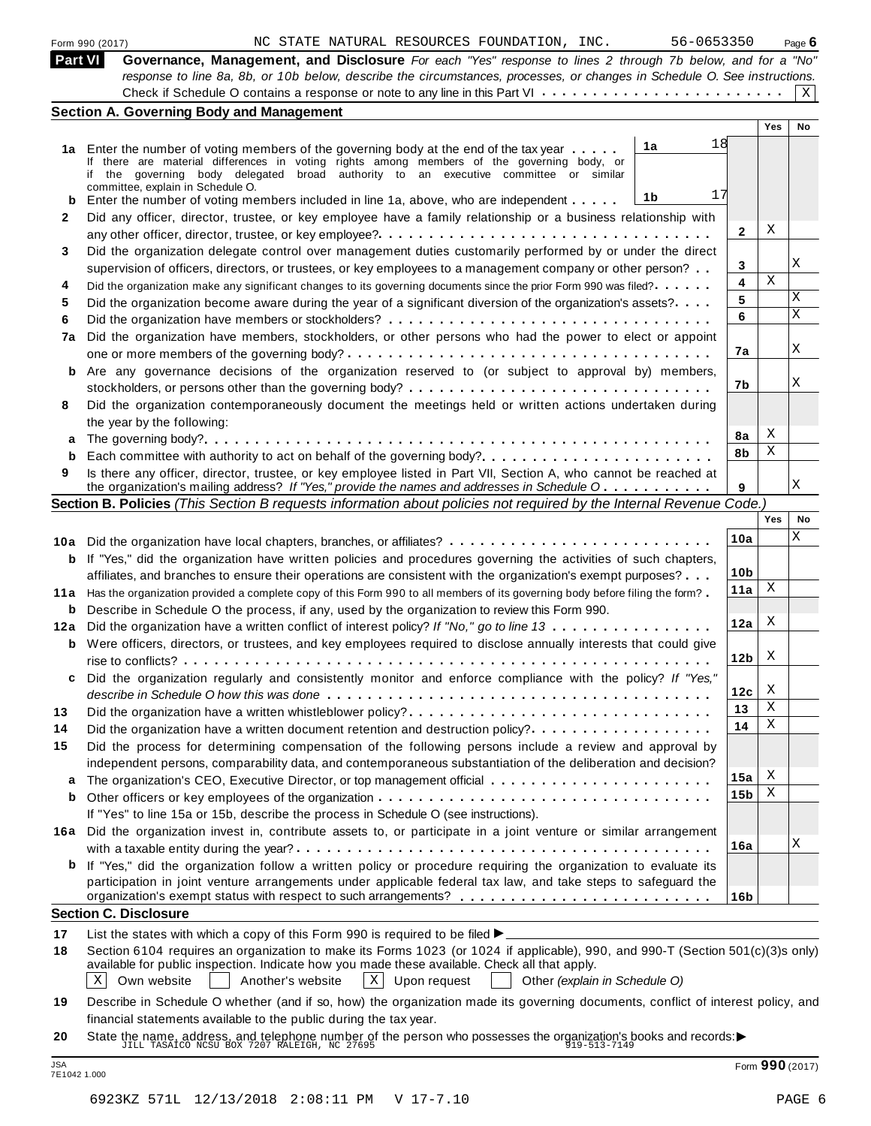|          | 56-0653350<br>NC STATE NATURAL RESOURCES FOUNDATION, INC.<br>Form 990 (2017)                                                                                                                                    |                 |            | Page $6$ |
|----------|-----------------------------------------------------------------------------------------------------------------------------------------------------------------------------------------------------------------|-----------------|------------|----------|
| Part VI  | Governance, Management, and Disclosure For each "Yes" response to lines 2 through 7b below, and for a "No"                                                                                                      |                 |            |          |
|          | response to line 8a, 8b, or 10b below, describe the circumstances, processes, or changes in Schedule O. See instructions.                                                                                       |                 |            |          |
|          |                                                                                                                                                                                                                 |                 |            | Χ        |
|          | <b>Section A. Governing Body and Management</b>                                                                                                                                                                 |                 | <b>Yes</b> | No.      |
|          | 18                                                                                                                                                                                                              |                 |            |          |
|          | 1a<br>1a Enter the number of voting members of the governing body at the end of the tax year<br>If there are material differences in voting rights among members of the governing body, or                      |                 |            |          |
|          | if the governing body delegated broad authority to an executive committee or similar                                                                                                                            |                 |            |          |
|          | committee, explain in Schedule O.<br>17                                                                                                                                                                         |                 |            |          |
| b        | 1b<br>Enter the number of voting members included in line 1a, above, who are independent                                                                                                                        |                 |            |          |
| 2        | Did any officer, director, trustee, or key employee have a family relationship or a business relationship with                                                                                                  |                 | Χ          |          |
|          |                                                                                                                                                                                                                 | 2               |            |          |
| 3        | Did the organization delegate control over management duties customarily performed by or under the direct                                                                                                       |                 |            | Χ        |
|          | supervision of officers, directors, or trustees, or key employees to a management company or other person?                                                                                                      | 3               | Χ          |          |
| 4        | Did the organization make any significant changes to its governing documents since the prior Form 990 was filed?                                                                                                | 4<br>5          |            | Χ        |
| 5        | Did the organization become aware during the year of a significant diversion of the organization's assets?                                                                                                      |                 |            | X        |
| 6        |                                                                                                                                                                                                                 | 6               |            |          |
| 7a       | Did the organization have members, stockholders, or other persons who had the power to elect or appoint                                                                                                         |                 |            | Χ        |
|          |                                                                                                                                                                                                                 | 7а              |            |          |
|          | <b>b</b> Are any governance decisions of the organization reserved to (or subject to approval by) members,                                                                                                      |                 |            | Χ        |
|          |                                                                                                                                                                                                                 | 7b              |            |          |
| 8        | Did the organization contemporaneously document the meetings held or written actions undertaken during                                                                                                          |                 |            |          |
|          | the year by the following:                                                                                                                                                                                      |                 | Χ          |          |
| а        |                                                                                                                                                                                                                 | 8a              | Χ          |          |
|          | Each committee with authority to act on behalf of the governing body?                                                                                                                                           | 8b              |            |          |
| 9        | Is there any officer, director, trustee, or key employee listed in Part VII, Section A, who cannot be reached at<br>the organization's mailing address? If "Yes," provide the names and addresses in Schedule O | 9               |            | Χ        |
|          | Section B. Policies (This Section B requests information about policies not required by the Internal Revenue Code.)                                                                                             |                 |            |          |
|          |                                                                                                                                                                                                                 |                 | Yes        | No       |
|          | 10a Did the organization have local chapters, branches, or affiliates?                                                                                                                                          | 10a             |            | Χ        |
|          | <b>b</b> If "Yes," did the organization have written policies and procedures governing the activities of such chapters,                                                                                         |                 |            |          |
|          | affiliates, and branches to ensure their operations are consistent with the organization's exempt purposes?                                                                                                     | 10 <sub>b</sub> |            |          |
| 11a      | Has the organization provided a complete copy of this Form 990 to all members of its governing body before filing the form?                                                                                     | 11a             | Χ          |          |
| b        | Describe in Schedule O the process, if any, used by the organization to review this Form 990.                                                                                                                   |                 |            |          |
| 12a      | Did the organization have a written conflict of interest policy? If "No," go to line 13                                                                                                                         | 12a             | X          |          |
|          | <b>b</b> Were officers, directors, or trustees, and key employees required to disclose annually interests that could give                                                                                       |                 |            |          |
|          |                                                                                                                                                                                                                 | 12 <sub>b</sub> | X          |          |
|          | Did the organization regularly and consistently monitor and enforce compliance with the policy? If "Yes,"                                                                                                       |                 |            |          |
|          |                                                                                                                                                                                                                 | 12c             | X          |          |
| 13       | Did the organization have a written whistleblower policy?                                                                                                                                                       | 13              | Χ          |          |
| 14       | Did the organization have a written document retention and destruction policy?                                                                                                                                  | 14              | Χ          |          |
| 15       | Did the process for determining compensation of the following persons include a review and approval by                                                                                                          |                 |            |          |
|          | independent persons, comparability data, and contemporaneous substantiation of the deliberation and decision?                                                                                                   |                 |            |          |
| а        |                                                                                                                                                                                                                 | 15a             | Χ          |          |
| b        |                                                                                                                                                                                                                 | 15 <sub>b</sub> | Χ          |          |
|          | If "Yes" to line 15a or 15b, describe the process in Schedule O (see instructions).                                                                                                                             |                 |            |          |
|          | 16a Did the organization invest in, contribute assets to, or participate in a joint venture or similar arrangement                                                                                              |                 |            |          |
|          |                                                                                                                                                                                                                 | 16a             |            | Χ        |
|          | <b>b</b> If "Yes," did the organization follow a written policy or procedure requiring the organization to evaluate its                                                                                         |                 |            |          |
|          | participation in joint venture arrangements under applicable federal tax law, and take steps to safeguard the                                                                                                   |                 |            |          |
|          |                                                                                                                                                                                                                 | 16 <sub>b</sub> |            |          |
|          | <b>Section C. Disclosure</b>                                                                                                                                                                                    |                 |            |          |
|          | List the states with which a copy of this Form 990 is required to be filed $\blacktriangleright$ .                                                                                                              |                 |            |          |
| 17<br>18 | Section 6104 requires an organization to make its Forms 1023 (or 1024 if applicable), 990, and 990-T (Section 501(c)(3)s only)                                                                                  |                 |            |          |
|          | available for public inspection. Indicate how you made these available. Check all that apply.                                                                                                                   |                 |            |          |
|          | $\mathbf{X}$<br>Own website<br>Another's website<br>Upon request<br>Χ<br>Other (explain in Schedule O)                                                                                                          |                 |            |          |
| 19       | Describe in Schedule O whether (and if so, how) the organization made its governing documents, conflict of interest policy, and                                                                                 |                 |            |          |
|          | financial statements available to the public during the tax year.                                                                                                                                               |                 |            |          |
|          |                                                                                                                                                                                                                 |                 |            |          |

| illiancial statements available to the public during the tax year.                                                                                                 |                    |
|--------------------------------------------------------------------------------------------------------------------------------------------------------------------|--------------------|
| 20 State the name, address, and telephone number of the person who possesses the organization's books and records:<br>JILL TASAÍCO NCSU BOX 7207 RALEIGH, NC 27695 | $519 - 513 - 7149$ |

JSA Form **<sup>990</sup>** (2017) 7E1042 1.000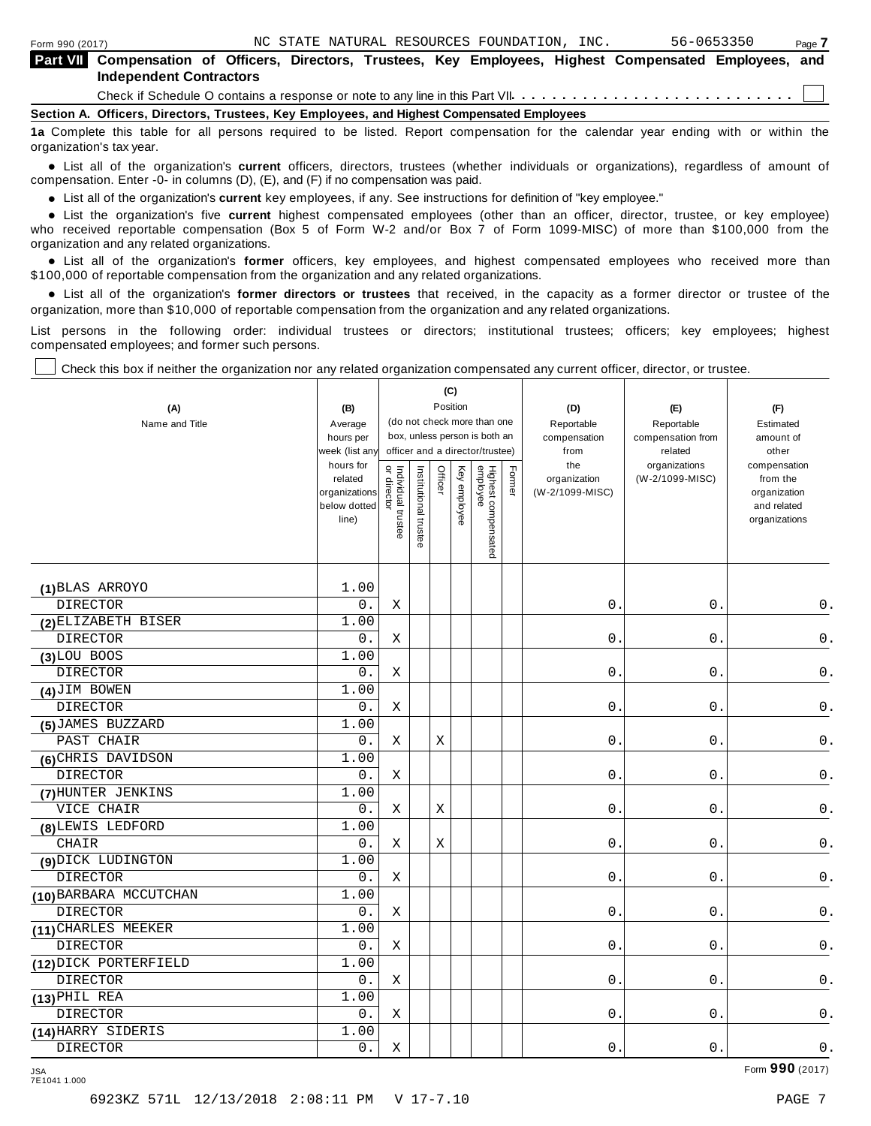| Part VII Compensation of Officers, Directors, Trustees, Key Employees, Highest Compensated Employees, and |  |
|-----------------------------------------------------------------------------------------------------------|--|
| <b>Independent Contractors</b>                                                                            |  |
|                                                                                                           |  |
|                                                                                                           |  |
| Section A. Officers, Directors, Trustees, Key Employees, and Highest Compensated Employees                |  |

anization's lax year.<br>● List all of the organization's **current** officers, directors, trustees (whether individuals or organizations), regardless of amount of<br>nnensation Enter -0- in columns (D) (E) and (E) if no compensa compensation. Enter -0- in columns (D), (E), and (F) if no compensation was paid.

• List all of the organization's **current** key employees, if any. See instructions for definition of "key employee."<br>● List the experientials five expect highest expressed explores (other than an efficer director of

**Example in the organization's current** key employees, if any. See instructions for definition of key employee.<br>• List the organization's five **current** highest compensated employees (other than an officer, director, trust who received reportable compensation (Box 5 of Form W-2 and/or Box 7 of Form 1099-MISC) of more than \$100,000 from the

organization and any related organizations.<br>• List all of the organization's **former** officers, key employees, and highest compensated employees who received more than<br>\$1.00.000 of reportable componention from the erganiza \$100,000 of reportable compensation from the organization and any related organizations.

% List all of the organization's **former directors or trustees** that received, in the capacity as a former director or trustee of the organization, more than \$10,000 of reportable compensation from the organization and any related organizations.

List persons in the following order: individual trustees or directors; institutional trustees; officers; key employees; highest compensated employees; and former such persons.

Check this box if neither the organization nor any related organization compensated any current officer, director, or trustee.

| (A)<br>Name and Title                  | (B)<br>Average<br>hours per<br>week (list an <sub>'</sub><br>hours for<br>related<br>organizations<br>below dotted<br>line) | or director<br>Individual trustee | Institutional trustee | (C)<br>Officer | Position<br>Key employee | (do not check more than one<br>box, unless person is both an<br>officer and a director/trustee)<br>Highest compensated<br>employee | Former | (D)<br>Reportable<br>compensation<br>from<br>the<br>organization<br>(W-2/1099-MISC) | (E)<br>Reportable<br>compensation from<br>related<br>organizations<br>(W-2/1099-MISC) | (F)<br>Estimated<br>amount of<br>other<br>compensation<br>from the<br>organization<br>and related<br>organizations |
|----------------------------------------|-----------------------------------------------------------------------------------------------------------------------------|-----------------------------------|-----------------------|----------------|--------------------------|------------------------------------------------------------------------------------------------------------------------------------|--------|-------------------------------------------------------------------------------------|---------------------------------------------------------------------------------------|--------------------------------------------------------------------------------------------------------------------|
|                                        |                                                                                                                             |                                   |                       |                |                          |                                                                                                                                    |        |                                                                                     |                                                                                       |                                                                                                                    |
|                                        |                                                                                                                             |                                   |                       |                |                          |                                                                                                                                    |        |                                                                                     |                                                                                       |                                                                                                                    |
| (1) BLAS ARROYO<br><b>DIRECTOR</b>     | 1.00<br>$0$ .                                                                                                               |                                   |                       |                |                          |                                                                                                                                    |        |                                                                                     |                                                                                       |                                                                                                                    |
|                                        | 1.00                                                                                                                        | Χ                                 |                       |                |                          |                                                                                                                                    |        | 0.                                                                                  | 0.                                                                                    | 0.                                                                                                                 |
| (2) ELIZABETH BISER<br><b>DIRECTOR</b> | $0$ .                                                                                                                       |                                   |                       |                |                          |                                                                                                                                    |        | $0\,$ .                                                                             | $0$ .                                                                                 | $\mathsf 0$ .                                                                                                      |
| $(3)$ LOU BOOS                         | 1.00                                                                                                                        | Χ                                 |                       |                |                          |                                                                                                                                    |        |                                                                                     |                                                                                       |                                                                                                                    |
| DIRECTOR                               | 0.                                                                                                                          | Χ                                 |                       |                |                          |                                                                                                                                    |        | $\mathsf{O}$ .                                                                      | 0.                                                                                    | $\mathsf 0$ .                                                                                                      |
| (4) JIM BOWEN                          | 1.00                                                                                                                        |                                   |                       |                |                          |                                                                                                                                    |        |                                                                                     |                                                                                       |                                                                                                                    |
| <b>DIRECTOR</b>                        | 0.                                                                                                                          | $\mathbf X$                       |                       |                |                          |                                                                                                                                    |        | 0.                                                                                  | $0$ .                                                                                 | $\mathsf{0}$ .                                                                                                     |
| (5) JAMES BUZZARD                      | 1.00                                                                                                                        |                                   |                       |                |                          |                                                                                                                                    |        |                                                                                     |                                                                                       |                                                                                                                    |
| PAST CHAIR                             | $0$ .                                                                                                                       | Χ                                 |                       | Χ              |                          |                                                                                                                                    |        | 0.                                                                                  | $0$ .                                                                                 | $\mathsf 0$ .                                                                                                      |
| (6) CHRIS DAVIDSON                     | 1.00                                                                                                                        |                                   |                       |                |                          |                                                                                                                                    |        |                                                                                     |                                                                                       |                                                                                                                    |
| <b>DIRECTOR</b>                        | $0$ .                                                                                                                       | Χ                                 |                       |                |                          |                                                                                                                                    |        | 0.                                                                                  | 0.                                                                                    | 0.                                                                                                                 |
| (7) HUNTER JENKINS                     | 1.00                                                                                                                        |                                   |                       |                |                          |                                                                                                                                    |        |                                                                                     |                                                                                       |                                                                                                                    |
| VICE CHAIR                             | 0.                                                                                                                          | Χ                                 |                       | Χ              |                          |                                                                                                                                    |        | 0.                                                                                  | 0.                                                                                    | 0.                                                                                                                 |
| (8) LEWIS LEDFORD                      | 1.00                                                                                                                        |                                   |                       |                |                          |                                                                                                                                    |        |                                                                                     |                                                                                       |                                                                                                                    |
| CHAIR                                  | 0.                                                                                                                          | X                                 |                       | Χ              |                          |                                                                                                                                    |        | 0.                                                                                  | 0.                                                                                    | 0.                                                                                                                 |
| (9) DICK LUDINGTON                     | 1.00                                                                                                                        |                                   |                       |                |                          |                                                                                                                                    |        |                                                                                     |                                                                                       |                                                                                                                    |
| <b>DIRECTOR</b>                        | $0$ .                                                                                                                       | $\mathbf X$                       |                       |                |                          |                                                                                                                                    |        | $\mathsf{O}$ .                                                                      | $0$ .                                                                                 | $0$ .                                                                                                              |
| (10) BARBARA MCCUTCHAN                 | 1.00                                                                                                                        |                                   |                       |                |                          |                                                                                                                                    |        |                                                                                     |                                                                                       |                                                                                                                    |
| <b>DIRECTOR</b>                        | $0$ .                                                                                                                       | Χ                                 |                       |                |                          |                                                                                                                                    |        | 0.                                                                                  | $0$ .                                                                                 | $0$ .                                                                                                              |
| (11) CHARLES MEEKER                    | 1.00                                                                                                                        |                                   |                       |                |                          |                                                                                                                                    |        |                                                                                     |                                                                                       |                                                                                                                    |
| <b>DIRECTOR</b>                        | $0$ .                                                                                                                       | Χ                                 |                       |                |                          |                                                                                                                                    |        | $0$ .                                                                               | $0$ .                                                                                 | 0.                                                                                                                 |
| (12) DICK PORTERFIELD                  | 1.00                                                                                                                        |                                   |                       |                |                          |                                                                                                                                    |        |                                                                                     |                                                                                       |                                                                                                                    |
| <b>DIRECTOR</b>                        | $0$ .                                                                                                                       | Χ                                 |                       |                |                          |                                                                                                                                    |        | 0.                                                                                  | 0.                                                                                    | 0.                                                                                                                 |
| $(13)$ PHIL REA                        | 1.00                                                                                                                        |                                   |                       |                |                          |                                                                                                                                    |        |                                                                                     |                                                                                       |                                                                                                                    |
| <b>DIRECTOR</b>                        | 0.                                                                                                                          | Χ                                 |                       |                |                          |                                                                                                                                    |        | $0\,$ .                                                                             | $0$ .                                                                                 | 0.                                                                                                                 |
| (14) HARRY SIDERIS                     | 1.00                                                                                                                        |                                   |                       |                |                          |                                                                                                                                    |        |                                                                                     |                                                                                       |                                                                                                                    |
| <b>DIRECTOR</b>                        | 0.                                                                                                                          | Χ                                 |                       |                |                          |                                                                                                                                    |        | 0.                                                                                  | $0$ .                                                                                 | $0$ .                                                                                                              |

Form **990** (2017) JSA 7E1041 1.000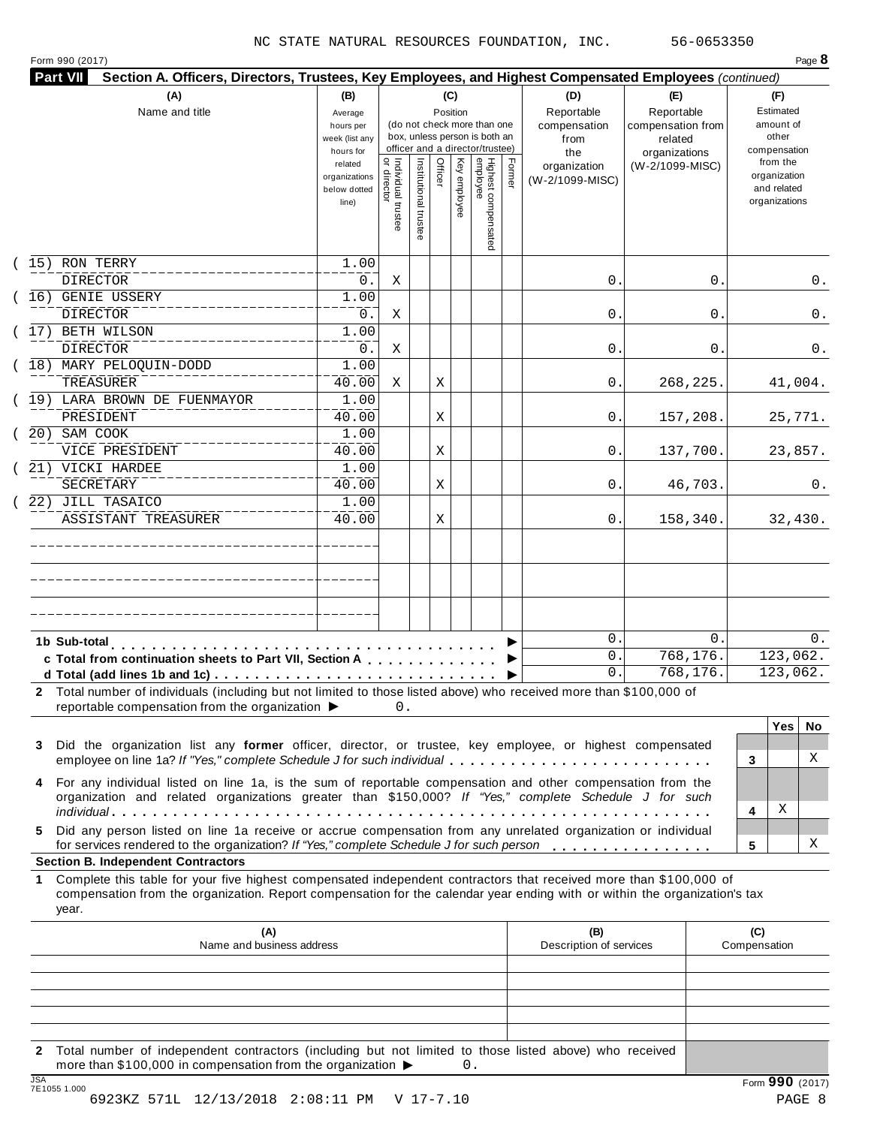|  | Form 990 (2017) |  |
|--|-----------------|--|

| (A)<br>Name and title                                                                                                                                                                                                                                                                                                                                             | (B)<br>Average<br>hours per<br>week (list any<br>hours for |                                     |                       | (C)<br>Position | (do not check more than one<br>box, unless person is both an<br>officer and a director/trustee) |        | (D)<br>Reportable<br>compensation<br>from<br>the | (E)<br>Reportable<br>compensation from<br>related<br>organizations | (F)<br>Estimated<br>amount of<br>other<br>compensation   |
|-------------------------------------------------------------------------------------------------------------------------------------------------------------------------------------------------------------------------------------------------------------------------------------------------------------------------------------------------------------------|------------------------------------------------------------|-------------------------------------|-----------------------|-----------------|-------------------------------------------------------------------------------------------------|--------|--------------------------------------------------|--------------------------------------------------------------------|----------------------------------------------------------|
|                                                                                                                                                                                                                                                                                                                                                                   | related<br>organizations<br>below dotted<br>line)          | Individual trustee<br>  or director | Institutional trustee | Officer         | Highest compensated<br>employee<br>Key employee                                                 | Former | organization<br>(W-2/1099-MISC)                  | (W-2/1099-MISC)                                                    | from the<br>organization<br>and related<br>organizations |
| 15) RON TERRY<br><b>DIRECTOR</b>                                                                                                                                                                                                                                                                                                                                  | 1.00<br>0.                                                 | Χ                                   |                       |                 |                                                                                                 |        | 0.                                               | 0.                                                                 | 0.                                                       |
| (16) GENIE USSERY                                                                                                                                                                                                                                                                                                                                                 | 1.00                                                       |                                     |                       |                 |                                                                                                 |        |                                                  |                                                                    |                                                          |
| <b>DIRECTOR</b>                                                                                                                                                                                                                                                                                                                                                   | 0.                                                         | Χ                                   |                       |                 |                                                                                                 |        | 0.                                               | 0                                                                  | 0.                                                       |
| (17) BETH WILSON                                                                                                                                                                                                                                                                                                                                                  | 1.00                                                       |                                     |                       |                 |                                                                                                 |        |                                                  |                                                                    |                                                          |
| <b>DIRECTOR</b>                                                                                                                                                                                                                                                                                                                                                   | 0.                                                         | Χ                                   |                       |                 |                                                                                                 |        | 0.                                               | 0                                                                  | 0.                                                       |
| (18) MARY PELOQUIN-DODD                                                                                                                                                                                                                                                                                                                                           | $\overline{1}$ .00                                         |                                     |                       |                 |                                                                                                 |        |                                                  |                                                                    |                                                          |
| <b>TREASURER</b>                                                                                                                                                                                                                                                                                                                                                  | 40.00                                                      | Χ                                   |                       | Χ               |                                                                                                 |        | 0.                                               | 268,225.                                                           | 41,004.                                                  |
| (19) LARA BROWN DE FUENMAYOR                                                                                                                                                                                                                                                                                                                                      | 1.00                                                       |                                     |                       |                 |                                                                                                 |        |                                                  |                                                                    |                                                          |
| PRESIDENT                                                                                                                                                                                                                                                                                                                                                         | 40.00                                                      |                                     |                       | Χ               |                                                                                                 |        | 0.                                               | 157,208.                                                           | 25,771.                                                  |
| 20) SAM COOK                                                                                                                                                                                                                                                                                                                                                      | 1.00                                                       |                                     |                       |                 |                                                                                                 |        |                                                  |                                                                    |                                                          |
| VICE PRESIDENT<br>21) VICKI HARDEE                                                                                                                                                                                                                                                                                                                                | 40.00<br>1.00                                              |                                     |                       | Χ               |                                                                                                 |        | 0.                                               | 137,700.                                                           | 23,857.                                                  |
| SECRETARY                                                                                                                                                                                                                                                                                                                                                         | 40.00                                                      |                                     |                       | Χ               |                                                                                                 |        | 0.                                               | 46,703.                                                            | 0.                                                       |
| 22) JILL TASAICO                                                                                                                                                                                                                                                                                                                                                  | 1.00                                                       |                                     |                       |                 |                                                                                                 |        |                                                  |                                                                    |                                                          |
| ASSISTANT TREASURER                                                                                                                                                                                                                                                                                                                                               | 40.00                                                      |                                     |                       | Χ               |                                                                                                 |        | 0.                                               | 158,340.                                                           | 32,430.                                                  |
|                                                                                                                                                                                                                                                                                                                                                                   |                                                            |                                     |                       |                 |                                                                                                 |        |                                                  |                                                                    |                                                          |
| 1b Sub-total                                                                                                                                                                                                                                                                                                                                                      |                                                            |                                     |                       |                 |                                                                                                 |        | 0.                                               | 0                                                                  | 0.                                                       |
| c Total from continuation sheets to Part VII, Section A                                                                                                                                                                                                                                                                                                           |                                                            |                                     |                       |                 |                                                                                                 |        | 0.                                               | 768,176.                                                           | 123,062.                                                 |
|                                                                                                                                                                                                                                                                                                                                                                   |                                                            |                                     |                       |                 |                                                                                                 |        | 0.                                               | 768,176.                                                           | 123,062.                                                 |
| 2 Total number of individuals (including but not limited to those listed above) who received more than \$100,000 of<br>reportable compensation from the organization ▶<br>Did the organization list any former officer, director, or trustee, key employee, or highest compensated<br>3<br>employee on line 1a? If "Yes," complete Schedule J for such individual |                                                            | 0.                                  |                       |                 |                                                                                                 |        |                                                  |                                                                    | <b>Yes</b><br>No.<br>X<br>3                              |
| For any individual listed on line 1a, is the sum of reportable compensation and other compensation from the<br>4<br>organization and related organizations greater than \$150,000? If "Yes," complete Schedule J for such                                                                                                                                         |                                                            |                                     |                       |                 |                                                                                                 |        |                                                  |                                                                    | Χ<br>4                                                   |
| Did any person listed on line 1a receive or accrue compensation from any unrelated organization or individual<br>5.<br>for services rendered to the organization? If "Yes," complete Schedule J for such person                                                                                                                                                   |                                                            |                                     |                       |                 |                                                                                                 |        |                                                  |                                                                    | X<br>5                                                   |
| <b>Section B. Independent Contractors</b>                                                                                                                                                                                                                                                                                                                         |                                                            |                                     |                       |                 |                                                                                                 |        |                                                  |                                                                    |                                                          |
| Complete this table for your five highest compensated independent contractors that received more than \$100,000 of<br>1<br>compensation from the organization. Report compensation for the calendar year ending with or within the organization's tax                                                                                                             |                                                            |                                     |                       |                 |                                                                                                 |        |                                                  |                                                                    |                                                          |
| year.                                                                                                                                                                                                                                                                                                                                                             |                                                            |                                     |                       |                 |                                                                                                 |        | (B)                                              |                                                                    | (C)                                                      |
| (A)<br>Name and business address                                                                                                                                                                                                                                                                                                                                  |                                                            |                                     |                       |                 |                                                                                                 |        | Description of services                          |                                                                    | Compensation                                             |
|                                                                                                                                                                                                                                                                                                                                                                   |                                                            |                                     |                       |                 |                                                                                                 |        |                                                  |                                                                    |                                                          |

**2** Total number of independent contractors (including but not limited to those listed above) who received more than \$100,000 in compensation from the organization  $\triangleright$  0.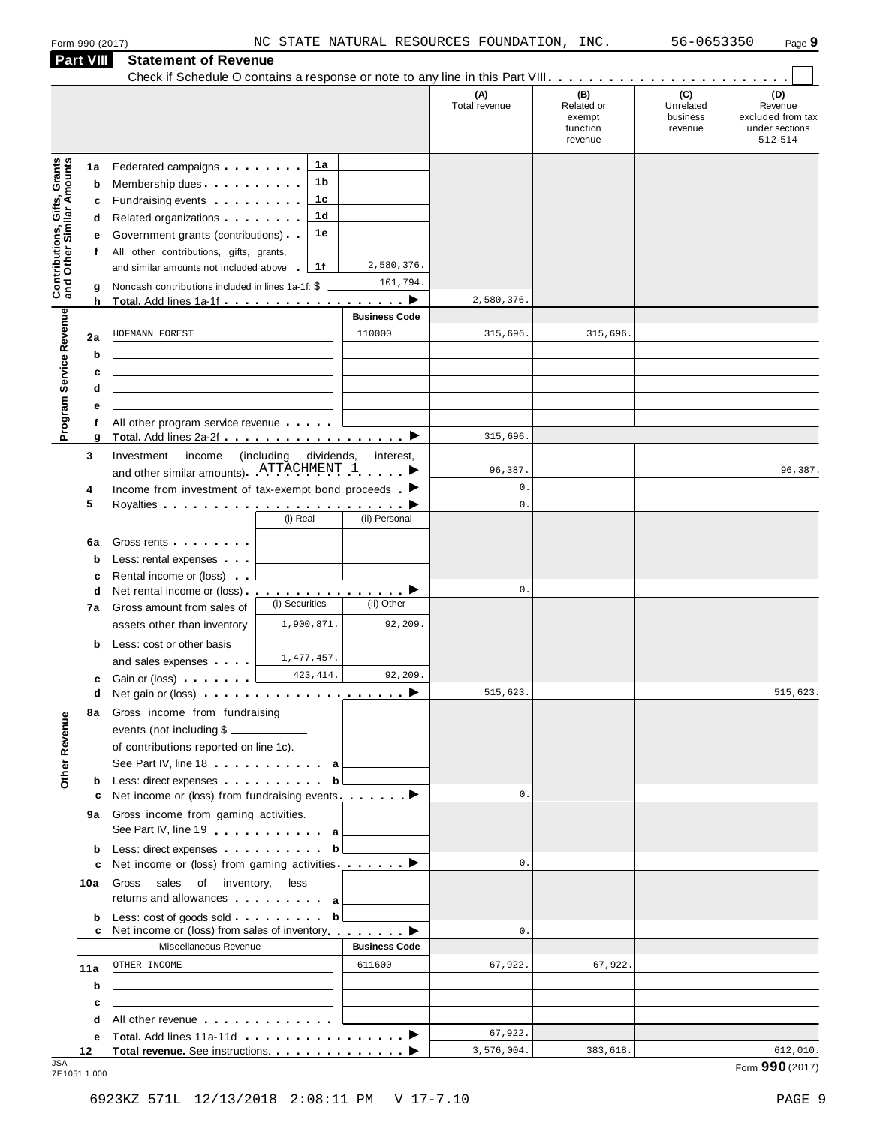| Part VIII                                                             | <b>Statement of Revenue</b>                                                                                                                                                                                                                                            |                          |                      |                      |                                                    |                                         |                                                                  |  |  |
|-----------------------------------------------------------------------|------------------------------------------------------------------------------------------------------------------------------------------------------------------------------------------------------------------------------------------------------------------------|--------------------------|----------------------|----------------------|----------------------------------------------------|-----------------------------------------|------------------------------------------------------------------|--|--|
|                                                                       |                                                                                                                                                                                                                                                                        |                          |                      | (A)<br>Total revenue | (B)<br>Related or<br>exempt<br>function<br>revenue | (C)<br>Unrelated<br>business<br>revenue | (D)<br>Revenue<br>excluded from tax<br>under sections<br>512-514 |  |  |
| 1a                                                                    | Federated campaigns                                                                                                                                                                                                                                                    | 1a                       |                      |                      |                                                    |                                         |                                                                  |  |  |
| b                                                                     | Membership dues                                                                                                                                                                                                                                                        | 1b                       |                      |                      |                                                    |                                         |                                                                  |  |  |
| c                                                                     | Fundraising events <b>Fundraising</b>                                                                                                                                                                                                                                  | 1c                       |                      |                      |                                                    |                                         |                                                                  |  |  |
| d                                                                     | Related organizations <b>and the set of the set of the set of the set of the set of the set of the set of the set of the set of the set of the set of the set of the set of the set of the set of the set of the set of the set </b>                                   | 1 <sub>d</sub>           |                      |                      |                                                    |                                         |                                                                  |  |  |
| е                                                                     | Government grants (contributions)                                                                                                                                                                                                                                      | 1e                       |                      |                      |                                                    |                                         |                                                                  |  |  |
| f                                                                     | All other contributions, gifts, grants,                                                                                                                                                                                                                                |                          |                      |                      |                                                    |                                         |                                                                  |  |  |
|                                                                       | and similar amounts not included above                                                                                                                                                                                                                                 | 1f                       | 2,580,376.           |                      |                                                    |                                         |                                                                  |  |  |
| <b>Contributions, Gifts, Grants</b><br>and Other Similar Amounts<br>g | Noncash contributions included in lines 1a-1f: \$                                                                                                                                                                                                                      |                          | 101,794.             | 2,580,376.           |                                                    |                                         |                                                                  |  |  |
| h                                                                     | Total. Add lines 1a-1f ▶                                                                                                                                                                                                                                               |                          | <b>Business Code</b> |                      |                                                    |                                         |                                                                  |  |  |
| 2a                                                                    | HOFMANN FOREST                                                                                                                                                                                                                                                         |                          | 110000               | 315,696.             | 315,696.                                           |                                         |                                                                  |  |  |
| b                                                                     |                                                                                                                                                                                                                                                                        |                          |                      |                      |                                                    |                                         |                                                                  |  |  |
| c                                                                     |                                                                                                                                                                                                                                                                        |                          |                      |                      |                                                    |                                         |                                                                  |  |  |
| d                                                                     |                                                                                                                                                                                                                                                                        |                          |                      |                      |                                                    |                                         |                                                                  |  |  |
| Program Service Revenue<br>е                                          |                                                                                                                                                                                                                                                                        |                          |                      |                      |                                                    |                                         |                                                                  |  |  |
| f                                                                     | All other program service revenue                                                                                                                                                                                                                                      |                          |                      |                      |                                                    |                                         |                                                                  |  |  |
| g                                                                     |                                                                                                                                                                                                                                                                        |                          |                      | 315,696.             |                                                    |                                         |                                                                  |  |  |
| 3                                                                     | Investment<br>income                                                                                                                                                                                                                                                   | (including<br>dividends, | interest,            |                      |                                                    |                                         |                                                                  |  |  |
|                                                                       | and other similar amounts). ATTACHMENT 1                                                                                                                                                                                                                               |                          |                      | 96,387.              |                                                    |                                         | 96,387.                                                          |  |  |
| 4<br>5                                                                | Income from investment of tax-exempt bond proceeds $\blacksquare$                                                                                                                                                                                                      |                          |                      | 0.                   |                                                    |                                         |                                                                  |  |  |
|                                                                       |                                                                                                                                                                                                                                                                        | (i) Real                 | (ii) Personal        | $\mathsf{0}$ .       |                                                    |                                         |                                                                  |  |  |
|                                                                       |                                                                                                                                                                                                                                                                        |                          |                      |                      |                                                    |                                         |                                                                  |  |  |
| 6a                                                                    | Gross rents                                                                                                                                                                                                                                                            |                          |                      |                      |                                                    |                                         |                                                                  |  |  |
| $\mathbf b$                                                           | Less: rental expenses<br>Rental income or (loss)                                                                                                                                                                                                                       |                          |                      |                      |                                                    |                                         |                                                                  |  |  |
| c<br>d                                                                | Net rental income or (loss).                                                                                                                                                                                                                                           | <u>.</u> D               |                      | 0.                   |                                                    |                                         |                                                                  |  |  |
| 7a                                                                    | Gross amount from sales of                                                                                                                                                                                                                                             | (i) Securities           | (ii) Other           |                      |                                                    |                                         |                                                                  |  |  |
|                                                                       | assets other than inventory                                                                                                                                                                                                                                            | 1,900,871.               | 92,209.              |                      |                                                    |                                         |                                                                  |  |  |
| b                                                                     | Less: cost or other basis                                                                                                                                                                                                                                              |                          |                      |                      |                                                    |                                         |                                                                  |  |  |
|                                                                       | and sales expenses                                                                                                                                                                                                                                                     | 1,477,457.               |                      |                      |                                                    |                                         |                                                                  |  |  |
|                                                                       | Gain or (loss)<br>с                                                                                                                                                                                                                                                    | 423, 414.                | 92,209.              |                      |                                                    |                                         |                                                                  |  |  |
| d                                                                     | Net gain or (loss) $\cdots$ $\cdots$ $\cdots$ $\cdots$ $\cdots$ $\cdots$ $\cdots$                                                                                                                                                                                      |                          |                      | 515,623.             |                                                    |                                         | 515,623.                                                         |  |  |
| 8а                                                                    | Gross income from fundraising                                                                                                                                                                                                                                          |                          |                      |                      |                                                    |                                         |                                                                  |  |  |
|                                                                       | events (not including \$                                                                                                                                                                                                                                               |                          |                      |                      |                                                    |                                         |                                                                  |  |  |
|                                                                       | of contributions reported on line 1c).                                                                                                                                                                                                                                 |                          |                      |                      |                                                    |                                         |                                                                  |  |  |
| Other Revenue                                                         | See Part IV, line 18 a                                                                                                                                                                                                                                                 |                          |                      |                      |                                                    |                                         |                                                                  |  |  |
| b                                                                     | Less: direct expenses<br>Net income or (loss) from fundraising events _________                                                                                                                                                                                        | b                        |                      | $\mathbf{0}$ .       |                                                    |                                         |                                                                  |  |  |
|                                                                       | с                                                                                                                                                                                                                                                                      |                          |                      |                      |                                                    |                                         |                                                                  |  |  |
| 9а                                                                    | Gross income from gaming activities.<br>See Part IV, line 19 and the set of the set of the set of the set of the set of the set of the set of the set of the set of the set of the set of the set of the set of the set of the set of the set of the set of the set of |                          |                      |                      |                                                    |                                         |                                                                  |  |  |
| b                                                                     | Less: direct expenses                                                                                                                                                                                                                                                  | b                        |                      |                      |                                                    |                                         |                                                                  |  |  |
|                                                                       | Net income or (loss) from gaming activities ________<br>c                                                                                                                                                                                                              |                          |                      | 0.                   |                                                    |                                         |                                                                  |  |  |
| 10a                                                                   | Gross sales of inventory, less                                                                                                                                                                                                                                         |                          |                      |                      |                                                    |                                         |                                                                  |  |  |
|                                                                       | returns and allowances entertainment and                                                                                                                                                                                                                               |                          |                      |                      |                                                    |                                         |                                                                  |  |  |
| b                                                                     | Less: cost of goods sold                                                                                                                                                                                                                                               | b                        |                      |                      |                                                    |                                         |                                                                  |  |  |
|                                                                       | Net income or (loss) from sales of inventory<br>Miscellaneous Revenue                                                                                                                                                                                                  |                          | <b>Business Code</b> | 0.                   |                                                    |                                         |                                                                  |  |  |
|                                                                       | OTHER INCOME                                                                                                                                                                                                                                                           |                          | 611600               | 67,922.              | 67,922.                                            |                                         |                                                                  |  |  |
| 11a                                                                   |                                                                                                                                                                                                                                                                        |                          |                      |                      |                                                    |                                         |                                                                  |  |  |
| b                                                                     |                                                                                                                                                                                                                                                                        |                          |                      |                      |                                                    |                                         |                                                                  |  |  |
| с<br>d                                                                | All other revenue entitled and the state of the state of the state of the state of the state of the state of the state of the state of the state of the state of the state of the state of the state of the state of the state                                         |                          |                      |                      |                                                    |                                         |                                                                  |  |  |
| е                                                                     |                                                                                                                                                                                                                                                                        |                          |                      | 67,922.              |                                                    |                                         |                                                                  |  |  |
| 12                                                                    |                                                                                                                                                                                                                                                                        |                          |                      | 3,576,004.           | 383,618.                                           |                                         | 612,010.                                                         |  |  |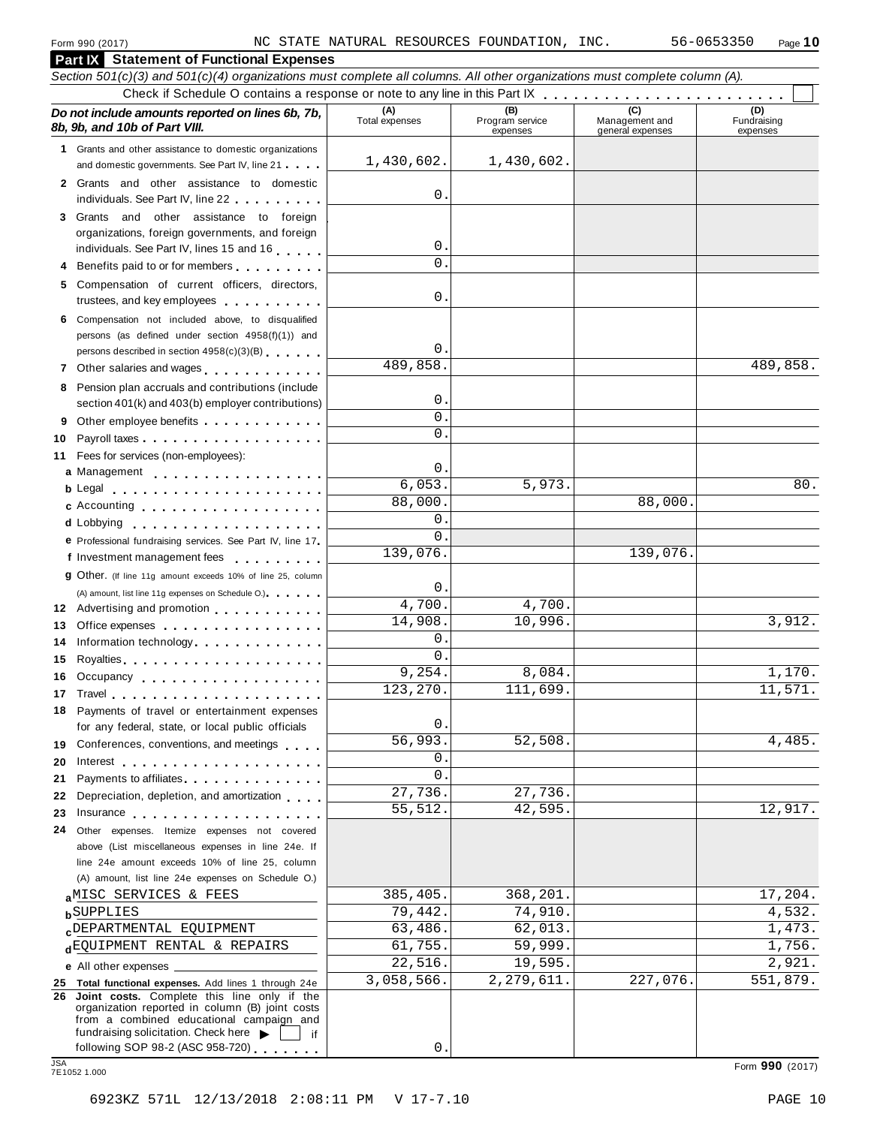|            | <b>Part IX</b> Statement of Functional Expenses                                                                                                                                                                                                                                                                                                             |                       |                                    |                                    |                                |
|------------|-------------------------------------------------------------------------------------------------------------------------------------------------------------------------------------------------------------------------------------------------------------------------------------------------------------------------------------------------------------|-----------------------|------------------------------------|------------------------------------|--------------------------------|
|            | Section 501(c)(3) and 501(c)(4) organizations must complete all columns. All other organizations must complete column (A).                                                                                                                                                                                                                                  |                       |                                    |                                    |                                |
|            |                                                                                                                                                                                                                                                                                                                                                             |                       |                                    |                                    |                                |
|            | Do not include amounts reported on lines 6b, 7b,<br>8b, 9b, and 10b of Part VIII.                                                                                                                                                                                                                                                                           | (A)<br>Total expenses | (B)<br>Program service<br>expenses | Management and<br>general expenses | (D)<br>Fundraising<br>expenses |
|            | 1 Grants and other assistance to domestic organizations                                                                                                                                                                                                                                                                                                     |                       |                                    |                                    |                                |
|            | and domestic governments. See Part IV, line 21                                                                                                                                                                                                                                                                                                              | 1,430,602.            | 1,430,602.                         |                                    |                                |
|            | 2 Grants and other assistance to domestic<br>individuals. See Part IV, line 22                                                                                                                                                                                                                                                                              | 0                     |                                    |                                    |                                |
|            | 3 Grants and other assistance to foreign                                                                                                                                                                                                                                                                                                                    |                       |                                    |                                    |                                |
|            | organizations, foreign governments, and foreign                                                                                                                                                                                                                                                                                                             | 0                     |                                    |                                    |                                |
|            | individuals. See Part IV, lines 15 and 16                                                                                                                                                                                                                                                                                                                   | $\Omega$              |                                    |                                    |                                |
|            | Benefits paid to or for members                                                                                                                                                                                                                                                                                                                             |                       |                                    |                                    |                                |
|            | 5 Compensation of current officers, directors,<br>trustees, and key employees                                                                                                                                                                                                                                                                               | 0                     |                                    |                                    |                                |
|            | 6 Compensation not included above, to disqualified                                                                                                                                                                                                                                                                                                          |                       |                                    |                                    |                                |
|            | persons (as defined under section 4958(f)(1)) and                                                                                                                                                                                                                                                                                                           | 0                     |                                    |                                    |                                |
|            | persons described in section 4958(c)(3)(B)                                                                                                                                                                                                                                                                                                                  | 489,858.              |                                    |                                    | 489,858.                       |
|            | 7 Other salaries and wages <b>container and all the salaries</b>                                                                                                                                                                                                                                                                                            |                       |                                    |                                    |                                |
|            | 8 Pension plan accruals and contributions (include                                                                                                                                                                                                                                                                                                          | 0                     |                                    |                                    |                                |
|            | section 401(k) and 403(b) employer contributions)<br>Other employee benefits experience of the control of the control of the control of the control of the control of the control of the control of the control of the control of the control of the control of the control of the                                                                          | $\Omega$              |                                    |                                    |                                |
| 9<br>10    |                                                                                                                                                                                                                                                                                                                                                             | $0$ .                 |                                    |                                    |                                |
|            | 11 Fees for services (non-employees):                                                                                                                                                                                                                                                                                                                       |                       |                                    |                                    |                                |
|            | a Management                                                                                                                                                                                                                                                                                                                                                | 0                     |                                    |                                    |                                |
|            | b Legal entering the service of the service of the service of the service of the service of the service of the                                                                                                                                                                                                                                              | 6,053.                | $\overline{5}$ , 973.              |                                    | 80.                            |
|            | c Accounting                                                                                                                                                                                                                                                                                                                                                | 88,000.               |                                    | 88,000.                            |                                |
|            |                                                                                                                                                                                                                                                                                                                                                             | 0                     |                                    |                                    |                                |
|            | e Professional fundraising services. See Part IV, line 17                                                                                                                                                                                                                                                                                                   | $\Omega$              |                                    |                                    |                                |
|            | f Investment management fees                                                                                                                                                                                                                                                                                                                                | 139,076.              |                                    | 139,076.                           |                                |
|            | 9 Other. (If line 11g amount exceeds 10% of line 25, column                                                                                                                                                                                                                                                                                                 |                       |                                    |                                    |                                |
|            | (A) amount, list line 11g expenses on Schedule O.)                                                                                                                                                                                                                                                                                                          | 0                     |                                    |                                    |                                |
|            | 12 Advertising and promotion                                                                                                                                                                                                                                                                                                                                | 4,700.                | 4,700.                             |                                    |                                |
| 13         | Office expenses                                                                                                                                                                                                                                                                                                                                             | 14,908.               | 10,996.                            |                                    | 3,912.                         |
| 14         | Information technology.                                                                                                                                                                                                                                                                                                                                     | 0.<br>$\Omega$ .      |                                    |                                    |                                |
| 15         |                                                                                                                                                                                                                                                                                                                                                             | 9,254.                | 8,084.                             |                                    | 1,170.                         |
|            | 16 Occupancy                                                                                                                                                                                                                                                                                                                                                | 123, 270.             | 111,699.                           |                                    | 11,571.                        |
| 17         |                                                                                                                                                                                                                                                                                                                                                             |                       |                                    |                                    |                                |
|            | 18 Payments of travel or entertainment expenses<br>for any federal, state, or local public officials                                                                                                                                                                                                                                                        | 0                     |                                    |                                    |                                |
|            | 19 Conferences, conventions, and meetings                                                                                                                                                                                                                                                                                                                   | 56,993.               | 52,508.                            |                                    | 4,485.                         |
| 20         | Interest $\qquad \qquad \qquad \qquad$ $\qquad \qquad$ $\qquad \qquad$ $\qquad \qquad$ $\qquad \qquad$ $\qquad$ $\qquad \qquad$ $\qquad$ $\qquad$ $\qquad$ $\qquad$ $\qquad$ $\qquad$ $\qquad$ $\qquad$ $\qquad$ $\qquad$ $\qquad$ $\qquad$ $\qquad$ $\qquad$ $\qquad$ $\qquad$ $\qquad$ $\qquad$ $\qquad$ $\qquad$ $\qquad$ $\qquad$ $\qquad$ $\qquad$ $\$ | 0                     |                                    |                                    |                                |
| 21         | Payments to affiliates.                                                                                                                                                                                                                                                                                                                                     | $\Omega$              |                                    |                                    |                                |
| 22         | Depreciation, depletion, and amortization                                                                                                                                                                                                                                                                                                                   | 27,736.               | 27,736.                            |                                    |                                |
| 23         | Insurance                                                                                                                                                                                                                                                                                                                                                   | 55,512.               | 42,595.                            |                                    | 12,917.                        |
| 24         | Other expenses. Itemize expenses not covered                                                                                                                                                                                                                                                                                                                |                       |                                    |                                    |                                |
|            | above (List miscellaneous expenses in line 24e. If                                                                                                                                                                                                                                                                                                          |                       |                                    |                                    |                                |
|            | line 24e amount exceeds 10% of line 25, column                                                                                                                                                                                                                                                                                                              |                       |                                    |                                    |                                |
|            | (A) amount, list line 24e expenses on Schedule O.)                                                                                                                                                                                                                                                                                                          |                       |                                    |                                    |                                |
|            | aMISC SERVICES & FEES                                                                                                                                                                                                                                                                                                                                       | 385,405.              | 368,201.                           |                                    | 17,204.                        |
|            | <b>b</b> SUPPLIES                                                                                                                                                                                                                                                                                                                                           | 79,442.               | 74,910.                            |                                    | 4,532.                         |
|            | CDEPARTMENTAL EQUIPMENT                                                                                                                                                                                                                                                                                                                                     | 63,486.               | 62,013.                            |                                    | 1,473.                         |
|            | dEQUIPMENT RENTAL & REPAIRS                                                                                                                                                                                                                                                                                                                                 | 61,755.               | 59,999.                            |                                    | 1,756.                         |
|            |                                                                                                                                                                                                                                                                                                                                                             | 22,516.               | 19,595.                            |                                    | 2,921.                         |
|            | 25 Total functional expenses. Add lines 1 through 24e                                                                                                                                                                                                                                                                                                       | 3,058,566.            | 2, 279, 611.                       | 227,076.                           | 551,879.                       |
|            | 26 Joint costs. Complete this line only if the<br>organization reported in column (B) joint costs<br>from a combined educational campaign and                                                                                                                                                                                                               |                       |                                    |                                    |                                |
|            | fundraising solicitation. Check here $\blacktriangleright$<br>if.<br>following SOP 98-2 (ASC 958-720)                                                                                                                                                                                                                                                       | 0                     |                                    |                                    |                                |
| <b>JSA</b> | 7E1052 1.000                                                                                                                                                                                                                                                                                                                                                |                       |                                    |                                    | Form 990 (2017)                |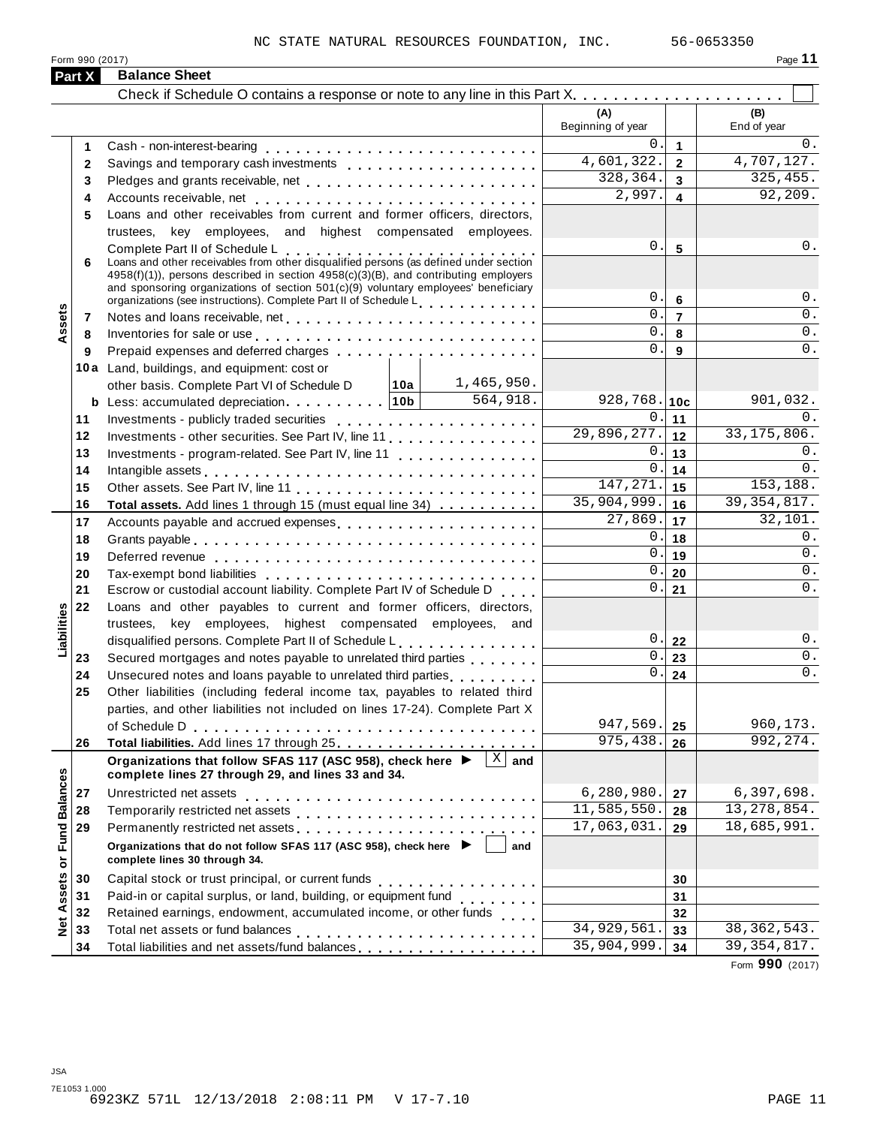| -ane |  |
|------|--|
|      |  |

|                           | Form 990 (2017) |                                                                                                                                                                                                                                |                         |                        |                            |                | Page $11$          |
|---------------------------|-----------------|--------------------------------------------------------------------------------------------------------------------------------------------------------------------------------------------------------------------------------|-------------------------|------------------------|----------------------------|----------------|--------------------|
|                           | Part X          | <b>Balance Sheet</b>                                                                                                                                                                                                           |                         |                        |                            |                |                    |
|                           |                 | Check if Schedule O contains a response or note to any line in this Part X.                                                                                                                                                    |                         |                        | (A)<br>Beginning of year   |                | (B)<br>End of year |
|                           |                 |                                                                                                                                                                                                                                |                         |                        | $\Omega$ .                 | $\mathbf{1}$   | $0$ .              |
|                           | $\mathbf{2}$    |                                                                                                                                                                                                                                |                         | 4,601,322.             | $\overline{2}$             | 4,707,127.     |                    |
|                           | 3               |                                                                                                                                                                                                                                |                         |                        | 328,364.                   | $\overline{3}$ | 325, 455.          |
|                           | 4               |                                                                                                                                                                                                                                | $\overline{\mathbf{4}}$ | 92,209.                |                            |                |                    |
|                           | 5               | Loans and other receivables from current and former officers, directors,                                                                                                                                                       |                         |                        |                            |                |                    |
|                           |                 | trustees, key employees, and highest compensated employees.                                                                                                                                                                    |                         |                        |                            |                |                    |
|                           |                 |                                                                                                                                                                                                                                |                         |                        | 0.                         | 5              | 0.                 |
|                           | 6               | Complete Part II of Schedule L<br>Loans and other receivables from other disqualified persons (as defined under section                                                                                                        |                         |                        |                            |                |                    |
|                           |                 | $4958(f)(1)$ , persons described in section $4958(c)(3)(B)$ , and contributing employers                                                                                                                                       |                         |                        |                            |                |                    |
|                           |                 | and sponsoring organizations of section 501(c)(9) voluntary employees' beneficiary<br>organizations (see instructions). Complete Part II of Schedule L                                                                         |                         |                        | 0.                         | 6              | 0.                 |
|                           | 7               |                                                                                                                                                                                                                                |                         |                        | $\overline{0}$ .           | $\overline{7}$ | $0$ .              |
| Assets                    | 8               | Inventories for sale or use enterpreteral resources in the sale or use of the series of the series of the series of the series of the series of the series of the series of the series of the series of the series of the seri |                         |                        | $\overline{0}$ .           | 8              | $0$ .              |
|                           | 9               |                                                                                                                                                                                                                                |                         |                        | $\Omega$ .                 | 9              | $0$ .              |
|                           |                 | 10a Land, buildings, and equipment: cost or                                                                                                                                                                                    |                         |                        |                            |                |                    |
|                           |                 | other basis. Complete Part VI of Schedule D $\boxed{10a}$ 1, 465, 950.                                                                                                                                                         |                         |                        |                            |                |                    |
|                           |                 | <b>b</b> Less: accumulated depreciation $ 10b $                                                                                                                                                                                |                         | $\overline{564,918}$ . | 928,768. 10c               |                | 901,032.           |
|                           | 11              |                                                                                                                                                                                                                                |                         |                        | 0.                         | 11             | $0$ .              |
|                           | 12              | Investments - other securities. See Part IV, line 11                                                                                                                                                                           |                         |                        | 29,896,277.                | 12             | 33, 175, 806.      |
|                           | 13              | Investments - program-related. See Part IV, line 11                                                                                                                                                                            |                         |                        | 0.                         | 13             | 0.                 |
|                           | 14              |                                                                                                                                                                                                                                |                         | $\overline{0}$ .       | 14                         | $0$ .          |                    |
|                           | 15              |                                                                                                                                                                                                                                |                         |                        | 147, 271.                  | 15             | 153, 188.          |
|                           | 16              | Total assets. Add lines 1 through 15 (must equal line 34)                                                                                                                                                                      |                         |                        | 35,904,999.                | 16             | 39, 354, 817.      |
|                           | 17              | Accounts payable and accrued expenses entitled and accrued expenses                                                                                                                                                            |                         |                        | $\overline{27,869}$ .      | 17             | 32,101.            |
|                           | 18              |                                                                                                                                                                                                                                |                         |                        | 0.                         | 18             | $0$ .              |
|                           | 19              |                                                                                                                                                                                                                                |                         |                        | $\overline{0}$ .           | 19             | $0$ .              |
|                           | 20              |                                                                                                                                                                                                                                |                         |                        | 0.                         | 20             | 0.                 |
|                           | 21              | Escrow or custodial account liability. Complete Part IV of Schedule D                                                                                                                                                          |                         |                        | 0.                         | 21             | $0$ .              |
|                           | 22              | Loans and other payables to current and former officers, directors,                                                                                                                                                            |                         |                        |                            |                |                    |
| Liabilities               |                 | trustees, key employees, highest compensated employees, and                                                                                                                                                                    |                         |                        |                            |                |                    |
|                           |                 | disqualified persons. Complete Part II of Schedule L.                                                                                                                                                                          |                         |                        | 0.                         | 22             | 0.                 |
|                           | 23              | Secured mortgages and notes payable to unrelated third parties                                                                                                                                                                 |                         |                        | $\overline{0}$ .           | 23             | 0.                 |
|                           | 24              |                                                                                                                                                                                                                                |                         |                        | $0$ .                      | 24             | 0.                 |
|                           | 25              | Other liabilities (including federal income tax, payables to related third                                                                                                                                                     |                         |                        |                            |                |                    |
|                           |                 | parties, and other liabilities not included on lines 17-24). Complete Part X                                                                                                                                                   |                         |                        |                            |                |                    |
|                           |                 |                                                                                                                                                                                                                                |                         |                        | 947,569.                   | 25             | 960,173.           |
|                           | 26              |                                                                                                                                                                                                                                |                         |                        | 975,438.                   | 26             | 992, 274.          |
|                           |                 | Organizations that follow SFAS 117 (ASC 958), check here ▶<br>complete lines 27 through 29, and lines 33 and 34.                                                                                                               |                         | $ X $ and              |                            |                |                    |
|                           | 27              |                                                                                                                                                                                                                                |                         |                        | 6, 280, 980.               | 27             | 6,397,698.         |
|                           | 28              |                                                                                                                                                                                                                                |                         | 11,585,550.            | 28                         | 13, 278, 854.  |                    |
|                           | 29              | Permanently restricted net assets entertainment resumes and research and research and response to the results                                                                                                                  |                         | 17,063,031.            | 29                         | 18,685,991.    |                    |
| <b>Fund Balances</b><br>ŏ |                 | Organizations that do not follow SFAS 117 (ASC 958), check here ▶<br>complete lines 30 through 34.                                                                                                                             | and                     |                        |                            |                |                    |
|                           | 30              |                                                                                                                                                                                                                                |                         |                        | 30                         |                |                    |
|                           | 31              | Paid-in or capital surplus, or land, building, or equipment fund<br>                                                                                                                                                           |                         |                        |                            | 31             |                    |
|                           | 32              | Retained earnings, endowment, accumulated income, or other funds                                                                                                                                                               |                         |                        |                            | 32             |                    |
| <b>Net Assets</b>         | 33              |                                                                                                                                                                                                                                |                         |                        | $\overline{34,929}$ , 561. | 33             | 38, 362, 543.      |
|                           | 34              | Total liabilities and net assets/fund balances                                                                                                                                                                                 |                         |                        | 35,904,999.                | 34             | 39, 354, 817.      |

Form **990** (2017)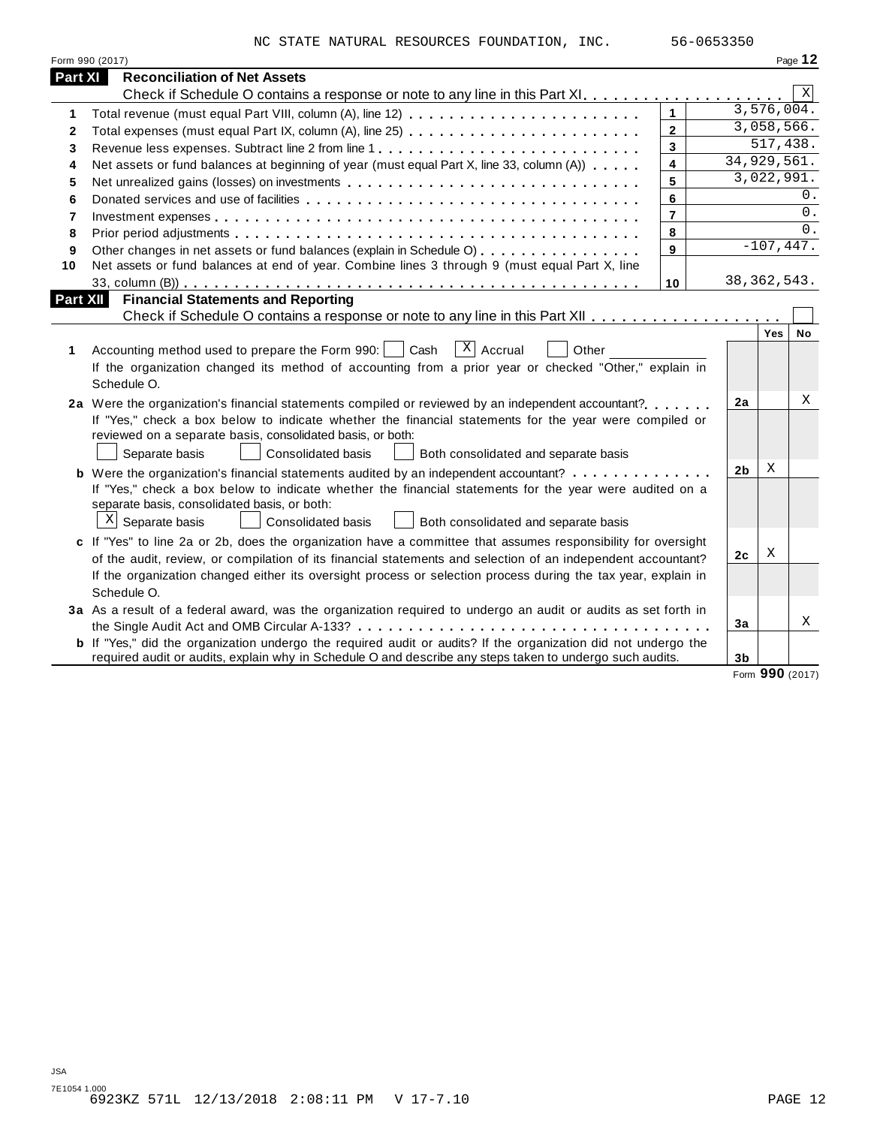NC STATE NATURAL RESOURCES FOUNDATION, INC. 56-0653350

|          | Form 990 (2017)                                                                                                       |                         |                |    |                 | Page 12    |
|----------|-----------------------------------------------------------------------------------------------------------------------|-------------------------|----------------|----|-----------------|------------|
| Part XI  | <b>Reconciliation of Net Assets</b>                                                                                   |                         |                |    |                 |            |
|          |                                                                                                                       |                         |                |    |                 | X          |
| 1        |                                                                                                                       | $\mathbf{1}$            |                |    | 3,576,004.      |            |
| 2        | Total expenses (must equal Part IX, column (A), line 25)                                                              | $\overline{2}$          |                |    | 3,058,566.      |            |
| 3        |                                                                                                                       | $\mathbf{3}$            |                |    | 517,438.        |            |
| 4        | Net assets or fund balances at beginning of year (must equal Part X, line 33, column (A))                             | $\overline{\mathbf{4}}$ |                |    | 34,929,561.     |            |
| 5        |                                                                                                                       | 5                       |                |    | 3,022,991.      |            |
| 6        |                                                                                                                       | 6                       |                |    |                 | $0$ .      |
| 7        |                                                                                                                       | $\overline{7}$          |                |    |                 | 0.         |
| 8        |                                                                                                                       | 8                       |                |    |                 | $\Omega$ . |
| 9        | Other changes in net assets or fund balances (explain in Schedule O)                                                  | 9                       |                |    | $-107,447.$     |            |
| 10       | Net assets or fund balances at end of year. Combine lines 3 through 9 (must equal Part X, line                        |                         |                |    |                 |            |
|          |                                                                                                                       | 10                      |                |    | 38, 362, 543.   |            |
| Part XII | <b>Financial Statements and Reporting</b>                                                                             |                         |                |    |                 |            |
|          |                                                                                                                       |                         |                |    |                 |            |
|          |                                                                                                                       |                         |                |    | Yes             | No         |
| 1        | $x$ Accrual<br>Accounting method used to prepare the Form 990:     Cash<br>Other                                      |                         |                |    |                 |            |
|          | If the organization changed its method of accounting from a prior year or checked "Other," explain in                 |                         |                |    |                 |            |
|          | Schedule O.                                                                                                           |                         |                |    |                 |            |
|          | 2a Were the organization's financial statements compiled or reviewed by an independent accountant?                    |                         | 2a             |    |                 | Χ          |
|          | If "Yes," check a box below to indicate whether the financial statements for the year were compiled or                |                         |                |    |                 |            |
|          | reviewed on a separate basis, consolidated basis, or both:                                                            |                         |                |    |                 |            |
|          | Separate basis<br><b>Consolidated basis</b><br>Both consolidated and separate basis                                   |                         |                |    |                 |            |
|          | <b>b</b> Were the organization's financial statements audited by an independent accountant?                           |                         | 2 <sub>b</sub> |    | X               |            |
|          | If "Yes," check a box below to indicate whether the financial statements for the year were audited on a               |                         |                |    |                 |            |
|          | separate basis, consolidated basis, or both:                                                                          |                         |                |    |                 |            |
|          | $\mathbb{X}$ Separate basis<br>Consolidated basis<br>Both consolidated and separate basis                             |                         |                |    |                 |            |
|          | c If "Yes" to line 2a or 2b, does the organization have a committee that assumes responsibility for oversight         |                         |                |    |                 |            |
|          | of the audit, review, or compilation of its financial statements and selection of an independent accountant?          |                         | 2c             |    | X               |            |
|          | If the organization changed either its oversight process or selection process during the tax year, explain in         |                         |                |    |                 |            |
|          | Schedule O.                                                                                                           |                         |                |    |                 |            |
|          | 3a As a result of a federal award, was the organization required to undergo an audit or audits as set forth in        |                         |                |    |                 |            |
|          |                                                                                                                       |                         | 3a             |    |                 | X          |
|          | <b>b</b> If "Yes," did the organization undergo the required audit or audits? If the organization did not undergo the |                         |                |    |                 |            |
|          | required audit or audits, explain why in Schedule O and describe any steps taken to undergo such audits.              |                         |                | 3b |                 |            |
|          |                                                                                                                       |                         |                |    | $0.00$ $(0.01)$ |            |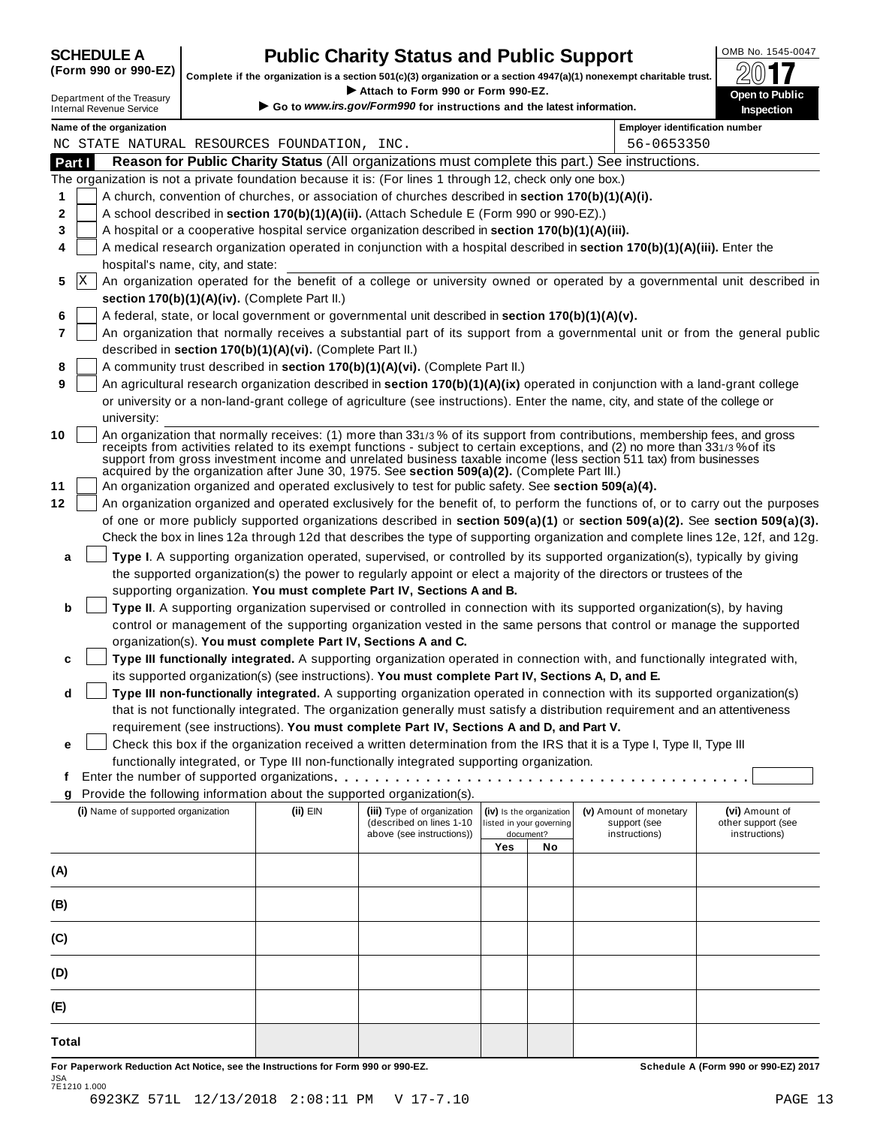| <b>SCHEDULE A</b>                                                                                                                                                                                                                                                                                                  |  |  |
|--------------------------------------------------------------------------------------------------------------------------------------------------------------------------------------------------------------------------------------------------------------------------------------------------------------------|--|--|
| $\sqrt{2}$ $\sqrt{2}$ $\sqrt{2}$ $\sqrt{2}$ $\sqrt{2}$ $\sqrt{2}$ $\sqrt{2}$ $\sqrt{2}$ $\sqrt{2}$ $\sqrt{2}$ $\sqrt{2}$ $\sqrt{2}$ $\sqrt{2}$ $\sqrt{2}$ $\sqrt{2}$ $\sqrt{2}$ $\sqrt{2}$ $\sqrt{2}$ $\sqrt{2}$ $\sqrt{2}$ $\sqrt{2}$ $\sqrt{2}$ $\sqrt{2}$ $\sqrt{2}$ $\sqrt{2}$ $\sqrt{2}$ $\sqrt{2}$ $\sqrt{2$ |  |  |

## **CHEDULE A Public Charity Status and Public Support**  $\frac{100\text{dB No. }1545-0047}{000\text{dB}}$

(Form 990 or 990-EZ) complete if the organization is a section 501(c)(3) organization or a section 4947(a)(1) nonexempt charitable trust.  $2017$ 

|        |                                                               |                                                            |                                                                                                              |     |                                             | Complete if the organization is a section 501(c)(3) organization or a section 4947(a)(1) nonexempt charitable trust.                                                                                                                                                                                                                                                            | ZV I I                                                                                                                       |
|--------|---------------------------------------------------------------|------------------------------------------------------------|--------------------------------------------------------------------------------------------------------------|-----|---------------------------------------------|---------------------------------------------------------------------------------------------------------------------------------------------------------------------------------------------------------------------------------------------------------------------------------------------------------------------------------------------------------------------------------|------------------------------------------------------------------------------------------------------------------------------|
|        | Department of the Treasury<br><b>Internal Revenue Service</b> |                                                            | Attach to Form 990 or Form 990-EZ.<br>Go to www.irs.gov/Form990 for instructions and the latest information. |     |                                             |                                                                                                                                                                                                                                                                                                                                                                                 | <b>Open to Public</b><br>Inspection                                                                                          |
|        | Name of the organization                                      |                                                            |                                                                                                              |     |                                             | <b>Employer identification number</b>                                                                                                                                                                                                                                                                                                                                           |                                                                                                                              |
|        |                                                               | NC STATE NATURAL RESOURCES FOUNDATION, INC.                |                                                                                                              |     |                                             | 56-0653350                                                                                                                                                                                                                                                                                                                                                                      |                                                                                                                              |
| Part I |                                                               |                                                            |                                                                                                              |     |                                             | Reason for Public Charity Status (All organizations must complete this part.) See instructions.                                                                                                                                                                                                                                                                                 |                                                                                                                              |
|        |                                                               |                                                            | The organization is not a private foundation because it is: (For lines 1 through 12, check only one box.)    |     |                                             |                                                                                                                                                                                                                                                                                                                                                                                 |                                                                                                                              |
| 1      |                                                               |                                                            | A church, convention of churches, or association of churches described in section 170(b)(1)(A)(i).           |     |                                             |                                                                                                                                                                                                                                                                                                                                                                                 |                                                                                                                              |
| 2      |                                                               |                                                            | A school described in section 170(b)(1)(A)(ii). (Attach Schedule E (Form 990 or 990-EZ).)                    |     |                                             |                                                                                                                                                                                                                                                                                                                                                                                 |                                                                                                                              |
| 3      |                                                               |                                                            | A hospital or a cooperative hospital service organization described in section 170(b)(1)(A)(iii).            |     |                                             |                                                                                                                                                                                                                                                                                                                                                                                 |                                                                                                                              |
| 4      | hospital's name, city, and state:                             |                                                            |                                                                                                              |     |                                             | A medical research organization operated in conjunction with a hospital described in section 170(b)(1)(A)(iii). Enter the                                                                                                                                                                                                                                                       |                                                                                                                              |
| 5      | X                                                             | section 170(b)(1)(A)(iv). (Complete Part II.)              |                                                                                                              |     |                                             | An organization operated for the benefit of a college or university owned or operated by a governmental unit described in                                                                                                                                                                                                                                                       |                                                                                                                              |
| 6      |                                                               |                                                            | A federal, state, or local government or governmental unit described in section 170(b)(1)(A)(v).             |     |                                             |                                                                                                                                                                                                                                                                                                                                                                                 |                                                                                                                              |
| 7      |                                                               |                                                            |                                                                                                              |     |                                             |                                                                                                                                                                                                                                                                                                                                                                                 | An organization that normally receives a substantial part of its support from a governmental unit or from the general public |
|        |                                                               | described in section 170(b)(1)(A)(vi). (Complete Part II.) |                                                                                                              |     |                                             |                                                                                                                                                                                                                                                                                                                                                                                 |                                                                                                                              |
| 8      |                                                               |                                                            | A community trust described in section 170(b)(1)(A)(vi). (Complete Part II.)                                 |     |                                             |                                                                                                                                                                                                                                                                                                                                                                                 |                                                                                                                              |
| 9      |                                                               |                                                            |                                                                                                              |     |                                             | An agricultural research organization described in section 170(b)(1)(A)(ix) operated in conjunction with a land-grant college                                                                                                                                                                                                                                                   |                                                                                                                              |
|        | university:                                                   |                                                            |                                                                                                              |     |                                             | or university or a non-land-grant college of agriculture (see instructions). Enter the name, city, and state of the college or                                                                                                                                                                                                                                                  |                                                                                                                              |
| 10     |                                                               |                                                            |                                                                                                              |     |                                             | An organization that normally receives: (1) more than 331/3% of its support from contributions, membership fees, and gross<br>receipts from activities related to its exempt functions - subject to certain exceptions, and (2) no more than 331/3% of its<br>support from gross investment income and unrelated business taxable income (less section 511 tax) from businesses |                                                                                                                              |
|        |                                                               |                                                            | acquired by the organization after June 30, 1975. See section 509(a)(2). (Complete Part III.)                |     |                                             |                                                                                                                                                                                                                                                                                                                                                                                 |                                                                                                                              |
| 11     |                                                               |                                                            | An organization organized and operated exclusively to test for public safety. See section 509(a)(4).         |     |                                             |                                                                                                                                                                                                                                                                                                                                                                                 |                                                                                                                              |
| 12     |                                                               |                                                            |                                                                                                              |     |                                             | An organization organized and operated exclusively for the benefit of, to perform the functions of, or to carry out the purposes                                                                                                                                                                                                                                                |                                                                                                                              |
|        |                                                               |                                                            |                                                                                                              |     |                                             | of one or more publicly supported organizations described in section 509(a)(1) or section 509(a)(2). See section 509(a)(3).                                                                                                                                                                                                                                                     |                                                                                                                              |
|        |                                                               |                                                            |                                                                                                              |     |                                             | Check the box in lines 12a through 12d that describes the type of supporting organization and complete lines 12e, 12f, and 12g.                                                                                                                                                                                                                                                 |                                                                                                                              |
| а      |                                                               |                                                            |                                                                                                              |     |                                             | Type I. A supporting organization operated, supervised, or controlled by its supported organization(s), typically by giving                                                                                                                                                                                                                                                     |                                                                                                                              |
|        |                                                               |                                                            |                                                                                                              |     |                                             | the supported organization(s) the power to regularly appoint or elect a majority of the directors or trustees of the                                                                                                                                                                                                                                                            |                                                                                                                              |
|        |                                                               |                                                            | supporting organization. You must complete Part IV, Sections A and B.                                        |     |                                             |                                                                                                                                                                                                                                                                                                                                                                                 |                                                                                                                              |
| b      |                                                               |                                                            |                                                                                                              |     |                                             | Type II. A supporting organization supervised or controlled in connection with its supported organization(s), by having                                                                                                                                                                                                                                                         |                                                                                                                              |
|        |                                                               |                                                            |                                                                                                              |     |                                             | control or management of the supporting organization vested in the same persons that control or manage the supported                                                                                                                                                                                                                                                            |                                                                                                                              |
|        |                                                               |                                                            | organization(s). You must complete Part IV, Sections A and C.                                                |     |                                             |                                                                                                                                                                                                                                                                                                                                                                                 |                                                                                                                              |
| c      |                                                               |                                                            |                                                                                                              |     |                                             | Type III functionally integrated. A supporting organization operated in connection with, and functionally integrated with,                                                                                                                                                                                                                                                      |                                                                                                                              |
|        |                                                               |                                                            | its supported organization(s) (see instructions). You must complete Part IV, Sections A, D, and E.           |     |                                             |                                                                                                                                                                                                                                                                                                                                                                                 |                                                                                                                              |
| d      |                                                               |                                                            |                                                                                                              |     |                                             | Type III non-functionally integrated. A supporting organization operated in connection with its supported organization(s)                                                                                                                                                                                                                                                       |                                                                                                                              |
|        |                                                               |                                                            |                                                                                                              |     |                                             | that is not functionally integrated. The organization generally must satisfy a distribution requirement and an attentiveness                                                                                                                                                                                                                                                    |                                                                                                                              |
|        |                                                               |                                                            | requirement (see instructions). You must complete Part IV, Sections A and D, and Part V.                     |     |                                             |                                                                                                                                                                                                                                                                                                                                                                                 |                                                                                                                              |
|        |                                                               |                                                            |                                                                                                              |     |                                             | Check this box if the organization received a written determination from the IRS that it is a Type I, Type II, Type III                                                                                                                                                                                                                                                         |                                                                                                                              |
| е      |                                                               |                                                            |                                                                                                              |     |                                             |                                                                                                                                                                                                                                                                                                                                                                                 |                                                                                                                              |
| f      |                                                               |                                                            | functionally integrated, or Type III non-functionally integrated supporting organization.                    |     |                                             |                                                                                                                                                                                                                                                                                                                                                                                 |                                                                                                                              |
| g      |                                                               |                                                            | Provide the following information about the supported organization(s).                                       |     |                                             |                                                                                                                                                                                                                                                                                                                                                                                 |                                                                                                                              |
|        | (i) Name of supported organization                            | $(ii)$ EIN                                                 | (iii) Type of organization                                                                                   |     | (iv) Is the organization                    | (v) Amount of monetary                                                                                                                                                                                                                                                                                                                                                          | (vi) Amount of                                                                                                               |
|        |                                                               |                                                            | (described on lines 1-10<br>above (see instructions))                                                        | Yes | listed in your governing<br>document?<br>No | support (see<br>instructions)                                                                                                                                                                                                                                                                                                                                                   | other support (see<br>instructions)                                                                                          |
| (A)    |                                                               |                                                            |                                                                                                              |     |                                             |                                                                                                                                                                                                                                                                                                                                                                                 |                                                                                                                              |
| (B)    |                                                               |                                                            |                                                                                                              |     |                                             |                                                                                                                                                                                                                                                                                                                                                                                 |                                                                                                                              |
| (C)    |                                                               |                                                            |                                                                                                              |     |                                             |                                                                                                                                                                                                                                                                                                                                                                                 |                                                                                                                              |
| (D)    |                                                               |                                                            |                                                                                                              |     |                                             |                                                                                                                                                                                                                                                                                                                                                                                 |                                                                                                                              |
| (E)    |                                                               |                                                            |                                                                                                              |     |                                             |                                                                                                                                                                                                                                                                                                                                                                                 |                                                                                                                              |
| Total  |                                                               |                                                            |                                                                                                              |     |                                             |                                                                                                                                                                                                                                                                                                                                                                                 |                                                                                                                              |
|        |                                                               |                                                            |                                                                                                              |     |                                             |                                                                                                                                                                                                                                                                                                                                                                                 |                                                                                                                              |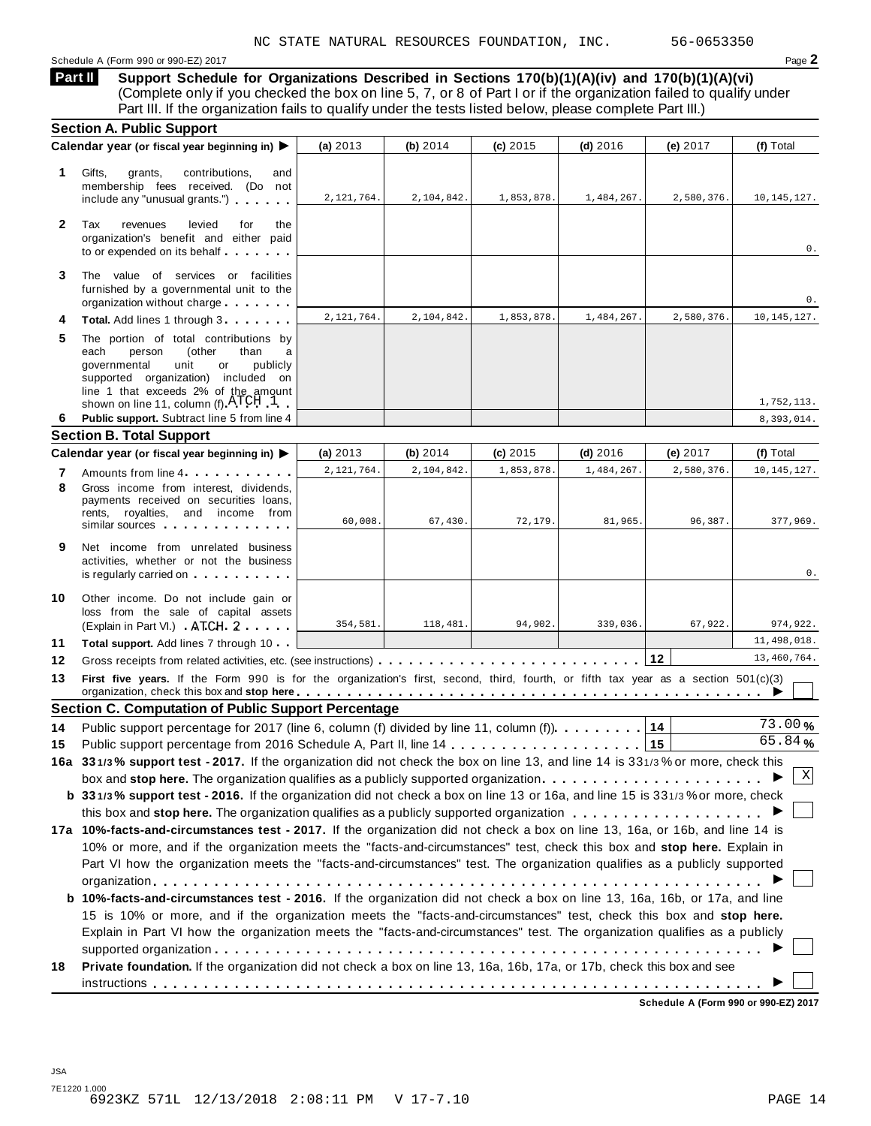Schedule <sup>A</sup> (Form <sup>990</sup> or 990-EZ) <sup>2017</sup> Page **2**

**Support Schedule for Organizations Described in Sections 170(b)(1)(A)(iv) and 170(b)(1)(A)(vi)** (Complete only if you checked the box on line 5, 7, or 8 of Part I or if the organization failed to qualify under Part III. If the organization fails to qualify under the tests listed below, please complete Part III.) **Part II**

|              | <b>Section A. Public Support</b>                                                                                                                                                                                                                                                                                                                                     |            |            |            |            |            |                  |
|--------------|----------------------------------------------------------------------------------------------------------------------------------------------------------------------------------------------------------------------------------------------------------------------------------------------------------------------------------------------------------------------|------------|------------|------------|------------|------------|------------------|
|              | Calendar year (or fiscal year beginning in) ▶                                                                                                                                                                                                                                                                                                                        | (a) $2013$ | (b) $2014$ | (c) 2015   | $(d)$ 2016 | (e) 2017   | (f) Total        |
| 1            | contributions,<br>Gifts,<br>grants,<br>and<br>membership fees received. (Do not<br>include any "unusual grants.")                                                                                                                                                                                                                                                    | 2,121,764. | 2,104,842. | 1,853,878. | 1,484,267. | 2,580,376. | 10, 145, 127.    |
| $\mathbf{2}$ | Tax<br>revenues<br>levied<br>for<br>the<br>organization's benefit and either paid<br>to or expended on its behalf                                                                                                                                                                                                                                                    |            |            |            |            |            | 0.               |
| 3            | The value of services or facilities<br>furnished by a governmental unit to the<br>organization without charge                                                                                                                                                                                                                                                        |            |            |            |            |            | 0.               |
| 4            | Total. Add lines 1 through 3                                                                                                                                                                                                                                                                                                                                         | 2,121,764. | 2,104,842. | 1,853,878. | 1,484,267. | 2,580,376. | 10, 145, 127.    |
| 5            | The portion of total contributions by<br>each<br>(other<br>person<br>than<br>a<br>qovernmental<br>unit<br>publicly<br>or<br>supported organization) included on<br>line 1 that exceeds 2% of the amount<br>shown on line 11, column (f) $\text{ATCH}$ 1                                                                                                              |            |            |            |            |            | 1,752,113.       |
| 6            | Public support. Subtract line 5 from line 4                                                                                                                                                                                                                                                                                                                          |            |            |            |            |            | 8,393,014.       |
|              | <b>Section B. Total Support</b>                                                                                                                                                                                                                                                                                                                                      |            |            |            |            |            |                  |
|              | Calendar year (or fiscal year beginning in) ▶                                                                                                                                                                                                                                                                                                                        | (a) $2013$ | (b) $2014$ | (c) 2015   | $(d)$ 2016 | (e) 2017   | (f) Total        |
| 7            | Amounts from line 4 <b>Amounts</b> from line 4                                                                                                                                                                                                                                                                                                                       | 2,121,764. | 2,104,842. | 1,853,878  | 1,484,267  | 2,580,376. | 10, 145, 127.    |
| 8            | Gross income from interest. dividends.<br>payments received on securities loans,<br>rents, royalties, and income from<br>similar sources and the same state of the state of the state of the state of the state of the state of the state of the state of the state of the state of the state of the state of the state of the state of the state of th              | 60,008.    | 67,430.    | 72,179.    | 81,965.    | 96,387.    | 377,969.         |
| 9            | Net income from unrelated business<br>activities, whether or not the business<br>is regularly carried on the control of the set of the control of the control of the control of the control of the control of the control of the control of the control of the control of the control of the control of the con                                                      |            |            |            |            |            | 0.               |
| 10           | Other income. Do not include gain or<br>loss from the sale of capital assets<br>(Explain in Part VI.) ATCH 2                                                                                                                                                                                                                                                         | 354,581.   | 118,481.   | 94,902.    | 339,036.   | 67,922.    | 974,922.         |
| 11           | Total support. Add lines 7 through 10                                                                                                                                                                                                                                                                                                                                |            |            |            |            |            | 11,498,018.      |
| 12           |                                                                                                                                                                                                                                                                                                                                                                      |            |            |            |            | 12         | 13,460,764.      |
| 13           | First five years. If the Form 990 is for the organization's first, second, third, fourth, or fifth tax year as a section 501(c)(3)<br>organization, check this box and stop here entitled and state in the set of the set of the set of the set of the set of the set of the set of the set of the set of the set of the set of the set of the set of the set of the |            |            |            |            |            |                  |
|              | <b>Section C. Computation of Public Support Percentage</b>                                                                                                                                                                                                                                                                                                           |            |            |            |            |            | $\sqrt{73.00}$ % |
| 14           | Public support percentage for 2017 (line 6, column (f) divided by line 11, column (f))                                                                                                                                                                                                                                                                               |            |            |            |            | 14         | 65.84%           |
| 15           |                                                                                                                                                                                                                                                                                                                                                                      |            |            |            |            | 15         |                  |
|              | 16a 331/3% support test - 2017. If the organization did not check the box on line 13, and line 14 is 331/3% or more, check this                                                                                                                                                                                                                                      |            |            |            |            |            | Χ                |
|              |                                                                                                                                                                                                                                                                                                                                                                      |            |            |            |            |            |                  |
|              | b 331/3% support test - 2016. If the organization did not check a box on line 13 or 16a, and line 15 is 331/3% or more, check                                                                                                                                                                                                                                        |            |            |            |            |            |                  |
|              |                                                                                                                                                                                                                                                                                                                                                                      |            |            |            |            |            |                  |
|              | 17a 10%-facts-and-circumstances test - 2017. If the organization did not check a box on line 13, 16a, or 16b, and line 14 is                                                                                                                                                                                                                                         |            |            |            |            |            |                  |
|              | 10% or more, and if the organization meets the "facts-and-circumstances" test, check this box and stop here. Explain in                                                                                                                                                                                                                                              |            |            |            |            |            |                  |
|              | Part VI how the organization meets the "facts-and-circumstances" test. The organization qualifies as a publicly supported                                                                                                                                                                                                                                            |            |            |            |            |            |                  |
|              |                                                                                                                                                                                                                                                                                                                                                                      |            |            |            |            |            |                  |
|              | b 10%-facts-and-circumstances test - 2016. If the organization did not check a box on line 13, 16a, 16b, or 17a, and line                                                                                                                                                                                                                                            |            |            |            |            |            |                  |
|              | 15 is 10% or more, and if the organization meets the "facts-and-circumstances" test, check this box and stop here.                                                                                                                                                                                                                                                   |            |            |            |            |            |                  |
|              | Explain in Part VI how the organization meets the "facts-and-circumstances" test. The organization qualifies as a publicly                                                                                                                                                                                                                                           |            |            |            |            |            |                  |
|              |                                                                                                                                                                                                                                                                                                                                                                      |            |            |            |            |            |                  |
| 18           | Private foundation. If the organization did not check a box on line 13, 16a, 16b, 17a, or 17b, check this box and see                                                                                                                                                                                                                                                |            |            |            |            |            |                  |
|              |                                                                                                                                                                                                                                                                                                                                                                      |            |            |            |            |            |                  |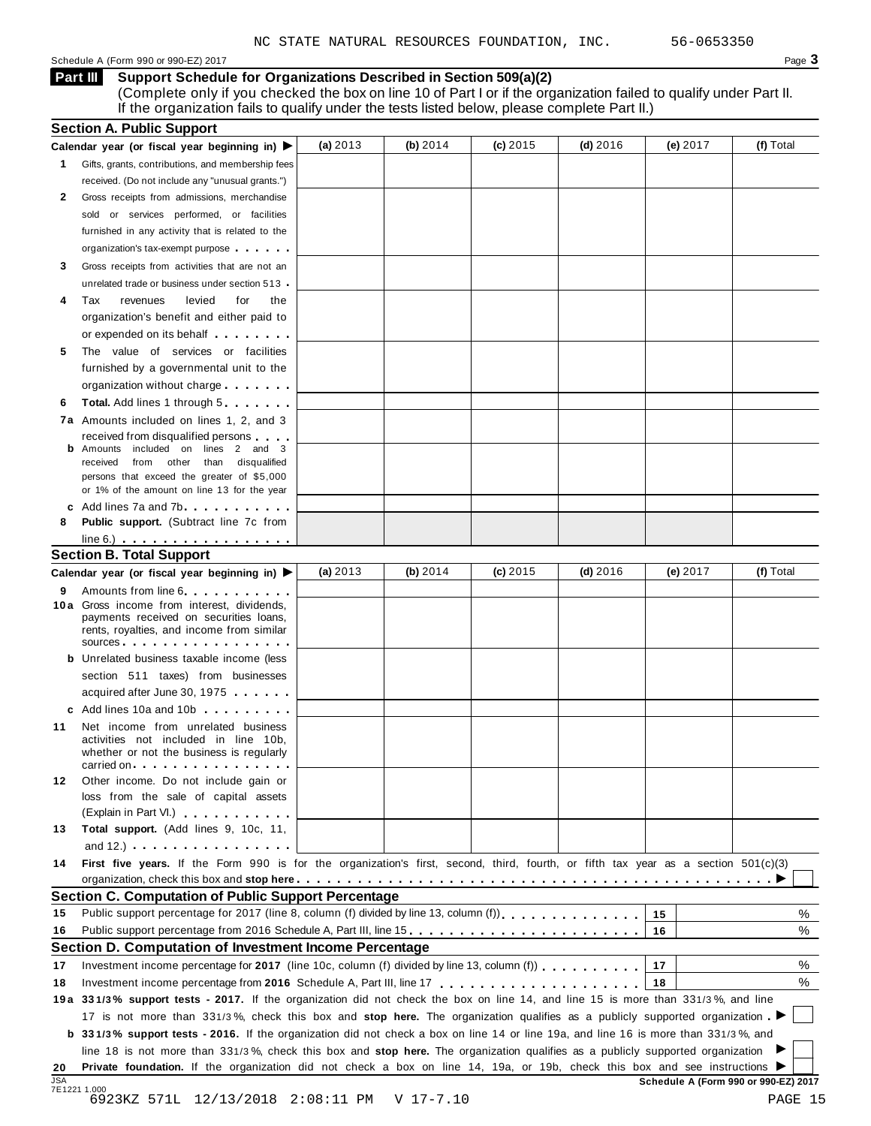#### Schedule <sup>A</sup> (Form <sup>990</sup> or 990-EZ) <sup>2017</sup> Page **3**

**Support Schedule for Organizations Described in Section 509(a)(2) Part III** (Complete only if you checked the box on line 10 of Part I or if the organization failed to qualify under Part II. If the organization fails to qualify under the tests listed below, please complete Part II.)

|            | <b>Section A. Public Support</b>                                                                                                                                                                                                     |            |            |            |            |          |                                      |
|------------|--------------------------------------------------------------------------------------------------------------------------------------------------------------------------------------------------------------------------------------|------------|------------|------------|------------|----------|--------------------------------------|
|            | Calendar year (or fiscal year beginning in) $\blacktriangleright$                                                                                                                                                                    | (a) $2013$ | (b) $2014$ | $(c)$ 2015 | $(d)$ 2016 | (e) 2017 | (f) Total                            |
| 1          | Gifts, grants, contributions, and membership fees                                                                                                                                                                                    |            |            |            |            |          |                                      |
|            | received. (Do not include any "unusual grants.")                                                                                                                                                                                     |            |            |            |            |          |                                      |
| 2          | Gross receipts from admissions, merchandise                                                                                                                                                                                          |            |            |            |            |          |                                      |
|            | sold or services performed, or facilities                                                                                                                                                                                            |            |            |            |            |          |                                      |
|            | furnished in any activity that is related to the                                                                                                                                                                                     |            |            |            |            |          |                                      |
|            | organization's tax-exempt purpose                                                                                                                                                                                                    |            |            |            |            |          |                                      |
| 3          | Gross receipts from activities that are not an                                                                                                                                                                                       |            |            |            |            |          |                                      |
|            | unrelated trade or business under section 513 .                                                                                                                                                                                      |            |            |            |            |          |                                      |
| 4          | Tax<br>revenues<br>levied<br>for<br>the                                                                                                                                                                                              |            |            |            |            |          |                                      |
|            | organization's benefit and either paid to                                                                                                                                                                                            |            |            |            |            |          |                                      |
|            | or expended on its behalf <b>contains the set of the set of the set of the set of the set of the set of the set of the set of the set of the set of the set of the set of the set of the set of the set of the set of the set of</b> |            |            |            |            |          |                                      |
| 5          | The value of services or facilities                                                                                                                                                                                                  |            |            |            |            |          |                                      |
|            |                                                                                                                                                                                                                                      |            |            |            |            |          |                                      |
|            | furnished by a governmental unit to the                                                                                                                                                                                              |            |            |            |            |          |                                      |
|            | organization without charge                                                                                                                                                                                                          |            |            |            |            |          |                                      |
| 6          | <b>Total.</b> Add lines 1 through 5                                                                                                                                                                                                  |            |            |            |            |          |                                      |
|            | 7a Amounts included on lines 1, 2, and 3                                                                                                                                                                                             |            |            |            |            |          |                                      |
|            | received from disqualified persons<br>Amounts included on lines 2 and 3                                                                                                                                                              |            |            |            |            |          |                                      |
|            | from other than disqualified<br>received                                                                                                                                                                                             |            |            |            |            |          |                                      |
|            | persons that exceed the greater of \$5,000                                                                                                                                                                                           |            |            |            |            |          |                                      |
|            | or 1% of the amount on line 13 for the year                                                                                                                                                                                          |            |            |            |            |          |                                      |
|            | c Add lines 7a and 7b                                                                                                                                                                                                                |            |            |            |            |          |                                      |
| 8          | <b>Public support.</b> (Subtract line 7c from                                                                                                                                                                                        |            |            |            |            |          |                                      |
|            | $line 6.)$                                                                                                                                                                                                                           |            |            |            |            |          |                                      |
|            | <b>Section B. Total Support</b>                                                                                                                                                                                                      |            |            |            |            |          |                                      |
|            | Calendar year (or fiscal year beginning in) ▶                                                                                                                                                                                        | (a) $2013$ | (b) $2014$ | $(c)$ 2015 | $(d)$ 2016 | (e) 2017 | (f) Total                            |
| 9          | Amounts from line 6. The state of the state of the state of the state of the state of the state of the state of the state of the state of the state of the state of the state of the state of the state of the state of the st       |            |            |            |            |          |                                      |
|            | 10 a Gross income from interest, dividends,<br>payments received on securities loans,<br>rents, royalties, and income from similar                                                                                                   |            |            |            |            |          |                                      |
|            | $sources$                                                                                                                                                                                                                            |            |            |            |            |          |                                      |
|            | <b>b</b> Unrelated business taxable income (less                                                                                                                                                                                     |            |            |            |            |          |                                      |
|            | section 511 taxes) from businesses                                                                                                                                                                                                   |            |            |            |            |          |                                      |
|            | acquired after June 30, 1975                                                                                                                                                                                                         |            |            |            |            |          |                                      |
|            | c Add lines 10a and 10b                                                                                                                                                                                                              |            |            |            |            |          |                                      |
| 11         | Net income from unrelated business                                                                                                                                                                                                   |            |            |            |            |          |                                      |
|            | activities not included in line 10b,<br>whether or not the business is regularly                                                                                                                                                     |            |            |            |            |          |                                      |
|            | carried on the carried on the control of the care of the control of the control of the control of the control of the control of the control of the control of the control of the control of the control of the control of the        |            |            |            |            |          |                                      |
| 12         | Other income. Do not include gain or                                                                                                                                                                                                 |            |            |            |            |          |                                      |
|            | loss from the sale of capital assets                                                                                                                                                                                                 |            |            |            |            |          |                                      |
|            | (Explain in Part VI.) <b>All Accords</b>                                                                                                                                                                                             |            |            |            |            |          |                                      |
| 13         | Total support. (Add lines 9, 10c, 11,                                                                                                                                                                                                |            |            |            |            |          |                                      |
|            | and $12.$ ) $\cdots$ $\cdots$ $\cdots$ $\cdots$                                                                                                                                                                                      |            |            |            |            |          |                                      |
| 14         | First five years. If the Form 990 is for the organization's first, second, third, fourth, or fifth tax year as a section 501(c)(3)                                                                                                   |            |            |            |            |          |                                      |
|            |                                                                                                                                                                                                                                      |            |            |            |            |          |                                      |
|            | Section C. Computation of Public Support Percentage                                                                                                                                                                                  |            |            |            |            |          |                                      |
| 15         |                                                                                                                                                                                                                                      |            |            |            |            | 15       | %                                    |
| 16         |                                                                                                                                                                                                                                      |            |            |            |            | 16       | %                                    |
|            | Section D. Computation of Investment Income Percentage                                                                                                                                                                               |            |            |            |            |          |                                      |
| 17         | Investment income percentage for 2017 (line 10c, column (f) divided by line 13, column (f) $\ldots$ ,,,,,,,,                                                                                                                         |            |            |            |            | 17       | %                                    |
| 18         |                                                                                                                                                                                                                                      |            |            |            |            | 18       | %                                    |
|            | 19a 331/3% support tests - 2017. If the organization did not check the box on line 14, and line 15 is more than 331/3%, and line                                                                                                     |            |            |            |            |          |                                      |
|            | 17 is not more than 331/3%, check this box and stop here. The organization qualifies as a publicly supported organization                                                                                                            |            |            |            |            |          |                                      |
|            | <b>b</b> 331/3% support tests - 2016. If the organization did not check a box on line 14 or line 19a, and line 16 is more than 331/3%, and                                                                                           |            |            |            |            |          |                                      |
|            | line 18 is not more than 331/3%, check this box and stop here. The organization qualifies as a publicly supported organization                                                                                                       |            |            |            |            |          |                                      |
| 20         | Private foundation. If the organization did not check a box on line 14, 19a, or 19b, check this box and see instructions ▶                                                                                                           |            |            |            |            |          |                                      |
| <b>JSA</b> |                                                                                                                                                                                                                                      |            |            |            |            |          | Schedule A (Form 990 or 990-EZ) 2017 |
|            | 7E1221 1.000<br>6923KZ 571L 12/13/2018 2:08:11 PM                                                                                                                                                                                    |            | $V17-7.10$ |            |            |          | PAGE 15                              |
|            |                                                                                                                                                                                                                                      |            |            |            |            |          |                                      |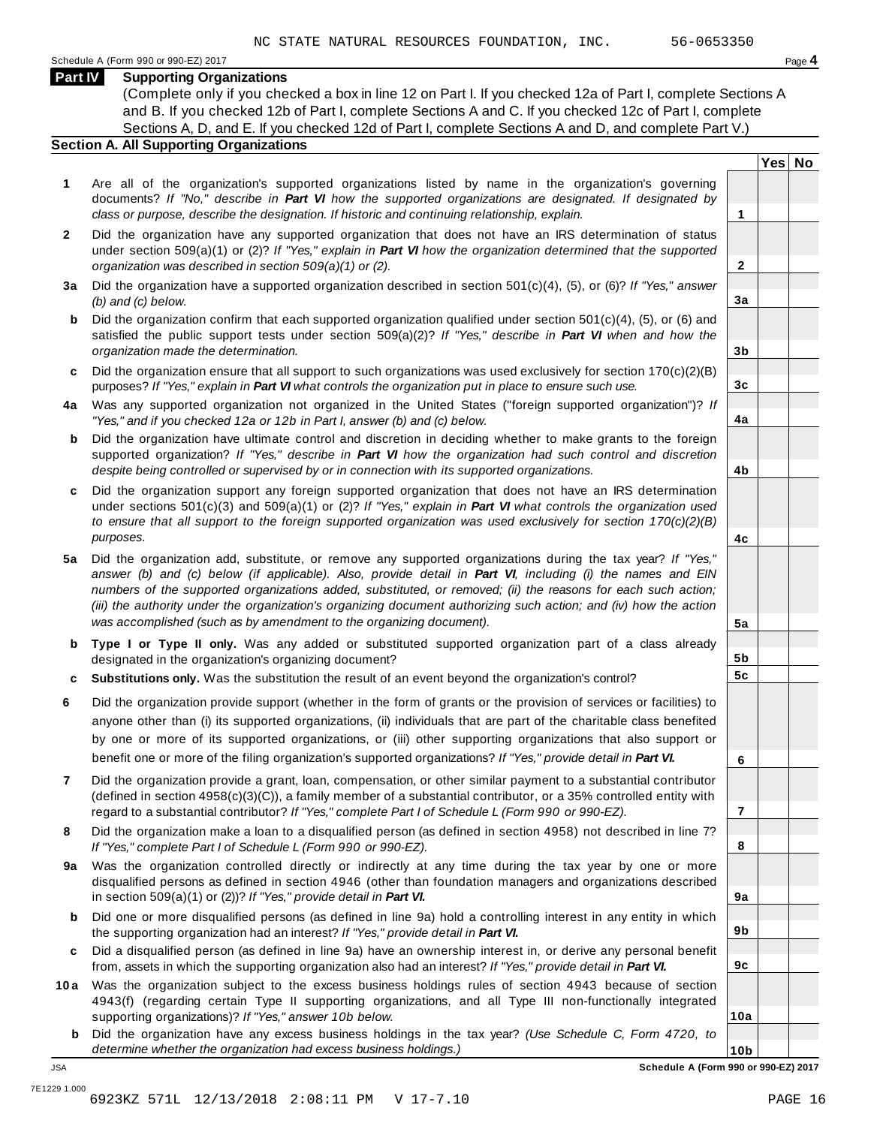#### **Part IV Supporting Organizations**

(Complete only if you checked a box in line 12 on Part I. If you checked 12a of Part I, complete Sections A and B. If you checked 12b of Part I, complete Sections A and C. If you checked 12c of Part I, complete Sections A, D, and E. If you checked 12d of Part I, complete Sections A and D, and complete Part V.)

#### **Section A. All Supporting Organizations**

- **1** Are all of the organization's supported organizations listed by name in the organization's governing documents? *If "No," describe in Part VI how the supported organizations are designated. If designated by class or purpose, describe the designation. If historic and continuing relationship, explain.* **1**
- **2** Did the organization have any supported organization that does not have an IRS determination of status under section 509(a)(1) or (2)? *If"Yes," explain in Part VI how the organization determined that the supported organization was described in section 509(a)(1) or (2).*
- **3 a** Did the organization have a supported organization described in section 501(c)(4), (5), or (6)? *If "Yes," answer (b) and (c) below.*
- **b** Did the organization confirm that each supported organization qualified under section 501(c)(4), (5), or (6) and | satisfied the public support tests under section 509(a)(2)? *If "Yes," describe in Part VI when and how the organization made the determination.*
- **c** Did the organization ensure that all support to such organizations was used exclusively for section 170(c)(2)(B) purposes? *If"Yes," explain in Part VI what controls the organization put in place to ensure such use.*
- **4 a** Was any supported organization not organized in the United States ("foreign supported organization")? *If "Yes," and if you checked 12a or 12b in Part I, answer (b) and (c) below.*
- **b** Did the organization have ultimate control and discretion in deciding whether to make grants to the foreign | supported organization? *If "Yes," describe in Part VI how the organization had such control and discretion despite being controlled or supervised by or in connection with its supported organizations.*
- **c** Did the organization support any foreign supported organization that does not have an IRS determination | under sections 501(c)(3) and 509(a)(1) or (2)? *If "Yes," explain in Part VI what controls the organization used to ensure that all support to the foreign supported organization was used exclusively for section 170(c)(2)(B) purposes.*
- **5 a** Did the organization add, substitute, or remove any supported organizations during the tax year? *If "Yes,"* answer (b) and (c) below (if applicable). Also, provide detail in **Part VI**, including (i) the names and EIN *numbers of the supported organizations added, substituted, or removed; (ii) the reasons for each such action;* (iii) the authority under the organization's organizing document authorizing such action; and (iv) how the action *was accomplished (such as by amendment to the organizing document).*
- **b** Type I or Type II only. Was any added or substituted supported organization part of a class already | designated in the organization's organizing document?
- **c Substitutions only.** Was the substitution the result of an event beyond the organization's control?
- **6** Did the organization provide support (whether in the form of grants or the provision of services or facilities) to anyone other than (i) its supported organizations, (ii) individuals that are part of the charitable class benefited by one or more of its supported organizations, or (iii) other supporting organizations that also support or benefit one or more of the filing organization's supported organizations? *If"Yes," provide detail in Part VI.*
- **7** Did the organization provide a grant, loan, compensation, or other similar payment to a substantial contributor (defined in section 4958(c)(3)(C)), a family member of a substantial contributor, or a 35% controlled entity with regard to a substantial contributor? *If"Yes," complete Part I of Schedule L (Form 990 or 990-EZ).*
- **8** Did the organization make a loan to a disqualified person (as defined in section 4958) not described in line 7? *If "Yes," complete Part I of Schedule L (Form 990 or 990-EZ).*
- **a** Was the organization controlled directly or indirectly at any time during the tax year by one or more | **9** disqualified persons as defined in section 4946 (other than foundation managers and organizations described in section 509(a)(1) or (2))? *If"Yes," provide detail in Part VI.*
- **b** Did one or more disqualified persons (as defined in line 9a) hold a controlling interest in any entity in which | the supporting organization had an interest? *If"Yes," provide detail in Part VI.*
- **c** Did a disqualified person (as defined in line 9a) have an ownership interest in, or derive any personal benefit from, assets in which the supporting organization also had an interest? *If"Yes," provide detail in Part VI.*
- **10a** Was the organization subject to the excess business holdings rules of section 4943 because of section | 4943(f) (regarding certain Type II supporting organizations, and all Type III non-functionally integrated supporting organizations)? *If"Yes," answer 10b below.*
	- **b** Did the organization have any excess business holdings in the tax year? *(Use Schedule C, Form 4720, to determine whether the organization had excess business holdings.)*

**Yes No**

**2**

|      | (b) and (c) below.                                                                                                                                                                                                                                                                                                                                                                                                                                                                                                                    | 3a                      |  |
|------|---------------------------------------------------------------------------------------------------------------------------------------------------------------------------------------------------------------------------------------------------------------------------------------------------------------------------------------------------------------------------------------------------------------------------------------------------------------------------------------------------------------------------------------|-------------------------|--|
| b    | Did the organization confirm that each supported organization qualified under section $501(c)(4)$ , (5), or (6) and<br>satisfied the public support tests under section $509(a)(2)$ ? If "Yes," describe in Part VI when and how the<br>organization made the determination.                                                                                                                                                                                                                                                          | 3 <sub>b</sub>          |  |
| c    | Did the organization ensure that all support to such organizations was used exclusively for section $170(c)(2)(B)$<br>purposes? If "Yes," explain in Part VI what controls the organization put in place to ensure such use.                                                                                                                                                                                                                                                                                                          | 3 <sub>c</sub>          |  |
| 4a   | Was any supported organization not organized in the United States ("foreign supported organization")? If<br>"Yes," and if you checked 12a or 12b in Part I, answer (b) and (c) below.                                                                                                                                                                                                                                                                                                                                                 | 4a                      |  |
| b    | Did the organization have ultimate control and discretion in deciding whether to make grants to the foreign<br>supported organization? If "Yes," describe in Part VI how the organization had such control and discretion<br>despite being controlled or supervised by or in connection with its supported organizations.                                                                                                                                                                                                             | 4b                      |  |
| c    | Did the organization support any foreign supported organization that does not have an IRS determination<br>under sections $501(c)(3)$ and $509(a)(1)$ or (2)? If "Yes," explain in Part VI what controls the organization used<br>to ensure that all support to the foreign supported organization was used exclusively for section $170(c)(2)(B)$<br>purposes.                                                                                                                                                                       | 4c                      |  |
| 5a   | Did the organization add, substitute, or remove any supported organizations during the tax year? If "Yes,"<br>answer (b) and (c) below (if applicable). Also, provide detail in Part VI, including (i) the names and EIN<br>numbers of the supported organizations added, substituted, or removed; (ii) the reasons for each such action;<br>(iii) the authority under the organization's organizing document authorizing such action; and (iv) how the action<br>was accomplished (such as by amendment to the organizing document). | 5a                      |  |
| b    | Type I or Type II only. Was any added or substituted supported organization part of a class already<br>designated in the organization's organizing document?                                                                                                                                                                                                                                                                                                                                                                          | 5b                      |  |
| c    | Substitutions only. Was the substitution the result of an event beyond the organization's control?                                                                                                                                                                                                                                                                                                                                                                                                                                    | 5 <sub>c</sub>          |  |
| 6    | Did the organization provide support (whether in the form of grants or the provision of services or facilities) to                                                                                                                                                                                                                                                                                                                                                                                                                    |                         |  |
|      | anyone other than (i) its supported organizations, (ii) individuals that are part of the charitable class benefited<br>by one or more of its supported organizations, or (iii) other supporting organizations that also support or                                                                                                                                                                                                                                                                                                    |                         |  |
|      | benefit one or more of the filing organization's supported organizations? If "Yes," provide detail in Part VI.                                                                                                                                                                                                                                                                                                                                                                                                                        | 6                       |  |
| 7    | Did the organization provide a grant, loan, compensation, or other similar payment to a substantial contributor<br>(defined in section $4958(c)(3)(C)$ ), a family member of a substantial contributor, or a 35% controlled entity with<br>regard to a substantial contributor? If "Yes," complete Part I of Schedule L (Form 990 or 990-EZ).                                                                                                                                                                                         | $\overline{\mathbf{r}}$ |  |
| 8    | Did the organization make a loan to a disqualified person (as defined in section 4958) not described in line 7?<br>If "Yes," complete Part I of Schedule L (Form 990 or 990-EZ).                                                                                                                                                                                                                                                                                                                                                      | 8                       |  |
| 9а   | Was the organization controlled directly or indirectly at any time during the tax year by one or more<br>disqualified persons as defined in section 4946 (other than foundation managers and organizations described<br>in section $509(a)(1)$ or (2))? If "Yes," provide detail in Part VI.                                                                                                                                                                                                                                          | 9a                      |  |
|      | Did one or more disqualified persons (as defined in line 9a) hold a controlling interest in any entity in which<br>the supporting organization had an interest? If "Yes," provide detail in Part VI.                                                                                                                                                                                                                                                                                                                                  | 9 <sub>b</sub>          |  |
| c    | Did a disqualified person (as defined in line 9a) have an ownership interest in, or derive any personal benefit<br>from, assets in which the supporting organization also had an interest? If "Yes," provide detail in Part VI.                                                                                                                                                                                                                                                                                                       | 9c                      |  |
| 10 a | Was the organization subject to the excess business holdings rules of section 4943 because of section<br>4943(f) (regarding certain Type II supporting organizations, and all Type III non-functionally integrated<br>supporting organizations)? If "Yes," answer 10b below.                                                                                                                                                                                                                                                          | 10a                     |  |
| b    | Did the organization have any excess business holdings in the tax year? (Use Schedule C, Form 4720, to<br>determine whether the organization had excess business holdings.)                                                                                                                                                                                                                                                                                                                                                           | 10 <sub>b</sub>         |  |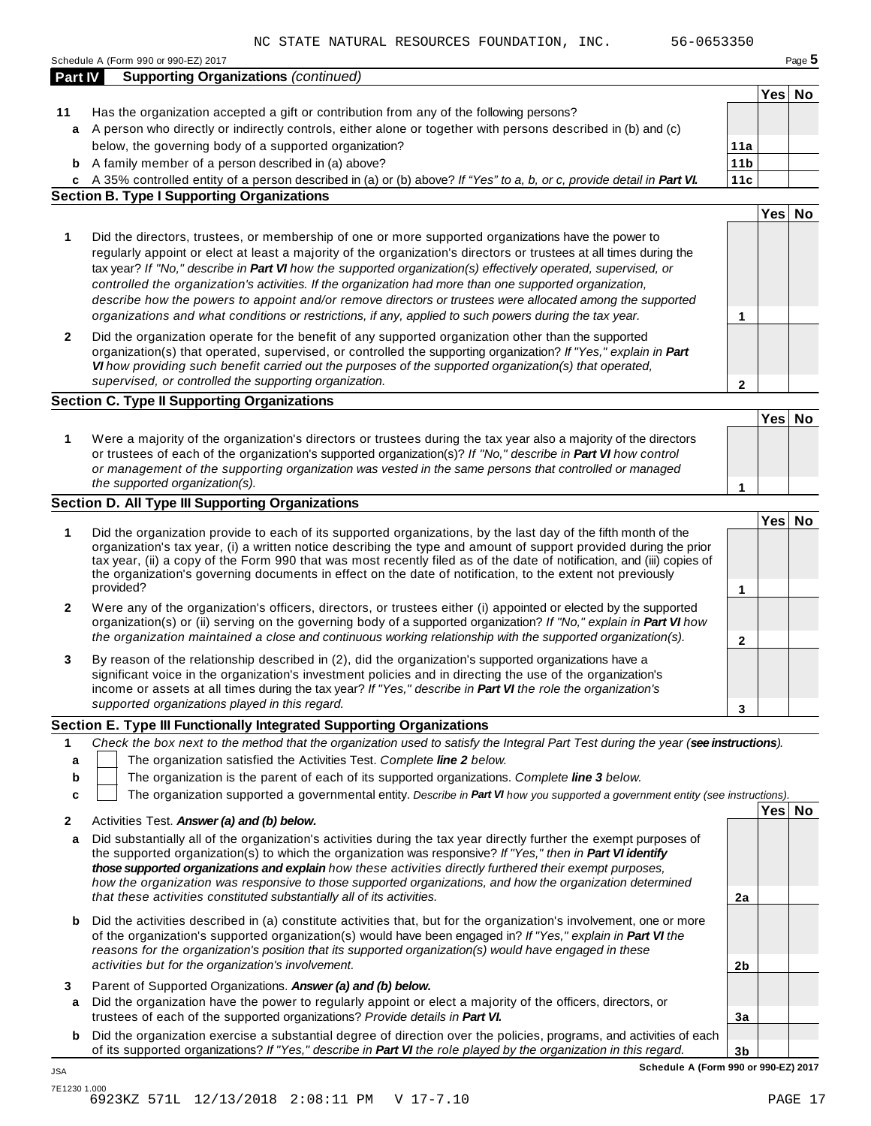|                  | DIAIB NAIURAB REBOURCED FOUNDAIION,<br>Schedule A (Form 990 or 990-EZ) 2017                                                                                                                                                                                                                                                                                                                                                                                                                                                                                                                                                                                                  |                 |        | Page 5 |
|------------------|------------------------------------------------------------------------------------------------------------------------------------------------------------------------------------------------------------------------------------------------------------------------------------------------------------------------------------------------------------------------------------------------------------------------------------------------------------------------------------------------------------------------------------------------------------------------------------------------------------------------------------------------------------------------------|-----------------|--------|--------|
| <b>Part IV</b>   | <b>Supporting Organizations (continued)</b>                                                                                                                                                                                                                                                                                                                                                                                                                                                                                                                                                                                                                                  |                 |        |        |
|                  |                                                                                                                                                                                                                                                                                                                                                                                                                                                                                                                                                                                                                                                                              |                 | Yes No |        |
| 11               | Has the organization accepted a gift or contribution from any of the following persons?                                                                                                                                                                                                                                                                                                                                                                                                                                                                                                                                                                                      |                 |        |        |
| a                | A person who directly or indirectly controls, either alone or together with persons described in (b) and (c)                                                                                                                                                                                                                                                                                                                                                                                                                                                                                                                                                                 |                 |        |        |
|                  | below, the governing body of a supported organization?                                                                                                                                                                                                                                                                                                                                                                                                                                                                                                                                                                                                                       | 11a             |        |        |
|                  | <b>b</b> A family member of a person described in (a) above?                                                                                                                                                                                                                                                                                                                                                                                                                                                                                                                                                                                                                 | 11 <sub>b</sub> |        |        |
|                  | c A 35% controlled entity of a person described in (a) or (b) above? If "Yes" to a, b, or c, provide detail in Part VI.                                                                                                                                                                                                                                                                                                                                                                                                                                                                                                                                                      | 11c             |        |        |
|                  | <b>Section B. Type I Supporting Organizations</b>                                                                                                                                                                                                                                                                                                                                                                                                                                                                                                                                                                                                                            |                 |        |        |
|                  |                                                                                                                                                                                                                                                                                                                                                                                                                                                                                                                                                                                                                                                                              |                 | Yes No |        |
| 1                | Did the directors, trustees, or membership of one or more supported organizations have the power to<br>regularly appoint or elect at least a majority of the organization's directors or trustees at all times during the<br>tax year? If "No," describe in Part VI how the supported organization(s) effectively operated, supervised, or<br>controlled the organization's activities. If the organization had more than one supported organization,<br>describe how the powers to appoint and/or remove directors or trustees were allocated among the supported<br>organizations and what conditions or restrictions, if any, applied to such powers during the tax year. | 1               |        |        |
| 2                | Did the organization operate for the benefit of any supported organization other than the supported<br>organization(s) that operated, supervised, or controlled the supporting organization? If "Yes," explain in Part<br>VI how providing such benefit carried out the purposes of the supported organization(s) that operated,<br>supervised, or controlled the supporting organization.                                                                                                                                                                                                                                                                                   | 2               |        |        |
|                  | <b>Section C. Type II Supporting Organizations</b>                                                                                                                                                                                                                                                                                                                                                                                                                                                                                                                                                                                                                           |                 |        |        |
|                  |                                                                                                                                                                                                                                                                                                                                                                                                                                                                                                                                                                                                                                                                              |                 | Yes No |        |
| 1                | Were a majority of the organization's directors or trustees during the tax year also a majority of the directors<br>or trustees of each of the organization's supported organization(s)? If "No," describe in Part VI how control<br>or management of the supporting organization was vested in the same persons that controlled or managed<br>the supported organization(s).                                                                                                                                                                                                                                                                                                | 1               |        |        |
|                  | <b>Section D. All Type III Supporting Organizations</b>                                                                                                                                                                                                                                                                                                                                                                                                                                                                                                                                                                                                                      |                 |        |        |
|                  |                                                                                                                                                                                                                                                                                                                                                                                                                                                                                                                                                                                                                                                                              |                 | Yes No |        |
| 1                | Did the organization provide to each of its supported organizations, by the last day of the fifth month of the<br>organization's tax year, (i) a written notice describing the type and amount of support provided during the prior<br>tax year, (ii) a copy of the Form 990 that was most recently filed as of the date of notification, and (iii) copies of<br>the organization's governing documents in effect on the date of notification, to the extent not previously<br>provided?                                                                                                                                                                                     | 1               |        |        |
| 2                | Were any of the organization's officers, directors, or trustees either (i) appointed or elected by the supported<br>organization(s) or (ii) serving on the governing body of a supported organization? If "No," explain in Part VI how<br>the organization maintained a close and continuous working relationship with the supported organization(s).                                                                                                                                                                                                                                                                                                                        | $\overline{2}$  |        |        |
| 3                | By reason of the relationship described in (2), did the organization's supported organizations have a<br>significant voice in the organization's investment policies and in directing the use of the organization's<br>income or assets at all times during the tax year? If "Yes," describe in Part VI the role the organization's<br>supported organizations played in this regard.                                                                                                                                                                                                                                                                                        | 3               |        |        |
|                  | Section E. Type III Functionally Integrated Supporting Organizations                                                                                                                                                                                                                                                                                                                                                                                                                                                                                                                                                                                                         |                 |        |        |
| 1<br>a<br>b<br>c | Check the box next to the method that the organization used to satisfy the Integral Part Test during the year (see instructions).<br>The organization satisfied the Activities Test. Complete line 2 below.<br>The organization is the parent of each of its supported organizations. Complete line 3 below.<br>The organization supported a governmental entity. Describe in Part VI how you supported a government entity (see instructions).                                                                                                                                                                                                                              |                 |        |        |
|                  |                                                                                                                                                                                                                                                                                                                                                                                                                                                                                                                                                                                                                                                                              |                 | Yes No |        |
| 2<br>а           | Activities Test. Answer (a) and (b) below.<br>Did substantially all of the organization's activities during the tax year directly further the exempt purposes of<br>the supported organization(s) to which the organization was responsive? If "Yes," then in Part VI identify<br>those supported organizations and explain how these activities directly furthered their exempt purposes,<br>how the organization was responsive to those supported organizations, and how the organization determined<br>that these activities constituted substantially all of its activities.                                                                                            | 2a              |        |        |
| b                | Did the activities described in (a) constitute activities that, but for the organization's involvement, one or more<br>of the organization's supported organization(s) would have been engaged in? If "Yes," explain in Part VI the<br>reasons for the organization's position that its supported organization(s) would have engaged in these                                                                                                                                                                                                                                                                                                                                |                 |        |        |
|                  | activities but for the organization's involvement.                                                                                                                                                                                                                                                                                                                                                                                                                                                                                                                                                                                                                           | 2 <sub>b</sub>  |        |        |
| 3<br>a           | Parent of Supported Organizations. Answer (a) and (b) below.<br>Did the organization have the power to regularly appoint or elect a majority of the officers, directors, or<br>trustees of each of the supported organizations? Provide details in Part VI.                                                                                                                                                                                                                                                                                                                                                                                                                  |                 |        |        |
|                  |                                                                                                                                                                                                                                                                                                                                                                                                                                                                                                                                                                                                                                                                              | 3a              |        |        |
| b                | Did the organization exercise a substantial degree of direction over the policies, programs, and activities of each<br>of its supported organizations? If "Yes," describe in Part VI the role played by the organization in this regard.                                                                                                                                                                                                                                                                                                                                                                                                                                     | 3 <sub>b</sub>  |        |        |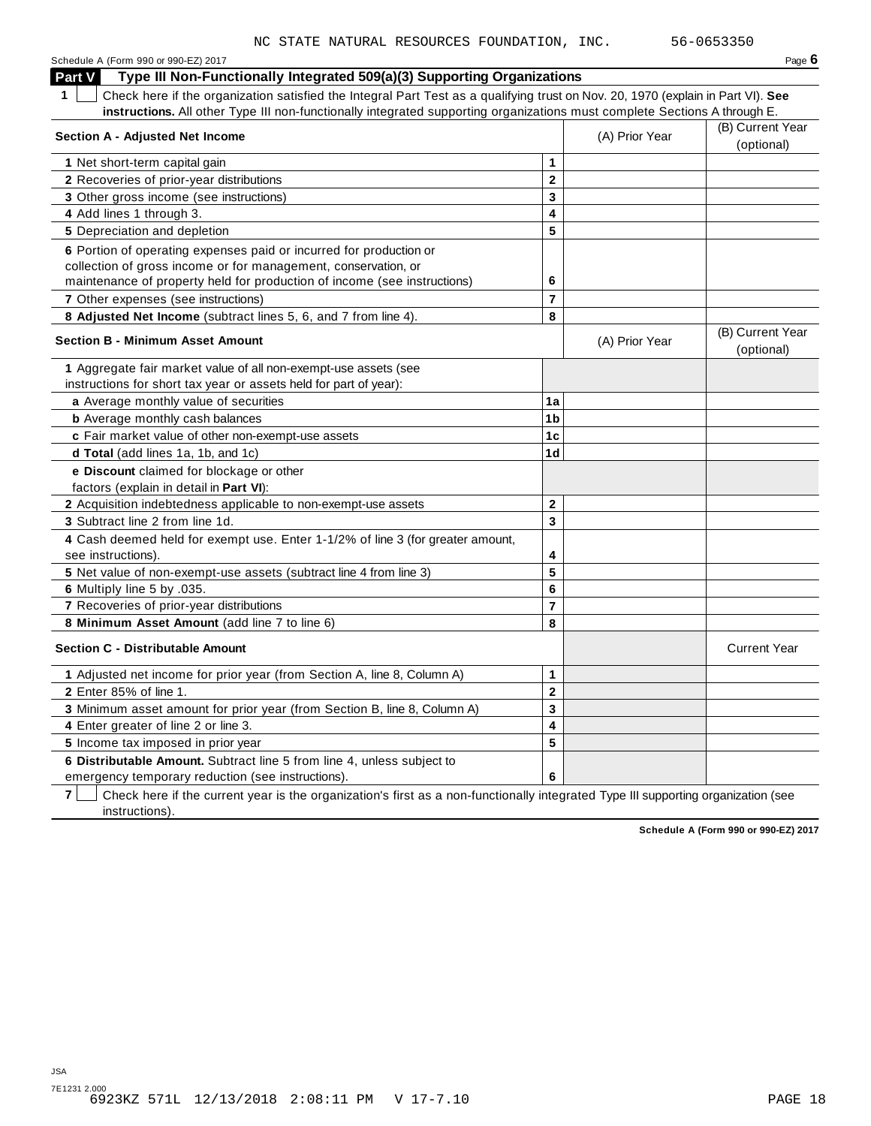| Schedule A (Form 990 or 990-EZ) 2017                                                                                                            |                         |                | Page $6$                       |
|-------------------------------------------------------------------------------------------------------------------------------------------------|-------------------------|----------------|--------------------------------|
| Type III Non-Functionally Integrated 509(a)(3) Supporting Organizations<br><b>Part V</b>                                                        |                         |                |                                |
| $\mathbf 1$<br>Check here if the organization satisfied the Integral Part Test as a qualifying trust on Nov. 20, 1970 (explain in Part VI). See |                         |                |                                |
| instructions. All other Type III non-functionally integrated supporting organizations must complete Sections A through E.                       |                         |                |                                |
| <b>Section A - Adjusted Net Income</b>                                                                                                          |                         | (A) Prior Year | (B) Current Year               |
|                                                                                                                                                 |                         |                | (optional)                     |
| 1 Net short-term capital gain                                                                                                                   | 1                       |                |                                |
| 2 Recoveries of prior-year distributions                                                                                                        | $\mathbf{2}$            |                |                                |
| 3 Other gross income (see instructions)                                                                                                         | 3                       |                |                                |
| 4 Add lines 1 through 3.                                                                                                                        | 4                       |                |                                |
| <b>5</b> Depreciation and depletion                                                                                                             | 5                       |                |                                |
| 6 Portion of operating expenses paid or incurred for production or                                                                              |                         |                |                                |
| collection of gross income or for management, conservation, or                                                                                  |                         |                |                                |
| maintenance of property held for production of income (see instructions)                                                                        | 6                       |                |                                |
| 7 Other expenses (see instructions)                                                                                                             | $\overline{7}$          |                |                                |
| 8 Adjusted Net Income (subtract lines 5, 6, and 7 from line 4).                                                                                 | 8                       |                |                                |
| <b>Section B - Minimum Asset Amount</b>                                                                                                         |                         | (A) Prior Year | (B) Current Year<br>(optional) |
| 1 Aggregate fair market value of all non-exempt-use assets (see                                                                                 |                         |                |                                |
| instructions for short tax year or assets held for part of year):                                                                               |                         |                |                                |
| a Average monthly value of securities                                                                                                           | 1a                      |                |                                |
| <b>b</b> Average monthly cash balances                                                                                                          | 1 <sub>b</sub>          |                |                                |
| c Fair market value of other non-exempt-use assets                                                                                              | 1 <sub>c</sub>          |                |                                |
| d Total (add lines 1a, 1b, and 1c)                                                                                                              | 1 <sub>d</sub>          |                |                                |
| e Discount claimed for blockage or other                                                                                                        |                         |                |                                |
| factors (explain in detail in Part VI):                                                                                                         |                         |                |                                |
| 2 Acquisition indebtedness applicable to non-exempt-use assets                                                                                  | $\mathbf{2}$            |                |                                |
| 3 Subtract line 2 from line 1d.                                                                                                                 | 3                       |                |                                |
| 4 Cash deemed held for exempt use. Enter 1-1/2% of line 3 (for greater amount,<br>see instructions).                                            | 4                       |                |                                |
| 5 Net value of non-exempt-use assets (subtract line 4 from line 3)                                                                              | 5                       |                |                                |
| 6 Multiply line 5 by .035.                                                                                                                      | 6                       |                |                                |
| 7 Recoveries of prior-year distributions                                                                                                        | $\overline{7}$          |                |                                |
| 8 Minimum Asset Amount (add line 7 to line 6)                                                                                                   | 8                       |                |                                |
| <b>Section C - Distributable Amount</b>                                                                                                         |                         |                | <b>Current Year</b>            |
| 1 Adjusted net income for prior year (from Section A, line 8, Column A)                                                                         | 1                       |                |                                |
| 2 Enter 85% of line 1.                                                                                                                          | $\overline{\mathbf{2}}$ |                |                                |
| 3 Minimum asset amount for prior year (from Section B, line 8, Column A)                                                                        | 3                       |                |                                |
| 4 Enter greater of line 2 or line 3.                                                                                                            | $\overline{\mathbf{4}}$ |                |                                |
| 5 Income tax imposed in prior year                                                                                                              | 5                       |                |                                |
| 6 Distributable Amount. Subtract line 5 from line 4, unless subject to                                                                          |                         |                |                                |
| emergency temporary reduction (see instructions).                                                                                               | 6                       |                |                                |

**7 Check here if the current year is the organization's first as a non-functionally integrated Type III supporting organization (see** instructions).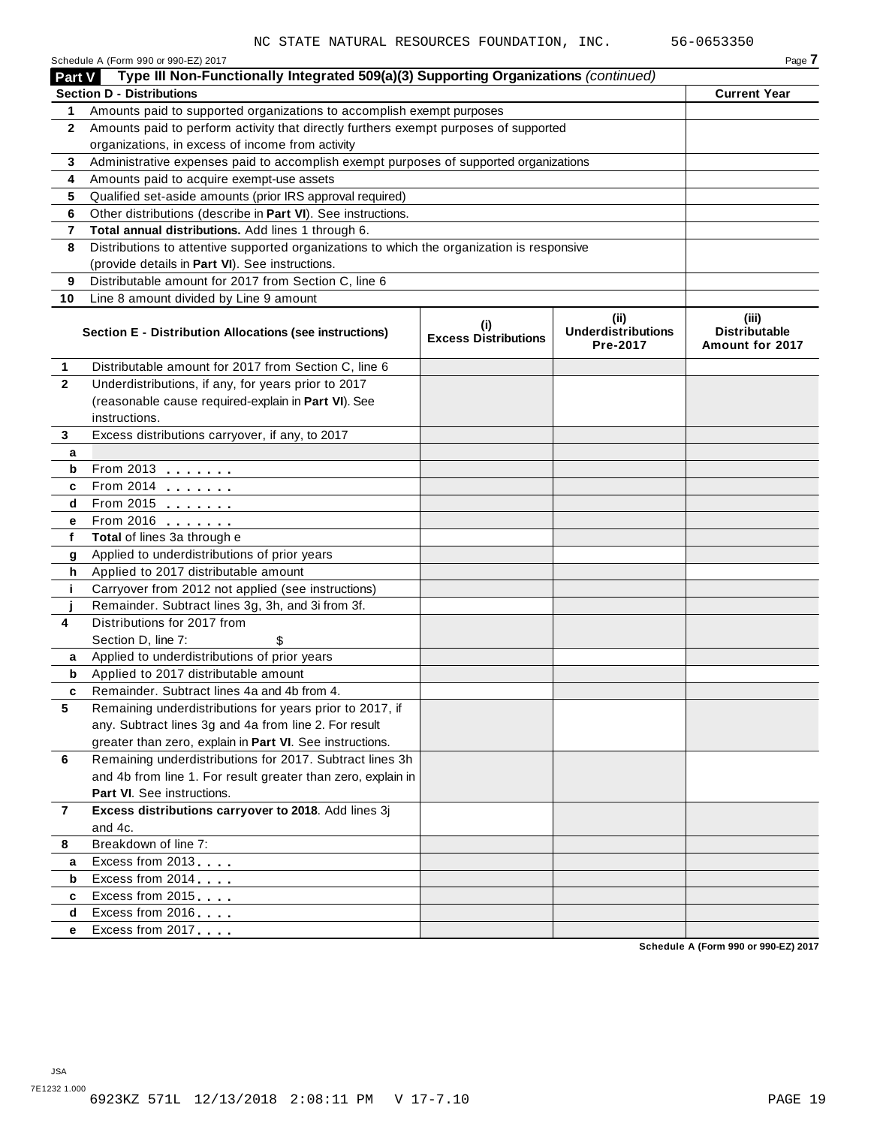|                | Schedule A (Form 990 or 990-EZ) 2017                                                       |                                            |                                               | Page 7                                    |
|----------------|--------------------------------------------------------------------------------------------|--------------------------------------------|-----------------------------------------------|-------------------------------------------|
| <b>Part V</b>  | Type III Non-Functionally Integrated 509(a)(3) Supporting Organizations (continued)        |                                            |                                               |                                           |
|                | <b>Section D - Distributions</b>                                                           | <b>Current Year</b>                        |                                               |                                           |
| 1.             | Amounts paid to supported organizations to accomplish exempt purposes                      |                                            |                                               |                                           |
| $\mathbf{2}$   | Amounts paid to perform activity that directly furthers exempt purposes of supported       |                                            |                                               |                                           |
|                | organizations, in excess of income from activity                                           |                                            |                                               |                                           |
| 3              | Administrative expenses paid to accomplish exempt purposes of supported organizations      |                                            |                                               |                                           |
| 4              | Amounts paid to acquire exempt-use assets                                                  |                                            |                                               |                                           |
| 5              | Qualified set-aside amounts (prior IRS approval required)                                  |                                            |                                               |                                           |
| 6              | Other distributions (describe in Part VI). See instructions.                               |                                            |                                               |                                           |
| 7              | Total annual distributions. Add lines 1 through 6.                                         |                                            |                                               |                                           |
| 8              | Distributions to attentive supported organizations to which the organization is responsive |                                            |                                               |                                           |
|                | (provide details in Part VI). See instructions.                                            |                                            |                                               |                                           |
| 9              | Distributable amount for 2017 from Section C, line 6                                       |                                            |                                               |                                           |
| 10             | Line 8 amount divided by Line 9 amount                                                     |                                            |                                               |                                           |
|                | Section E - Distribution Allocations (see instructions)                                    | $\sf^{(i)}$<br><b>Excess Distributions</b> | (ii)<br><b>Underdistributions</b><br>Pre-2017 | (iii)<br>Distributable<br>Amount for 2017 |
| 1              | Distributable amount for 2017 from Section C, line 6                                       |                                            |                                               |                                           |
| $\overline{2}$ | Underdistributions, if any, for years prior to 2017                                        |                                            |                                               |                                           |
|                | (reasonable cause required-explain in Part VI). See                                        |                                            |                                               |                                           |
|                | instructions.                                                                              |                                            |                                               |                                           |
| 3              | Excess distributions carryover, if any, to 2017                                            |                                            |                                               |                                           |
| а              |                                                                                            |                                            |                                               |                                           |
| b              | From 2013                                                                                  |                                            |                                               |                                           |
| c              | From 2014                                                                                  |                                            |                                               |                                           |
| d              | From 2015 $\qquad \qquad \qquad$                                                           |                                            |                                               |                                           |
| е              | From 2016 <b></b>                                                                          |                                            |                                               |                                           |
| f              | Total of lines 3a through e                                                                |                                            |                                               |                                           |
| g              | Applied to underdistributions of prior years                                               |                                            |                                               |                                           |
| h              | Applied to 2017 distributable amount                                                       |                                            |                                               |                                           |
| j.             | Carryover from 2012 not applied (see instructions)                                         |                                            |                                               |                                           |
|                | Remainder. Subtract lines 3g, 3h, and 3i from 3f.                                          |                                            |                                               |                                           |
| 4              | Distributions for 2017 from                                                                |                                            |                                               |                                           |
|                | Section D, line 7:                                                                         |                                            |                                               |                                           |
| a              | Applied to underdistributions of prior years                                               |                                            |                                               |                                           |
| b              | Applied to 2017 distributable amount                                                       |                                            |                                               |                                           |
| c              | Remainder. Subtract lines 4a and 4b from 4.                                                |                                            |                                               |                                           |
| 5              | Remaining underdistributions for years prior to 2017, if                                   |                                            |                                               |                                           |
|                | any. Subtract lines 3g and 4a from line 2. For result                                      |                                            |                                               |                                           |
|                | greater than zero, explain in Part VI. See instructions.                                   |                                            |                                               |                                           |
| 6              | Remaining underdistributions for 2017. Subtract lines 3h                                   |                                            |                                               |                                           |
|                | and 4b from line 1. For result greater than zero, explain in                               |                                            |                                               |                                           |
|                | <b>Part VI.</b> See instructions.                                                          |                                            |                                               |                                           |
| 7              | Excess distributions carryover to 2018. Add lines 3j                                       |                                            |                                               |                                           |
|                | and 4c.                                                                                    |                                            |                                               |                                           |
| 8              | Breakdown of line 7:                                                                       |                                            |                                               |                                           |
| а              | Excess from 2013                                                                           |                                            |                                               |                                           |
| b              | Excess from 2014                                                                           |                                            |                                               |                                           |
| c              | Excess from 2015                                                                           |                                            |                                               |                                           |
| d              | Excess from 2016                                                                           |                                            |                                               |                                           |
| е              | Excess from 2017                                                                           |                                            |                                               | 0.0057300<br>$\sim$                       |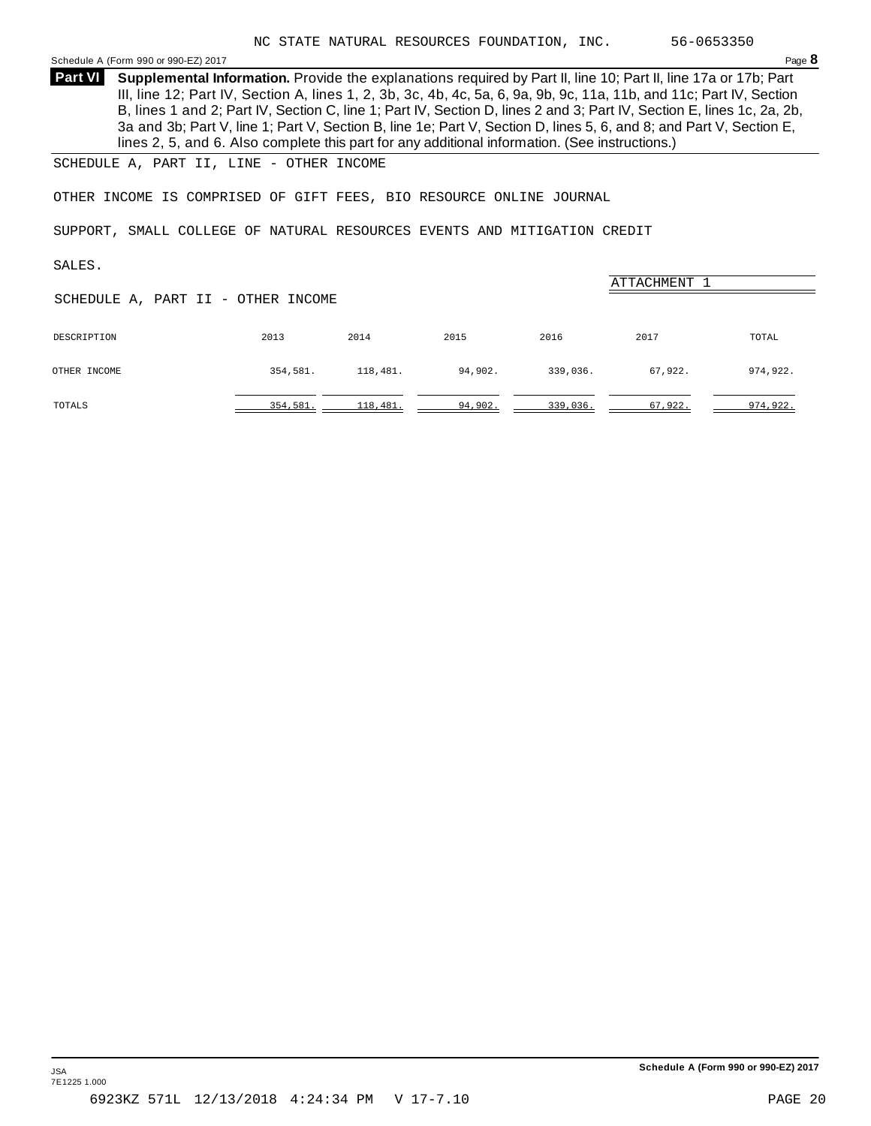| Schedule A (Form 990 or 990-EZ) 2017                                                                                                                                                                                                                                                                                                                                                                                                                                                                                                                                                                         |          |          |         |          |              | Page 8   |
|--------------------------------------------------------------------------------------------------------------------------------------------------------------------------------------------------------------------------------------------------------------------------------------------------------------------------------------------------------------------------------------------------------------------------------------------------------------------------------------------------------------------------------------------------------------------------------------------------------------|----------|----------|---------|----------|--------------|----------|
| <b>Part VI</b><br>Supplemental Information. Provide the explanations required by Part II, line 10; Part II, line 17a or 17b; Part<br>III, line 12; Part IV, Section A, lines 1, 2, 3b, 3c, 4b, 4c, 5a, 6, 9a, 9b, 9c, 11a, 11b, and 11c; Part IV, Section<br>B, lines 1 and 2; Part IV, Section C, line 1; Part IV, Section D, lines 2 and 3; Part IV, Section E, lines 1c, 2a, 2b,<br>3a and 3b; Part V, line 1; Part V, Section B, line 1e; Part V, Section D, lines 5, 6, and 8; and Part V, Section E,<br>lines 2, 5, and 6. Also complete this part for any additional information. (See instructions.) |          |          |         |          |              |          |
| SCHEDULE A, PART II, LINE - OTHER INCOME                                                                                                                                                                                                                                                                                                                                                                                                                                                                                                                                                                     |          |          |         |          |              |          |
| OTHER INCOME IS COMPRISED OF GIFT FEES, BIO RESOURCE ONLINE JOURNAL<br>SUPPORT, SMALL COLLEGE OF NATURAL RESOURCES EVENTS AND MITIGATION CREDIT                                                                                                                                                                                                                                                                                                                                                                                                                                                              |          |          |         |          |              |          |
| SALES.                                                                                                                                                                                                                                                                                                                                                                                                                                                                                                                                                                                                       |          |          |         |          |              |          |
|                                                                                                                                                                                                                                                                                                                                                                                                                                                                                                                                                                                                              |          |          |         |          | ATTACHMENT 1 |          |
| SCHEDULE A, PART II - OTHER INCOME                                                                                                                                                                                                                                                                                                                                                                                                                                                                                                                                                                           |          |          |         |          |              |          |
| DESCRIPTION                                                                                                                                                                                                                                                                                                                                                                                                                                                                                                                                                                                                  | 2013     | 2014     | 2015    | 2016     | 2017         | TOTAL    |
| OTHER INCOME                                                                                                                                                                                                                                                                                                                                                                                                                                                                                                                                                                                                 | 354,581. | 118,481. | 94,902. | 339,036. | 67.922.      | 974,922. |
| TOTALS                                                                                                                                                                                                                                                                                                                                                                                                                                                                                                                                                                                                       | 354,581. | 118,481. | 94,902. | 339,036. | 67,922.      | 974,922. |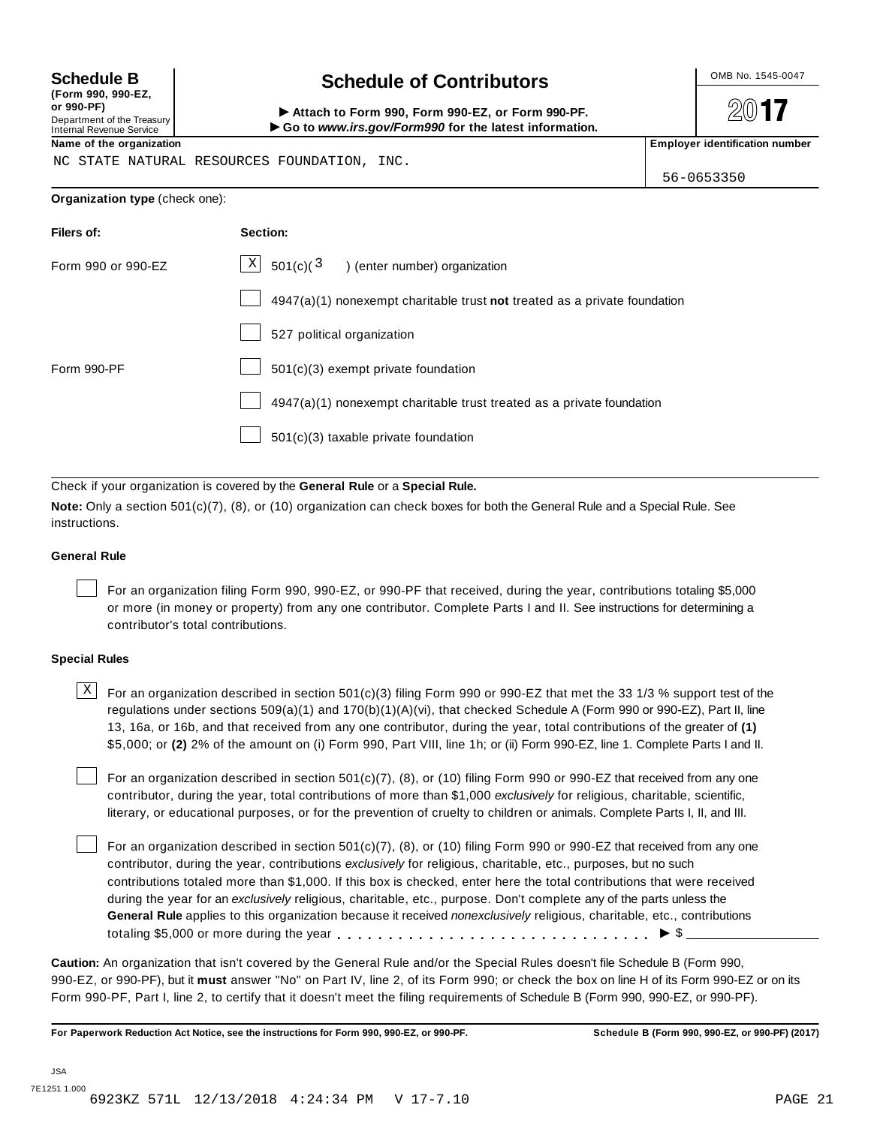**(Form 990, 990-EZ, or 990-PF)** Department of the Treasury<br>Internal Revenue Service

## **Schedule B**  $\leftarrow$  **Contributors**

(Porm 990, Form 990, Form 990-EZ, or Form 990-PF.<br>Department of the Treasury → Attach to Form 990, Form 990-EZ, or Form 990-PF.<br>Internal Revenue Service → → Go to www.irs.gov/Form990 for the latest information.<br>Name of th

 $20$ **17** 

NC STATE NATURAL RESOURCES FOUNDATION, INC.

56-0653350

| Filers of:         | Section:                                                                    |
|--------------------|-----------------------------------------------------------------------------|
| Form 990 or 990-EZ | $X$ 501(c)( $3$ ) (enter number) organization                               |
|                    | $4947(a)(1)$ nonexempt charitable trust not treated as a private foundation |
|                    | 527 political organization                                                  |
| Form 990-PF        | $501(c)(3)$ exempt private foundation                                       |
|                    | $4947(a)(1)$ nonexempt charitable trust treated as a private foundation     |
|                    | $501(c)(3)$ taxable private foundation                                      |

Check if your organization is covered by the **General Rule** or a **Special Rule.**

**Note:** Only a section 501(c)(7), (8), or (10) organization can check boxes for both the General Rule and a Special Rule. See instructions.

#### **General Rule**

For an organization filing Form 990, 990-EZ, or 990-PF that received, during the year, contributions totaling \$5,000 or more (in money or property) from any one contributor. Complete Parts I and II. See instructions for determining a contributor's total contributions.

#### **Special Rules**

 $\text{X}$  For an organization described in section 501(c)(3) filing Form 990 or 990-EZ that met the 33 1/3 % support test of the regulations under sections 509(a)(1) and 170(b)(1)(A)(vi), that checked Schedule A (Form 990 or 990-EZ), Part II, line 13, 16a, or 16b, and that received from any one contributor, during the year, total contributions of the greater of **(1)** \$5,000; or **(2)** 2% of the amount on (i) Form 990, Part VIII, line 1h; or (ii) Form 990-EZ, line 1. Complete Parts I and II.

For an organization described in section 501(c)(7), (8), or (10) filing Form 990 or 990-EZ that received from any one contributor, during the year, total contributions of more than \$1,000 *exclusively* for religious, charitable, scientific, literary, or educational purposes, or for the prevention of cruelty to children or animals. Complete Parts I, II, and III.

For an organization described in section 501(c)(7), (8), or (10) filing Form 990 or 990-EZ that received from any one contributor, during the year, contributions *exclusively* for religious, charitable, etc., purposes, but no such contributions totaled more than \$1,000. If this box is checked, enter here the total contributions that were received during the year for an *exclusively* religious, charitable, etc., purpose. Don't complete any of the parts unless the **General Rule** applies to this organization because it received *nonexclusively* religious, charitable, etc., contributions totaling \$5,000 or more during the year m m m m m m m m m m m m m m m m m m m m m m m m m m m m m m m I \$

**Caution:** An organization that isn't covered by the General Rule and/or the Special Rules doesn't file Schedule B (Form 990, 990-EZ, or 990-PF), but it **must** answer "No" on Part IV, line 2, of its Form 990; or check the box on line H of its Form 990-EZ or on its Form 990-PF, Part I, line 2, to certify that it doesn't meet the filing requirements of Schedule B (Form 990, 990-EZ, or 990-PF).

For Paperwork Reduction Act Notice, see the instructions for Form 990, 990-EZ, or 990-PF. Schedule B (Form 990, 990-EZ, or 990-PF) (2017)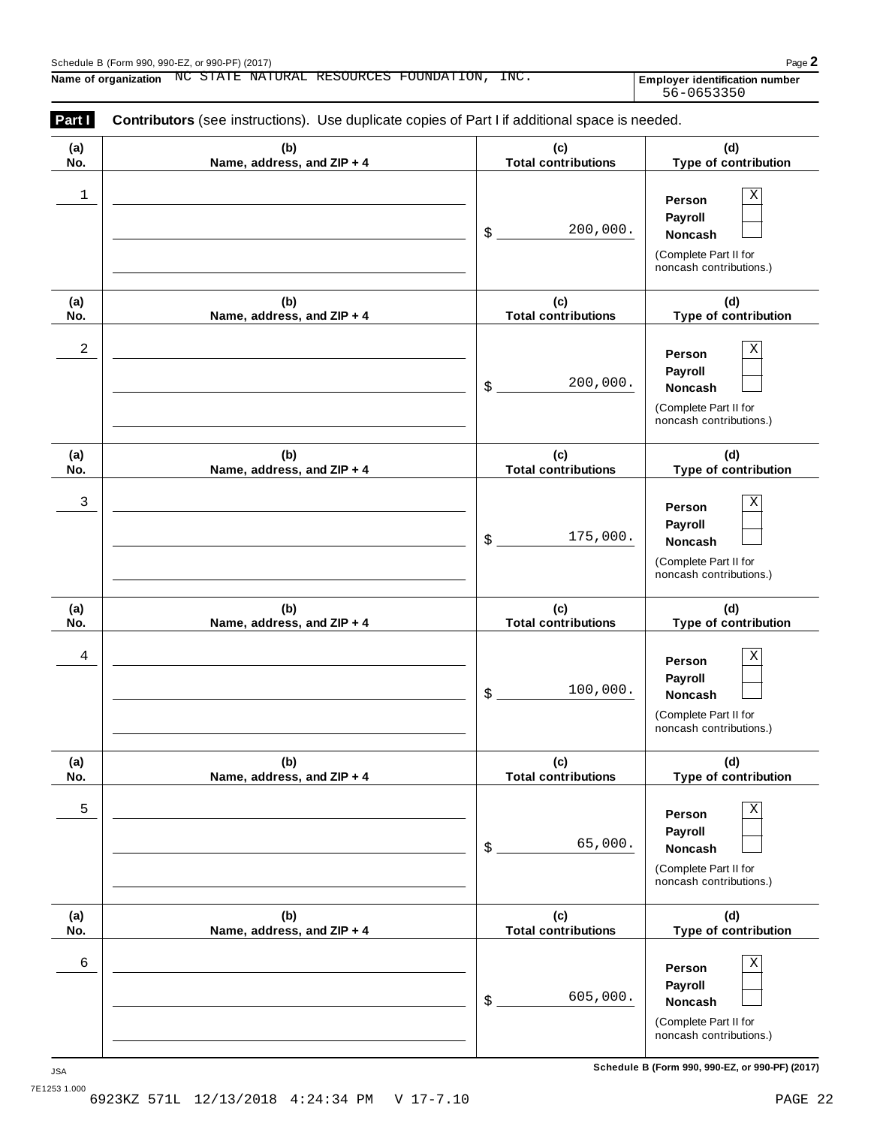**Name of organization NC STATE NATURAL RESOURCES FOUNDATION, INC. Employer identification number** 

**Employer identification number**<br>56-0653350

| Part I     | Contributors (see instructions). Use duplicate copies of Part I if additional space is needed. |                                   |                                                                                                 |
|------------|------------------------------------------------------------------------------------------------|-----------------------------------|-------------------------------------------------------------------------------------------------|
| (a)<br>No. | (b)<br>Name, address, and ZIP + 4                                                              | (c)<br><b>Total contributions</b> | (d)<br>Type of contribution                                                                     |
| 1          |                                                                                                | 200,000.<br>\$                    | Χ<br>Person<br>Payroll<br>Noncash<br>(Complete Part II for<br>noncash contributions.)           |
| (a)<br>No. | (b)<br>Name, address, and ZIP + 4                                                              | (c)<br><b>Total contributions</b> | (d)<br>Type of contribution                                                                     |
| 2          |                                                                                                | 200,000.<br>\$                    | $\mathbf X$<br>Person<br>Payroll<br>Noncash<br>(Complete Part II for<br>noncash contributions.) |
| (a)<br>No. | (b)<br>Name, address, and ZIP + 4                                                              | (c)<br><b>Total contributions</b> | (d)<br>Type of contribution                                                                     |
| 3          |                                                                                                | 175,000.<br>\$                    | $\mathbf X$<br>Person<br>Payroll<br>Noncash<br>(Complete Part II for<br>noncash contributions.) |
| (a)<br>No. | (b)<br>Name, address, and ZIP + 4                                                              | (c)<br><b>Total contributions</b> | (d)<br>Type of contribution                                                                     |
| 4          |                                                                                                | 100,000.<br>\$                    | $\mathbf X$<br>Person<br>Payroll<br>Noncash<br>(Complete Part II for<br>noncash contributions.) |
| (a)<br>No. | (b)<br>Name, address, and ZIP + 4                                                              | (c)<br><b>Total contributions</b> | (d)<br>Type of contribution                                                                     |
| 5          |                                                                                                | 65,000.<br>\$                     | Χ<br>Person<br>Payroll<br>Noncash<br>(Complete Part II for<br>noncash contributions.)           |
| (a)<br>No. | (b)<br>Name, address, and ZIP + 4                                                              | (c)<br><b>Total contributions</b> | (d)<br>Type of contribution                                                                     |
| 6          |                                                                                                | 605,000.<br>\$                    | $\mathbf X$<br>Person<br>Payroll<br>Noncash<br>(Complete Part II for<br>noncash contributions.) |

**Schedule B (Form 990, 990-EZ, or 990-PF) (2017)** JSA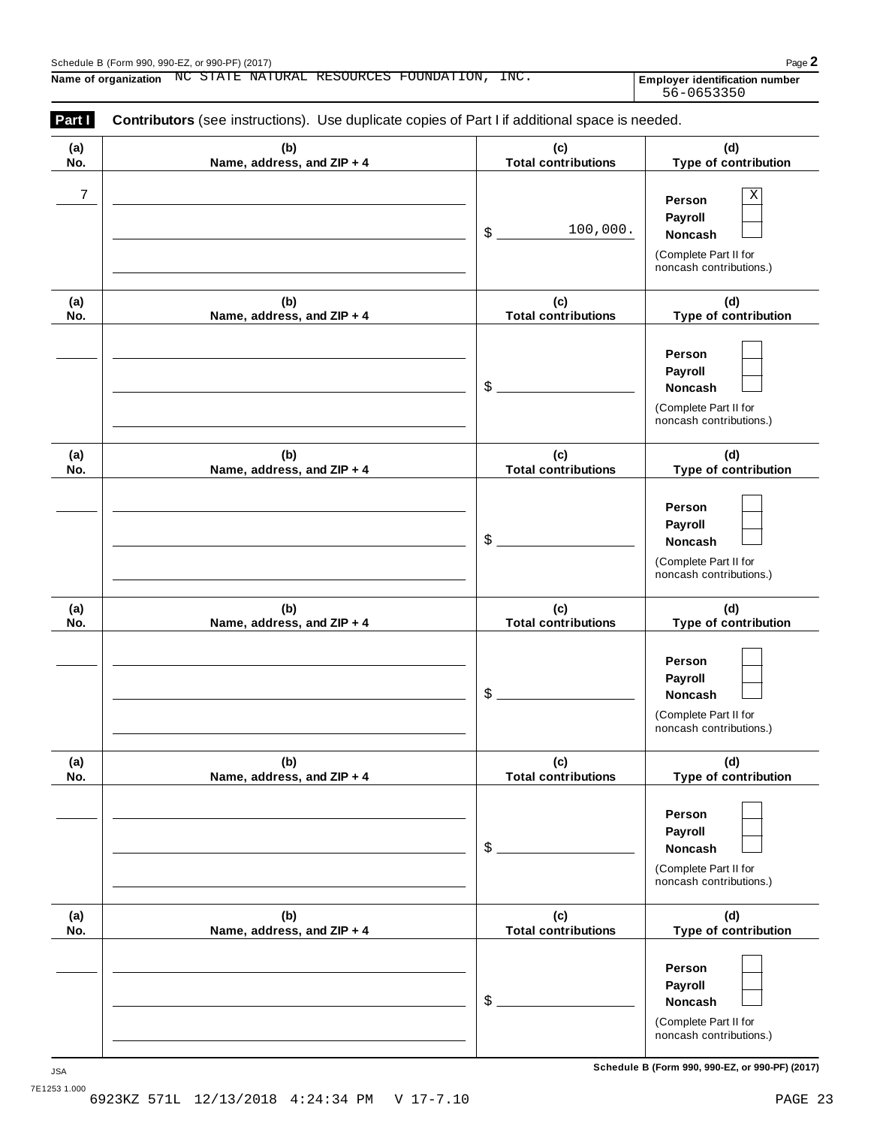**Name of organization NC STATE NATURAL RESOURCES FOUNDATION, INC. Employer identification number** 

| Part I     | Contributors (see instructions). Use duplicate copies of Part I if additional space is needed. |                                   |                                                                                                          |
|------------|------------------------------------------------------------------------------------------------|-----------------------------------|----------------------------------------------------------------------------------------------------------|
| (a)<br>No. | (b)<br>Name, address, and ZIP + 4                                                              | (c)<br><b>Total contributions</b> | (d)<br>Type of contribution                                                                              |
| 7          |                                                                                                | 100,000.<br>\$                    | Χ<br>Person<br>Payroll<br>Noncash<br>(Complete Part II for                                               |
| (a)        | (b)                                                                                            | (c)                               | noncash contributions.)<br>(d)                                                                           |
| No.        | Name, address, and ZIP + 4                                                                     | <b>Total contributions</b><br>\$  | Type of contribution<br>Person<br>Payroll<br>Noncash<br>(Complete Part II for<br>noncash contributions.) |
| (a)<br>No. | (b)<br>Name, address, and ZIP + 4                                                              | (c)<br><b>Total contributions</b> | (d)<br>Type of contribution                                                                              |
|            |                                                                                                | \$                                | Person<br>Payroll<br>Noncash<br>(Complete Part II for<br>noncash contributions.)                         |
| (a)<br>No. | (b)<br>Name, address, and ZIP + 4                                                              | (c)<br><b>Total contributions</b> | (d)<br>Type of contribution                                                                              |
|            |                                                                                                | \$                                | Person<br>Payroll<br>Noncash<br>(Complete Part II for<br>noncash contributions.)                         |
| (a)<br>No. | (b)<br>Name, address, and ZIP + 4                                                              | (c)<br><b>Total contributions</b> | (d)<br>Type of contribution                                                                              |
|            |                                                                                                | \$                                | Person<br>Payroll<br>Noncash<br>(Complete Part II for<br>noncash contributions.)                         |
| (a)<br>No. | (b)<br>Name, address, and ZIP + 4                                                              | (c)<br><b>Total contributions</b> | (d)<br>Type of contribution                                                                              |
|            |                                                                                                | \$                                | Person<br>Payroll<br>Noncash<br>(Complete Part II for<br>noncash contributions.)                         |

**Schedule B (Form 990, 990-EZ, or 990-PF) (2017)** JSA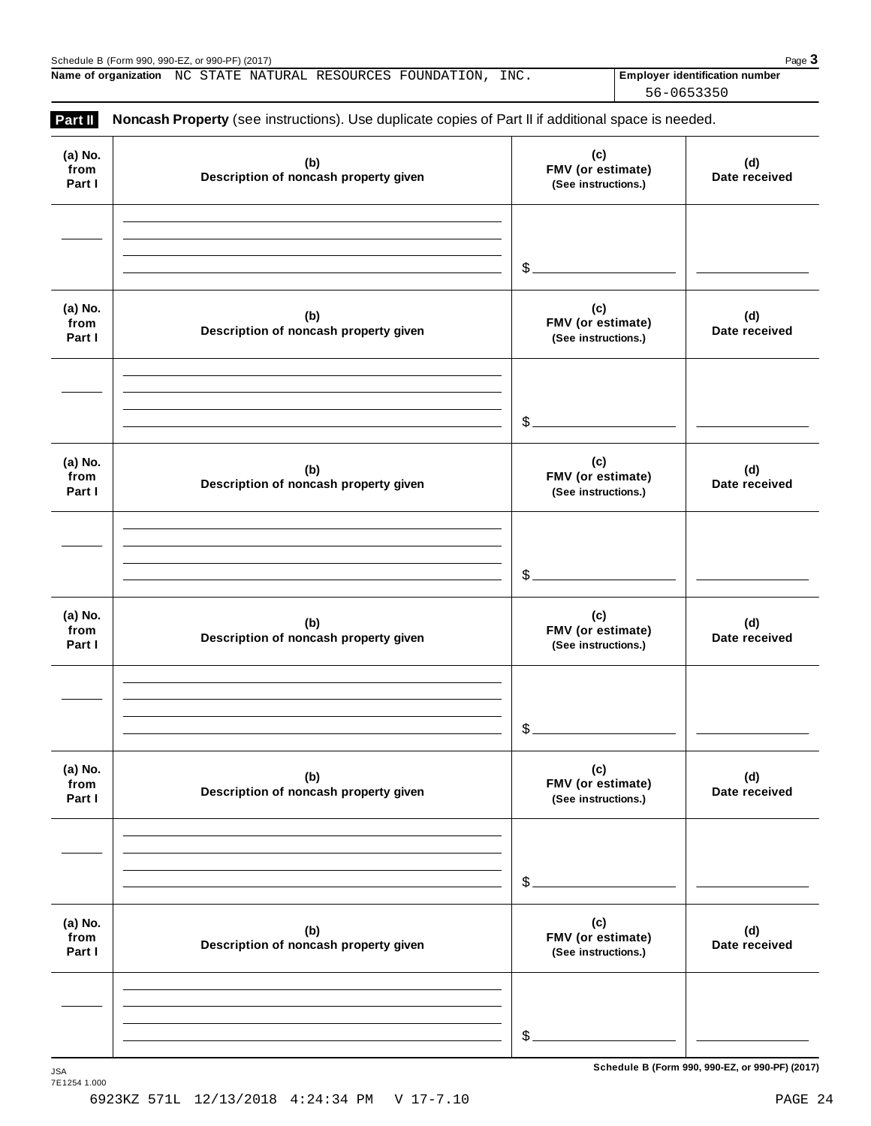Schedule B (Form 990, 990-EZ, or 990-PF) (2017)<br> **Name of organization** NC STATE NATURAL RESOURCES FOUNDATION, INC. **FULL Employer identification number Name of organization** MC STATE NATURAL RESOURCES FOUNDATION, INC. **Employer identification number** 

56-0653350

| Part II<br>Noncash Property (see instructions). Use duplicate copies of Part II if additional space is needed. |                                              |                                                 |                      |  |  |
|----------------------------------------------------------------------------------------------------------------|----------------------------------------------|-------------------------------------------------|----------------------|--|--|
| (a) No.<br>from<br>Part I                                                                                      | (b)<br>Description of noncash property given | (c)<br>FMV (or estimate)<br>(See instructions.) | (d)<br>Date received |  |  |
|                                                                                                                |                                              | $$$ .                                           |                      |  |  |
| (a) No.<br>from<br>Part I                                                                                      | (b)<br>Description of noncash property given | (c)<br>FMV (or estimate)<br>(See instructions.) | (d)<br>Date received |  |  |
|                                                                                                                |                                              | $$$ .                                           |                      |  |  |
| (a) No.<br>from<br>Part I                                                                                      | (b)<br>Description of noncash property given | (c)<br>FMV (or estimate)<br>(See instructions.) | (d)<br>Date received |  |  |
|                                                                                                                |                                              | \$.                                             |                      |  |  |
| (a) No.<br>from<br>Part I                                                                                      | (b)<br>Description of noncash property given | (c)<br>FMV (or estimate)<br>(See instructions.) | (d)<br>Date received |  |  |
|                                                                                                                |                                              | \$                                              |                      |  |  |
| (a) No.<br>from<br>Part I                                                                                      | (b)<br>Description of noncash property given | (c)<br>FMV (or estimate)<br>(See instructions.) | (d)<br>Date received |  |  |
|                                                                                                                |                                              | \$                                              |                      |  |  |
| (a) No.<br>from<br>Part I                                                                                      | (b)<br>Description of noncash property given | (c)<br>FMV (or estimate)<br>(See instructions.) | (d)<br>Date received |  |  |
|                                                                                                                |                                              | \$                                              |                      |  |  |

 $S$ chedule B (Form 990, 990-EZ, or 990-PF) (2017)

7E1254 1.000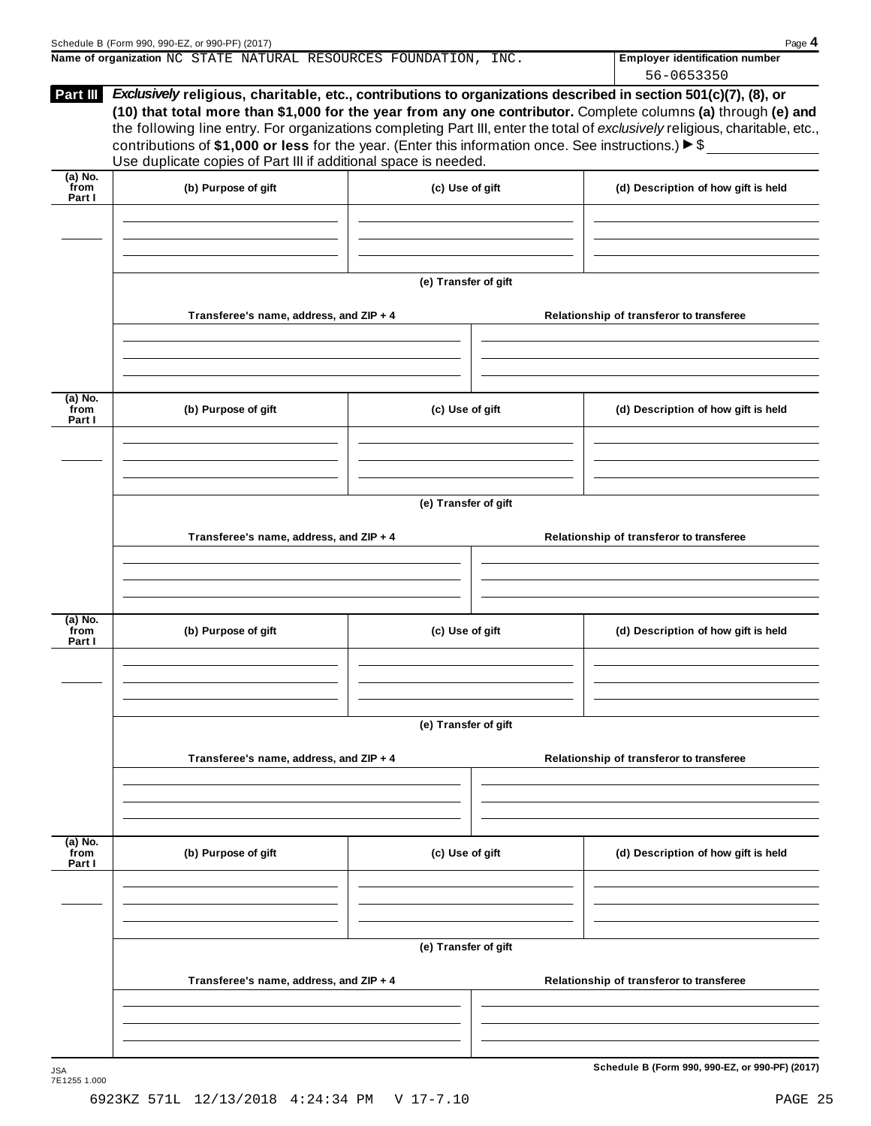| Schedule B (Form 990, 990-EZ, or 990-PF) (2017)                     |                                       |  |  |  |  |
|---------------------------------------------------------------------|---------------------------------------|--|--|--|--|
| Name of organization NC STATE NATURAL RESOURCES FOUNDATION,<br>INC. | <b>Employer identification number</b> |  |  |  |  |
|                                                                     | 56-0653350                            |  |  |  |  |

| Part III                    | contributions of \$1,000 or less for the year. (Enter this information once. See instructions.) $\triangleright$ \$<br>Use duplicate copies of Part III if additional space is needed. |                      | Exclusively religious, charitable, etc., contributions to organizations described in section 501(c)(7), (8), or<br>(10) that total more than \$1,000 for the year from any one contributor. Complete columns (a) through (e) and<br>the following line entry. For organizations completing Part III, enter the total of exclusively religious, charitable, etc., |                                                 |  |  |  |
|-----------------------------|----------------------------------------------------------------------------------------------------------------------------------------------------------------------------------------|----------------------|------------------------------------------------------------------------------------------------------------------------------------------------------------------------------------------------------------------------------------------------------------------------------------------------------------------------------------------------------------------|-------------------------------------------------|--|--|--|
| $(a)$ No.<br>from<br>Part I | (b) Purpose of gift                                                                                                                                                                    | (c) Use of gift      |                                                                                                                                                                                                                                                                                                                                                                  | (d) Description of how gift is held             |  |  |  |
|                             |                                                                                                                                                                                        |                      |                                                                                                                                                                                                                                                                                                                                                                  |                                                 |  |  |  |
|                             |                                                                                                                                                                                        | (e) Transfer of gift |                                                                                                                                                                                                                                                                                                                                                                  |                                                 |  |  |  |
|                             | Transferee's name, address, and ZIP + 4                                                                                                                                                |                      | Relationship of transferor to transferee                                                                                                                                                                                                                                                                                                                         |                                                 |  |  |  |
| (a) No.<br>from<br>Part I   | (b) Purpose of gift                                                                                                                                                                    | (c) Use of gift      |                                                                                                                                                                                                                                                                                                                                                                  | (d) Description of how gift is held             |  |  |  |
|                             |                                                                                                                                                                                        |                      |                                                                                                                                                                                                                                                                                                                                                                  |                                                 |  |  |  |
|                             | Transferee's name, address, and ZIP + 4                                                                                                                                                | (e) Transfer of gift |                                                                                                                                                                                                                                                                                                                                                                  | Relationship of transferor to transferee        |  |  |  |
| (a) No.<br>from<br>Part I   | (b) Purpose of gift                                                                                                                                                                    | (c) Use of gift      |                                                                                                                                                                                                                                                                                                                                                                  | (d) Description of how gift is held             |  |  |  |
|                             |                                                                                                                                                                                        | (e) Transfer of gift |                                                                                                                                                                                                                                                                                                                                                                  |                                                 |  |  |  |
|                             | Transferee's name, address, and ZIP + 4                                                                                                                                                |                      |                                                                                                                                                                                                                                                                                                                                                                  | Relationship of transferor to transferee        |  |  |  |
| $(a)$ No.<br>from<br>Part I | (b) Purpose of gift                                                                                                                                                                    | (c) Use of gift      |                                                                                                                                                                                                                                                                                                                                                                  | (d) Description of how gift is held             |  |  |  |
|                             |                                                                                                                                                                                        | (e) Transfer of gift |                                                                                                                                                                                                                                                                                                                                                                  |                                                 |  |  |  |
|                             | Transferee's name, address, and ZIP + 4                                                                                                                                                |                      |                                                                                                                                                                                                                                                                                                                                                                  | Relationship of transferor to transferee        |  |  |  |
| <b>JSA</b>                  |                                                                                                                                                                                        |                      |                                                                                                                                                                                                                                                                                                                                                                  | Schedule B (Form 990, 990-EZ, or 990-PF) (2017) |  |  |  |

6923KZ 571L 12/13/2018 4:24:34 PM V 17-7.10 PAGE 25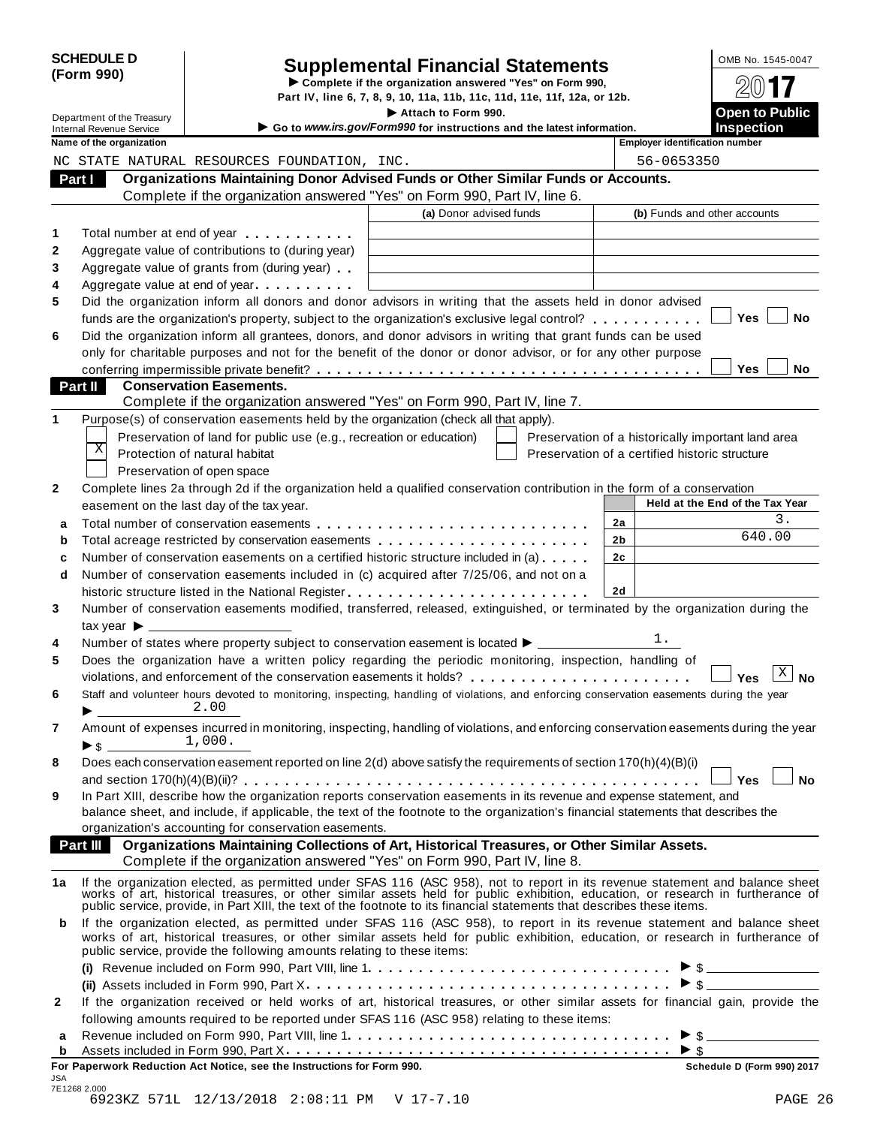| <b>SCHEDULE D</b><br>OMB No. 1545-0047<br><b>Supplemental Financial Statements</b><br>(Form 990)<br>Complete if the organization answered "Yes" on Form 990,<br>$201$ <b>17</b><br>Part IV, line 6, 7, 8, 9, 10, 11a, 11b, 11c, 11d, 11e, 11f, 12a, or 12b. |                                                                                                                             |                                                                                                                                             |                                                                                                                                                                                                                                                              |    |                                                |                                                    |  |  |  |
|-------------------------------------------------------------------------------------------------------------------------------------------------------------------------------------------------------------------------------------------------------------|-----------------------------------------------------------------------------------------------------------------------------|---------------------------------------------------------------------------------------------------------------------------------------------|--------------------------------------------------------------------------------------------------------------------------------------------------------------------------------------------------------------------------------------------------------------|----|------------------------------------------------|----------------------------------------------------|--|--|--|
|                                                                                                                                                                                                                                                             | Attach to Form 990.<br>Department of the Treasury<br>Go to www.irs.gov/Form990 for instructions and the latest information. |                                                                                                                                             |                                                                                                                                                                                                                                                              |    |                                                |                                                    |  |  |  |
|                                                                                                                                                                                                                                                             | <b>Internal Revenue Service</b><br>Name of the organization                                                                 |                                                                                                                                             |                                                                                                                                                                                                                                                              |    | <b>Employer identification number</b>          | <b>Inspection</b>                                  |  |  |  |
|                                                                                                                                                                                                                                                             |                                                                                                                             | NC STATE NATURAL RESOURCES FOUNDATION, INC.                                                                                                 |                                                                                                                                                                                                                                                              |    | 56-0653350                                     |                                                    |  |  |  |
|                                                                                                                                                                                                                                                             | Part I                                                                                                                      |                                                                                                                                             | Organizations Maintaining Donor Advised Funds or Other Similar Funds or Accounts.                                                                                                                                                                            |    |                                                |                                                    |  |  |  |
|                                                                                                                                                                                                                                                             |                                                                                                                             |                                                                                                                                             | Complete if the organization answered "Yes" on Form 990, Part IV, line 6.                                                                                                                                                                                    |    |                                                |                                                    |  |  |  |
|                                                                                                                                                                                                                                                             |                                                                                                                             |                                                                                                                                             | (a) Donor advised funds                                                                                                                                                                                                                                      |    | (b) Funds and other accounts                   |                                                    |  |  |  |
| 1                                                                                                                                                                                                                                                           |                                                                                                                             | Total number at end of year                                                                                                                 |                                                                                                                                                                                                                                                              |    |                                                |                                                    |  |  |  |
| 2                                                                                                                                                                                                                                                           |                                                                                                                             | Aggregate value of contributions to (during year)                                                                                           |                                                                                                                                                                                                                                                              |    |                                                |                                                    |  |  |  |
| 3                                                                                                                                                                                                                                                           |                                                                                                                             | Aggregate value of grants from (during year)                                                                                                |                                                                                                                                                                                                                                                              |    |                                                |                                                    |  |  |  |
| 4                                                                                                                                                                                                                                                           |                                                                                                                             | Aggregate value at end of year                                                                                                              |                                                                                                                                                                                                                                                              |    |                                                |                                                    |  |  |  |
| 5                                                                                                                                                                                                                                                           |                                                                                                                             |                                                                                                                                             | Did the organization inform all donors and donor advisors in writing that the assets held in donor advised                                                                                                                                                   |    |                                                |                                                    |  |  |  |
|                                                                                                                                                                                                                                                             |                                                                                                                             |                                                                                                                                             | funds are the organization's property, subject to the organization's exclusive legal control?                                                                                                                                                                |    |                                                | <b>Yes</b><br>No                                   |  |  |  |
| 6                                                                                                                                                                                                                                                           |                                                                                                                             |                                                                                                                                             | Did the organization inform all grantees, donors, and donor advisors in writing that grant funds can be used                                                                                                                                                 |    |                                                |                                                    |  |  |  |
|                                                                                                                                                                                                                                                             |                                                                                                                             |                                                                                                                                             | only for charitable purposes and not for the benefit of the donor or donor advisor, or for any other purpose                                                                                                                                                 |    |                                                |                                                    |  |  |  |
|                                                                                                                                                                                                                                                             |                                                                                                                             |                                                                                                                                             |                                                                                                                                                                                                                                                              |    |                                                | <b>Yes</b><br>No                                   |  |  |  |
|                                                                                                                                                                                                                                                             | Part II                                                                                                                     | <b>Conservation Easements.</b>                                                                                                              |                                                                                                                                                                                                                                                              |    |                                                |                                                    |  |  |  |
|                                                                                                                                                                                                                                                             |                                                                                                                             |                                                                                                                                             | Complete if the organization answered "Yes" on Form 990, Part IV, line 7.                                                                                                                                                                                    |    |                                                |                                                    |  |  |  |
| 1                                                                                                                                                                                                                                                           |                                                                                                                             |                                                                                                                                             | Purpose(s) of conservation easements held by the organization (check all that apply).                                                                                                                                                                        |    |                                                |                                                    |  |  |  |
|                                                                                                                                                                                                                                                             |                                                                                                                             | Preservation of land for public use (e.g., recreation or education)                                                                         |                                                                                                                                                                                                                                                              |    |                                                | Preservation of a historically important land area |  |  |  |
|                                                                                                                                                                                                                                                             | $\overline{\mathrm{x}}$                                                                                                     | Protection of natural habitat                                                                                                               |                                                                                                                                                                                                                                                              |    | Preservation of a certified historic structure |                                                    |  |  |  |
|                                                                                                                                                                                                                                                             |                                                                                                                             | Preservation of open space                                                                                                                  |                                                                                                                                                                                                                                                              |    |                                                |                                                    |  |  |  |
| 2                                                                                                                                                                                                                                                           |                                                                                                                             |                                                                                                                                             | Complete lines 2a through 2d if the organization held a qualified conservation contribution in the form of a conservation                                                                                                                                    |    |                                                |                                                    |  |  |  |
|                                                                                                                                                                                                                                                             |                                                                                                                             | easement on the last day of the tax year.                                                                                                   |                                                                                                                                                                                                                                                              |    |                                                | Held at the End of the Tax Year                    |  |  |  |
| а                                                                                                                                                                                                                                                           |                                                                                                                             |                                                                                                                                             |                                                                                                                                                                                                                                                              | 2a |                                                | 3.                                                 |  |  |  |
| b                                                                                                                                                                                                                                                           |                                                                                                                             |                                                                                                                                             | Total acreage restricted by conservation easements                                                                                                                                                                                                           | 2b |                                                | 640.00                                             |  |  |  |
| c                                                                                                                                                                                                                                                           |                                                                                                                             |                                                                                                                                             | Number of conservation easements on a certified historic structure included in (a)                                                                                                                                                                           | 2c |                                                |                                                    |  |  |  |
| d                                                                                                                                                                                                                                                           |                                                                                                                             |                                                                                                                                             | Number of conservation easements included in (c) acquired after 7/25/06, and not on a                                                                                                                                                                        |    |                                                |                                                    |  |  |  |
|                                                                                                                                                                                                                                                             |                                                                                                                             |                                                                                                                                             | historic structure listed in the National Register                                                                                                                                                                                                           | 2d |                                                |                                                    |  |  |  |
| 3                                                                                                                                                                                                                                                           |                                                                                                                             |                                                                                                                                             | Number of conservation easements modified, transferred, released, extinguished, or terminated by the organization during the                                                                                                                                 |    |                                                |                                                    |  |  |  |
|                                                                                                                                                                                                                                                             | tax year $\blacktriangleright$                                                                                              |                                                                                                                                             |                                                                                                                                                                                                                                                              |    | ı.                                             |                                                    |  |  |  |
| 4                                                                                                                                                                                                                                                           |                                                                                                                             |                                                                                                                                             | Number of states where property subject to conservation easement is located ▶ ___                                                                                                                                                                            |    |                                                |                                                    |  |  |  |
| 5                                                                                                                                                                                                                                                           |                                                                                                                             |                                                                                                                                             | Does the organization have a written policy regarding the periodic monitoring, inspection, handling of                                                                                                                                                       |    |                                                | Χ                                                  |  |  |  |
|                                                                                                                                                                                                                                                             |                                                                                                                             |                                                                                                                                             |                                                                                                                                                                                                                                                              |    |                                                | <b>No</b><br><b>Yes</b>                            |  |  |  |
| 6                                                                                                                                                                                                                                                           |                                                                                                                             | 2.00                                                                                                                                        | Staff and volunteer hours devoted to monitoring, inspecting, handling of violations, and enforcing conservation easements during the year                                                                                                                    |    |                                                |                                                    |  |  |  |
| 7                                                                                                                                                                                                                                                           |                                                                                                                             |                                                                                                                                             | Amount of expenses incurred in monitoring, inspecting, handling of violations, and enforcing conservation easements during the year                                                                                                                          |    |                                                |                                                    |  |  |  |
|                                                                                                                                                                                                                                                             |                                                                                                                             | 1,000.                                                                                                                                      |                                                                                                                                                                                                                                                              |    |                                                |                                                    |  |  |  |
| 8                                                                                                                                                                                                                                                           |                                                                                                                             |                                                                                                                                             | Does each conservation easement reported on line 2(d) above satisfy the requirements of section 170(h)(4)(B)(i)                                                                                                                                              |    |                                                |                                                    |  |  |  |
|                                                                                                                                                                                                                                                             |                                                                                                                             |                                                                                                                                             |                                                                                                                                                                                                                                                              |    |                                                | <b>No</b><br>Yes                                   |  |  |  |
| 9                                                                                                                                                                                                                                                           |                                                                                                                             |                                                                                                                                             | In Part XIII, describe how the organization reports conservation easements in its revenue and expense statement, and                                                                                                                                         |    |                                                |                                                    |  |  |  |
|                                                                                                                                                                                                                                                             |                                                                                                                             |                                                                                                                                             | balance sheet, and include, if applicable, the text of the footnote to the organization's financial statements that describes the                                                                                                                            |    |                                                |                                                    |  |  |  |
|                                                                                                                                                                                                                                                             | Part III                                                                                                                    | organization's accounting for conservation easements.                                                                                       | Organizations Maintaining Collections of Art, Historical Treasures, or Other Similar Assets.                                                                                                                                                                 |    |                                                |                                                    |  |  |  |
|                                                                                                                                                                                                                                                             |                                                                                                                             |                                                                                                                                             | Complete if the organization answered "Yes" on Form 990, Part IV, line 8.                                                                                                                                                                                    |    |                                                |                                                    |  |  |  |
|                                                                                                                                                                                                                                                             |                                                                                                                             |                                                                                                                                             |                                                                                                                                                                                                                                                              |    |                                                |                                                    |  |  |  |
| 1a                                                                                                                                                                                                                                                          |                                                                                                                             |                                                                                                                                             | If the organization elected, as permitted under SFAS 116 (ASC 958), not to report in its revenue statement and balance sheet works of art, historical treasures, or other similar assets held for public exhibition, education                               |    |                                                |                                                    |  |  |  |
| b                                                                                                                                                                                                                                                           |                                                                                                                             | public service, provide the following amounts relating to these items:                                                                      | If the organization elected, as permitted under SFAS 116 (ASC 958), to report in its revenue statement and balance sheet<br>works of art, historical treasures, or other similar assets held for public exhibition, education, or research in furtherance of |    |                                                |                                                    |  |  |  |
|                                                                                                                                                                                                                                                             |                                                                                                                             |                                                                                                                                             |                                                                                                                                                                                                                                                              |    |                                                |                                                    |  |  |  |
|                                                                                                                                                                                                                                                             |                                                                                                                             |                                                                                                                                             |                                                                                                                                                                                                                                                              |    |                                                |                                                    |  |  |  |
| 2                                                                                                                                                                                                                                                           |                                                                                                                             |                                                                                                                                             | If the organization received or held works of art, historical treasures, or other similar assets for financial gain, provide the                                                                                                                             |    |                                                |                                                    |  |  |  |
|                                                                                                                                                                                                                                                             |                                                                                                                             |                                                                                                                                             | following amounts required to be reported under SFAS 116 (ASC 958) relating to these items:                                                                                                                                                                  |    |                                                |                                                    |  |  |  |
| a                                                                                                                                                                                                                                                           |                                                                                                                             |                                                                                                                                             |                                                                                                                                                                                                                                                              |    |                                                |                                                    |  |  |  |
|                                                                                                                                                                                                                                                             |                                                                                                                             | $\frac{1}{2}$ and $\frac{1}{2}$ and $\frac{1}{2}$ and $\frac{1}{2}$ are $\frac{1}{2}$ and $\frac{1}{2}$ and $\frac{1}{2}$ and $\frac{1}{2}$ |                                                                                                                                                                                                                                                              |    |                                                |                                                    |  |  |  |

| <b>b</b> Assets included in Form 990. Part $X_1, \ldots, Y_n, \ldots, Y_n, \ldots, Y_n, \ldots, \ldots, \ldots, \ldots, \ldots, \blacktriangleright$ \$ |                            |
|---------------------------------------------------------------------------------------------------------------------------------------------------------|----------------------------|
| For Paperwork Reduction Act Notice, see the Instructions for Form 990.                                                                                  | Schedule D (Form 990) 2017 |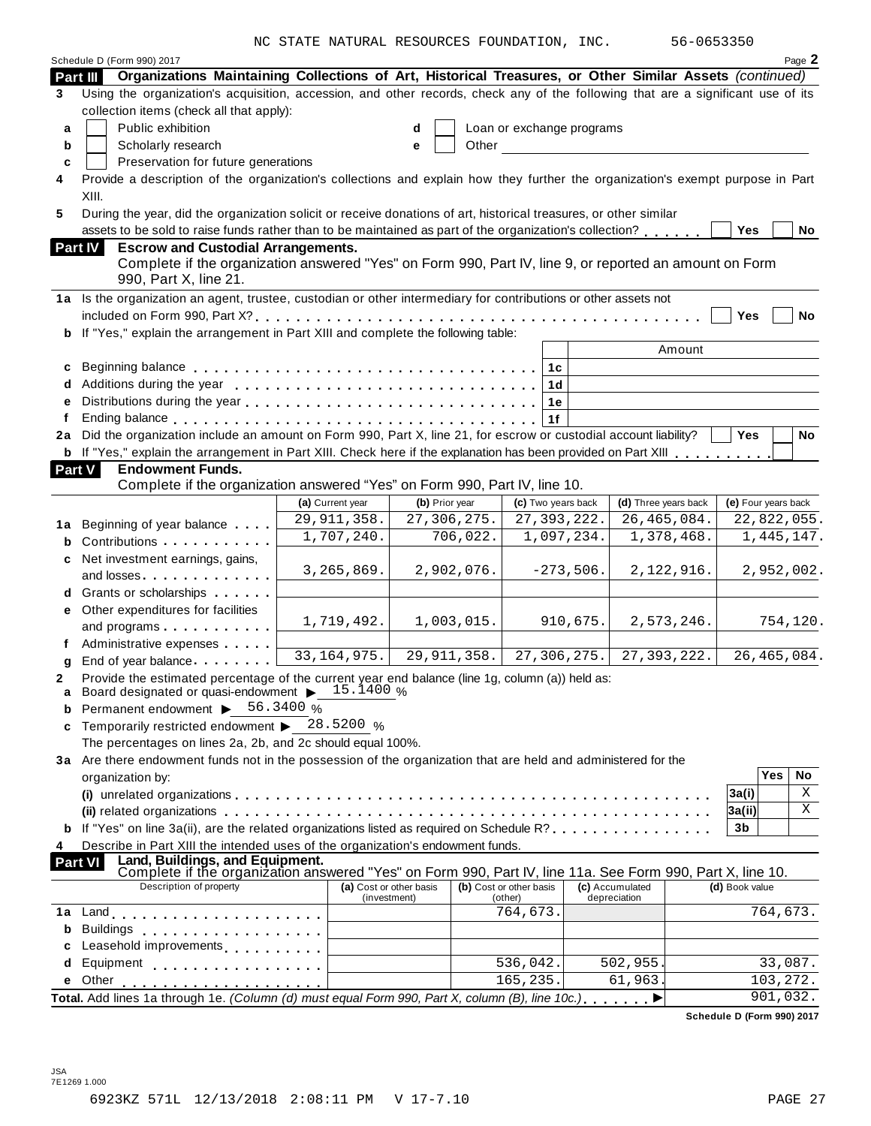NC STATE NATURAL RESOURCES FOUNDATION, INC. 56-0653350

| 56-0653350 |  |  |  |  |  |
|------------|--|--|--|--|--|
|            |  |  |  |  |  |
|            |  |  |  |  |  |

|                | Schedule D (Form 990) 2017                                                                                                                                                                                                        |  |                         |   |                |                         |                    |                |                           |                      |               |                            |            | Page 2     |
|----------------|-----------------------------------------------------------------------------------------------------------------------------------------------------------------------------------------------------------------------------------|--|-------------------------|---|----------------|-------------------------|--------------------|----------------|---------------------------|----------------------|---------------|----------------------------|------------|------------|
|                | Organizations Maintaining Collections of Art, Historical Treasures, or Other Similar Assets (continued)<br>Part III                                                                                                               |  |                         |   |                |                         |                    |                |                           |                      |               |                            |            |            |
| 3              | Using the organization's acquisition, accession, and other records, check any of the following that are a significant use of its                                                                                                  |  |                         |   |                |                         |                    |                |                           |                      |               |                            |            |            |
|                | collection items (check all that apply):                                                                                                                                                                                          |  |                         |   |                |                         |                    |                |                           |                      |               |                            |            |            |
| a              | Public exhibition                                                                                                                                                                                                                 |  |                         | d |                |                         |                    |                | Loan or exchange programs |                      |               |                            |            |            |
| b              | Scholarly research                                                                                                                                                                                                                |  |                         | е |                | Other                   |                    |                |                           |                      |               |                            |            |            |
| c              | Preservation for future generations                                                                                                                                                                                               |  |                         |   |                |                         |                    |                |                           |                      |               |                            |            |            |
| 4              | Provide a description of the organization's collections and explain how they further the organization's exempt purpose in Part                                                                                                    |  |                         |   |                |                         |                    |                |                           |                      |               |                            |            |            |
|                | XIII.                                                                                                                                                                                                                             |  |                         |   |                |                         |                    |                |                           |                      |               |                            |            |            |
| 5              | During the year, did the organization solicit or receive donations of art, historical treasures, or other similar<br>assets to be sold to raise funds rather than to be maintained as part of the organization's collection?      |  |                         |   |                |                         |                    |                |                           |                      |               |                            |            |            |
|                |                                                                                                                                                                                                                                   |  |                         |   |                |                         |                    |                |                           |                      |               | Yes                        |            | No         |
| <b>Part IV</b> | <b>Escrow and Custodial Arrangements.</b>                                                                                                                                                                                         |  |                         |   |                |                         |                    |                |                           |                      |               |                            |            |            |
|                | Complete if the organization answered "Yes" on Form 990, Part IV, line 9, or reported an amount on Form<br>990, Part X, line 21.                                                                                                  |  |                         |   |                |                         |                    |                |                           |                      |               |                            |            |            |
|                |                                                                                                                                                                                                                                   |  |                         |   |                |                         |                    |                |                           |                      |               |                            |            |            |
|                | 1a Is the organization an agent, trustee, custodian or other intermediary for contributions or other assets not                                                                                                                   |  |                         |   |                |                         |                    |                |                           |                      |               |                            |            |            |
|                |                                                                                                                                                                                                                                   |  |                         |   |                |                         |                    |                |                           |                      |               | Yes                        |            | <b>No</b>  |
|                | b If "Yes," explain the arrangement in Part XIII and complete the following table:                                                                                                                                                |  |                         |   |                |                         |                    |                |                           |                      |               |                            |            |            |
|                |                                                                                                                                                                                                                                   |  |                         |   |                |                         |                    |                |                           |                      | Amount        |                            |            |            |
| c              |                                                                                                                                                                                                                                   |  |                         |   |                |                         |                    | 1 <sub>c</sub> |                           |                      |               |                            |            |            |
| d              |                                                                                                                                                                                                                                   |  |                         |   |                |                         |                    | 1 <sub>d</sub> |                           |                      |               |                            |            |            |
| е<br>f         |                                                                                                                                                                                                                                   |  |                         |   |                |                         |                    | 1e             |                           |                      |               |                            |            |            |
| 2a l           | Ending balance enterprise and the set of the set of the set of the set of the set of the set of the set of the<br>Did the organization include an amount on Form 990, Part X, line 21, for escrow or custodial account liability? |  |                         |   |                |                         |                    | 1f             |                           |                      |               | Yes                        |            | No         |
|                | <b>b</b> If "Yes," explain the arrangement in Part XIII. Check here if the explanation has been provided on Part XIII                                                                                                             |  |                         |   |                |                         |                    |                |                           |                      |               |                            |            |            |
| Part V         | <b>Endowment Funds.</b>                                                                                                                                                                                                           |  |                         |   |                |                         |                    |                |                           |                      |               |                            |            |            |
|                | Complete if the organization answered "Yes" on Form 990, Part IV, line 10.                                                                                                                                                        |  |                         |   |                |                         |                    |                |                           |                      |               |                            |            |            |
|                |                                                                                                                                                                                                                                   |  | (a) Current year        |   | (b) Prior year |                         | (c) Two years back |                |                           | (d) Three years back |               | (e) Four years back        |            |            |
|                |                                                                                                                                                                                                                                   |  | 29, 911, 358.           |   |                | 27, 306, 275.           |                    |                | 27, 393, 222.             |                      | 26, 465, 084. | 22,822,055.                |            |            |
| 1a             | Beginning of year balance                                                                                                                                                                                                         |  | 1,707,240.              |   |                | 706,022.                |                    |                |                           |                      | 1,378,468.    |                            |            |            |
|                | 1,097,234.<br>1, 445, 147.<br>Contributions<br>b                                                                                                                                                                                  |  |                         |   |                |                         |                    |                |                           |                      |               |                            |            |            |
| c              | Net investment earnings, gains,                                                                                                                                                                                                   |  | 3,265,869.              |   |                | 2,902,076.              |                    |                | $-273,506.$               |                      | 2,122,916.    |                            |            | 2,952,002. |
| d              | and losses<br>Grants or scholarships                                                                                                                                                                                              |  |                         |   |                |                         |                    |                |                           |                      |               |                            |            |            |
|                | Other expenditures for facilities                                                                                                                                                                                                 |  |                         |   |                |                         |                    |                |                           |                      |               |                            |            |            |
| е              | and programs                                                                                                                                                                                                                      |  | 1,719,492.              |   |                | 1,003,015.              |                    |                | 910,675.                  |                      | 2,573,246.    |                            |            | 754,120.   |
|                | Administrative expenses                                                                                                                                                                                                           |  |                         |   |                |                         |                    |                |                           |                      |               |                            |            |            |
|                | End of year balance                                                                                                                                                                                                               |  | 33, 164, 975.           |   |                | 29, 911, 358.           |                    |                | 27,306,275.               |                      | 27, 393, 222. | 26, 465, 084.              |            |            |
| g<br>2         | Provide the estimated percentage of the current year end balance (line 1g, column (a)) held as:                                                                                                                                   |  |                         |   |                |                         |                    |                |                           |                      |               |                            |            |            |
| a              | Board designated or quasi-endowment > 15.1400 %                                                                                                                                                                                   |  |                         |   |                |                         |                    |                |                           |                      |               |                            |            |            |
| b              | Permanent endowment ▶ 56.3400 %                                                                                                                                                                                                   |  |                         |   |                |                         |                    |                |                           |                      |               |                            |            |            |
| c              | Temporarily restricted endowment > 28.5200 %                                                                                                                                                                                      |  |                         |   |                |                         |                    |                |                           |                      |               |                            |            |            |
|                | The percentages on lines 2a, 2b, and 2c should equal 100%.                                                                                                                                                                        |  |                         |   |                |                         |                    |                |                           |                      |               |                            |            |            |
|                | 3a Are there endowment funds not in the possession of the organization that are held and administered for the                                                                                                                     |  |                         |   |                |                         |                    |                |                           |                      |               |                            |            |            |
|                | organization by:                                                                                                                                                                                                                  |  |                         |   |                |                         |                    |                |                           |                      |               |                            | <b>Yes</b> | No         |
|                |                                                                                                                                                                                                                                   |  |                         |   |                |                         |                    |                |                           |                      |               | 3a(i)                      |            | X          |
|                |                                                                                                                                                                                                                                   |  |                         |   |                |                         |                    |                |                           |                      |               | 3a(ii)                     |            | Χ          |
| b              | If "Yes" on line 3a(ii), are the related organizations listed as required on Schedule R?                                                                                                                                          |  |                         |   |                |                         |                    |                |                           |                      |               | 3b                         |            |            |
| 4              | Describe in Part XIII the intended uses of the organization's endowment funds.                                                                                                                                                    |  |                         |   |                |                         |                    |                |                           |                      |               |                            |            |            |
| <b>Part VI</b> | Land, Buildings, and Equipment.<br>Complete if the organization answered "Yes" on Form 990, Part IV, line 11a. See Form 990, Part X, line 10.                                                                                     |  |                         |   |                |                         |                    |                |                           |                      |               |                            |            |            |
|                | Description of property                                                                                                                                                                                                           |  | (a) Cost or other basis |   |                | (b) Cost or other basis |                    |                |                           | (c) Accumulated      |               | (d) Book value             |            |            |
|                | <u> Alexandria de la contrada de la con</u>                                                                                                                                                                                       |  | (investment)            |   |                |                         | (other)            |                |                           | depreciation         |               |                            |            |            |
| 1a             |                                                                                                                                                                                                                                   |  |                         |   |                |                         | 764, 673.          |                |                           |                      |               |                            | 764,673.   |            |
| b              | <b>Buildings</b><br>.                                                                                                                                                                                                             |  |                         |   |                |                         |                    |                |                           |                      |               |                            |            |            |
| c              | Leasehold improvements [1, 1, 1, 1, 1, 1]                                                                                                                                                                                         |  |                         |   |                |                         |                    |                |                           |                      |               |                            |            |            |
| d              | Equipment                                                                                                                                                                                                                         |  |                         |   |                |                         | 536,042.           |                |                           | 502,955.             |               |                            | 33,087.    |            |
| е              |                                                                                                                                                                                                                                   |  |                         |   |                |                         | 165,235.           |                |                           | 61,963               |               |                            | 103,272.   |            |
|                | Total. Add lines 1a through 1e. (Column (d) must equal Form 990, Part X, column (B), line 10c.)                                                                                                                                   |  |                         |   |                |                         |                    |                |                           |                      |               |                            | 901,032.   |            |
|                |                                                                                                                                                                                                                                   |  |                         |   |                |                         |                    |                |                           |                      |               | Schedule D (Form 990) 2017 |            |            |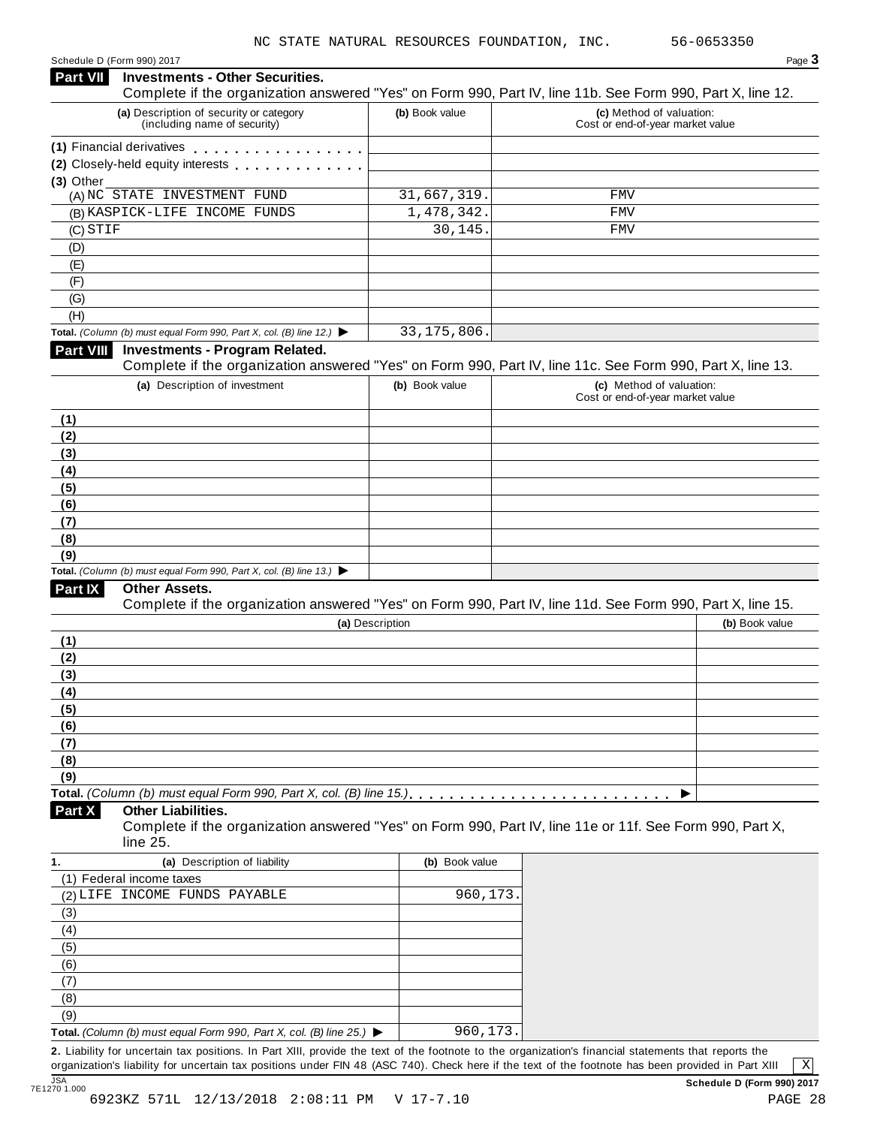| Schedule D (Form 990) 2017                                                                                                                           |                 | Page 3                                                                                                     |
|------------------------------------------------------------------------------------------------------------------------------------------------------|-----------------|------------------------------------------------------------------------------------------------------------|
| <b>Part VII</b><br><b>Investments - Other Securities.</b>                                                                                            |                 |                                                                                                            |
|                                                                                                                                                      |                 | Complete if the organization answered "Yes" on Form 990, Part IV, line 11b. See Form 990, Part X, line 12. |
| (a) Description of security or category<br>(including name of security)                                                                              | (b) Book value  | (c) Method of valuation:<br>Cost or end-of-year market value                                               |
| (1) Financial derivatives                                                                                                                            |                 |                                                                                                            |
| (2) Closely-held equity interests                                                                                                                    |                 |                                                                                                            |
| (3) Other                                                                                                                                            |                 |                                                                                                            |
| (A) NC STATE INVESTMENT FUND                                                                                                                         | 31,667,319.     | FMV                                                                                                        |
| (B) KASPICK-LIFE INCOME FUNDS                                                                                                                        | 1,478,342.      | <b>FMV</b>                                                                                                 |
| $(C)$ STIF                                                                                                                                           | 30,145.         | <b>FMV</b>                                                                                                 |
| (D)                                                                                                                                                  |                 |                                                                                                            |
| (E)                                                                                                                                                  |                 |                                                                                                            |
| (F)                                                                                                                                                  |                 |                                                                                                            |
| (G)                                                                                                                                                  |                 |                                                                                                            |
| (H)                                                                                                                                                  |                 |                                                                                                            |
| Total. (Column (b) must equal Form 990, Part X, col. (B) line 12.) $\blacktriangleright$                                                             | 33, 175, 806.   |                                                                                                            |
| Part VIII<br><b>Investments - Program Related.</b>                                                                                                   |                 | Complete if the organization answered "Yes" on Form 990, Part IV, line 11c. See Form 990, Part X, line 13. |
| (a) Description of investment                                                                                                                        | (b) Book value  |                                                                                                            |
|                                                                                                                                                      |                 | (c) Method of valuation:<br>Cost or end-of-year market value                                               |
| (1)                                                                                                                                                  |                 |                                                                                                            |
| (2)                                                                                                                                                  |                 |                                                                                                            |
| (3)                                                                                                                                                  |                 |                                                                                                            |
| (4)                                                                                                                                                  |                 |                                                                                                            |
| (5)                                                                                                                                                  |                 |                                                                                                            |
| (6)                                                                                                                                                  |                 |                                                                                                            |
| (7)                                                                                                                                                  |                 |                                                                                                            |
| (8)                                                                                                                                                  |                 |                                                                                                            |
| (9)                                                                                                                                                  |                 |                                                                                                            |
| Total. (Column (b) must equal Form 990, Part X, col. (B) line 13.) $\blacktriangleright$                                                             |                 |                                                                                                            |
| Part IX<br>Other Assets.                                                                                                                             |                 |                                                                                                            |
|                                                                                                                                                      |                 | Complete if the organization answered "Yes" on Form 990, Part IV, line 11d. See Form 990, Part X, line 15. |
|                                                                                                                                                      | (a) Description | (b) Book value                                                                                             |
| (1)                                                                                                                                                  |                 |                                                                                                            |
| (2)                                                                                                                                                  |                 |                                                                                                            |
| (3)                                                                                                                                                  |                 |                                                                                                            |
| (4)                                                                                                                                                  |                 |                                                                                                            |
| (5)                                                                                                                                                  |                 |                                                                                                            |
| (6)                                                                                                                                                  |                 |                                                                                                            |
| (7)                                                                                                                                                  |                 |                                                                                                            |
| (8)                                                                                                                                                  |                 |                                                                                                            |
| (9)                                                                                                                                                  |                 |                                                                                                            |
| Total. (Column (b) must equal Form 990, Part X, col. (B) line 15.)                                                                                   |                 |                                                                                                            |
| <b>Other Liabilities.</b><br>Part X                                                                                                                  |                 | Complete if the organization answered "Yes" on Form 990, Part IV, line 11e or 11f. See Form 990, Part X,   |
| line 25.<br>(a) Description of liability<br>1.                                                                                                       | (b) Book value  |                                                                                                            |
| (1) Federal income taxes                                                                                                                             |                 |                                                                                                            |
| (2) LIFE INCOME FUNDS PAYABLE                                                                                                                        | 960,173.        |                                                                                                            |
| (3)                                                                                                                                                  |                 |                                                                                                            |
| (4)                                                                                                                                                  |                 |                                                                                                            |
| (5)                                                                                                                                                  |                 |                                                                                                            |
| (6)                                                                                                                                                  |                 |                                                                                                            |
| (7)                                                                                                                                                  |                 |                                                                                                            |
| (8)                                                                                                                                                  |                 |                                                                                                            |
| (9)                                                                                                                                                  |                 |                                                                                                            |
| Total. (Column (b) must equal Form 990, Part X, col. (B) line 25.) $\blacktriangleright$                                                             | 960,173.        |                                                                                                            |
|                                                                                                                                                      |                 |                                                                                                            |
| 2. Liability for uncertain tax positions. In Part XIII, provide the text of the footnote to the organization's financial statements that reports the |                 |                                                                                                            |

organization's liability for uncertain tax positions under FIN 48 (ASC 740). Check here ifthe text of the footnote has been provided in Part XIII TE 1270 1.000

 $\boxed{\text{X}}$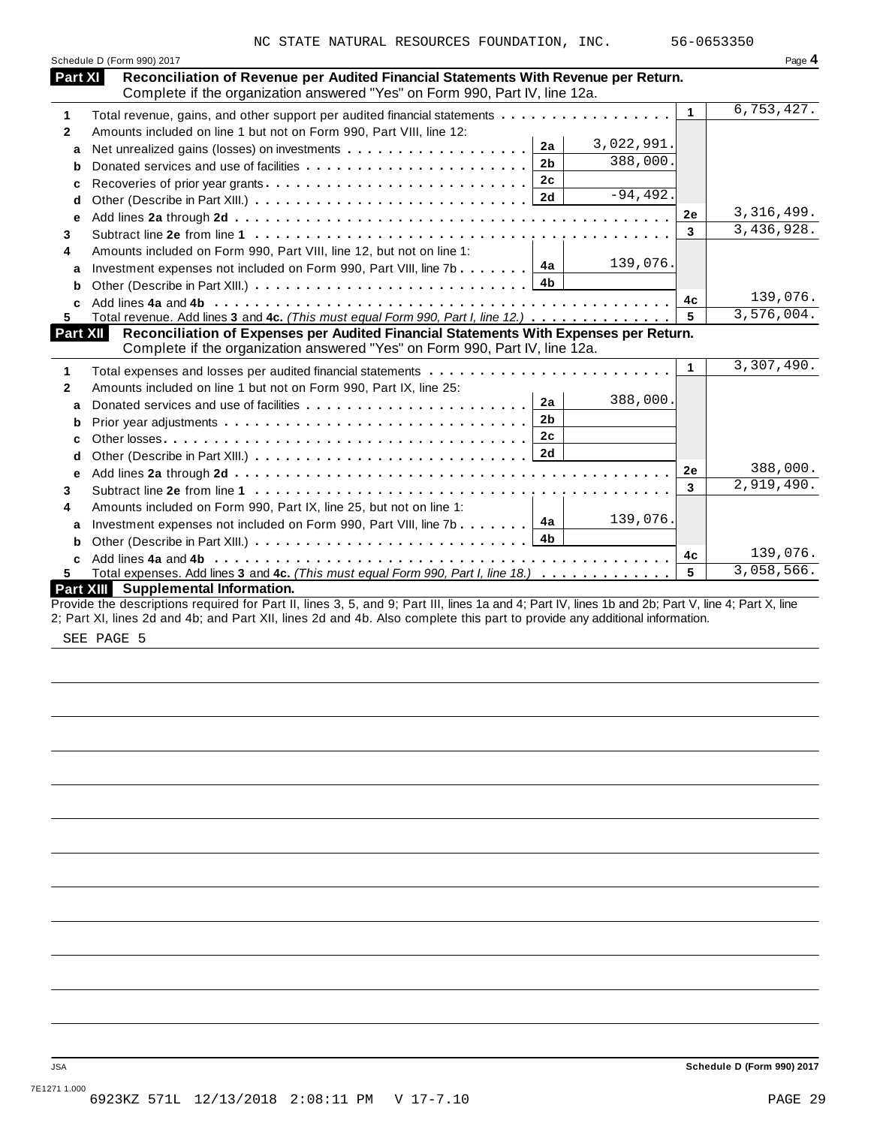|                  | Schedule D (Form 990) 2017                                                                                                                                         |                      | Page 4     |
|------------------|--------------------------------------------------------------------------------------------------------------------------------------------------------------------|----------------------|------------|
| Part XI          | Reconciliation of Revenue per Audited Financial Statements With Revenue per Return.<br>Complete if the organization answered "Yes" on Form 990, Part IV, line 12a. |                      |            |
| 1                | Total revenue, gains, and other support per audited financial statements                                                                                           | $\blacktriangleleft$ | 6,753,427. |
| $\mathbf{2}$     | Amounts included on line 1 but not on Form 990, Part VIII, line 12:                                                                                                |                      |            |
| a                | 3,022,991.<br>2a<br>Net unrealized gains (losses) on investments                                                                                                   |                      |            |
| b                | 388,000.<br>2 <sub>b</sub><br>Donated services and use of facilities                                                                                               |                      |            |
| с                | 2c<br>Recoveries of prior year grants                                                                                                                              |                      |            |
| d                | $-94,492.$<br>2d                                                                                                                                                   |                      |            |
| е                |                                                                                                                                                                    | 2е                   | 3,316,499. |
| 3                |                                                                                                                                                                    | 3                    | 3,436,928. |
| 4                | Amounts included on Form 990, Part VIII, line 12, but not on line 1:                                                                                               |                      |            |
| a                | 139,076.<br>4a<br>Investment expenses not included on Form 990, Part VIII, line 7b                                                                                 |                      |            |
| b                | 4b                                                                                                                                                                 |                      |            |
| c                |                                                                                                                                                                    | 4 <sub>c</sub>       | 139,076.   |
| 5.               | Total revenue. Add lines 3 and 4c. (This must equal Form 990, Part I, line 12.)                                                                                    | 5                    | 3,576,004. |
| <b>Part XII</b>  | Reconciliation of Expenses per Audited Financial Statements With Expenses per Return.                                                                              |                      |            |
|                  | Complete if the organization answered "Yes" on Form 990, Part IV, line 12a.                                                                                        |                      |            |
| 1                |                                                                                                                                                                    | $\mathbf 1$          | 3,307,490. |
| 2                | Amounts included on line 1 but not on Form 990, Part IX, line 25:                                                                                                  |                      |            |
| a                | 388,000.<br>2a                                                                                                                                                     |                      |            |
| b                | 2 <sub>b</sub>                                                                                                                                                     |                      |            |
| c                | 2c                                                                                                                                                                 |                      |            |
| d                | 2d                                                                                                                                                                 |                      |            |
| е                |                                                                                                                                                                    | 2e                   | 388,000.   |
| 3                |                                                                                                                                                                    | 3                    | 2,919,490. |
| 4                | Amounts included on Form 990, Part IX, line 25, but not on line 1:                                                                                                 |                      |            |
| a                | 139,076.<br>4a<br>Investment expenses not included on Form 990, Part VIII, line 7b                                                                                 |                      |            |
| b                | 4 <sub>b</sub>                                                                                                                                                     |                      |            |
| C                |                                                                                                                                                                    | 4c                   | 139,076.   |
| 5.               | Total expenses. Add lines 3 and 4c. (This must equal Form 990, Part I, line 18.)                                                                                   | 5                    | 3,058,566. |
| <b>Part XIII</b> | <b>Supplemental Information.</b>                                                                                                                                   |                      |            |
|                  | Provide the descriptions required for Part II, lines 3, 5, and 9; Part III, lines 1a and 4; Part IV, lines 1b and 2b; Part V, line 4; Part X, line                 |                      |            |
|                  | 2; Part XI, lines 2d and 4b; and Part XII, lines 2d and 4b. Also complete this part to provide any additional information.                                         |                      |            |

SEE PAGE 5

JSA **Schedule D (Form 990) 2017**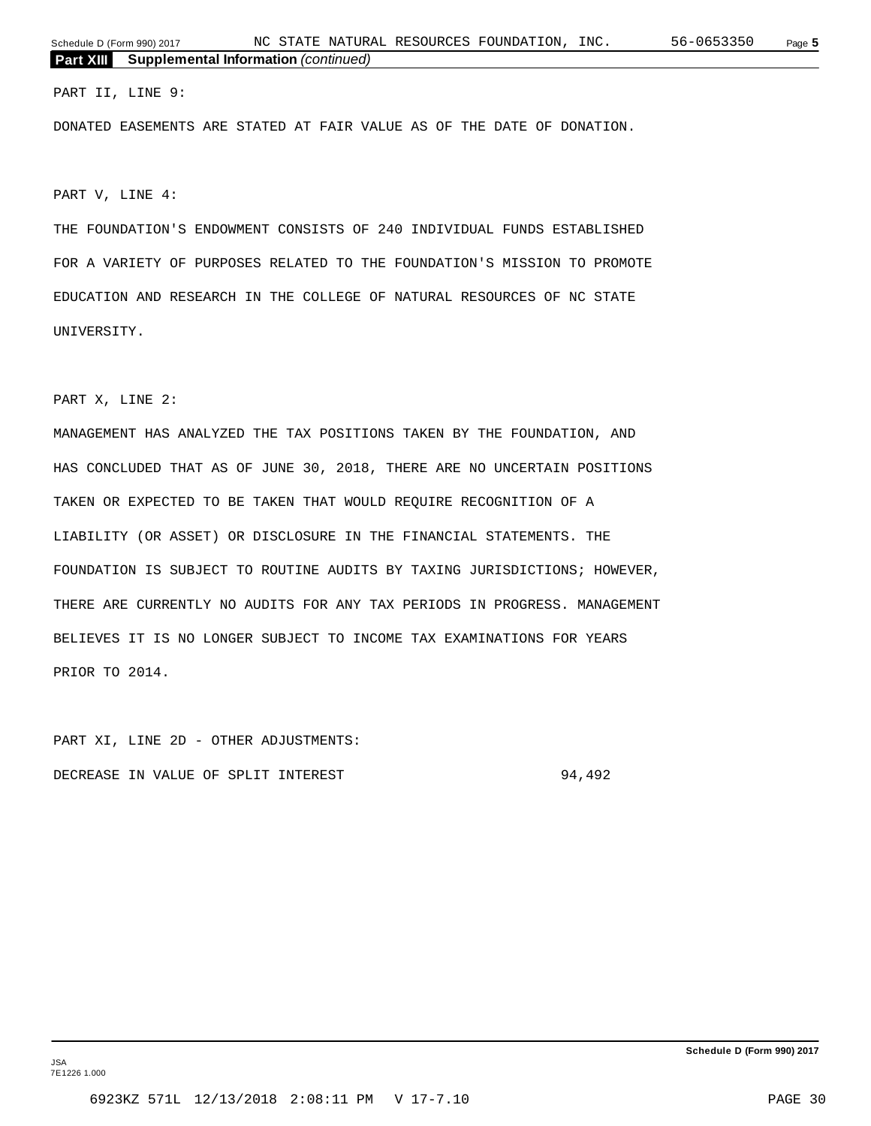#### PART II, LINE 9:

DONATED EASEMENTS ARE STATED AT FAIR VALUE AS OF THE DATE OF DONATION.

PART V, LINE 4:

THE FOUNDATION'S ENDOWMENT CONSISTS OF 240 INDIVIDUAL FUNDS ESTABLISHED FOR A VARIETY OF PURPOSES RELATED TO THE FOUNDATION'S MISSION TO PROMOTE EDUCATION AND RESEARCH IN THE COLLEGE OF NATURAL RESOURCES OF NC STATE UNIVERSITY.

#### PART X, LINE 2:

MANAGEMENT HAS ANALYZED THE TAX POSITIONS TAKEN BY THE FOUNDATION, AND HAS CONCLUDED THAT AS OF JUNE 30, 2018, THERE ARE NO UNCERTAIN POSITIONS TAKEN OR EXPECTED TO BE TAKEN THAT WOULD REQUIRE RECOGNITION OF A LIABILITY (OR ASSET) OR DISCLOSURE IN THE FINANCIAL STATEMENTS. THE FOUNDATION IS SUBJECT TO ROUTINE AUDITS BY TAXING JURISDICTIONS; HOWEVER, THERE ARE CURRENTLY NO AUDITS FOR ANY TAX PERIODS IN PROGRESS. MANAGEMENT BELIEVES IT IS NO LONGER SUBJECT TO INCOME TAX EXAMINATIONS FOR YEARS PRIOR TO 2014.

PART XI, LINE 2D - OTHER ADJUSTMENTS: DECREASE IN VALUE OF SPLIT INTEREST 94,492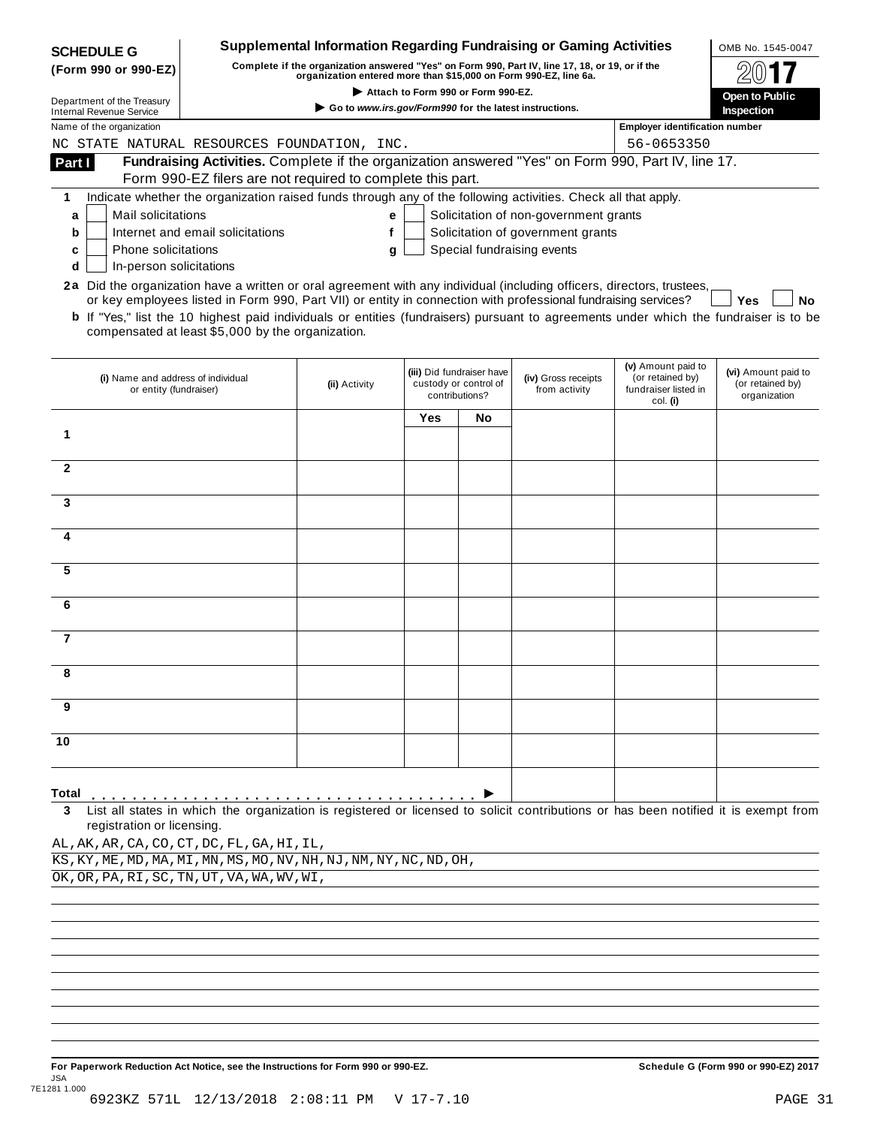| <b>SCHEDULE G</b>                                                                                                      |                                                                                                                                                                     | <b>Supplemental Information Regarding Fundraising or Gaming Activities</b> |                                    |                                                                      |                                       |                                                      | OMB No. 1545-0047                                       |  |  |  |  |
|------------------------------------------------------------------------------------------------------------------------|---------------------------------------------------------------------------------------------------------------------------------------------------------------------|----------------------------------------------------------------------------|------------------------------------|----------------------------------------------------------------------|---------------------------------------|------------------------------------------------------|---------------------------------------------------------|--|--|--|--|
| (Form 990 or 990-EZ)                                                                                                   | Complete if the organization answered "Yes" on Form 990, Part IV, line 17, 18, or 19, or if the<br>organization entered more than \$15,000 on Form 990-EZ, line 6a. |                                                                            |                                    |                                                                      |                                       |                                                      |                                                         |  |  |  |  |
| Department of the Treasury                                                                                             |                                                                                                                                                                     |                                                                            | Attach to Form 990 or Form 990-EZ. |                                                                      |                                       |                                                      | <b>Open to Public</b>                                   |  |  |  |  |
| <b>Internal Revenue Service</b>                                                                                        |                                                                                                                                                                     | Go to www.irs.gov/Form990 for the latest instructions.                     |                                    |                                                                      |                                       |                                                      | Inspection                                              |  |  |  |  |
| Name of the organization                                                                                               |                                                                                                                                                                     |                                                                            |                                    |                                                                      |                                       | <b>Employer identification number</b>                |                                                         |  |  |  |  |
| NC STATE NATURAL RESOURCES FOUNDATION, INC.                                                                            |                                                                                                                                                                     |                                                                            |                                    |                                                                      |                                       | 56-0653350                                           |                                                         |  |  |  |  |
| Part I                                                                                                                 | Fundraising Activities. Complete if the organization answered "Yes" on Form 990, Part IV, line 17.<br>Form 990-EZ filers are not required to complete this part.    |                                                                            |                                    |                                                                      |                                       |                                                      |                                                         |  |  |  |  |
| 1                                                                                                                      | Indicate whether the organization raised funds through any of the following activities. Check all that apply.                                                       |                                                                            |                                    |                                                                      |                                       |                                                      |                                                         |  |  |  |  |
| Mail solicitations<br>a                                                                                                |                                                                                                                                                                     | е                                                                          |                                    |                                                                      | Solicitation of non-government grants |                                                      |                                                         |  |  |  |  |
| b                                                                                                                      | Solicitation of government grants<br>Internet and email solicitations<br>f                                                                                          |                                                                            |                                    |                                                                      |                                       |                                                      |                                                         |  |  |  |  |
| Phone solicitations<br>c                                                                                               |                                                                                                                                                                     | g                                                                          |                                    |                                                                      | Special fundraising events            |                                                      |                                                         |  |  |  |  |
| In-person solicitations<br>d                                                                                           |                                                                                                                                                                     |                                                                            |                                    |                                                                      |                                       |                                                      |                                                         |  |  |  |  |
| 2a Did the organization have a written or oral agreement with any individual (including officers, directors, trustees, | or key employees listed in Form 990, Part VII) or entity in connection with professional fundraising services?                                                      |                                                                            |                                    |                                                                      |                                       |                                                      | Yes<br>No                                               |  |  |  |  |
|                                                                                                                        | <b>b</b> If "Yes," list the 10 highest paid individuals or entities (fundraisers) pursuant to agreements under which the fundraiser is to be                        |                                                                            |                                    |                                                                      |                                       |                                                      |                                                         |  |  |  |  |
|                                                                                                                        | compensated at least \$5,000 by the organization.                                                                                                                   |                                                                            |                                    |                                                                      |                                       |                                                      |                                                         |  |  |  |  |
|                                                                                                                        |                                                                                                                                                                     |                                                                            |                                    |                                                                      |                                       | (v) Amount paid to                                   |                                                         |  |  |  |  |
| (i) Name and address of individual<br>or entity (fundraiser)                                                           |                                                                                                                                                                     | (ii) Activity                                                              |                                    | (iii) Did fundraiser have<br>custody or control of<br>contributions? | (iv) Gross receipts<br>from activity  | (or retained by)<br>fundraiser listed in<br>col. (i) | (vi) Amount paid to<br>(or retained by)<br>organization |  |  |  |  |
|                                                                                                                        |                                                                                                                                                                     |                                                                            | Yes                                | No.                                                                  |                                       |                                                      |                                                         |  |  |  |  |
| 1                                                                                                                      |                                                                                                                                                                     |                                                                            |                                    |                                                                      |                                       |                                                      |                                                         |  |  |  |  |
| $\mathbf{2}$                                                                                                           |                                                                                                                                                                     |                                                                            |                                    |                                                                      |                                       |                                                      |                                                         |  |  |  |  |
| 3                                                                                                                      |                                                                                                                                                                     |                                                                            |                                    |                                                                      |                                       |                                                      |                                                         |  |  |  |  |
| 4                                                                                                                      |                                                                                                                                                                     |                                                                            |                                    |                                                                      |                                       |                                                      |                                                         |  |  |  |  |
| 5                                                                                                                      |                                                                                                                                                                     |                                                                            |                                    |                                                                      |                                       |                                                      |                                                         |  |  |  |  |
| 6                                                                                                                      |                                                                                                                                                                     |                                                                            |                                    |                                                                      |                                       |                                                      |                                                         |  |  |  |  |
| 7                                                                                                                      |                                                                                                                                                                     |                                                                            |                                    |                                                                      |                                       |                                                      |                                                         |  |  |  |  |
|                                                                                                                        |                                                                                                                                                                     |                                                                            |                                    |                                                                      |                                       |                                                      |                                                         |  |  |  |  |
| 8                                                                                                                      |                                                                                                                                                                     |                                                                            |                                    |                                                                      |                                       |                                                      |                                                         |  |  |  |  |
| 9                                                                                                                      |                                                                                                                                                                     |                                                                            |                                    |                                                                      |                                       |                                                      |                                                         |  |  |  |  |
| 10                                                                                                                     |                                                                                                                                                                     |                                                                            |                                    |                                                                      |                                       |                                                      |                                                         |  |  |  |  |
| Total                                                                                                                  |                                                                                                                                                                     |                                                                            |                                    |                                                                      |                                       |                                                      |                                                         |  |  |  |  |
| 3<br>registration or licensing.                                                                                        | List all states in which the organization is registered or licensed to solicit contributions or has been notified it is exempt from                                 |                                                                            |                                    |                                                                      |                                       |                                                      |                                                         |  |  |  |  |
| AL, AK, AR, CA, CO, CT, DC, FL, GA, HI, IL,                                                                            |                                                                                                                                                                     |                                                                            |                                    |                                                                      |                                       |                                                      |                                                         |  |  |  |  |
| KS, KY, ME, MD, MA, MI, MN, MS, MO, NV, NH, NJ, NM, NY, NC, ND, OH,                                                    |                                                                                                                                                                     |                                                                            |                                    |                                                                      |                                       |                                                      |                                                         |  |  |  |  |
| OK, OR, PA, RI, SC, TN, UT, VA, WA, WV, WI,                                                                            |                                                                                                                                                                     |                                                                            |                                    |                                                                      |                                       |                                                      |                                                         |  |  |  |  |
|                                                                                                                        |                                                                                                                                                                     |                                                                            |                                    |                                                                      |                                       |                                                      |                                                         |  |  |  |  |
|                                                                                                                        |                                                                                                                                                                     |                                                                            |                                    |                                                                      |                                       |                                                      |                                                         |  |  |  |  |

For Paperwork Reduction Act Notice, see the Instructions for Form 990 or 990-EZ. Schedule G (Form 990 or 990-EZ) 2017 JSA 7E1281 1.000 6923KZ 571L 12/13/2018 2:08:11 PM V 17-7.10 PAGE 31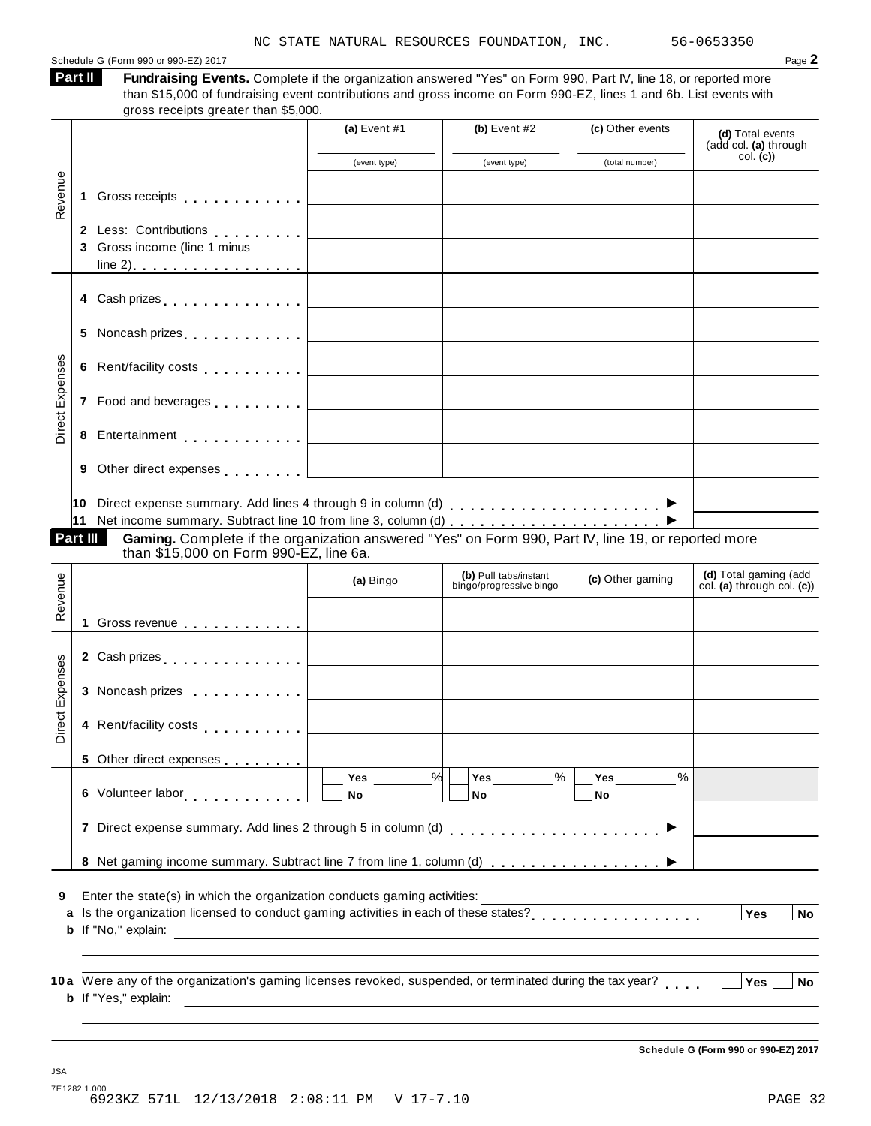#### Schedule <sup>G</sup> (Form <sup>990</sup> or 990-EZ) <sup>2017</sup> Page **2**

Fundraising Events. Complete if the organization answered "Yes" on Form 990, Part IV, line 18, or reported more than \$15,000 of fundraising event contributions and gross income on Form 990-EZ, lines 1 and 6b. List events with gross receipts greater than \$5,000. **Part II**

|                 |          |                                                                                                                                                                                                                                                                                                                                                                                                                                                                                                                  | (a) Event $#1$                               | (b) Event $#2$                                   | (c) Other events         | (d) Total events<br>(add col. (a) through<br>col. (c) |
|-----------------|----------|------------------------------------------------------------------------------------------------------------------------------------------------------------------------------------------------------------------------------------------------------------------------------------------------------------------------------------------------------------------------------------------------------------------------------------------------------------------------------------------------------------------|----------------------------------------------|--------------------------------------------------|--------------------------|-------------------------------------------------------|
|                 |          |                                                                                                                                                                                                                                                                                                                                                                                                                                                                                                                  | (event type)                                 | (event type)                                     | (total number)           |                                                       |
| Revenue         |          |                                                                                                                                                                                                                                                                                                                                                                                                                                                                                                                  |                                              |                                                  |                          |                                                       |
|                 |          | 2 Less: Contributions [1, 1, 1, 1, 1, 1]<br>3 Gross income (line 1 minus                                                                                                                                                                                                                                                                                                                                                                                                                                         |                                              |                                                  |                          |                                                       |
|                 |          | <u>line 2).</u>                                                                                                                                                                                                                                                                                                                                                                                                                                                                                                  |                                              |                                                  |                          |                                                       |
|                 |          | 4 Cash prizes <u>  _ _ _ _ _ _ _ _ _ _ _</u> _ _ _ _ _ _ _                                                                                                                                                                                                                                                                                                                                                                                                                                                       |                                              |                                                  |                          |                                                       |
|                 |          | 5 Noncash prizes <u>  _ _ _ _ _ _ _ _ _ _</u> _ _ _ _ _ _ _ _                                                                                                                                                                                                                                                                                                                                                                                                                                                    |                                              |                                                  |                          |                                                       |
|                 |          |                                                                                                                                                                                                                                                                                                                                                                                                                                                                                                                  |                                              |                                                  |                          |                                                       |
| Direct Expenses |          | 7 Food and beverages entertainment and the set of the set of the set of the set of the set of the set of the set of the set of the set of the set of the set of the set of the set of the set of the set of the set of the set                                                                                                                                                                                                                                                                                   |                                              |                                                  |                          |                                                       |
|                 |          |                                                                                                                                                                                                                                                                                                                                                                                                                                                                                                                  |                                              |                                                  |                          |                                                       |
|                 |          | 9 Other direct expenses [                                                                                                                                                                                                                                                                                                                                                                                                                                                                                        |                                              |                                                  |                          |                                                       |
|                 | 10       |                                                                                                                                                                                                                                                                                                                                                                                                                                                                                                                  |                                              |                                                  |                          |                                                       |
|                 | Part III | Gaming. Complete if the organization answered "Yes" on Form 990, Part IV, line 19, or reported more<br>than \$15,000 on Form 990-EZ, line 6a.                                                                                                                                                                                                                                                                                                                                                                    |                                              |                                                  |                          |                                                       |
| Revenue         |          |                                                                                                                                                                                                                                                                                                                                                                                                                                                                                                                  | (a) Bingo                                    | (b) Pull tabs/instant<br>bingo/progressive bingo | (c) Other gaming         | (d) Total gaming (add<br>col. (a) through col. (c))   |
|                 |          |                                                                                                                                                                                                                                                                                                                                                                                                                                                                                                                  |                                              |                                                  |                          |                                                       |
|                 |          | 2 Cash prizes <b>2.1 Cash prizes 1.1 Cash prizes 1.1 Cash prizes 1.1 Cash prize 1.1 Cash prize 1.1 Cash prize 1.1 Cash prize 1.1 Cash prize 1.1 Cash prize 1.1 Cash prize 1.1 Cash prize 1.1 Cash prize 1.1 Cash prize 1.1</b>                                                                                                                                                                                                                                                                                   |                                              |                                                  |                          |                                                       |
| Direct Expenses |          |                                                                                                                                                                                                                                                                                                                                                                                                                                                                                                                  | the control of the control of the control of |                                                  |                          |                                                       |
|                 |          |                                                                                                                                                                                                                                                                                                                                                                                                                                                                                                                  |                                              |                                                  |                          |                                                       |
|                 |          | 5 Other direct expenses                                                                                                                                                                                                                                                                                                                                                                                                                                                                                          |                                              |                                                  |                          |                                                       |
|                 |          |                                                                                                                                                                                                                                                                                                                                                                                                                                                                                                                  | %<br>Yes<br>No                               | %<br>Yes<br>No                                   | $\%$<br><b>Yes</b><br>No |                                                       |
|                 |          | 7 Direct expense summary. Add lines 2 through 5 in column (d)                                                                                                                                                                                                                                                                                                                                                                                                                                                    |                                              |                                                  |                          |                                                       |
|                 |          |                                                                                                                                                                                                                                                                                                                                                                                                                                                                                                                  |                                              |                                                  |                          |                                                       |
| 9<br>a          |          | Enter the state(s) in which the organization conducts gaming activities:<br>Enter the state(s) in which the organization conducts gaming activities:<br>Is the organization licensed to conduct gaming activities in each of these states?<br><b>b</b> If "No," explain:<br><u>and the state of the state of the state of the state of the state of the state of the state of the state of the state of the state of the state of the state of the state of the state of the state of the state of the state</u> |                                              |                                                  |                          | Yes<br><b>No</b>                                      |
|                 |          | 10a Were any of the organization's gaming licenses revoked, suspended, or terminated during the tax year?<br><b>b</b> If "Yes," explain:                                                                                                                                                                                                                                                                                                                                                                         |                                              |                                                  |                          | Yes<br><b>No</b>                                      |

**Schedule G (Form 990 or 990-EZ) 2017**

JSA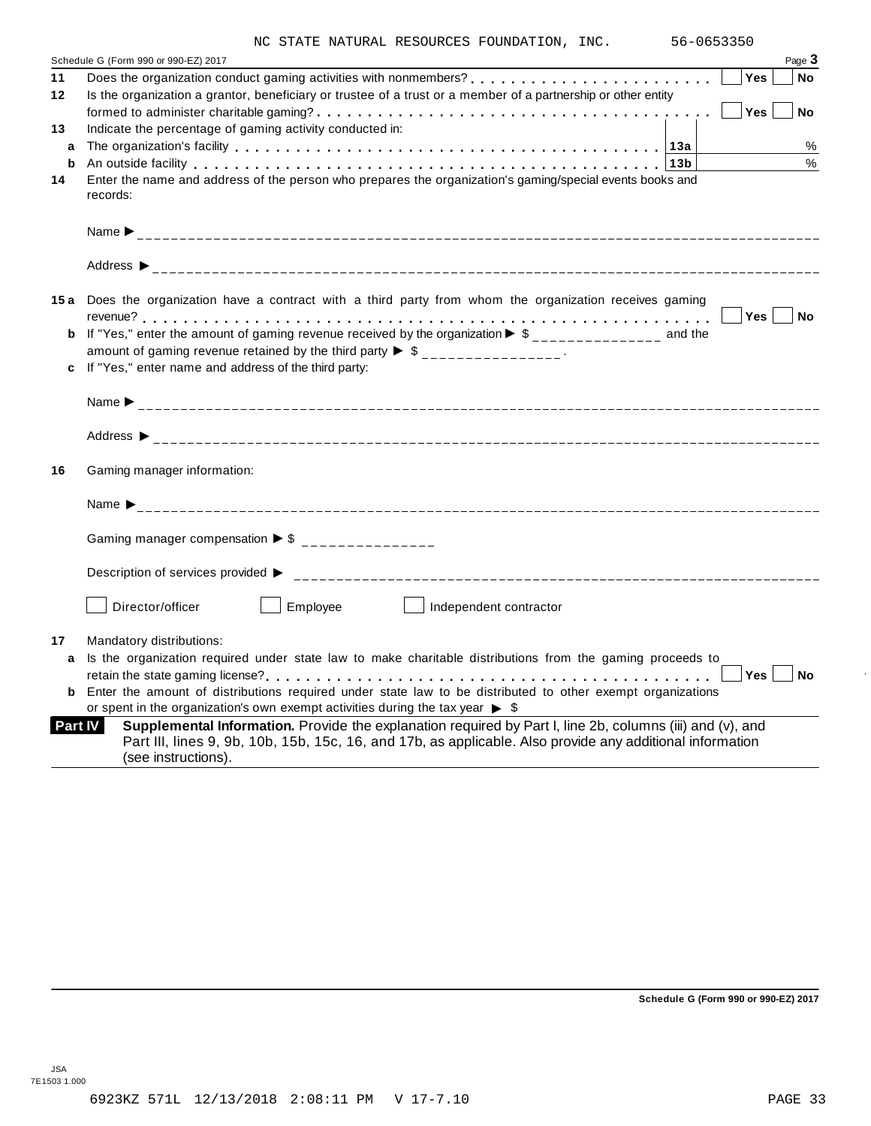|          | NC STATE NATURAL RESOURCES FOUNDATION, INC.                                                                                                                                                                                                   | 56-0653350           |
|----------|-----------------------------------------------------------------------------------------------------------------------------------------------------------------------------------------------------------------------------------------------|----------------------|
|          | Schedule G (Form 990 or 990-EZ) 2017                                                                                                                                                                                                          | Page 3               |
| 11       | Does the organization conduct gaming activities with nonmembers?                                                                                                                                                                              | Yes<br>No            |
| 12<br>13 | Is the organization a grantor, beneficiary or trustee of a trust or a member of a partnership or other entity<br>Indicate the percentage of gaming activity conducted in:                                                                     |                      |
| a        |                                                                                                                                                                                                                                               | %                    |
| b        | An outside facility enterpreteration of the control of the control of the control of the control of the control of the control of the control of the control of the control of the control of the control of the control of th                | $\%$                 |
| 14       | Enter the name and address of the person who prepares the organization's gaming/special events books and                                                                                                                                      |                      |
|          | records:                                                                                                                                                                                                                                      |                      |
|          |                                                                                                                                                                                                                                               |                      |
|          |                                                                                                                                                                                                                                               |                      |
|          |                                                                                                                                                                                                                                               |                      |
|          | 15a Does the organization have a contract with a third party from whom the organization receives gaming                                                                                                                                       |                      |
|          |                                                                                                                                                                                                                                               |                      |
|          | <b>b</b> If "Yes," enter the amount of gaming revenue received by the organization $\triangleright$ \$______________ and the                                                                                                                  |                      |
|          | amount of gaming revenue retained by the third party $\triangleright$ \$ _______________.                                                                                                                                                     |                      |
| c        | If "Yes," enter name and address of the third party:                                                                                                                                                                                          |                      |
|          |                                                                                                                                                                                                                                               |                      |
|          |                                                                                                                                                                                                                                               |                      |
| 16       | Gaming manager information:                                                                                                                                                                                                                   |                      |
|          |                                                                                                                                                                                                                                               |                      |
|          | Gaming manager compensation $\triangleright$ \$ ________________                                                                                                                                                                              |                      |
|          |                                                                                                                                                                                                                                               |                      |
|          | Employee     Independent contractor<br>Director/officer                                                                                                                                                                                       |                      |
| 17       | Mandatory distributions:                                                                                                                                                                                                                      |                      |
|          | a Is the organization required under state law to make charitable distributions from the gaming proceeds to                                                                                                                                   |                      |
|          |                                                                                                                                                                                                                                               | $\Box$ Yes $\Box$ No |
|          | <b>b</b> Enter the amount of distributions required under state law to be distributed to other exempt organizations                                                                                                                           |                      |
|          | or spent in the organization's own exempt activities during the tax year $\triangleright$ \$                                                                                                                                                  |                      |
| Part IV  | Supplemental Information. Provide the explanation required by Part I, line 2b, columns (iii) and (v), and<br>Part III, lines 9, 9b, 10b, 15b, 15c, 16, and 17b, as applicable. Also provide any additional information<br>(see instructions). |                      |
|          |                                                                                                                                                                                                                                               |                      |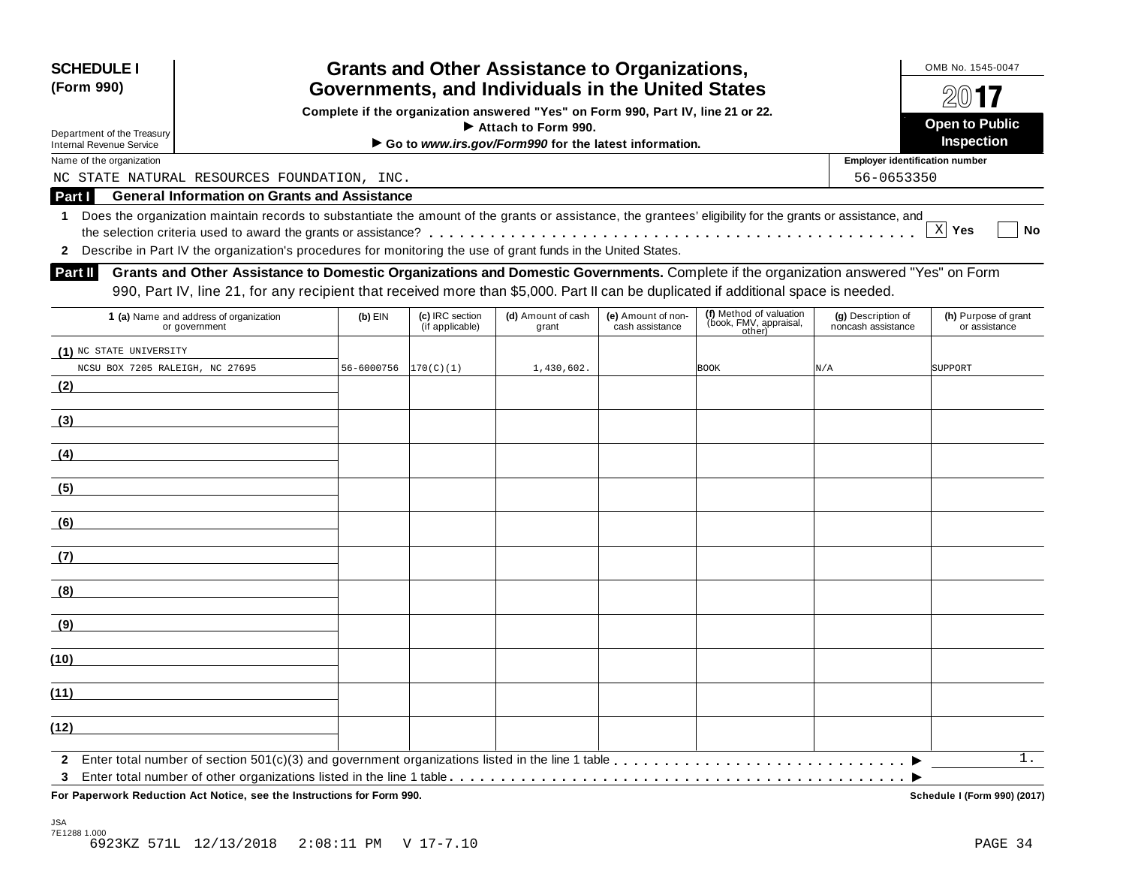| <b>Grants and Other Assistance to Organizations,</b><br><b>SCHEDULE I</b><br>Governments, and Individuals in the United States<br>(Form 990)                                                                                                                                         |                                                                                                                                                            |                       |                                    |                             |                                       |                                                             |                                          |                                       |  |  |  |
|--------------------------------------------------------------------------------------------------------------------------------------------------------------------------------------------------------------------------------------------------------------------------------------|------------------------------------------------------------------------------------------------------------------------------------------------------------|-----------------------|------------------------------------|-----------------------------|---------------------------------------|-------------------------------------------------------------|------------------------------------------|---------------------------------------|--|--|--|
|                                                                                                                                                                                                                                                                                      |                                                                                                                                                            | <b>Open to Public</b> |                                    |                             |                                       |                                                             |                                          |                                       |  |  |  |
| Attach to Form 990.<br>Department of the Treasury<br>Go to www.irs.gov/Form990 for the latest information.                                                                                                                                                                           |                                                                                                                                                            |                       |                                    |                             |                                       |                                                             |                                          |                                       |  |  |  |
| Inspection<br><b>Internal Revenue Service</b><br>Name of the organization<br><b>Employer identification number</b>                                                                                                                                                                   |                                                                                                                                                            |                       |                                    |                             |                                       |                                                             |                                          |                                       |  |  |  |
|                                                                                                                                                                                                                                                                                      | NC STATE NATURAL RESOURCES FOUNDATION, INC.                                                                                                                |                       |                                    |                             |                                       |                                                             | 56-0653350                               |                                       |  |  |  |
| <b>General Information on Grants and Assistance</b><br><b>Part I</b>                                                                                                                                                                                                                 |                                                                                                                                                            |                       |                                    |                             |                                       |                                                             |                                          |                                       |  |  |  |
| 1.                                                                                                                                                                                                                                                                                   | Does the organization maintain records to substantiate the amount of the grants or assistance, the grantees' eligibility for the grants or assistance, and |                       |                                    |                             |                                       |                                                             |                                          |                                       |  |  |  |
|                                                                                                                                                                                                                                                                                      |                                                                                                                                                            |                       |                                    |                             |                                       |                                                             |                                          | $X$ Yes<br>No                         |  |  |  |
| $\mathbf{2}$                                                                                                                                                                                                                                                                         | Describe in Part IV the organization's procedures for monitoring the use of grant funds in the United States.                                              |                       |                                    |                             |                                       |                                                             |                                          |                                       |  |  |  |
| Grants and Other Assistance to Domestic Organizations and Domestic Governments. Complete if the organization answered "Yes" on Form<br>Part II<br>990, Part IV, line 21, for any recipient that received more than \$5,000. Part II can be duplicated if additional space is needed. |                                                                                                                                                            |                       |                                    |                             |                                       |                                                             |                                          |                                       |  |  |  |
|                                                                                                                                                                                                                                                                                      | 1 (a) Name and address of organization<br>or government                                                                                                    | $(b)$ EIN             | (c) IRC section<br>(if applicable) | (d) Amount of cash<br>grant | (e) Amount of non-<br>cash assistance | (f) Method of valuation<br>(book, FMV, appraisal,<br>other) | (g) Description of<br>noncash assistance | (h) Purpose of grant<br>or assistance |  |  |  |
| (1) NC STATE UNIVERSITY                                                                                                                                                                                                                                                              |                                                                                                                                                            |                       |                                    |                             |                                       |                                                             |                                          |                                       |  |  |  |
| NCSU BOX 7205 RALEIGH, NC 27695                                                                                                                                                                                                                                                      |                                                                                                                                                            | 56-6000756            | 170(C)(1)                          | 1,430,602.                  |                                       | <b>BOOK</b>                                                 | N/A                                      | SUPPORT                               |  |  |  |
| (2)                                                                                                                                                                                                                                                                                  |                                                                                                                                                            |                       |                                    |                             |                                       |                                                             |                                          |                                       |  |  |  |
| (3)                                                                                                                                                                                                                                                                                  |                                                                                                                                                            |                       |                                    |                             |                                       |                                                             |                                          |                                       |  |  |  |
| (4)                                                                                                                                                                                                                                                                                  |                                                                                                                                                            |                       |                                    |                             |                                       |                                                             |                                          |                                       |  |  |  |
| (5)                                                                                                                                                                                                                                                                                  |                                                                                                                                                            |                       |                                    |                             |                                       |                                                             |                                          |                                       |  |  |  |
| (6)                                                                                                                                                                                                                                                                                  |                                                                                                                                                            |                       |                                    |                             |                                       |                                                             |                                          |                                       |  |  |  |
| (7)                                                                                                                                                                                                                                                                                  |                                                                                                                                                            |                       |                                    |                             |                                       |                                                             |                                          |                                       |  |  |  |
| (8)                                                                                                                                                                                                                                                                                  |                                                                                                                                                            |                       |                                    |                             |                                       |                                                             |                                          |                                       |  |  |  |
| (9)                                                                                                                                                                                                                                                                                  |                                                                                                                                                            |                       |                                    |                             |                                       |                                                             |                                          |                                       |  |  |  |
| (10)                                                                                                                                                                                                                                                                                 |                                                                                                                                                            |                       |                                    |                             |                                       |                                                             |                                          |                                       |  |  |  |
| (11)                                                                                                                                                                                                                                                                                 |                                                                                                                                                            |                       |                                    |                             |                                       |                                                             |                                          |                                       |  |  |  |
| (12)                                                                                                                                                                                                                                                                                 |                                                                                                                                                            |                       |                                    |                             |                                       |                                                             |                                          |                                       |  |  |  |
| $\mathbf{2}$<br>3                                                                                                                                                                                                                                                                    |                                                                                                                                                            |                       |                                    |                             |                                       |                                                             |                                          | 1.                                    |  |  |  |
|                                                                                                                                                                                                                                                                                      | For Paperwork Reduction Act Notice, see the Instructions for Form 990.                                                                                     |                       |                                    |                             |                                       |                                                             |                                          | Schedule I (Form 990) (2017)          |  |  |  |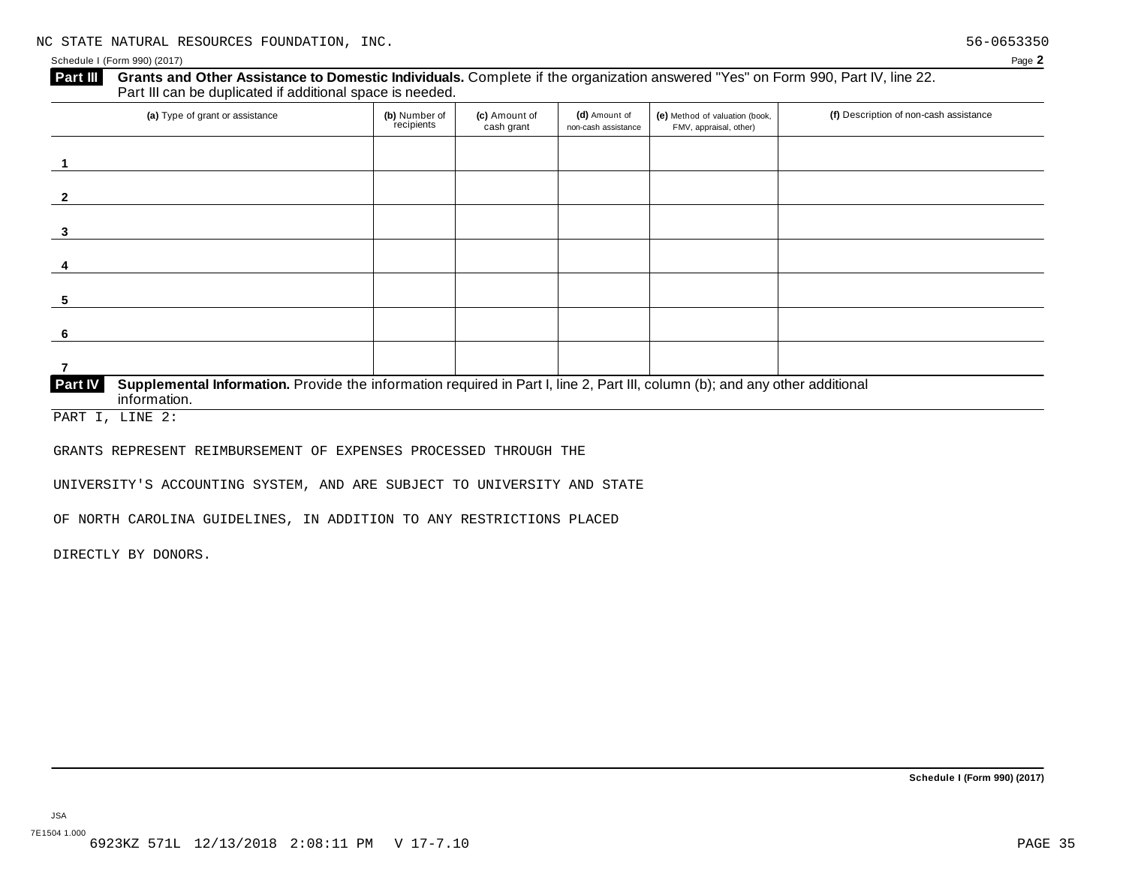#### **Grants and Other Assistance to Domestic Individuals.** Complete ifthe organization answered "Yes" on Form 990, Part IV, line 22. **Part III** Grants and Other Assistance to Domestic Individuals<br>Part III can be duplicated if additional space is needed.

| (a) Type of grant or assistance                                                                                                                         | (b) Number of<br>recipients | (c) Amount of<br>cash grant | (d) Amount of<br>non-cash assistance | (e) Method of valuation (book,<br>FMV, appraisal, other) | (f) Description of non-cash assistance |
|---------------------------------------------------------------------------------------------------------------------------------------------------------|-----------------------------|-----------------------------|--------------------------------------|----------------------------------------------------------|----------------------------------------|
|                                                                                                                                                         |                             |                             |                                      |                                                          |                                        |
| $\overline{2}$                                                                                                                                          |                             |                             |                                      |                                                          |                                        |
| 3                                                                                                                                                       |                             |                             |                                      |                                                          |                                        |
| 4                                                                                                                                                       |                             |                             |                                      |                                                          |                                        |
| 5                                                                                                                                                       |                             |                             |                                      |                                                          |                                        |
| 6                                                                                                                                                       |                             |                             |                                      |                                                          |                                        |
|                                                                                                                                                         |                             |                             |                                      |                                                          |                                        |
| Part IV<br>Supplemental Information. Provide the information required in Part I, line 2, Part III, column (b); and any other additional<br>information. |                             |                             |                                      |                                                          |                                        |

PART I, LINE 2:

GRANTS REPRESENT REIMBURSEMENT OF EXPENSES PROCESSED THROUGH THE

UNIVERSITY'S ACCOUNTING SYSTEM, AND ARE SUBJECT TO UNIVERSITY AND STATE

OF NORTH CAROLINA GUIDELINES, IN ADDITION TO ANY RESTRICTIONS PLACED

DIRECTLY BY DONORS.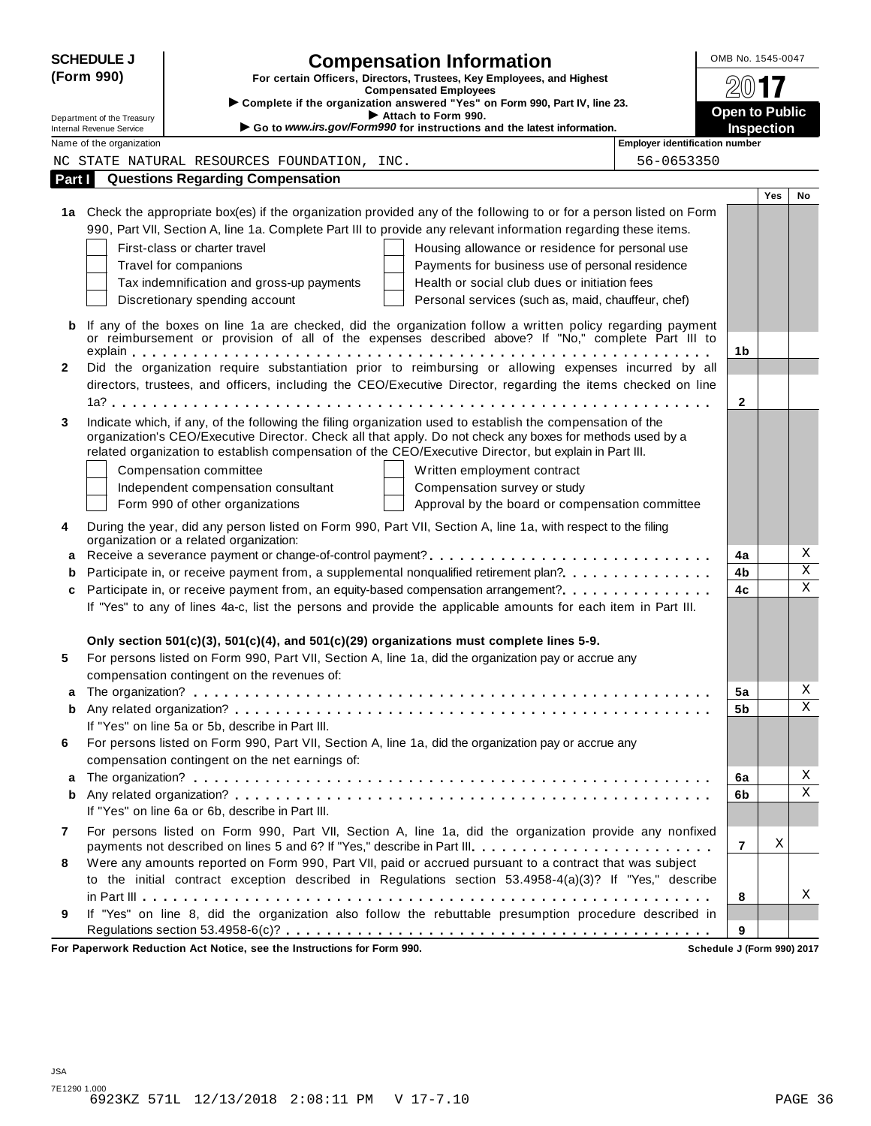| <b>SCHEDULE J</b>               |                            | <b>Compensation Information</b>                                                                                                                                                                                                         | OMB No. 1545-0047     |                   |             |
|---------------------------------|----------------------------|-----------------------------------------------------------------------------------------------------------------------------------------------------------------------------------------------------------------------------------------|-----------------------|-------------------|-------------|
| (Form 990)                      |                            | For certain Officers, Directors, Trustees, Key Employees, and Highest                                                                                                                                                                   |                       |                   |             |
|                                 |                            | <b>Compensated Employees</b><br>> Complete if the organization answered "Yes" on Form 990, Part IV, line 23.                                                                                                                            |                       |                   |             |
|                                 | Department of the Treasury | Attach to Form 990.                                                                                                                                                                                                                     | <b>Open to Public</b> |                   |             |
| <b>Internal Revenue Service</b> |                            | Go to www.irs.gov/Form990 for instructions and the latest information.                                                                                                                                                                  |                       | <b>Inspection</b> |             |
|                                 | Name of the organization   | <b>Employer identification number</b>                                                                                                                                                                                                   |                       |                   |             |
|                                 |                            | 56-0653350<br>NC STATE NATURAL RESOURCES FOUNDATION, INC.                                                                                                                                                                               |                       |                   |             |
| Part I                          |                            | <b>Questions Regarding Compensation</b>                                                                                                                                                                                                 |                       |                   |             |
|                                 |                            |                                                                                                                                                                                                                                         |                       | <b>Yes</b>        | <b>No</b>   |
|                                 |                            | 1a Check the appropriate box(es) if the organization provided any of the following to or for a person listed on Form<br>990, Part VII, Section A, line 1a. Complete Part III to provide any relevant information regarding these items. |                       |                   |             |
|                                 |                            |                                                                                                                                                                                                                                         |                       |                   |             |
|                                 |                            | First-class or charter travel<br>Housing allowance or residence for personal use<br>Payments for business use of personal residence                                                                                                     |                       |                   |             |
|                                 |                            | Travel for companions<br>Tax indemnification and gross-up payments<br>Health or social club dues or initiation fees                                                                                                                     |                       |                   |             |
|                                 |                            | Discretionary spending account<br>Personal services (such as, maid, chauffeur, chef)                                                                                                                                                    |                       |                   |             |
|                                 |                            |                                                                                                                                                                                                                                         |                       |                   |             |
| b                               |                            | If any of the boxes on line 1a are checked, did the organization follow a written policy regarding payment                                                                                                                              |                       |                   |             |
|                                 |                            | or reimbursement or provision of all of the expenses described above? If "No," complete Part III to                                                                                                                                     | 1 <sub>b</sub>        |                   |             |
| $\mathbf{2}$                    |                            | Did the organization require substantiation prior to reimbursing or allowing expenses incurred by all                                                                                                                                   |                       |                   |             |
|                                 |                            | directors, trustees, and officers, including the CEO/Executive Director, regarding the items checked on line                                                                                                                            |                       |                   |             |
|                                 |                            |                                                                                                                                                                                                                                         | $\mathbf{2}$          |                   |             |
| 3                               |                            | Indicate which, if any, of the following the filing organization used to establish the compensation of the                                                                                                                              |                       |                   |             |
|                                 |                            | organization's CEO/Executive Director. Check all that apply. Do not check any boxes for methods used by a                                                                                                                               |                       |                   |             |
|                                 |                            | related organization to establish compensation of the CEO/Executive Director, but explain in Part III.                                                                                                                                  |                       |                   |             |
|                                 |                            | Compensation committee<br>Written employment contract                                                                                                                                                                                   |                       |                   |             |
|                                 |                            | Compensation survey or study<br>Independent compensation consultant                                                                                                                                                                     |                       |                   |             |
|                                 |                            | Form 990 of other organizations<br>Approval by the board or compensation committee                                                                                                                                                      |                       |                   |             |
| 4                               |                            | During the year, did any person listed on Form 990, Part VII, Section A, line 1a, with respect to the filing<br>organization or a related organization:                                                                                 |                       |                   |             |
| а                               |                            | Receive a severance payment or change-of-control payment?                                                                                                                                                                               | 4a                    |                   | Χ           |
| b                               |                            | Participate in, or receive payment from, a supplemental nonqualified retirement plan?.                                                                                                                                                  | 4b                    |                   | $\mathbf X$ |
| c                               |                            | Participate in, or receive payment from, an equity-based compensation arrangement?                                                                                                                                                      | 4c                    |                   | X           |
|                                 |                            | If "Yes" to any of lines 4a-c, list the persons and provide the applicable amounts for each item in Part III.                                                                                                                           |                       |                   |             |
|                                 |                            |                                                                                                                                                                                                                                         |                       |                   |             |
|                                 |                            | Only section $501(c)(3)$ , $501(c)(4)$ , and $501(c)(29)$ organizations must complete lines 5-9.                                                                                                                                        |                       |                   |             |
| 5                               |                            | For persons listed on Form 990, Part VII, Section A, line 1a, did the organization pay or accrue any                                                                                                                                    |                       |                   |             |
|                                 |                            | compensation contingent on the revenues of:                                                                                                                                                                                             |                       |                   |             |
| а                               |                            |                                                                                                                                                                                                                                         | 5a                    |                   | Χ           |
| b                               |                            |                                                                                                                                                                                                                                         | 5b                    |                   | Χ           |
|                                 |                            | If "Yes" on line 5a or 5b, describe in Part III.                                                                                                                                                                                        |                       |                   |             |
| 6                               |                            | For persons listed on Form 990, Part VII, Section A, line 1a, did the organization pay or accrue any                                                                                                                                    |                       |                   |             |
|                                 |                            | compensation contingent on the net earnings of:                                                                                                                                                                                         | 6a                    |                   | Χ           |
| а<br>b                          |                            |                                                                                                                                                                                                                                         | 6b                    |                   | X           |
|                                 |                            | If "Yes" on line 6a or 6b, describe in Part III.                                                                                                                                                                                        |                       |                   |             |
|                                 |                            |                                                                                                                                                                                                                                         |                       |                   |             |
| 7                               |                            | For persons listed on Form 990, Part VII, Section A, line 1a, did the organization provide any nonfixed<br>payments not described on lines 5 and 6? If "Yes," describe in Part III.                                                     | $\overline{7}$        | X                 |             |
| 8                               |                            | Were any amounts reported on Form 990, Part VII, paid or accrued pursuant to a contract that was subject                                                                                                                                |                       |                   |             |
|                                 |                            | to the initial contract exception described in Regulations section 53.4958-4(a)(3)? If "Yes," describe                                                                                                                                  |                       |                   |             |
|                                 |                            |                                                                                                                                                                                                                                         | 8                     |                   | Χ           |
| 9                               |                            | If "Yes" on line 8, did the organization also follow the rebuttable presumption procedure described in                                                                                                                                  |                       |                   |             |
|                                 |                            |                                                                                                                                                                                                                                         | 9                     |                   |             |
|                                 |                            |                                                                                                                                                                                                                                         |                       |                   |             |

**For Paperwork Reduction Act Notice, see the Instructions for Form 990. Schedule J (Form 990) 2017**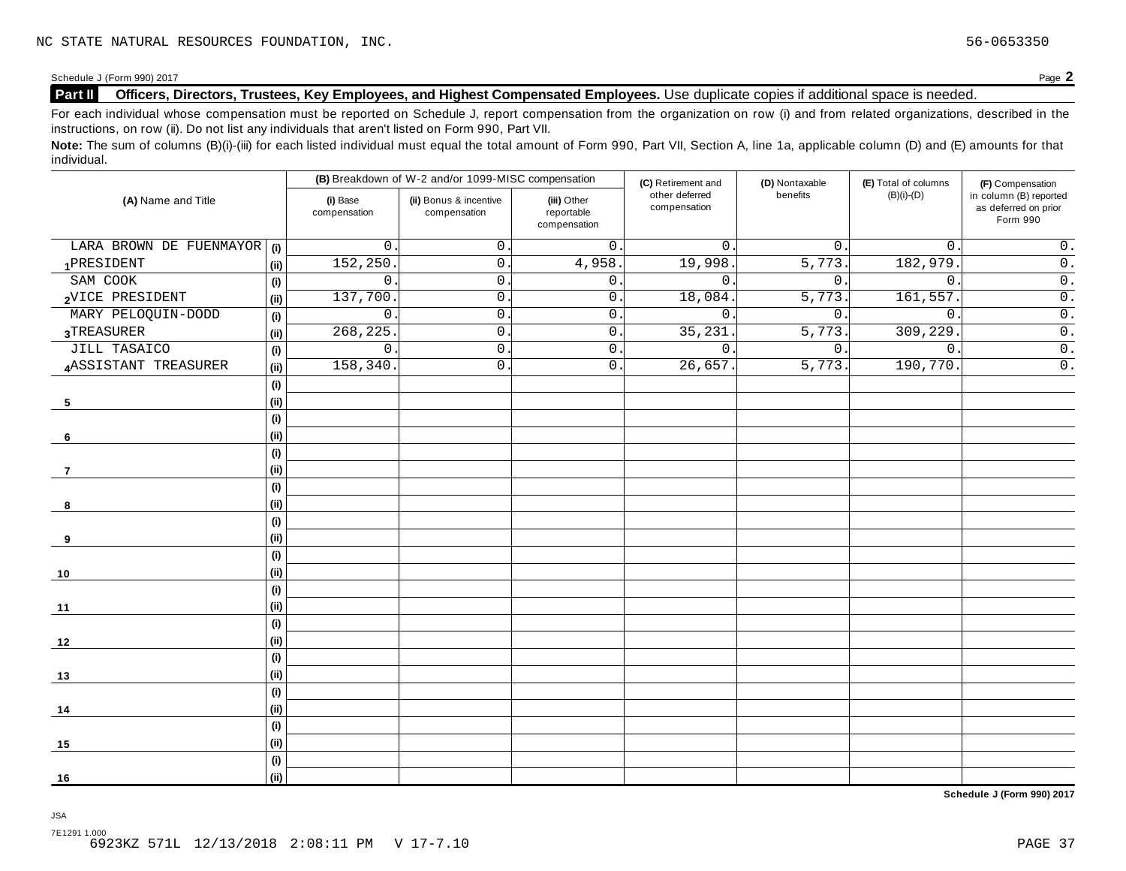Schedule <sup>J</sup> (Form 990) <sup>2017</sup> Page **2**

#### **Part II Officers, Directors, Trustees, Key Employees, and Highest Compensated Employees.** Use duplicate copies ifadditional space is needed.

For each individual whose compensation must be reported on Schedule J, report compensation from the organization on row (i) and from related organizations, described in the instructions, on row (ii). Do not list any individuals that aren't listed on Form 990, Part VII.

Note: The sum of columns (B)(i)-(iii) for each listed individual must equal the total amount of Form 990, Part VII, Section A, line 1a, applicable column (D) and (E) amounts for that individual.

| (A) Name and Title          |      |                          | (B) Breakdown of W-2 and/or 1099-MISC compensation |                                           | (C) Retirement and             | (D) Nontaxable   | (E) Total of columns | (F) Compensation                                           |
|-----------------------------|------|--------------------------|----------------------------------------------------|-------------------------------------------|--------------------------------|------------------|----------------------|------------------------------------------------------------|
|                             |      | (i) Base<br>compensation | (ii) Bonus & incentive<br>compensation             | (iii) Other<br>reportable<br>compensation | other deferred<br>compensation | benefits         | $(B)(i)-(D)$         | in column (B) reported<br>as deferred on prior<br>Form 990 |
| LARA BROWN DE FUENMAYOR (i) |      | $\mathsf{O}$             | $\mathsf{O}$ .                                     | $\overline{0}$ .                          | $\mathbf{0}$ .                 | 0.               | $\mathbf{0}$ .       | $\overline{0}$ .                                           |
| 1PRESIDENT                  | (i)  | 152,250                  | $\mathbf 0$ .                                      | 4,958.                                    | 19,998.                        | 5,773.           | 182,979.             | $\overline{0}$ .                                           |
| SAM COOK                    | (i)  | $\mathbf 0$              | $\mathbf 0$                                        | 0.                                        | $\mathbf{0}$ .                 | $\overline{0}$ . | $\mathbf{0}$ .       | $\overline{0}$ .                                           |
| 2VICE PRESIDENT             | (i)  | 137,700                  | $\mathsf{O}$ .                                     | $\mathsf 0$ .                             | 18,084.                        | 5,773.           | 161,557              | $\overline{0}$ .                                           |
| MARY PELOQUIN-DODD          | (i)  | $\mathsf{O}$             | $\mathsf{O}$ .                                     | $\mathsf 0$ .                             | $\mathbf 0$                    | 0.               | $\mathbf 0$          | $\overline{0}$ .                                           |
| $3$ TREASURER               | (i)  | 268, 225                 | $\mathsf{O}\xspace$                                | $\overline{0}$ .                          | 35,231                         | 5,773.           | 309,229              | $\overline{0}$ .                                           |
| <b>JILL TASAICO</b>         | (i)  | $\mathsf{O}$             | $\mathsf{O}$ .                                     | $\overline{0}$ .                          | $0$ .                          | $\overline{0}$ . | $\mathbf 0$ .        | $\overline{0}$ .                                           |
| 4ASSISTANT TREASURER        | (i)  | 158,340                  | $\mathsf{O}$ .                                     | $\overline{0}$ .                          | 26,657.                        | 5,773.           | 190,770.             | $\overline{\overline{\mathfrak{o}}\hspace{0.5pt}}$ .       |
|                             | (i)  |                          |                                                    |                                           |                                |                  |                      |                                                            |
| 5                           | (i)  |                          |                                                    |                                           |                                |                  |                      |                                                            |
|                             | (i)  |                          |                                                    |                                           |                                |                  |                      |                                                            |
| 6                           | (i)  |                          |                                                    |                                           |                                |                  |                      |                                                            |
|                             | (i)  |                          |                                                    |                                           |                                |                  |                      |                                                            |
| $\overline{7}$              | (i)  |                          |                                                    |                                           |                                |                  |                      |                                                            |
|                             | (i)  |                          |                                                    |                                           |                                |                  |                      |                                                            |
| 8                           | (i)  |                          |                                                    |                                           |                                |                  |                      |                                                            |
|                             | (i)  |                          |                                                    |                                           |                                |                  |                      |                                                            |
| 9                           | (i)  |                          |                                                    |                                           |                                |                  |                      |                                                            |
|                             | (i)  |                          |                                                    |                                           |                                |                  |                      |                                                            |
| 10                          | (i)  |                          |                                                    |                                           |                                |                  |                      |                                                            |
|                             | (i)  |                          |                                                    |                                           |                                |                  |                      |                                                            |
| 11                          | (i)  |                          |                                                    |                                           |                                |                  |                      |                                                            |
|                             | (i)  |                          |                                                    |                                           |                                |                  |                      |                                                            |
| 12                          | (i)  |                          |                                                    |                                           |                                |                  |                      |                                                            |
|                             | (i)  |                          |                                                    |                                           |                                |                  |                      |                                                            |
| 13                          | (i)  |                          |                                                    |                                           |                                |                  |                      |                                                            |
|                             | (i)  |                          |                                                    |                                           |                                |                  |                      |                                                            |
| 14                          | (i)  |                          |                                                    |                                           |                                |                  |                      |                                                            |
|                             | (i)  |                          |                                                    |                                           |                                |                  |                      |                                                            |
| 15                          | (i)  |                          |                                                    |                                           |                                |                  |                      |                                                            |
|                             | (i)  |                          |                                                    |                                           |                                |                  |                      |                                                            |
| 16                          | (ii) |                          |                                                    |                                           |                                |                  |                      |                                                            |

**Schedule J (Form 990) 2017**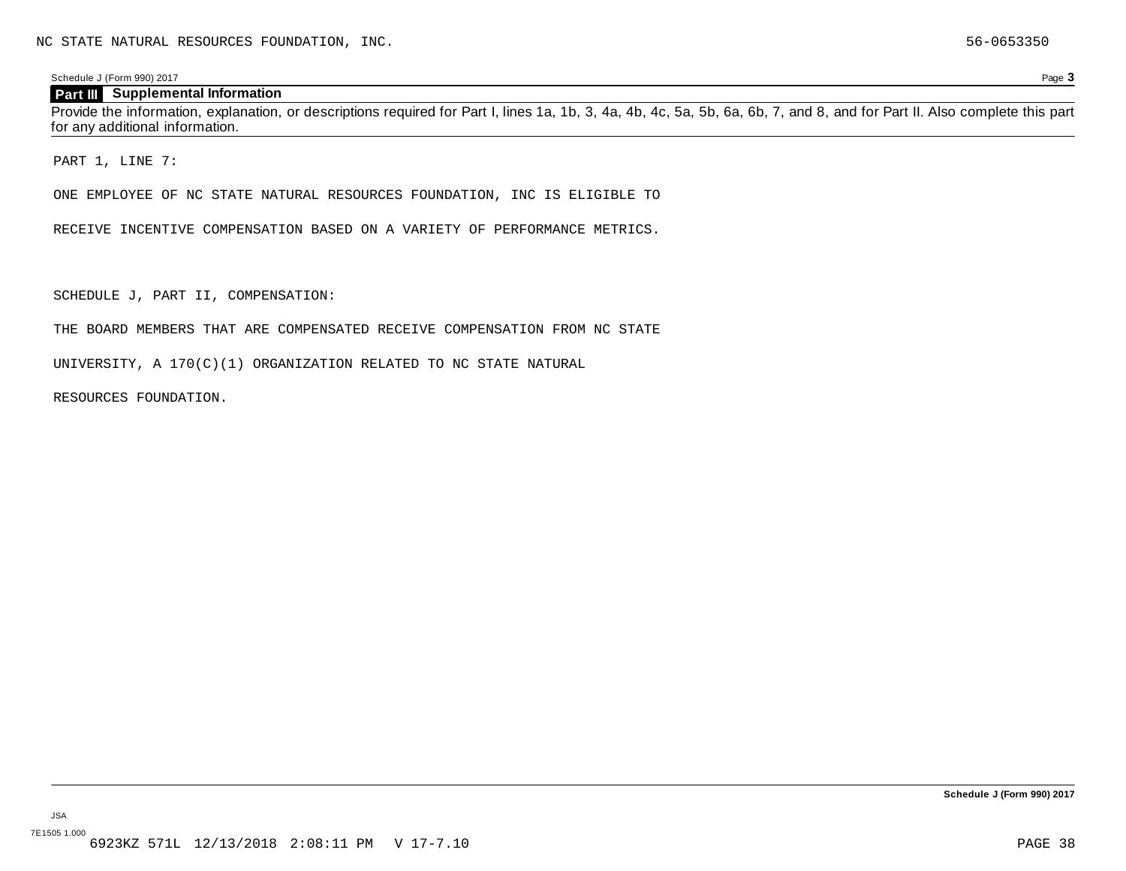Schedule J (Form 990) 2017 Page **3**

#### **Part III Supplemental Information**

Provide the information, explanation, or descriptions required for Part I, lines 1a, 1b, 3, 4a, 4b, 4c, 5a, 5b, 6a, 6b, 7, and 8, and for Part II. Also complete this part for any additional information.

PART 1, LINE 7:

ONE EMPLOYEE OF NC STATE NATURAL RESOURCES FOUNDATION, INC IS ELIGIBLE TO

RECEIVE INCENTIVE COMPENSATION BASED ON A VARIETY OF PERFORMANCE METRICS.

SCHEDULE J, PART II, COMPENSATION:

THE BOARD MEMBERS THAT ARE COMPENSATED RECEIVE COMPENSATION FROM NC STATE

UNIVERSITY, A 170(C)(1) ORGANIZATION RELATED TO NC STATE NATURAL

RESOURCES FOUNDATION.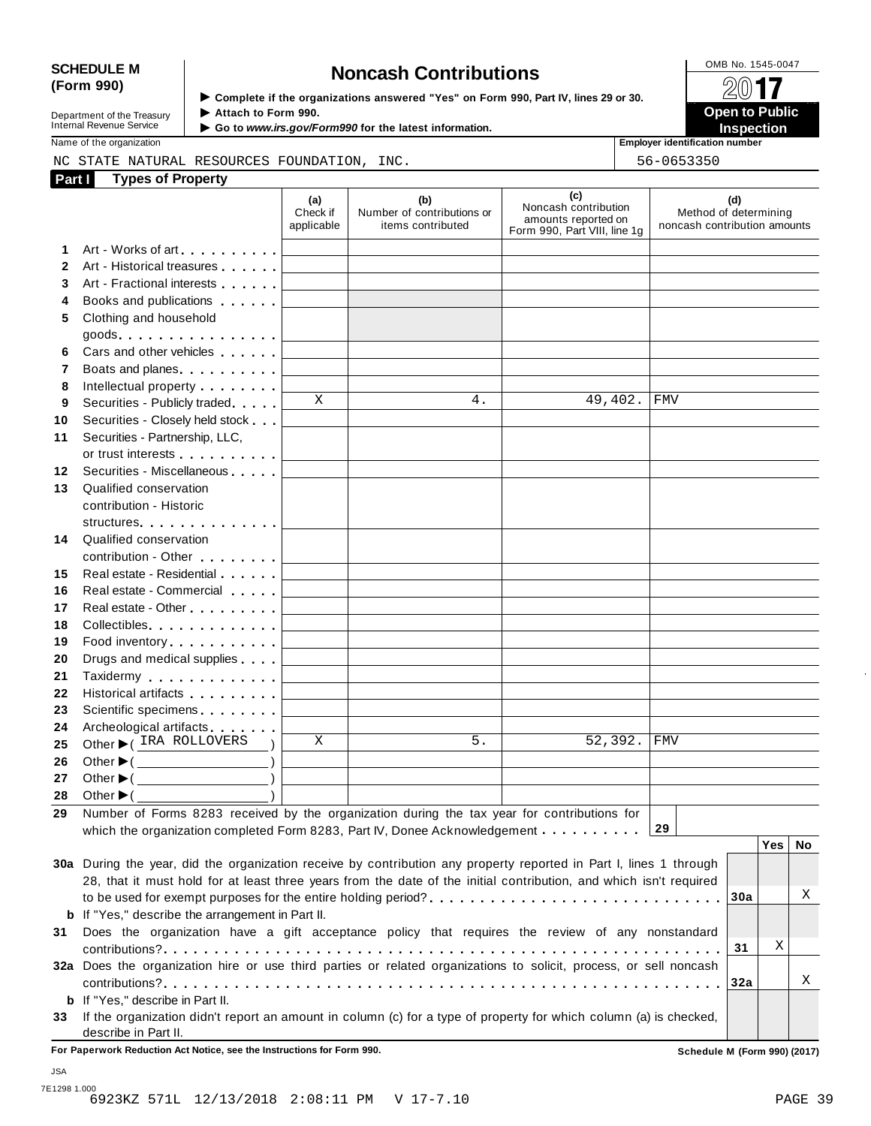# SCHEDULE M<br>
(Form 990) **Supplementary of the organizations answered** "Yes" on Form 990 Part IV lines 29 or 30

**Department of the Treasury<br>Internal Revenue Service** 

**Part I Types of Property**

**(Form 990)** I **Complete if the organizations answered "Yes" on Form 990, Part IV, lines <sup>29</sup> or 30.** À¾µ» **Department of the Treasury ▶ Attach to Form 990.**<br>Internal Revenue Service ▶ Go to *www.irs.gov/Form990* for the latest information.<br>Nome of the organization, authorities in a support of the latest information.

#### NC STATE NATURAL RESOURCES FOUNDATION, INC. 56-0653350

Name of the organization **intervalse of the organization intervalse of the organization <b>intervalse of the organization intervalse of the organization intervalse of the organization intervalse of the organization**

| .<br>__          |
|------------------|
| г<br>$\sim$<br>л |

|              |                                                                                                                                                                                                                                                  | (a)<br>Check if<br>applicable | (b)<br>Number of contributions or<br>items contributed | (c)<br>Noncash contribution<br>amounts reported on<br>Form 990, Part VIII, line 1g | (d)<br>Method of determining<br>noncash contribution amounts |
|--------------|--------------------------------------------------------------------------------------------------------------------------------------------------------------------------------------------------------------------------------------------------|-------------------------------|--------------------------------------------------------|------------------------------------------------------------------------------------|--------------------------------------------------------------|
| 1            | Art - Works of art<br>1999 - The Works of art<br>1999 - The Works of art<br>1999 - The Works of art<br>1999 - The Works of art<br>1999 - The Works of art<br>1999 - The Works of art<br>1999 - The Works of art<br>1999 - The Works of art<br>19 |                               |                                                        |                                                                                    |                                                              |
| $\mathbf{2}$ | Art - Historical treasures                                                                                                                                                                                                                       |                               |                                                        |                                                                                    |                                                              |
| 3            | Art - Fractional interests                                                                                                                                                                                                                       |                               |                                                        |                                                                                    |                                                              |
| 4            | Books and publications <b>Solutions</b>                                                                                                                                                                                                          |                               |                                                        |                                                                                    |                                                              |
| 5.           | Clothing and household                                                                                                                                                                                                                           |                               |                                                        |                                                                                    |                                                              |
|              | $goods$                                                                                                                                                                                                                                          |                               |                                                        |                                                                                    |                                                              |
| 6            | Cars and other vehicles                                                                                                                                                                                                                          |                               |                                                        |                                                                                    |                                                              |
| 7            | Boats and planes experience in the set of the set of the set of the set of the set of the set of the set of the set of the set of the set of the set of the set of the set of the set of the set of the set of the set of the                    |                               |                                                        |                                                                                    |                                                              |
| 8            | Intellectual property <b>Algebra</b>                                                                                                                                                                                                             |                               |                                                        |                                                                                    |                                                              |
| 9            | Securities - Publicly traded                                                                                                                                                                                                                     | X                             | 4.                                                     | 49,402.                                                                            | FMV                                                          |
| 10           | Securities - Closely held stock                                                                                                                                                                                                                  |                               |                                                        |                                                                                    |                                                              |
| 11           | Securities - Partnership, LLC,                                                                                                                                                                                                                   |                               |                                                        |                                                                                    |                                                              |
|              | or trust interests experience that the set of the set of the set of the set of the set of the set of the set of the set of the set of the set of the set of the set of the set of the set of the set of the set of the set of                    |                               |                                                        |                                                                                    |                                                              |
| 12           | Securities - Miscellaneous                                                                                                                                                                                                                       |                               |                                                        |                                                                                    |                                                              |
| 13           | Qualified conservation                                                                                                                                                                                                                           |                               |                                                        |                                                                                    |                                                              |
|              | contribution - Historic                                                                                                                                                                                                                          |                               |                                                        |                                                                                    |                                                              |
|              | structures                                                                                                                                                                                                                                       |                               |                                                        |                                                                                    |                                                              |
| 14           | Qualified conservation                                                                                                                                                                                                                           |                               |                                                        |                                                                                    |                                                              |
|              | contribution - Other <b>Canadian Contribution</b>                                                                                                                                                                                                |                               |                                                        |                                                                                    |                                                              |
| 15           | Real estate - Residential                                                                                                                                                                                                                        |                               |                                                        |                                                                                    |                                                              |
| 16           | Real estate - Commercial                                                                                                                                                                                                                         |                               |                                                        |                                                                                    |                                                              |
| 17           | Real estate - Other <b>All and The Real estate</b> - Other                                                                                                                                                                                       |                               |                                                        |                                                                                    |                                                              |
| 18           | Collectibles                                                                                                                                                                                                                                     |                               |                                                        |                                                                                    |                                                              |
| 19           | Food inventory enterprise the set of the set of the set of the set of the set of the set of the set of the set of the set of the set of the set of the set of the set of the set of the set of the set of the set of the set o                   |                               |                                                        |                                                                                    |                                                              |
| 20           | Drugs and medical supplies                                                                                                                                                                                                                       |                               |                                                        |                                                                                    |                                                              |
| 21           | Taxidermy                                                                                                                                                                                                                                        |                               |                                                        |                                                                                    |                                                              |
| 22           | Historical artifacts <b>All Accords</b>                                                                                                                                                                                                          |                               |                                                        |                                                                                    |                                                              |
| 23           | Scientific specimens <b>Scientific specimens</b>                                                                                                                                                                                                 |                               |                                                        |                                                                                    |                                                              |
| 24<br>25     | Archeological artifacts<br>Other C IRA ROLLOVERS                                                                                                                                                                                                 | X                             | 5.                                                     | 52,392.                                                                            | FMV                                                          |
| 26           |                                                                                                                                                                                                                                                  |                               |                                                        |                                                                                    |                                                              |
| 27           | Other $\blacktriangleright$ ( $\_\_\_\_\_\_\_\_$ )                                                                                                                                                                                               |                               |                                                        |                                                                                    |                                                              |
| 28           | Other $\blacktriangleright$ (                                                                                                                                                                                                                    |                               |                                                        |                                                                                    |                                                              |
| 29           | Number of Forms 8283 received by the organization during the tax year for contributions for                                                                                                                                                      |                               |                                                        |                                                                                    |                                                              |
|              | which the organization completed Form 8283, Part IV, Donee Acknowledgement $\ldots \ldots \ldots$ [29]                                                                                                                                           |                               |                                                        |                                                                                    |                                                              |
|              |                                                                                                                                                                                                                                                  |                               |                                                        |                                                                                    | Yes  <br>No                                                  |
|              | 30a During the year, did the organization receive by contribution any property reported in Part I, lines 1 through                                                                                                                               |                               |                                                        |                                                                                    |                                                              |
|              | 28, that it must hold for at least three years from the date of the initial contribution, and which isn't required                                                                                                                               |                               |                                                        |                                                                                    |                                                              |
|              |                                                                                                                                                                                                                                                  |                               |                                                        |                                                                                    | Χ<br>30a                                                     |
|              | <b>b</b> If "Yes," describe the arrangement in Part II.                                                                                                                                                                                          |                               |                                                        |                                                                                    |                                                              |
| 31           | Does the organization have a gift acceptance policy that requires the review of any nonstandard                                                                                                                                                  |                               |                                                        |                                                                                    |                                                              |
|              |                                                                                                                                                                                                                                                  |                               |                                                        |                                                                                    | Χ<br>31                                                      |
|              | 32a Does the organization hire or use third parties or related organizations to solicit, process, or sell noncash                                                                                                                                |                               |                                                        |                                                                                    |                                                              |
|              |                                                                                                                                                                                                                                                  |                               |                                                        |                                                                                    | Χ<br>32a                                                     |
|              | <b>b</b> If "Yes," describe in Part II.                                                                                                                                                                                                          |                               |                                                        |                                                                                    |                                                              |
| 33           | If the organization didn't report an amount in column (c) for a type of property for which column (a) is checked,                                                                                                                                |                               |                                                        |                                                                                    |                                                              |
|              | describe in Part II.                                                                                                                                                                                                                             |                               |                                                        |                                                                                    |                                                              |
|              | For Paperwork Reduction Act Notice, see the Instructions for Form 990.                                                                                                                                                                           |                               |                                                        |                                                                                    | Schedule M (Form 990) (2017)                                 |

JSA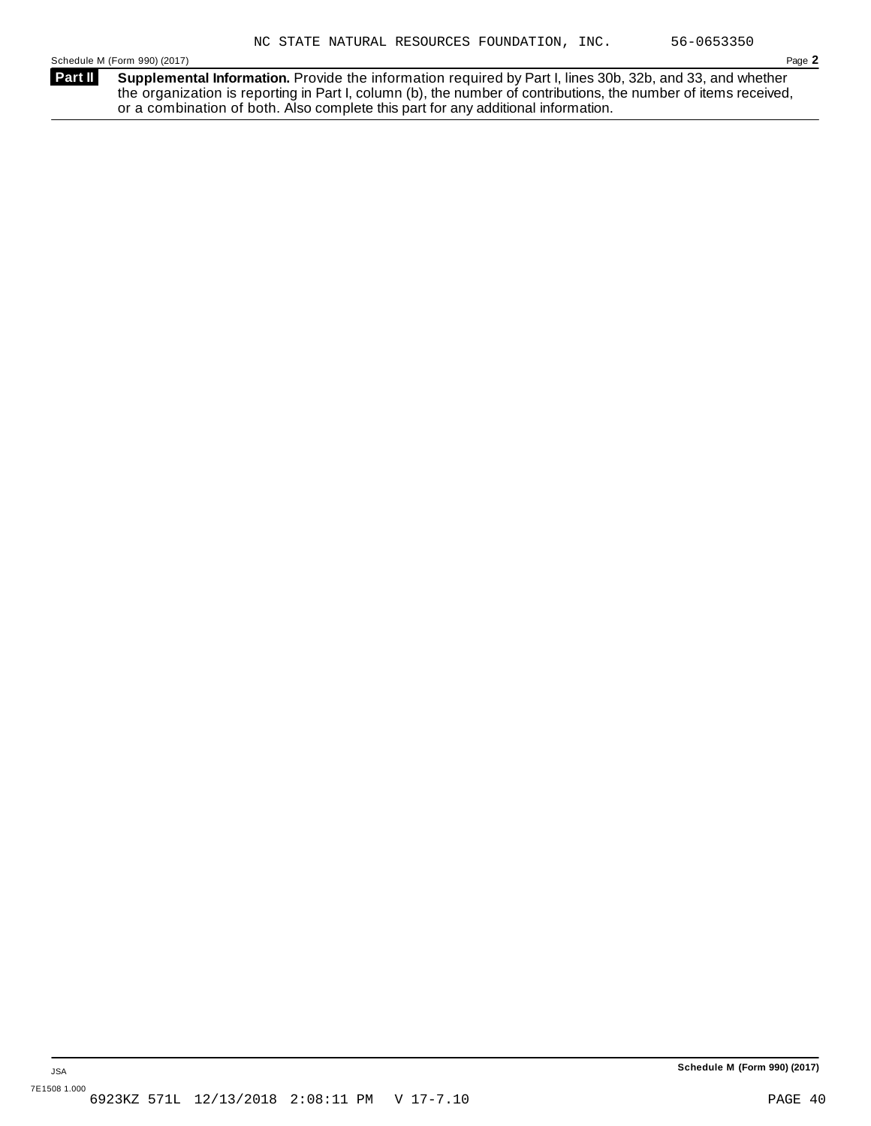**Supplemental Information.** Provide the information required by Part I, lines 30b, 32b, and 33, and whether the organization is reporting in Part I, column (b), the number of contributions, the number of items received, or a combination of both. Also complete this part for any additional information. **Part II**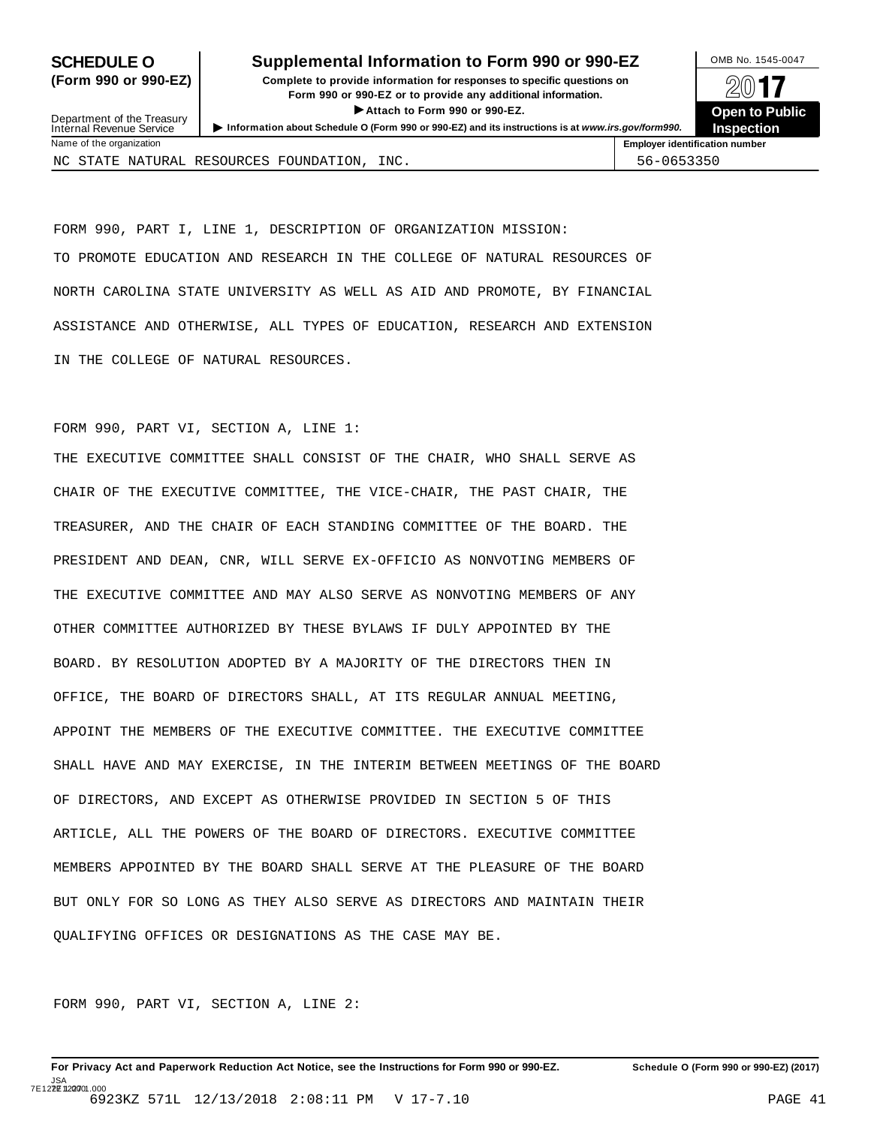#### **SCHEDULE O** Supplemental Information to Form 990 or 990-EZ DMB No. 1545-0047

**(Form 990 or 990-EZ) Complete to provide information for responses to specific questions on Form 990 or 990-EZ** or to provide any additional information. I**Attach to Form <sup>990</sup> or 990-EZ. Open to Public**



| Department of the Treasury<br>Internal Revenue Service | PAUJULU TOHII 990 OF 990-EZ.<br>> Information about Schedule O (Form 990 or 990-EZ) and its instructions is at www.irs.gov/form990. | <b>Open to Public</b><br>Inspection   |
|--------------------------------------------------------|-------------------------------------------------------------------------------------------------------------------------------------|---------------------------------------|
| Name of the organization                               |                                                                                                                                     | <b>Employer identification number</b> |
|                                                        | NC STATE NATURAL RESOURCES FOUNDATION, INC.                                                                                         | 56-0653350                            |

FORM 990, PART I, LINE 1, DESCRIPTION OF ORGANIZATION MISSION: TO PROMOTE EDUCATION AND RESEARCH IN THE COLLEGE OF NATURAL RESOURCES OF NORTH CAROLINA STATE UNIVERSITY AS WELL AS AID AND PROMOTE, BY FINANCIAL ASSISTANCE AND OTHERWISE, ALL TYPES OF EDUCATION, RESEARCH AND EXTENSION IN THE COLLEGE OF NATURAL RESOURCES.

#### FORM 990, PART VI, SECTION A, LINE 1:

THE EXECUTIVE COMMITTEE SHALL CONSIST OF THE CHAIR, WHO SHALL SERVE AS CHAIR OF THE EXECUTIVE COMMITTEE, THE VICE-CHAIR, THE PAST CHAIR, THE TREASURER, AND THE CHAIR OF EACH STANDING COMMITTEE OF THE BOARD. THE PRESIDENT AND DEAN, CNR, WILL SERVE EX-OFFICIO AS NONVOTING MEMBERS OF THE EXECUTIVE COMMITTEE AND MAY ALSO SERVE AS NONVOTING MEMBERS OF ANY OTHER COMMITTEE AUTHORIZED BY THESE BYLAWS IF DULY APPOINTED BY THE BOARD. BY RESOLUTION ADOPTED BY A MAJORITY OF THE DIRECTORS THEN IN OFFICE, THE BOARD OF DIRECTORS SHALL, AT ITS REGULAR ANNUAL MEETING, APPOINT THE MEMBERS OF THE EXECUTIVE COMMITTEE. THE EXECUTIVE COMMITTEE SHALL HAVE AND MAY EXERCISE, IN THE INTERIM BETWEEN MEETINGS OF THE BOARD OF DIRECTORS, AND EXCEPT AS OTHERWISE PROVIDED IN SECTION 5 OF THIS ARTICLE, ALL THE POWERS OF THE BOARD OF DIRECTORS. EXECUTIVE COMMITTEE MEMBERS APPOINTED BY THE BOARD SHALL SERVE AT THE PLEASURE OF THE BOARD BUT ONLY FOR SO LONG AS THEY ALSO SERVE AS DIRECTORS AND MAINTAIN THEIR QUALIFYING OFFICES OR DESIGNATIONS AS THE CASE MAY BE.

FORM 990, PART VI, SECTION A, LINE 2: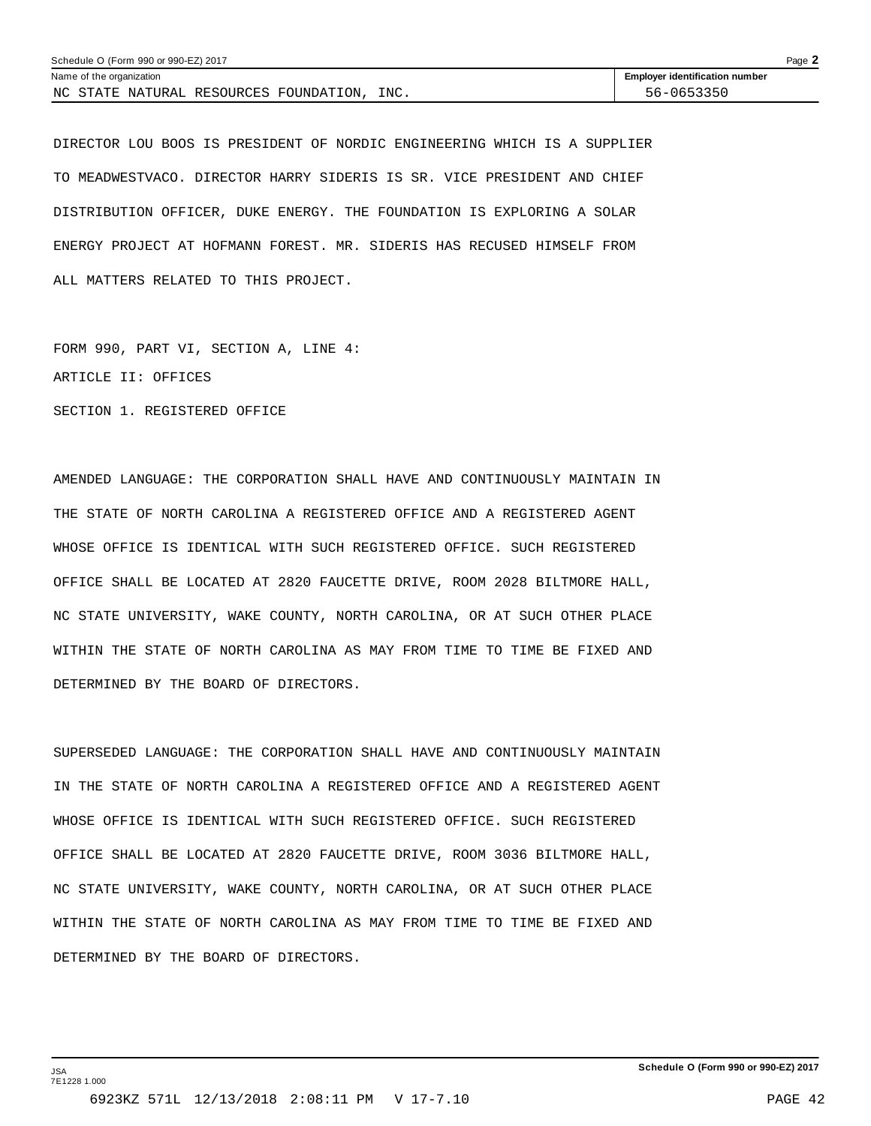| Schedule O (Form 990 or 990-EZ) 2017<br>Page $\angle$ |                                       |  |
|-------------------------------------------------------|---------------------------------------|--|
| Name of the organization                              | <b>Employer identification number</b> |  |
| NC STATE NATURAL RESOURCES FOUNDATION, INC.           | 56-0653350                            |  |

DIRECTOR LOU BOOS IS PRESIDENT OF NORDIC ENGINEERING WHICH IS A SUPPLIER TO MEADWESTVACO. DIRECTOR HARRY SIDERIS IS SR. VICE PRESIDENT AND CHIEF DISTRIBUTION OFFICER, DUKE ENERGY. THE FOUNDATION IS EXPLORING A SOLAR ENERGY PROJECT AT HOFMANN FOREST. MR. SIDERIS HAS RECUSED HIMSELF FROM ALL MATTERS RELATED TO THIS PROJECT.

FORM 990, PART VI, SECTION A, LINE 4: ARTICLE II: OFFICES SECTION 1. REGISTERED OFFICE

AMENDED LANGUAGE: THE CORPORATION SHALL HAVE AND CONTINUOUSLY MAINTAIN IN THE STATE OF NORTH CAROLINA A REGISTERED OFFICE AND A REGISTERED AGENT WHOSE OFFICE IS IDENTICAL WITH SUCH REGISTERED OFFICE. SUCH REGISTERED OFFICE SHALL BE LOCATED AT 2820 FAUCETTE DRIVE, ROOM 2028 BILTMORE HALL, NC STATE UNIVERSITY, WAKE COUNTY, NORTH CAROLINA, OR AT SUCH OTHER PLACE WITHIN THE STATE OF NORTH CAROLINA AS MAY FROM TIME TO TIME BE FIXED AND DETERMINED BY THE BOARD OF DIRECTORS.

SUPERSEDED LANGUAGE: THE CORPORATION SHALL HAVE AND CONTINUOUSLY MAINTAIN IN THE STATE OF NORTH CAROLINA A REGISTERED OFFICE AND A REGISTERED AGENT WHOSE OFFICE IS IDENTICAL WITH SUCH REGISTERED OFFICE. SUCH REGISTERED OFFICE SHALL BE LOCATED AT 2820 FAUCETTE DRIVE, ROOM 3036 BILTMORE HALL, NC STATE UNIVERSITY, WAKE COUNTY, NORTH CAROLINA, OR AT SUCH OTHER PLACE WITHIN THE STATE OF NORTH CAROLINA AS MAY FROM TIME TO TIME BE FIXED AND DETERMINED BY THE BOARD OF DIRECTORS.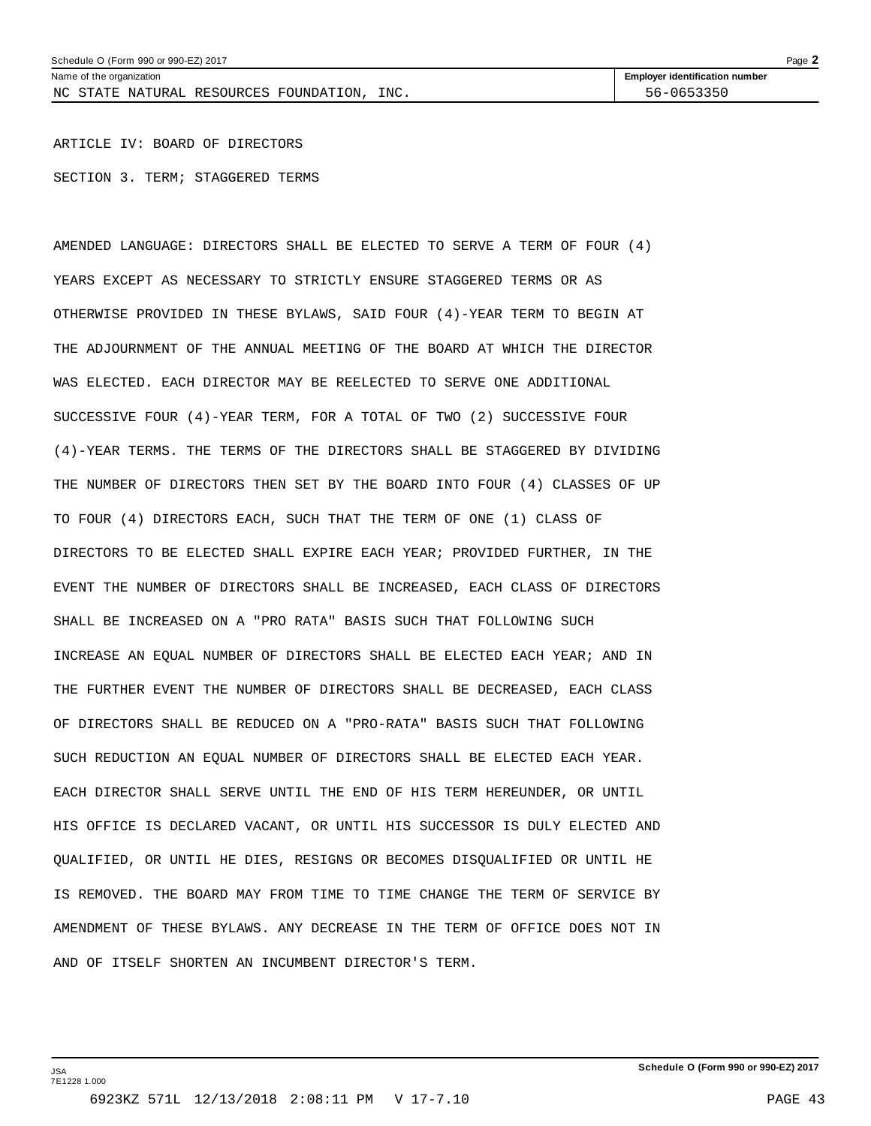| Schedule O (Form 990 or 990-EZ) 2017 | $P$ ade. |
|--------------------------------------|----------|
|--------------------------------------|----------|

NC STATE NATURAL RESOURCES FOUNDATION, INC.  $\vert$  56-0653350

Name of the organization **intervalse of the organization number intervalse of the organization number intervalse of the organization number** 

ARTICLE IV: BOARD OF DIRECTORS SECTION 3. TERM; STAGGERED TERMS

AMENDED LANGUAGE: DIRECTORS SHALL BE ELECTED TO SERVE A TERM OF FOUR (4) YEARS EXCEPT AS NECESSARY TO STRICTLY ENSURE STAGGERED TERMS OR AS OTHERWISE PROVIDED IN THESE BYLAWS, SAID FOUR (4)-YEAR TERM TO BEGIN AT THE ADJOURNMENT OF THE ANNUAL MEETING OF THE BOARD AT WHICH THE DIRECTOR WAS ELECTED. EACH DIRECTOR MAY BE REELECTED TO SERVE ONE ADDITIONAL SUCCESSIVE FOUR (4)-YEAR TERM, FOR A TOTAL OF TWO (2) SUCCESSIVE FOUR (4)-YEAR TERMS. THE TERMS OF THE DIRECTORS SHALL BE STAGGERED BY DIVIDING THE NUMBER OF DIRECTORS THEN SET BY THE BOARD INTO FOUR (4) CLASSES OF UP TO FOUR (4) DIRECTORS EACH, SUCH THAT THE TERM OF ONE (1) CLASS OF DIRECTORS TO BE ELECTED SHALL EXPIRE EACH YEAR; PROVIDED FURTHER, IN THE EVENT THE NUMBER OF DIRECTORS SHALL BE INCREASED, EACH CLASS OF DIRECTORS SHALL BE INCREASED ON A "PRO RATA" BASIS SUCH THAT FOLLOWING SUCH INCREASE AN EQUAL NUMBER OF DIRECTORS SHALL BE ELECTED EACH YEAR; AND IN THE FURTHER EVENT THE NUMBER OF DIRECTORS SHALL BE DECREASED, EACH CLASS OF DIRECTORS SHALL BE REDUCED ON A "PRO-RATA" BASIS SUCH THAT FOLLOWING SUCH REDUCTION AN EQUAL NUMBER OF DIRECTORS SHALL BE ELECTED EACH YEAR. EACH DIRECTOR SHALL SERVE UNTIL THE END OF HIS TERM HEREUNDER, OR UNTIL HIS OFFICE IS DECLARED VACANT, OR UNTIL HIS SUCCESSOR IS DULY ELECTED AND QUALIFIED, OR UNTIL HE DIES, RESIGNS OR BECOMES DISQUALIFIED OR UNTIL HE IS REMOVED. THE BOARD MAY FROM TIME TO TIME CHANGE THE TERM OF SERVICE BY AMENDMENT OF THESE BYLAWS. ANY DECREASE IN THE TERM OF OFFICE DOES NOT IN AND OF ITSELF SHORTEN AN INCUMBENT DIRECTOR'S TERM.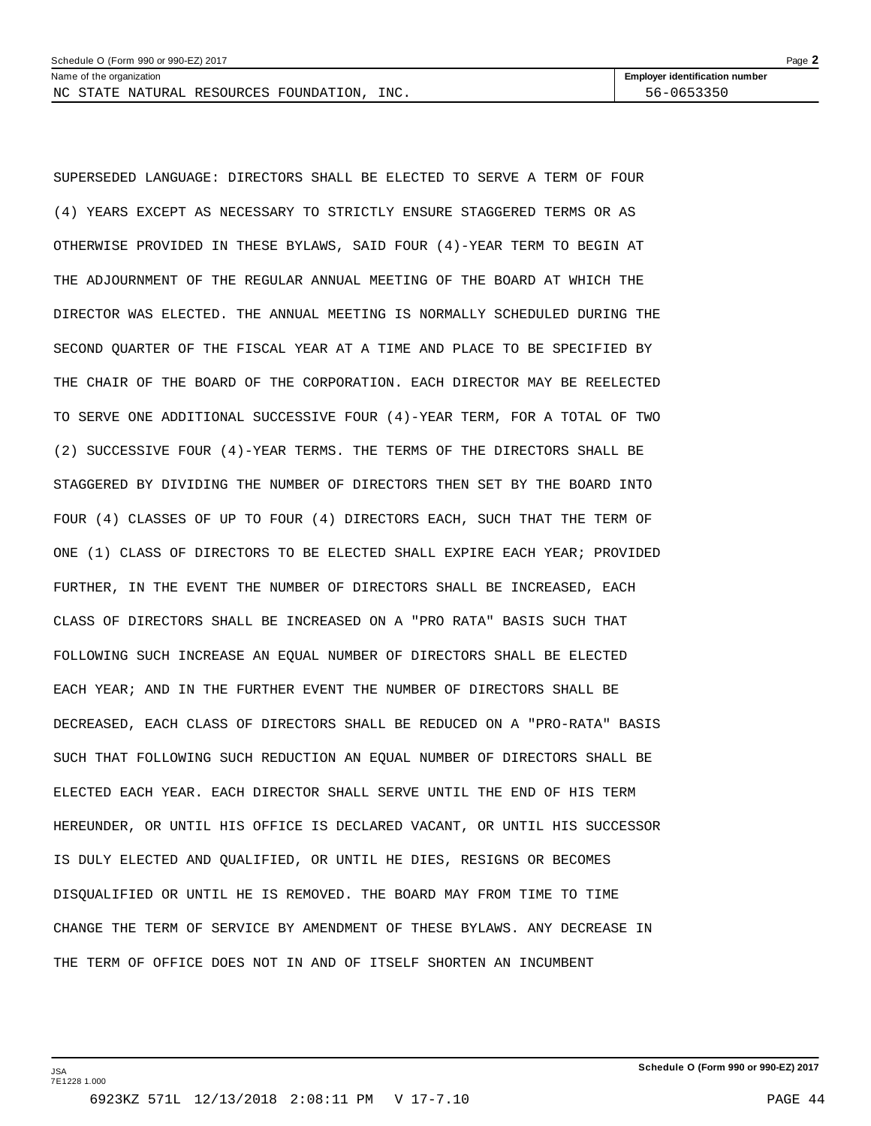| Schedule<br>.2011<br>$\sim$<br>╮⌒⌒<br>'−orm<br>$\cdots$<br>990-1<br>,,,,,,,<br>201 | $D_{200}$<br>יו ור |
|------------------------------------------------------------------------------------|--------------------|
|                                                                                    |                    |

NC STATE NATURAL RESOURCES FOUNDATION, INC.  $\vert$  56-0653350

Name of the organization **intervalsion Employer identification number Employer identification number** 

SUPERSEDED LANGUAGE: DIRECTORS SHALL BE ELECTED TO SERVE A TERM OF FOUR (4) YEARS EXCEPT AS NECESSARY TO STRICTLY ENSURE STAGGERED TERMS OR AS OTHERWISE PROVIDED IN THESE BYLAWS, SAID FOUR (4)-YEAR TERM TO BEGIN AT THE ADJOURNMENT OF THE REGULAR ANNUAL MEETING OF THE BOARD AT WHICH THE DIRECTOR WAS ELECTED. THE ANNUAL MEETING IS NORMALLY SCHEDULED DURING THE SECOND QUARTER OF THE FISCAL YEAR AT A TIME AND PLACE TO BE SPECIFIED BY THE CHAIR OF THE BOARD OF THE CORPORATION. EACH DIRECTOR MAY BE REELECTED TO SERVE ONE ADDITIONAL SUCCESSIVE FOUR (4)-YEAR TERM, FOR A TOTAL OF TWO (2) SUCCESSIVE FOUR (4)-YEAR TERMS. THE TERMS OF THE DIRECTORS SHALL BE STAGGERED BY DIVIDING THE NUMBER OF DIRECTORS THEN SET BY THE BOARD INTO FOUR (4) CLASSES OF UP TO FOUR (4) DIRECTORS EACH, SUCH THAT THE TERM OF ONE (1) CLASS OF DIRECTORS TO BE ELECTED SHALL EXPIRE EACH YEAR; PROVIDED FURTHER, IN THE EVENT THE NUMBER OF DIRECTORS SHALL BE INCREASED, EACH CLASS OF DIRECTORS SHALL BE INCREASED ON A "PRO RATA" BASIS SUCH THAT FOLLOWING SUCH INCREASE AN EQUAL NUMBER OF DIRECTORS SHALL BE ELECTED EACH YEAR; AND IN THE FURTHER EVENT THE NUMBER OF DIRECTORS SHALL BE DECREASED, EACH CLASS OF DIRECTORS SHALL BE REDUCED ON A "PRO-RATA" BASIS SUCH THAT FOLLOWING SUCH REDUCTION AN EQUAL NUMBER OF DIRECTORS SHALL BE ELECTED EACH YEAR. EACH DIRECTOR SHALL SERVE UNTIL THE END OF HIS TERM HEREUNDER, OR UNTIL HIS OFFICE IS DECLARED VACANT, OR UNTIL HIS SUCCESSOR IS DULY ELECTED AND QUALIFIED, OR UNTIL HE DIES, RESIGNS OR BECOMES DISQUALIFIED OR UNTIL HE IS REMOVED. THE BOARD MAY FROM TIME TO TIME CHANGE THE TERM OF SERVICE BY AMENDMENT OF THESE BYLAWS. ANY DECREASE IN THE TERM OF OFFICE DOES NOT IN AND OF ITSELF SHORTEN AN INCUMBENT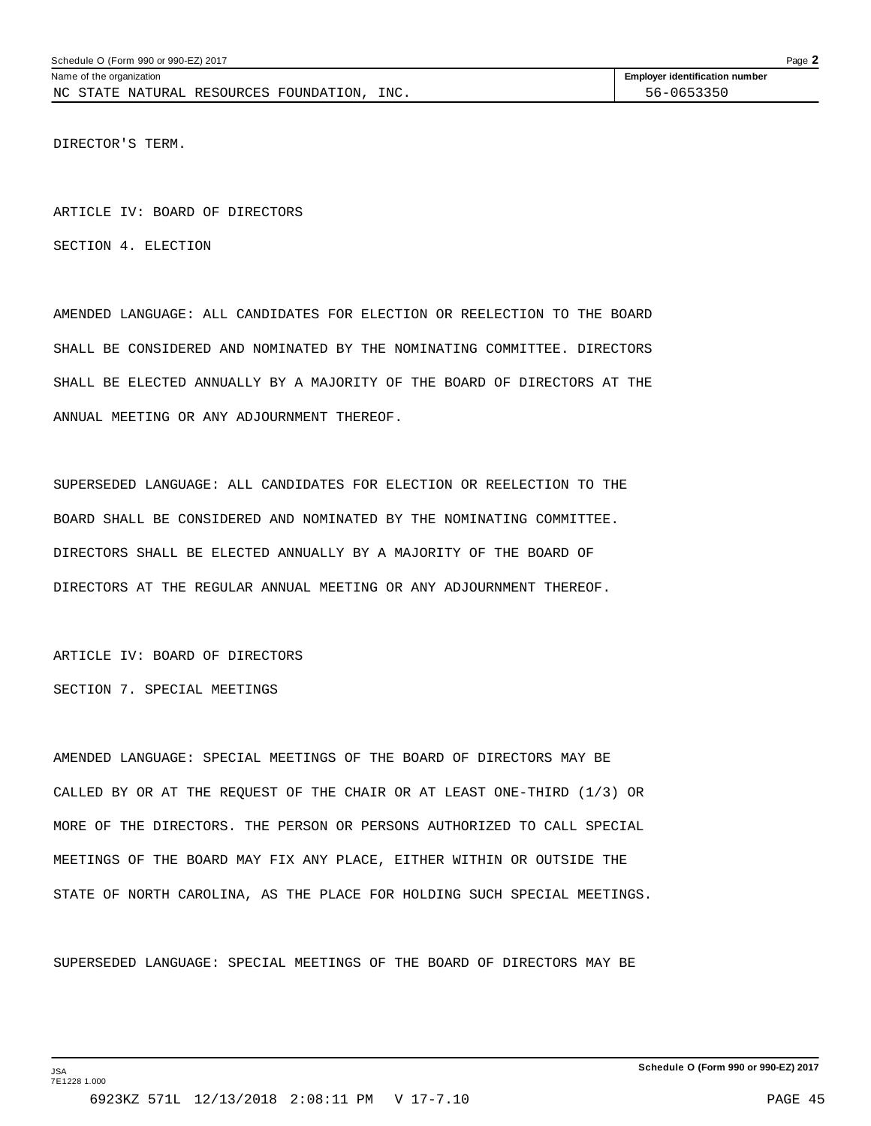NC STATE NATURAL RESOURCES FOUNDATION, INC.  $\vert$  56-0653350

DIRECTOR'S TERM.

ARTICLE IV: BOARD OF DIRECTORS

SECTION 4. ELECTION

AMENDED LANGUAGE: ALL CANDIDATES FOR ELECTION OR REELECTION TO THE BOARD SHALL BE CONSIDERED AND NOMINATED BY THE NOMINATING COMMITTEE. DIRECTORS SHALL BE ELECTED ANNUALLY BY A MAJORITY OF THE BOARD OF DIRECTORS AT THE ANNUAL MEETING OR ANY ADJOURNMENT THEREOF.

SUPERSEDED LANGUAGE: ALL CANDIDATES FOR ELECTION OR REELECTION TO THE BOARD SHALL BE CONSIDERED AND NOMINATED BY THE NOMINATING COMMITTEE. DIRECTORS SHALL BE ELECTED ANNUALLY BY A MAJORITY OF THE BOARD OF DIRECTORS AT THE REGULAR ANNUAL MEETING OR ANY ADJOURNMENT THEREOF.

ARTICLE IV: BOARD OF DIRECTORS SECTION 7. SPECIAL MEETINGS

AMENDED LANGUAGE: SPECIAL MEETINGS OF THE BOARD OF DIRECTORS MAY BE CALLED BY OR AT THE REQUEST OF THE CHAIR OR AT LEAST ONE-THIRD (1/3) OR MORE OF THE DIRECTORS. THE PERSON OR PERSONS AUTHORIZED TO CALL SPECIAL MEETINGS OF THE BOARD MAY FIX ANY PLACE, EITHER WITHIN OR OUTSIDE THE STATE OF NORTH CAROLINA, AS THE PLACE FOR HOLDING SUCH SPECIAL MEETINGS.

SUPERSEDED LANGUAGE: SPECIAL MEETINGS OF THE BOARD OF DIRECTORS MAY BE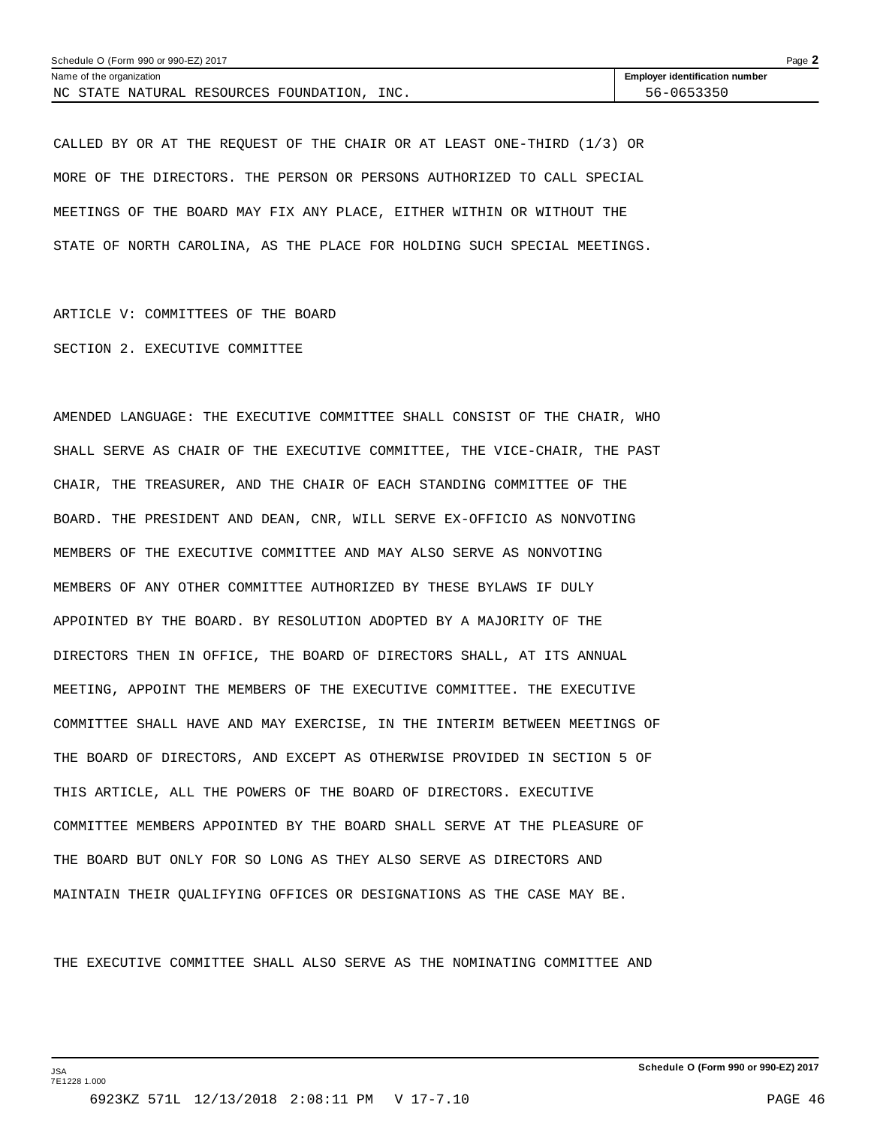| Schedule O (Form 990 or 990-EZ) 2017           |                                       | $P$ age $\blacktriangle$ |
|------------------------------------------------|---------------------------------------|--------------------------|
| Name of the organization                       | <b>Employer identification number</b> |                          |
| NC STATE NATURAL RESOURCES FOUNDATION.<br>INC. | 56-0653350                            |                          |

CALLED BY OR AT THE REQUEST OF THE CHAIR OR AT LEAST ONE-THIRD (1/3) OR MORE OF THE DIRECTORS. THE PERSON OR PERSONS AUTHORIZED TO CALL SPECIAL MEETINGS OF THE BOARD MAY FIX ANY PLACE, EITHER WITHIN OR WITHOUT THE STATE OF NORTH CAROLINA, AS THE PLACE FOR HOLDING SUCH SPECIAL MEETINGS.

ARTICLE V: COMMITTEES OF THE BOARD SECTION 2. EXECUTIVE COMMITTEE

AMENDED LANGUAGE: THE EXECUTIVE COMMITTEE SHALL CONSIST OF THE CHAIR, WHO SHALL SERVE AS CHAIR OF THE EXECUTIVE COMMITTEE, THE VICE-CHAIR, THE PAST CHAIR, THE TREASURER, AND THE CHAIR OF EACH STANDING COMMITTEE OF THE BOARD. THE PRESIDENT AND DEAN, CNR, WILL SERVE EX-OFFICIO AS NONVOTING MEMBERS OF THE EXECUTIVE COMMITTEE AND MAY ALSO SERVE AS NONVOTING MEMBERS OF ANY OTHER COMMITTEE AUTHORIZED BY THESE BYLAWS IF DULY APPOINTED BY THE BOARD. BY RESOLUTION ADOPTED BY A MAJORITY OF THE DIRECTORS THEN IN OFFICE, THE BOARD OF DIRECTORS SHALL, AT ITS ANNUAL MEETING, APPOINT THE MEMBERS OF THE EXECUTIVE COMMITTEE. THE EXECUTIVE COMMITTEE SHALL HAVE AND MAY EXERCISE, IN THE INTERIM BETWEEN MEETINGS OF THE BOARD OF DIRECTORS, AND EXCEPT AS OTHERWISE PROVIDED IN SECTION 5 OF THIS ARTICLE, ALL THE POWERS OF THE BOARD OF DIRECTORS. EXECUTIVE COMMITTEE MEMBERS APPOINTED BY THE BOARD SHALL SERVE AT THE PLEASURE OF THE BOARD BUT ONLY FOR SO LONG AS THEY ALSO SERVE AS DIRECTORS AND MAINTAIN THEIR QUALIFYING OFFICES OR DESIGNATIONS AS THE CASE MAY BE.

THE EXECUTIVE COMMITTEE SHALL ALSO SERVE AS THE NOMINATING COMMITTEE AND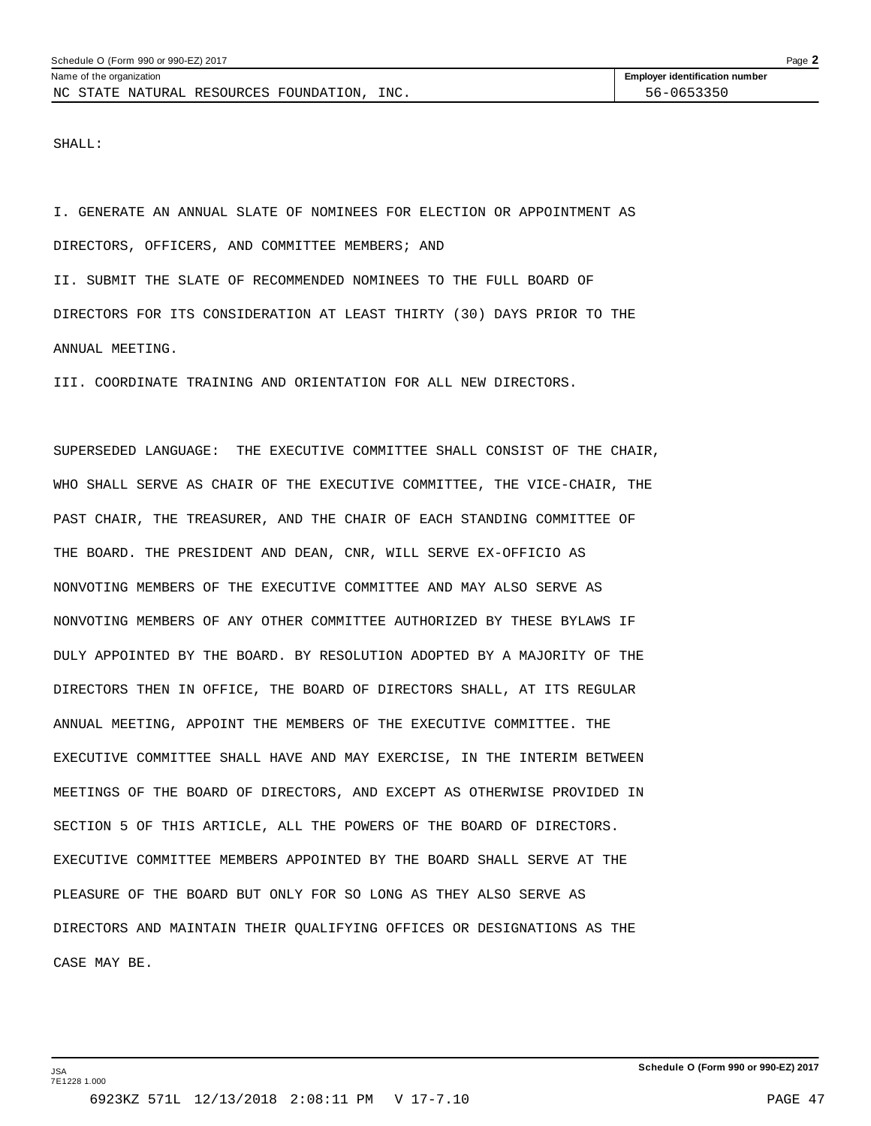SHALL:

I. GENERATE AN ANNUAL SLATE OF NOMINEES FOR ELECTION OR APPOINTMENT AS DIRECTORS, OFFICERS, AND COMMITTEE MEMBERS; AND II. SUBMIT THE SLATE OF RECOMMENDED NOMINEES TO THE FULL BOARD OF DIRECTORS FOR ITS CONSIDERATION AT LEAST THIRTY (30) DAYS PRIOR TO THE ANNUAL MEETING.

III. COORDINATE TRAINING AND ORIENTATION FOR ALL NEW DIRECTORS.

SUPERSEDED LANGUAGE: THE EXECUTIVE COMMITTEE SHALL CONSIST OF THE CHAIR, WHO SHALL SERVE AS CHAIR OF THE EXECUTIVE COMMITTEE, THE VICE-CHAIR, THE PAST CHAIR, THE TREASURER, AND THE CHAIR OF EACH STANDING COMMITTEE OF THE BOARD. THE PRESIDENT AND DEAN, CNR, WILL SERVE EX-OFFICIO AS NONVOTING MEMBERS OF THE EXECUTIVE COMMITTEE AND MAY ALSO SERVE AS NONVOTING MEMBERS OF ANY OTHER COMMITTEE AUTHORIZED BY THESE BYLAWS IF DULY APPOINTED BY THE BOARD. BY RESOLUTION ADOPTED BY A MAJORITY OF THE DIRECTORS THEN IN OFFICE, THE BOARD OF DIRECTORS SHALL, AT ITS REGULAR ANNUAL MEETING, APPOINT THE MEMBERS OF THE EXECUTIVE COMMITTEE. THE EXECUTIVE COMMITTEE SHALL HAVE AND MAY EXERCISE, IN THE INTERIM BETWEEN MEETINGS OF THE BOARD OF DIRECTORS, AND EXCEPT AS OTHERWISE PROVIDED IN SECTION 5 OF THIS ARTICLE, ALL THE POWERS OF THE BOARD OF DIRECTORS. EXECUTIVE COMMITTEE MEMBERS APPOINTED BY THE BOARD SHALL SERVE AT THE PLEASURE OF THE BOARD BUT ONLY FOR SO LONG AS THEY ALSO SERVE AS DIRECTORS AND MAINTAIN THEIR QUALIFYING OFFICES OR DESIGNATIONS AS THE CASE MAY BE.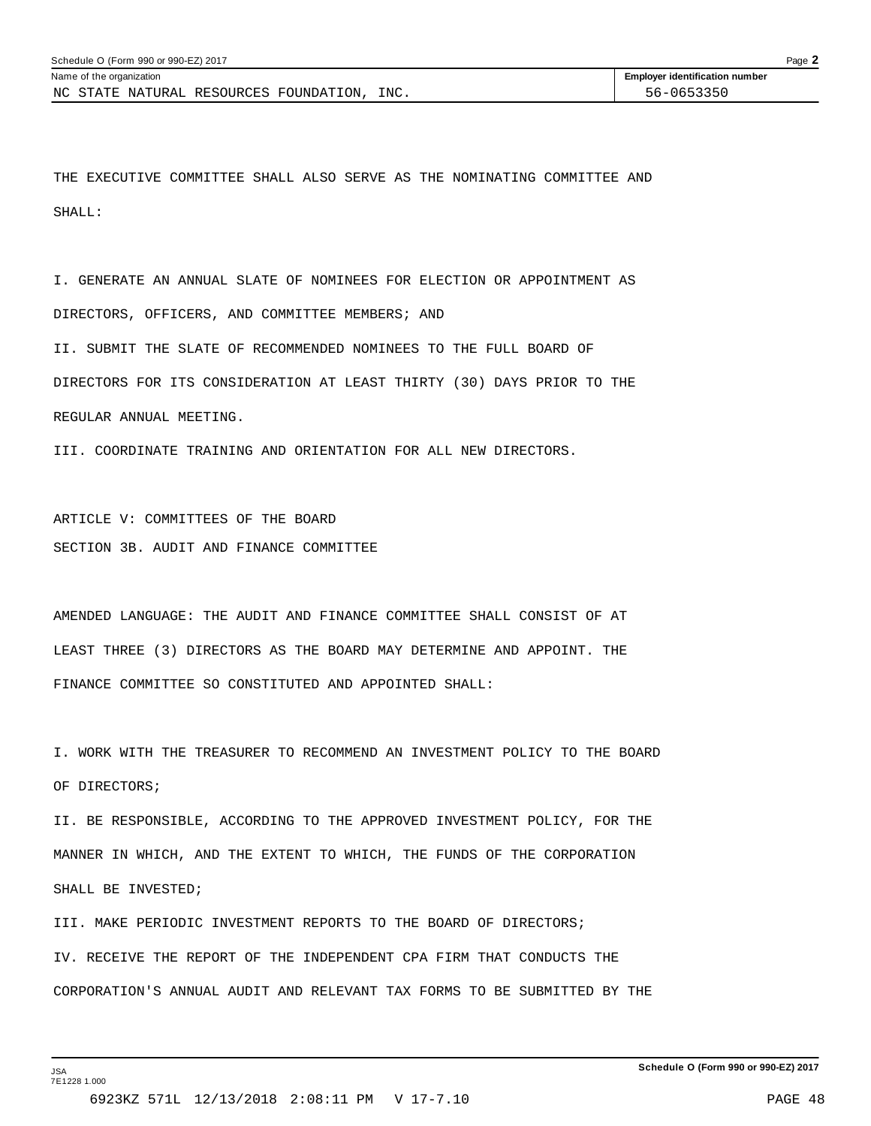THE EXECUTIVE COMMITTEE SHALL ALSO SERVE AS THE NOMINATING COMMITTEE AND SHALL:

I. GENERATE AN ANNUAL SLATE OF NOMINEES FOR ELECTION OR APPOINTMENT AS DIRECTORS, OFFICERS, AND COMMITTEE MEMBERS; AND II. SUBMIT THE SLATE OF RECOMMENDED NOMINEES TO THE FULL BOARD OF DIRECTORS FOR ITS CONSIDERATION AT LEAST THIRTY (30) DAYS PRIOR TO THE REGULAR ANNUAL MEETING.

III. COORDINATE TRAINING AND ORIENTATION FOR ALL NEW DIRECTORS.

ARTICLE V: COMMITTEES OF THE BOARD SECTION 3B. AUDIT AND FINANCE COMMITTEE

AMENDED LANGUAGE: THE AUDIT AND FINANCE COMMITTEE SHALL CONSIST OF AT LEAST THREE (3) DIRECTORS AS THE BOARD MAY DETERMINE AND APPOINT. THE FINANCE COMMITTEE SO CONSTITUTED AND APPOINTED SHALL:

I. WORK WITH THE TREASURER TO RECOMMEND AN INVESTMENT POLICY TO THE BOARD OF DIRECTORS;

II. BE RESPONSIBLE, ACCORDING TO THE APPROVED INVESTMENT POLICY, FOR THE MANNER IN WHICH, AND THE EXTENT TO WHICH, THE FUNDS OF THE CORPORATION SHALL BE INVESTED;

III. MAKE PERIODIC INVESTMENT REPORTS TO THE BOARD OF DIRECTORS; IV. RECEIVE THE REPORT OF THE INDEPENDENT CPA FIRM THAT CONDUCTS THE CORPORATION'S ANNUAL AUDIT AND RELEVANT TAX FORMS TO BE SUBMITTED BY THE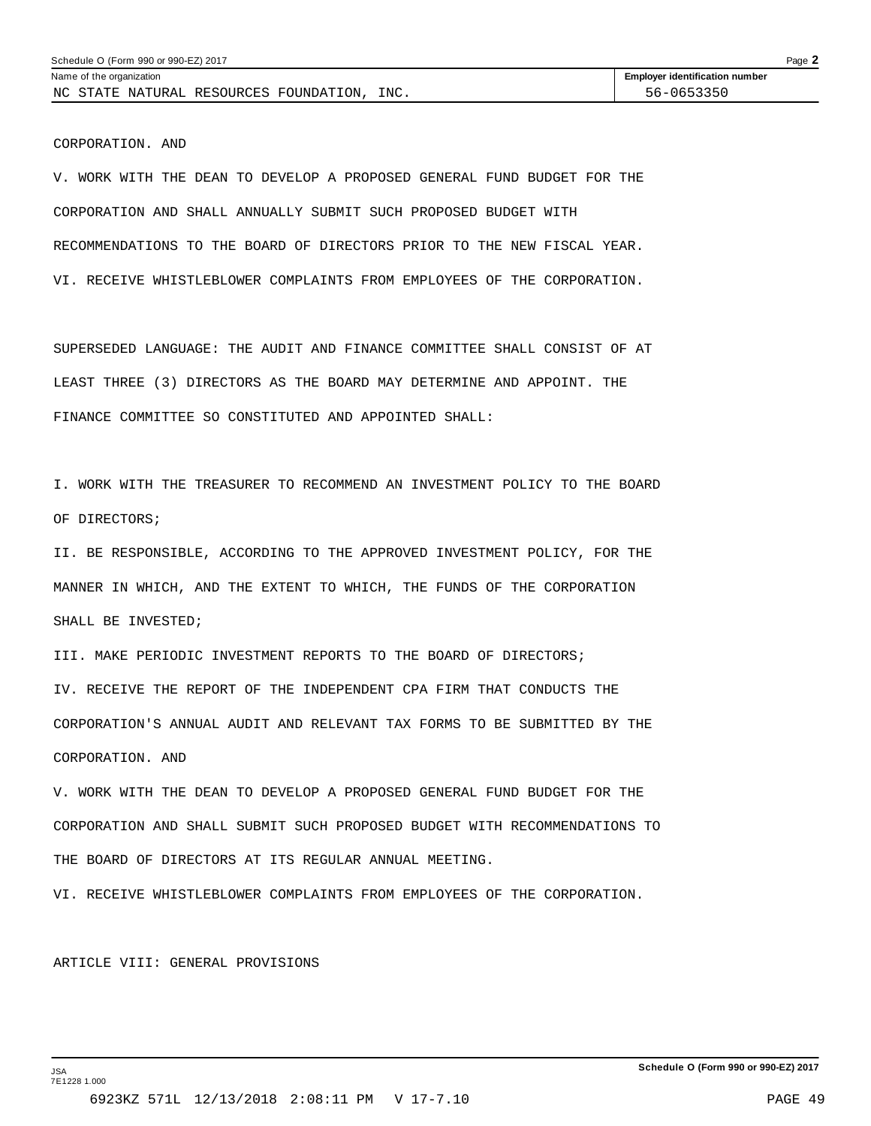CORPORATION. AND

V. WORK WITH THE DEAN TO DEVELOP A PROPOSED GENERAL FUND BUDGET FOR THE CORPORATION AND SHALL ANNUALLY SUBMIT SUCH PROPOSED BUDGET WITH RECOMMENDATIONS TO THE BOARD OF DIRECTORS PRIOR TO THE NEW FISCAL YEAR. VI. RECEIVE WHISTLEBLOWER COMPLAINTS FROM EMPLOYEES OF THE CORPORATION.

SUPERSEDED LANGUAGE: THE AUDIT AND FINANCE COMMITTEE SHALL CONSIST OF AT LEAST THREE (3) DIRECTORS AS THE BOARD MAY DETERMINE AND APPOINT. THE FINANCE COMMITTEE SO CONSTITUTED AND APPOINTED SHALL:

I. WORK WITH THE TREASURER TO RECOMMEND AN INVESTMENT POLICY TO THE BOARD OF DIRECTORS;

II. BE RESPONSIBLE, ACCORDING TO THE APPROVED INVESTMENT POLICY, FOR THE MANNER IN WHICH, AND THE EXTENT TO WHICH, THE FUNDS OF THE CORPORATION SHALL BE INVESTED;

III. MAKE PERIODIC INVESTMENT REPORTS TO THE BOARD OF DIRECTORS; IV. RECEIVE THE REPORT OF THE INDEPENDENT CPA FIRM THAT CONDUCTS THE CORPORATION'S ANNUAL AUDIT AND RELEVANT TAX FORMS TO BE SUBMITTED BY THE CORPORATION. AND

V. WORK WITH THE DEAN TO DEVELOP A PROPOSED GENERAL FUND BUDGET FOR THE CORPORATION AND SHALL SUBMIT SUCH PROPOSED BUDGET WITH RECOMMENDATIONS TO THE BOARD OF DIRECTORS AT ITS REGULAR ANNUAL MEETING.

VI. RECEIVE WHISTLEBLOWER COMPLAINTS FROM EMPLOYEES OF THE CORPORATION.

ARTICLE VIII: GENERAL PROVISIONS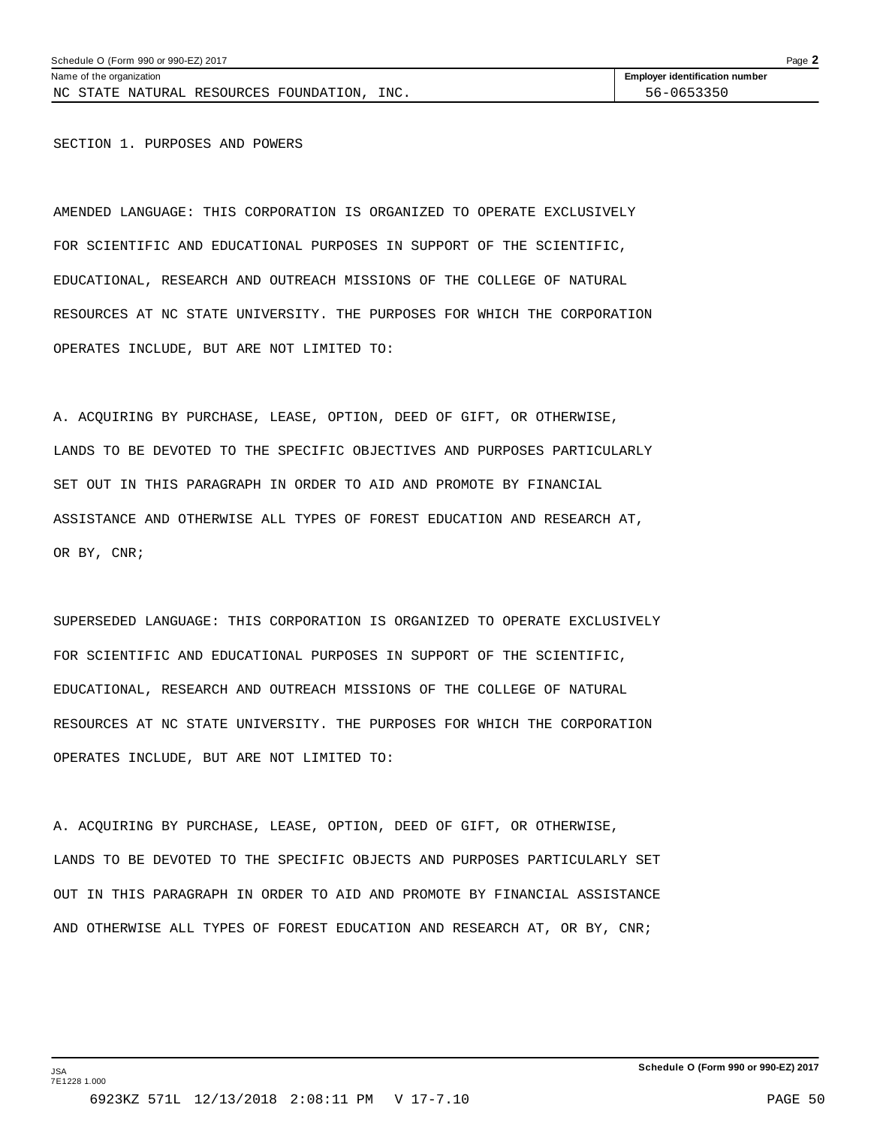SECTION 1. PURPOSES AND POWERS

AMENDED LANGUAGE: THIS CORPORATION IS ORGANIZED TO OPERATE EXCLUSIVELY FOR SCIENTIFIC AND EDUCATIONAL PURPOSES IN SUPPORT OF THE SCIENTIFIC, EDUCATIONAL, RESEARCH AND OUTREACH MISSIONS OF THE COLLEGE OF NATURAL RESOURCES AT NC STATE UNIVERSITY. THE PURPOSES FOR WHICH THE CORPORATION OPERATES INCLUDE, BUT ARE NOT LIMITED TO:

A. ACQUIRING BY PURCHASE, LEASE, OPTION, DEED OF GIFT, OR OTHERWISE, LANDS TO BE DEVOTED TO THE SPECIFIC OBJECTIVES AND PURPOSES PARTICULARLY SET OUT IN THIS PARAGRAPH IN ORDER TO AID AND PROMOTE BY FINANCIAL ASSISTANCE AND OTHERWISE ALL TYPES OF FOREST EDUCATION AND RESEARCH AT, OR BY, CNR;

SUPERSEDED LANGUAGE: THIS CORPORATION IS ORGANIZED TO OPERATE EXCLUSIVELY FOR SCIENTIFIC AND EDUCATIONAL PURPOSES IN SUPPORT OF THE SCIENTIFIC, EDUCATIONAL, RESEARCH AND OUTREACH MISSIONS OF THE COLLEGE OF NATURAL RESOURCES AT NC STATE UNIVERSITY. THE PURPOSES FOR WHICH THE CORPORATION OPERATES INCLUDE, BUT ARE NOT LIMITED TO:

A. ACQUIRING BY PURCHASE, LEASE, OPTION, DEED OF GIFT, OR OTHERWISE, LANDS TO BE DEVOTED TO THE SPECIFIC OBJECTS AND PURPOSES PARTICULARLY SET OUT IN THIS PARAGRAPH IN ORDER TO AID AND PROMOTE BY FINANCIAL ASSISTANCE AND OTHERWISE ALL TYPES OF FOREST EDUCATION AND RESEARCH AT, OR BY, CNR;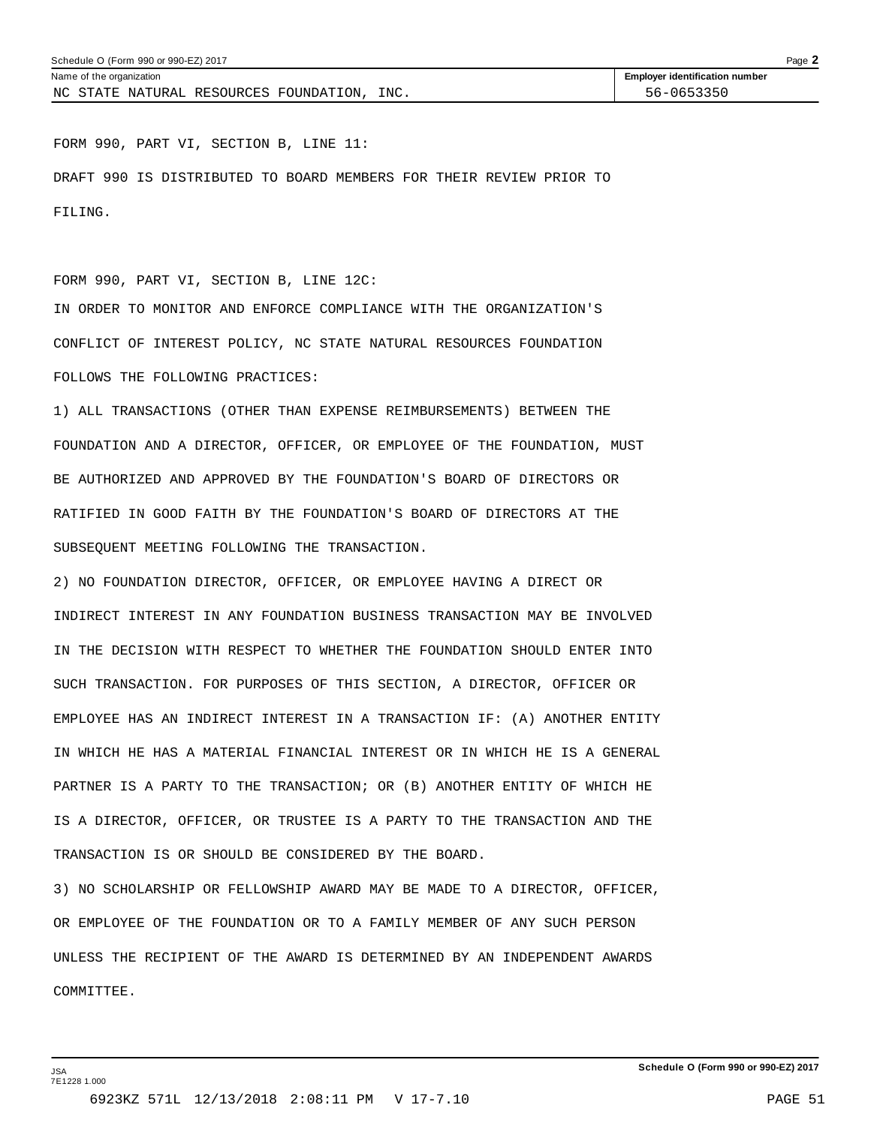FORM 990, PART VI, SECTION B, LINE 11: DRAFT 990 IS DISTRIBUTED TO BOARD MEMBERS FOR THEIR REVIEW PRIOR TO FILING.

FORM 990, PART VI, SECTION B, LINE 12C: IN ORDER TO MONITOR AND ENFORCE COMPLIANCE WITH THE ORGANIZATION'S CONFLICT OF INTEREST POLICY, NC STATE NATURAL RESOURCES FOUNDATION FOLLOWS THE FOLLOWING PRACTICES:

1) ALL TRANSACTIONS (OTHER THAN EXPENSE REIMBURSEMENTS) BETWEEN THE FOUNDATION AND A DIRECTOR, OFFICER, OR EMPLOYEE OF THE FOUNDATION, MUST BE AUTHORIZED AND APPROVED BY THE FOUNDATION'S BOARD OF DIRECTORS OR RATIFIED IN GOOD FAITH BY THE FOUNDATION'S BOARD OF DIRECTORS AT THE SUBSEQUENT MEETING FOLLOWING THE TRANSACTION.

2) NO FOUNDATION DIRECTOR, OFFICER, OR EMPLOYEE HAVING A DIRECT OR INDIRECT INTEREST IN ANY FOUNDATION BUSINESS TRANSACTION MAY BE INVOLVED IN THE DECISION WITH RESPECT TO WHETHER THE FOUNDATION SHOULD ENTER INTO SUCH TRANSACTION. FOR PURPOSES OF THIS SECTION, A DIRECTOR, OFFICER OR EMPLOYEE HAS AN INDIRECT INTEREST IN A TRANSACTION IF: (A) ANOTHER ENTITY IN WHICH HE HAS A MATERIAL FINANCIAL INTEREST OR IN WHICH HE IS A GENERAL PARTNER IS A PARTY TO THE TRANSACTION; OR (B) ANOTHER ENTITY OF WHICH HE IS A DIRECTOR, OFFICER, OR TRUSTEE IS A PARTY TO THE TRANSACTION AND THE TRANSACTION IS OR SHOULD BE CONSIDERED BY THE BOARD.

3) NO SCHOLARSHIP OR FELLOWSHIP AWARD MAY BE MADE TO A DIRECTOR, OFFICER, OR EMPLOYEE OF THE FOUNDATION OR TO A FAMILY MEMBER OF ANY SUCH PERSON UNLESS THE RECIPIENT OF THE AWARD IS DETERMINED BY AN INDEPENDENT AWARDS COMMITTEE.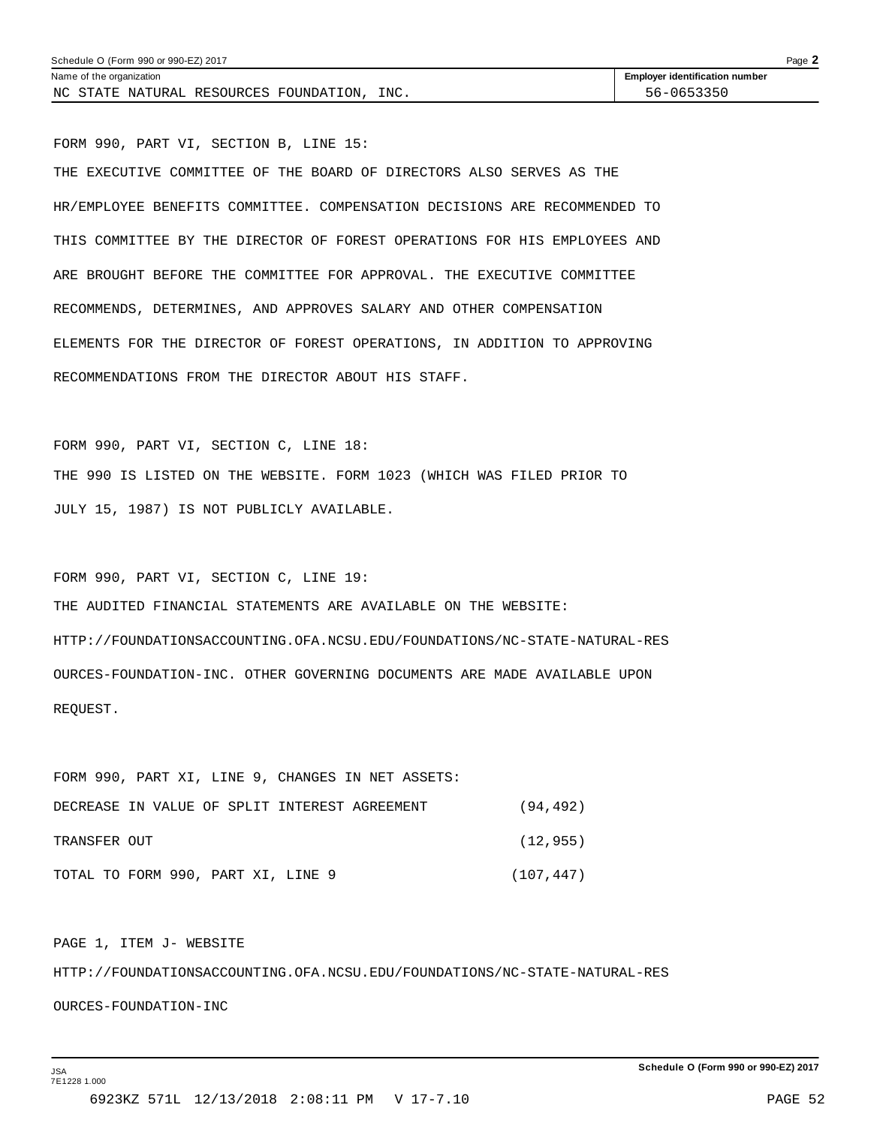| Schedule O (Form 990 or 990-EZ) 2017           | Page $\blacktriangle$                 |  |
|------------------------------------------------|---------------------------------------|--|
| Name of the organization                       | <b>Employer identification number</b> |  |
| NC STATE NATURAL RESOURCES FOUNDATION,<br>INC. | 56-0653350                            |  |

FORM 990, PART VI, SECTION B, LINE 15: THE EXECUTIVE COMMITTEE OF THE BOARD OF DIRECTORS ALSO SERVES AS THE HR/EMPLOYEE BENEFITS COMMITTEE. COMPENSATION DECISIONS ARE RECOMMENDED TO THIS COMMITTEE BY THE DIRECTOR OF FOREST OPERATIONS FOR HIS EMPLOYEES AND ARE BROUGHT BEFORE THE COMMITTEE FOR APPROVAL. THE EXECUTIVE COMMITTEE RECOMMENDS, DETERMINES, AND APPROVES SALARY AND OTHER COMPENSATION ELEMENTS FOR THE DIRECTOR OF FOREST OPERATIONS, IN ADDITION TO APPROVING RECOMMENDATIONS FROM THE DIRECTOR ABOUT HIS STAFF.

FORM 990, PART VI, SECTION C, LINE 18: THE 990 IS LISTED ON THE WEBSITE. FORM 1023 (WHICH WAS FILED PRIOR TO JULY 15, 1987) IS NOT PUBLICLY AVAILABLE.

FORM 990, PART VI, SECTION C, LINE 19: THE AUDITED FINANCIAL STATEMENTS ARE AVAILABLE ON THE WEBSITE: HTTP://FOUNDATIONSACCOUNTING.OFA.NCSU.EDU/FOUNDATIONS/NC-STATE-NATURAL-RES OURCES-FOUNDATION-INC. OTHER GOVERNING DOCUMENTS ARE MADE AVAILABLE UPON REQUEST.

|                                    | FORM 990, PART XI, LINE 9, CHANGES IN NET ASSETS: |            |
|------------------------------------|---------------------------------------------------|------------|
|                                    | DECREASE IN VALUE OF SPLIT INTEREST AGREEMENT     | (94, 492)  |
| TRANSFER OUT                       |                                                   | (12, 955)  |
| TOTAL TO FORM 990, PART XI, LINE 9 |                                                   | (107, 447) |

PAGE 1, ITEM J- WEBSITE

HTTP://FOUNDATIONSACCOUNTING.OFA.NCSU.EDU/FOUNDATIONS/NC-STATE-NATURAL-RES OURCES-FOUNDATION-INC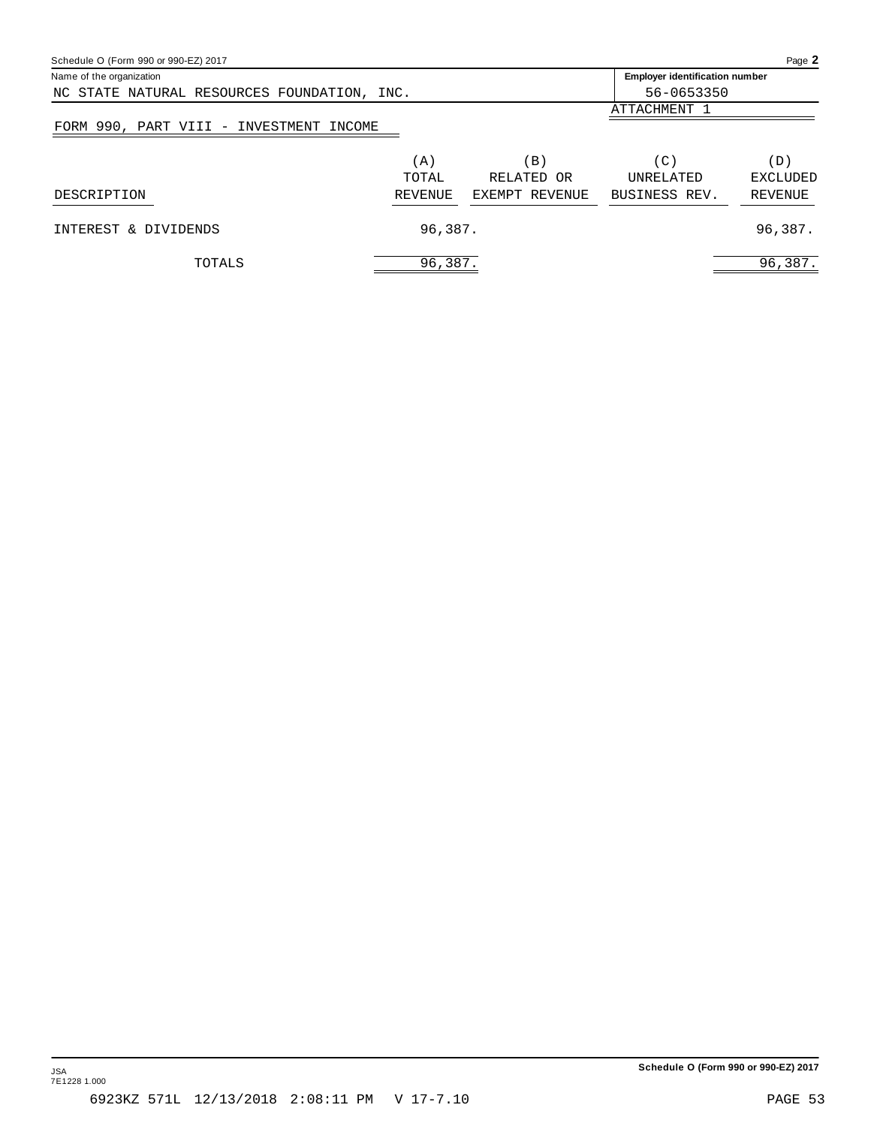<span id="page-53-0"></span>

| Schedule O (Form 990 or 990-EZ) 2017        |         |                |                                       | Page 2          |
|---------------------------------------------|---------|----------------|---------------------------------------|-----------------|
| Name of the organization                    |         |                | <b>Employer identification number</b> |                 |
| NC STATE NATURAL RESOURCES FOUNDATION, INC. |         |                | 56-0653350                            |                 |
|                                             |         |                | ATTACHMENT 1                          |                 |
| FORM 990, PART VIII - INVESTMENT INCOME     |         |                |                                       |                 |
|                                             | (A)     | $\mathsf{B}$   | (C)                                   | (D)             |
|                                             | TOTAL   | RELATED OR     | UNRELATED                             | <b>EXCLUDED</b> |
| DESCRIPTION                                 | REVENUE | EXEMPT REVENUE | BUSINESS REV.                         | REVENUE         |
| INTEREST & DIVIDENDS                        | 96,387. |                |                                       | 96,387.         |
| TOTALS                                      | 96,387. |                |                                       | 96,387.         |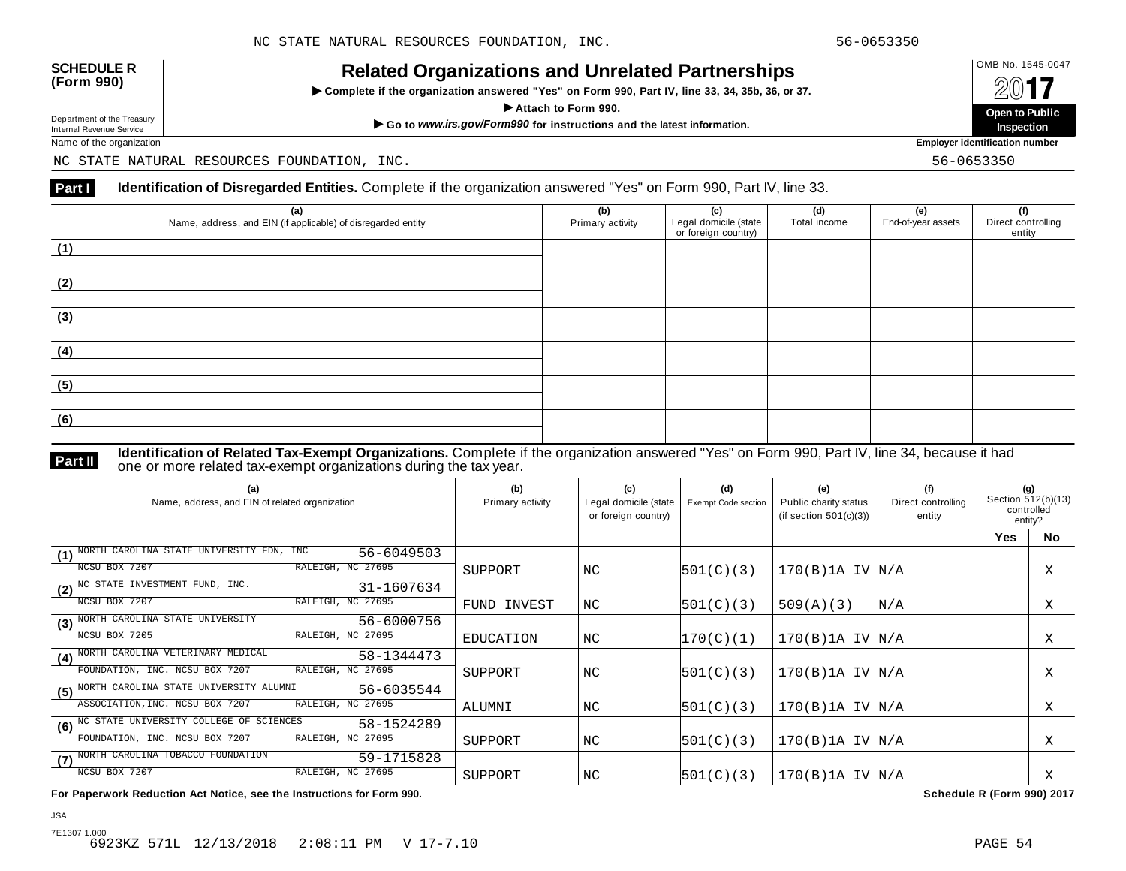|            | <b>SCHEDULE R</b> |
|------------|-------------------|
| (Form 990) |                   |

# OMB No. 1545-0047 **SCHEDULE R (Form 990) Related Organizations and Unrelated Partnerships**

 $\triangleright$  Complete if the organization answered "Yes" on Form 990, Part IV, line 33, 34, 35b, 36, or 37.



Department of the Treasury

NC STATE NATURAL RESOURCES FOUNDATION, INC. SALL AND SERVICE SERVICES AND LOCAL SERVICES SERVICES SERVICES SERVICES SERVICES SERVICES SERVICES SERVICES SERVICES SERVICES SERVICES SERVICES SERVICES SERVICES SERVICES SERVICE

#### **Part I** Identification of Disregarded Entities. Complete if the organization answered "Yes" on Form 990, Part IV, line 33.

| (a)<br>Name, address, and EIN (if applicable) of disregarded entity | (b)<br>Primary activity | (c)<br>Legal domicile (state<br>or foreign country) | (d)<br>Total income | (e)<br>End-of-year assets | (f)<br>Direct controlling<br>entity |
|---------------------------------------------------------------------|-------------------------|-----------------------------------------------------|---------------------|---------------------------|-------------------------------------|
| (1)                                                                 |                         |                                                     |                     |                           |                                     |
| (2)                                                                 |                         |                                                     |                     |                           |                                     |
| (3)                                                                 |                         |                                                     |                     |                           |                                     |
| (4)                                                                 |                         |                                                     |                     |                           |                                     |
| (5)                                                                 |                         |                                                     |                     |                           |                                     |
| (6)                                                                 |                         |                                                     |                     |                           |                                     |

**Identification of Related Tax-Exempt Organizations.** Complete if the organization answered "Yes" on Form 990, Part IV, line 34, because it had **Part II** one or more related tax-exempt organizations during the tax year.

| (a)<br>Name, address, and EIN of related organization       | (b)<br>Primary activity | (c)<br>Legal domicile (state<br>or foreign country) | (d)<br>Exempt Code section | (e)<br>Public charity status<br>(if section $501(c)(3)$ ) | (f)<br>Direct controlling<br>entity | (g)<br>Section 512(b)(13)<br>controlled<br>entity? |           |
|-------------------------------------------------------------|-------------------------|-----------------------------------------------------|----------------------------|-----------------------------------------------------------|-------------------------------------|----------------------------------------------------|-----------|
|                                                             |                         |                                                     |                            |                                                           |                                     | <b>Yes</b>                                         | <b>No</b> |
| (1) NORTH CAROLINA STATE UNIVERSITY FDN, INC<br>56-6049503  |                         |                                                     |                            |                                                           |                                     |                                                    |           |
| RALEIGH, NC 27695<br>NCSU BOX 7207                          | SUPPORT                 | NC                                                  | 501(C)(3)                  | $170(B)$ 1A IV $N/A$                                      |                                     |                                                    | Χ         |
| (2) <sup>NC</sup> STATE INVESTMENT FUND, INC.<br>31-1607634 |                         |                                                     |                            |                                                           |                                     |                                                    |           |
| RALEIGH, NC 27695<br>NCSU BOX 7207                          | FUND INVEST             | ΝC                                                  | 501(C)(3)                  | 509(A)(3)                                                 | N/A                                 |                                                    | Χ         |
| (3) NORTH CAROLINA STATE UNIVERSITY<br>56-6000756           |                         |                                                     |                            |                                                           |                                     |                                                    |           |
| RALEIGH, NC 27695<br>NCSU BOX 7205                          | EDUCATION               | NC                                                  | 170(C)(1)                  | $170(B)$ 1A IV $ N/A$                                     |                                     |                                                    | Χ         |
| NORTH CAROLINA VETERINARY MEDICAL<br>58-1344473<br>(4)      |                         |                                                     |                            |                                                           |                                     |                                                    |           |
| FOUNDATION, INC. NCSU BOX 7207<br>RALEIGH, NC 27695         | SUPPORT                 | ΝC                                                  | 501(C)(3)                  | $170(B)$ 1A IV $N/A$                                      |                                     |                                                    | Χ         |
| NORTH CAROLINA STATE UNIVERSITY ALUMNI<br>56-6035544<br>(5) |                         |                                                     |                            |                                                           |                                     |                                                    |           |
| ASSOCIATION, INC. NCSU BOX 7207<br>RALEIGH, NC 27695        | ALUMNI                  | NC                                                  | 501(C)(3)                  | $170(B)$ 1A IV $ N/A$                                     |                                     |                                                    | X         |
| (6) NC STATE UNIVERSITY COLLEGE OF SCIENCES<br>58-1524289   |                         |                                                     |                            |                                                           |                                     |                                                    |           |
| RALEIGH, NC 27695<br>FOUNDATION, INC. NCSU BOX 7207         | SUPPORT                 | NC.                                                 | 501(C)(3)                  | $170(B)$ 1A IV $N/A$                                      |                                     |                                                    | Χ         |
| (7) NORTH CAROLINA TOBACCO FOUNDATION<br>59-1715828         |                         |                                                     |                            |                                                           |                                     |                                                    |           |
| NCSU BOX 7207<br>RALEIGH, NC 27695                          | SUPPORT                 | NC.                                                 | 501(C)(3)                  | $170(B)$ 1A IV $ N/A$                                     |                                     |                                                    | Χ         |

**For Paperwork Reduction Act Notice, see the Instructions for Form 990. Schedule R (Form 990) 2017**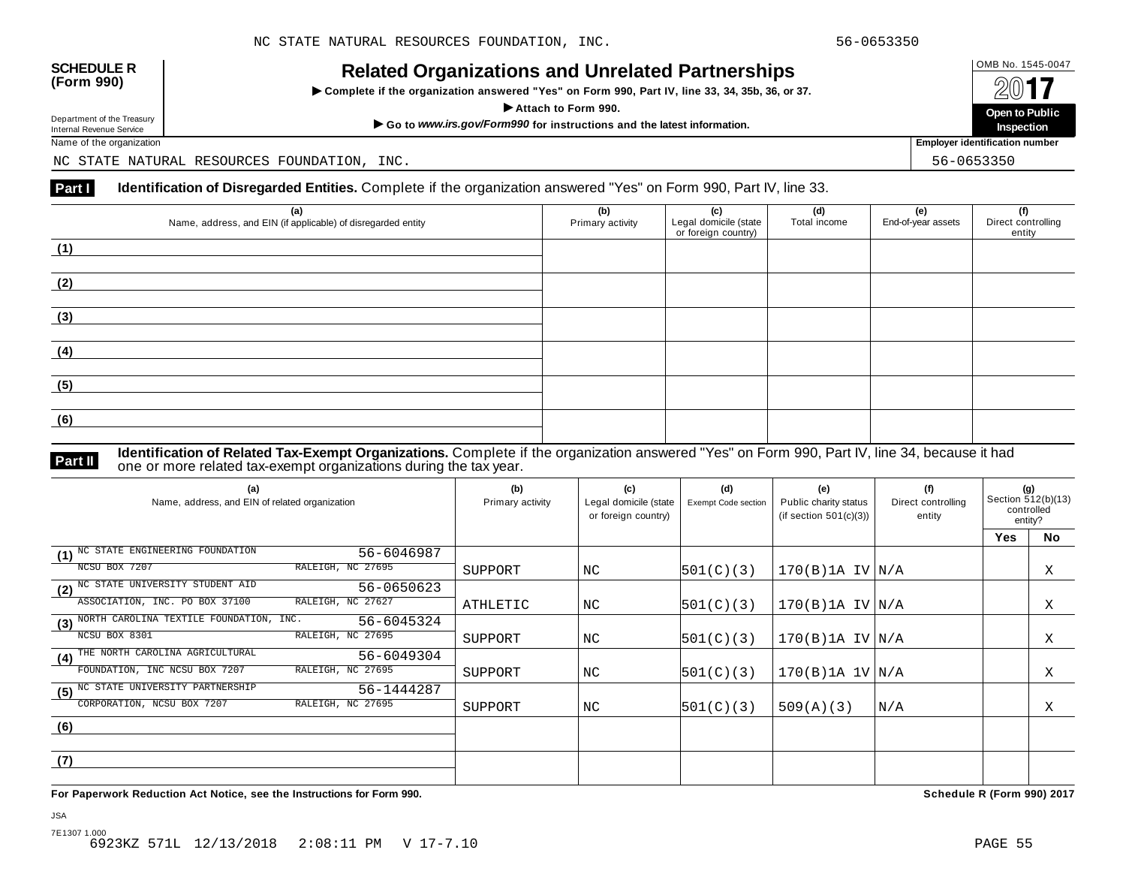|            | <b>SCHEDULE R</b> |
|------------|-------------------|
| (Form 990) |                   |

# OMB No. 1545-0047 **SCHEDULE R (Form 990) Related Organizations and Unrelated Partnerships**

 $\triangleright$  Complete if the organization answered "Yes" on Form 990, Part IV, line 33, 34, 35b, 36, or 37.



Department of the Treasury

NC STATE NATURAL RESOURCES FOUNDATION, INC. SALL AND SERVICE SERVICES AND LOCAL SERVICES SERVICES SERVICES SERVICES SERVICES SERVICES SERVICES SERVICES SERVICES SERVICES SERVICES SERVICES SERVICES SERVICES SERVICES SERVICE

#### **Part I** Identification of Disregarded Entities. Complete if the organization answered "Yes" on Form 990, Part IV, line 33.

| (a)<br>Name, address, and EIN (if applicable) of disregarded entity | (b)<br>Primary activity | (c)<br>Legal domicile (state<br>or foreign country) | (d)<br>Total income | (e)<br>End-of-year assets | (f)<br>Direct controlling<br>entity |
|---------------------------------------------------------------------|-------------------------|-----------------------------------------------------|---------------------|---------------------------|-------------------------------------|
| (1)                                                                 |                         |                                                     |                     |                           |                                     |
| (2)                                                                 |                         |                                                     |                     |                           |                                     |
| (3)                                                                 |                         |                                                     |                     |                           |                                     |
| (4)                                                                 |                         |                                                     |                     |                           |                                     |
| (5)                                                                 |                         |                                                     |                     |                           |                                     |
| (6)                                                                 |                         |                                                     |                     |                           |                                     |

JSA

**Identification of Related Tax-Exempt Organizations.** Complete if the organization answered "Yes" on Form 990, Part IV, line 34, because it had **Part II** one or more related tax-exempt organizations during the tax year.

| (a)<br>Name, address, and EIN of related organization        | (b)<br>Primary activity | (c)<br>Legal domicile (state<br>or foreign country) | (d)<br>Exempt Code section | (e)<br>Public charity status<br>(if section $501(c)(3)$ ) | (f)<br>Direct controlling<br>entity | (g)<br>Section 512(b)(13)<br>controlled<br>entity? |           |
|--------------------------------------------------------------|-------------------------|-----------------------------------------------------|----------------------------|-----------------------------------------------------------|-------------------------------------|----------------------------------------------------|-----------|
|                                                              |                         |                                                     |                            |                                                           |                                     | <b>Yes</b>                                         | <b>No</b> |
| NC STATE ENGINEERING FOUNDATION<br>56-6046987<br>(1)         |                         |                                                     |                            |                                                           |                                     |                                                    |           |
| NCSU BOX 7207<br>RALEIGH, NC 27695                           | SUPPORT                 | NC.                                                 | 501(C)(3)                  | $170(B)$ 1A IV $N/A$                                      |                                     |                                                    | X         |
| (2) <sup>NC</sup> STATE UNIVERSITY STUDENT AID<br>56-0650623 |                         |                                                     |                            |                                                           |                                     |                                                    |           |
| RALEIGH, NC 27627<br>ASSOCIATION, INC. PO BOX 37100          | ATHLETIC                | NC.                                                 | 501(C)(3)                  | $170(B)$ 1A IV $ N/A$                                     |                                     |                                                    | Χ         |
| NORTH CAROLINA TEXTILE FOUNDATION, INC.<br>56-6045324<br>(3) |                         |                                                     |                            |                                                           |                                     |                                                    |           |
| NCSU BOX 8301<br>RALEIGH, NC 27695                           | SUPPORT                 | NC                                                  | 501(C)(3)                  | $170(B)$ 1A IV $N/A$                                      |                                     |                                                    | Χ         |
| THE NORTH CAROLINA AGRICULTURAL<br>56-6049304<br>(4)         |                         |                                                     |                            |                                                           |                                     |                                                    |           |
| FOUNDATION, INC NCSU BOX 7207<br>RALEIGH, NC 27695           | SUPPORT                 | NC                                                  | 501(C)(3)                  | $170(B)$ 1A $1V$ $N/A$                                    |                                     |                                                    | X         |
| (5) <sup>NC</sup> STATE UNIVERSITY PARTNERSHIP<br>56-1444287 |                         |                                                     |                            |                                                           |                                     |                                                    |           |
| RALEIGH, NC 27695<br>CORPORATION, NCSU BOX 7207              | SUPPORT                 | NC.                                                 | 501(C)(3)                  | 509(A)(3)                                                 | N/A                                 |                                                    | Χ         |
| (6)                                                          |                         |                                                     |                            |                                                           |                                     |                                                    |           |
|                                                              |                         |                                                     |                            |                                                           |                                     |                                                    |           |
| (7)                                                          |                         |                                                     |                            |                                                           |                                     |                                                    |           |
|                                                              |                         |                                                     |                            |                                                           |                                     |                                                    |           |

**For Paperwork Reduction Act Notice, see the Instructions for Form 990. Schedule R (Form 990) 2017**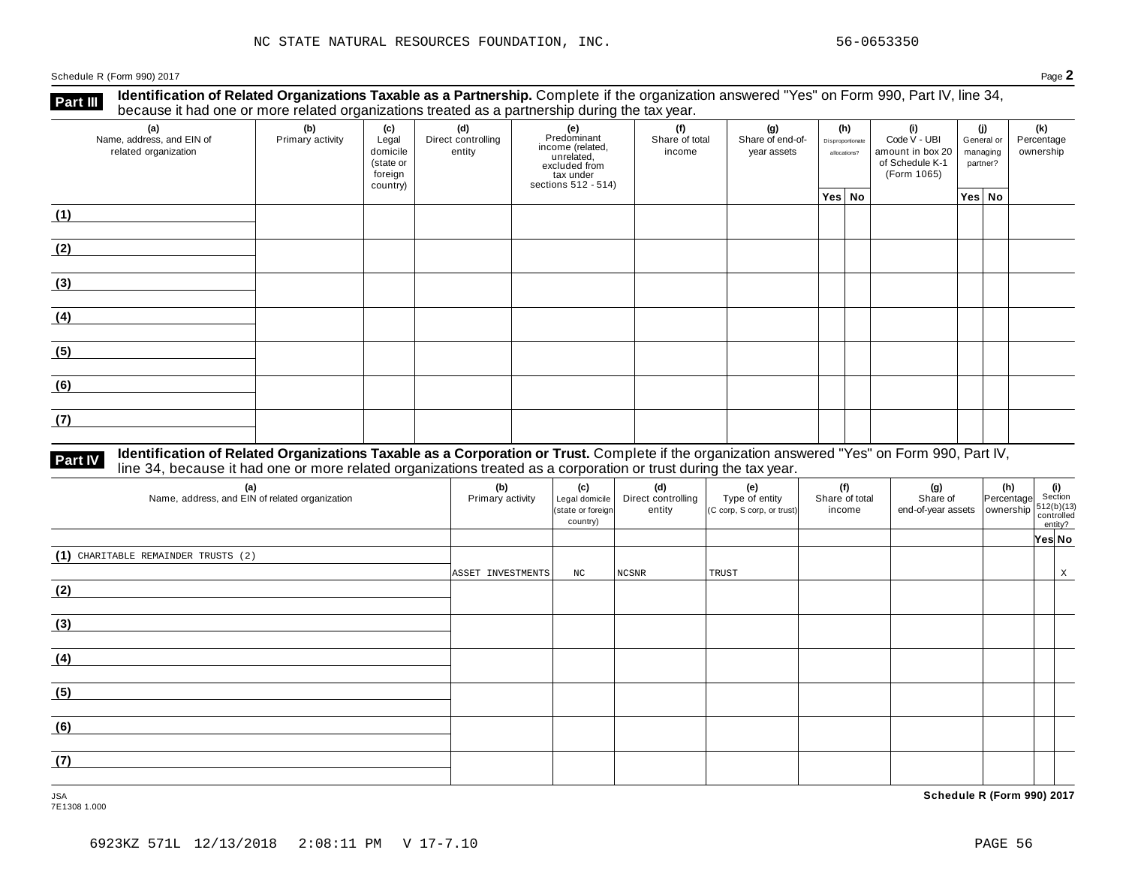Schedule <sup>R</sup> (Form 990) <sup>2017</sup> Page **2**

**Identification of Related Organizations Taxable as a Partnership.** Complete if the organization answered "Yes" on Form 990, Part IV, line 34, **because it had one or more related organizations Taxable as a Partnership.** Complete if the organization of Related organizations treated as a partnership during the tax year.

| (a)<br>Name, address, and EIN of<br>related organization | ັ<br>(b)<br>Primary activity | (c)<br>Legal<br>domicile<br>(state or<br>foreign<br>country) | .<br>(d)<br>Direct controlling<br>entity | ັ<br>(e)<br>Predominant<br>Frecomman<br>income (related,<br>unrelated,<br>sccluded from<br>sections 512 - 514) | (f)<br>Share of total<br>income | (g)<br>Share of end-of-<br>year assets | (h)<br>Disproportionate<br>allocations? | (i)<br>Code V - UBI<br>amount in box 20<br>of Schedule K-1<br>(Form 1065) | (j)<br>General or<br>managing<br>partner? | (k)<br>Percentage<br>ownership |
|----------------------------------------------------------|------------------------------|--------------------------------------------------------------|------------------------------------------|----------------------------------------------------------------------------------------------------------------|---------------------------------|----------------------------------------|-----------------------------------------|---------------------------------------------------------------------------|-------------------------------------------|--------------------------------|
|                                                          |                              |                                                              |                                          |                                                                                                                |                                 |                                        | Yes No                                  |                                                                           | Yes No                                    |                                |
| (1)                                                      |                              |                                                              |                                          |                                                                                                                |                                 |                                        |                                         |                                                                           |                                           |                                |
| (2)                                                      |                              |                                                              |                                          |                                                                                                                |                                 |                                        |                                         |                                                                           |                                           |                                |
| (3)                                                      |                              |                                                              |                                          |                                                                                                                |                                 |                                        |                                         |                                                                           |                                           |                                |
| (4)                                                      |                              |                                                              |                                          |                                                                                                                |                                 |                                        |                                         |                                                                           |                                           |                                |
| (5)                                                      |                              |                                                              |                                          |                                                                                                                |                                 |                                        |                                         |                                                                           |                                           |                                |
| (6)                                                      |                              |                                                              |                                          |                                                                                                                |                                 |                                        |                                         |                                                                           |                                           |                                |
| (7)                                                      |                              |                                                              |                                          |                                                                                                                |                                 |                                        |                                         |                                                                           |                                           |                                |

# **Part IV** Identification of Related Organizations Taxable as a Corporation or Trust. Complete if the organization answered "Yes" on Form 990, Part IV,<br>line 34, because it had one or more related organizations treated as a

| (a)<br>Name, address, and EIN of related organization | (b)<br>Primary activity | (c)<br>Legal domicile<br>(state or foreign<br>country) | (d)<br>Direct controlling<br>entity | (e)<br>Type of entity<br>(C corp, S corp, or trust) | (f)<br>Share of total<br>income | (g)<br>Share of<br>$\left  \begin{array}{c} \text{or} \\ \text{end-of-year assets} \end{array} \right  \left  \begin{array}{c} \text{or} \\ \text{comresponded} \end{array} \right  \left  \begin{array}{c} 512(b)(13) \\ \text{controlled} \end{array} \right $ | (h) (i)<br>Percentage Section | entity? |
|-------------------------------------------------------|-------------------------|--------------------------------------------------------|-------------------------------------|-----------------------------------------------------|---------------------------------|------------------------------------------------------------------------------------------------------------------------------------------------------------------------------------------------------------------------------------------------------------------|-------------------------------|---------|
|                                                       |                         |                                                        |                                     |                                                     |                                 |                                                                                                                                                                                                                                                                  |                               | Yes No  |
| (1) CHARITABLE REMAINDER TRUSTS (2)                   | ASSET INVESTMENTS       | $_{\mathrm{NC}}$                                       | NCSNR                               | TRUST                                               |                                 |                                                                                                                                                                                                                                                                  |                               | X       |
| (2)                                                   |                         |                                                        |                                     |                                                     |                                 |                                                                                                                                                                                                                                                                  |                               |         |
| (3)                                                   |                         |                                                        |                                     |                                                     |                                 |                                                                                                                                                                                                                                                                  |                               |         |
| (4)                                                   |                         |                                                        |                                     |                                                     |                                 |                                                                                                                                                                                                                                                                  |                               |         |
| (5)                                                   |                         |                                                        |                                     |                                                     |                                 |                                                                                                                                                                                                                                                                  |                               |         |
| (6)                                                   |                         |                                                        |                                     |                                                     |                                 |                                                                                                                                                                                                                                                                  |                               |         |
| (7)                                                   |                         |                                                        |                                     |                                                     |                                 |                                                                                                                                                                                                                                                                  |                               |         |

7E1308 1.000

JSA **Schedule R (Form 990) 2017**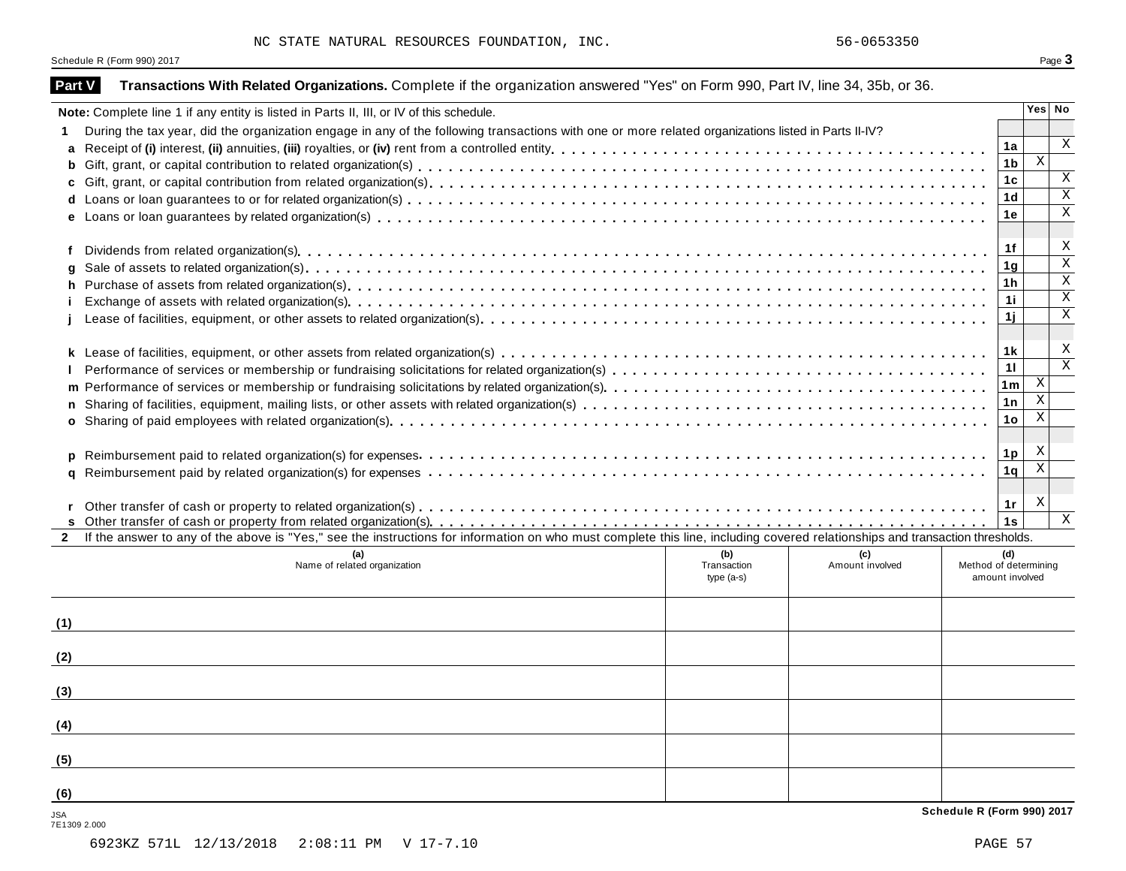Schedule R (Form 990) 2017 Page 3

| Part V       | Transactions With Related Organizations. Complete if the organization answered "Yes" on Form 990, Part IV, line 34, 35b, or 36.                                              |                                    |                            |                        |                           |                         |  |
|--------------|------------------------------------------------------------------------------------------------------------------------------------------------------------------------------|------------------------------------|----------------------------|------------------------|---------------------------|-------------------------|--|
|              | Note: Complete line 1 if any entity is listed in Parts II, III, or IV of this schedule.                                                                                      |                                    |                            |                        | Yes No                    |                         |  |
|              | During the tax year, did the organization engage in any of the following transactions with one or more related organizations listed in Parts II-IV?                          |                                    |                            |                        |                           |                         |  |
| a            |                                                                                                                                                                              |                                    |                            | 1a                     |                           | X                       |  |
| b            |                                                                                                                                                                              |                                    |                            | 1 <sub>b</sub>         | $\boldsymbol{\mathrm{X}}$ |                         |  |
|              |                                                                                                                                                                              |                                    |                            | 1c                     |                           | X<br>$\mathbf X$        |  |
| d            | 1 <sub>d</sub>                                                                                                                                                               |                                    |                            |                        |                           |                         |  |
|              |                                                                                                                                                                              |                                    |                            | 1e                     |                           | $\mathbf X$             |  |
| f            |                                                                                                                                                                              |                                    |                            | 1f                     |                           | X                       |  |
|              |                                                                                                                                                                              |                                    |                            | 1 <sub>g</sub>         |                           | $\overline{\mathbf{x}}$ |  |
| h.           |                                                                                                                                                                              |                                    |                            | 1 <sub>h</sub>         |                           | $\mathbf X$             |  |
|              |                                                                                                                                                                              |                                    |                            | 11                     |                           | $\overline{\mathbf{x}}$ |  |
|              |                                                                                                                                                                              |                                    |                            | 1j                     |                           | $\mathbf X$             |  |
|              | 1 k                                                                                                                                                                          |                                    |                            |                        |                           |                         |  |
|              |                                                                                                                                                                              |                                    |                            | 11                     | $\,$ X                    | $\overline{\mathbf{x}}$ |  |
| m            | 1 <sub>m</sub>                                                                                                                                                               |                                    |                            |                        |                           |                         |  |
|              | 1 n                                                                                                                                                                          |                                    |                            |                        |                           |                         |  |
|              | 1o                                                                                                                                                                           |                                    |                            |                        |                           |                         |  |
| D            |                                                                                                                                                                              |                                    |                            | 1p                     | X                         |                         |  |
| α            |                                                                                                                                                                              |                                    |                            | 1q                     | X                         |                         |  |
|              |                                                                                                                                                                              |                                    |                            | 1r<br>1s               | $\boldsymbol{\mathrm{X}}$ | $\mathbf{X}$            |  |
| $\mathbf{2}$ | If the answer to any of the above is "Yes," see the instructions for information on who must complete this line, including covered relationships and transaction thresholds. |                                    |                            |                        |                           |                         |  |
|              | Name of related organization                                                                                                                                                 | (b)<br>Transaction<br>type $(a-s)$ | (c)<br>Amount involved     | (d)<br>amount involved | Method of determining     |                         |  |
| (1)          |                                                                                                                                                                              |                                    |                            |                        |                           |                         |  |
| (2)          |                                                                                                                                                                              |                                    |                            |                        |                           |                         |  |
| (3)          |                                                                                                                                                                              |                                    |                            |                        |                           |                         |  |
| (4)          |                                                                                                                                                                              |                                    |                            |                        |                           |                         |  |
| (5)          |                                                                                                                                                                              |                                    |                            |                        |                           |                         |  |
|              |                                                                                                                                                                              |                                    |                            |                        |                           |                         |  |
| (6)          |                                                                                                                                                                              |                                    | Schedule R (Form 990) 2017 |                        |                           |                         |  |
| <b>JSA</b>   |                                                                                                                                                                              |                                    |                            |                        |                           |                         |  |

JSA<br>7E1309 2.000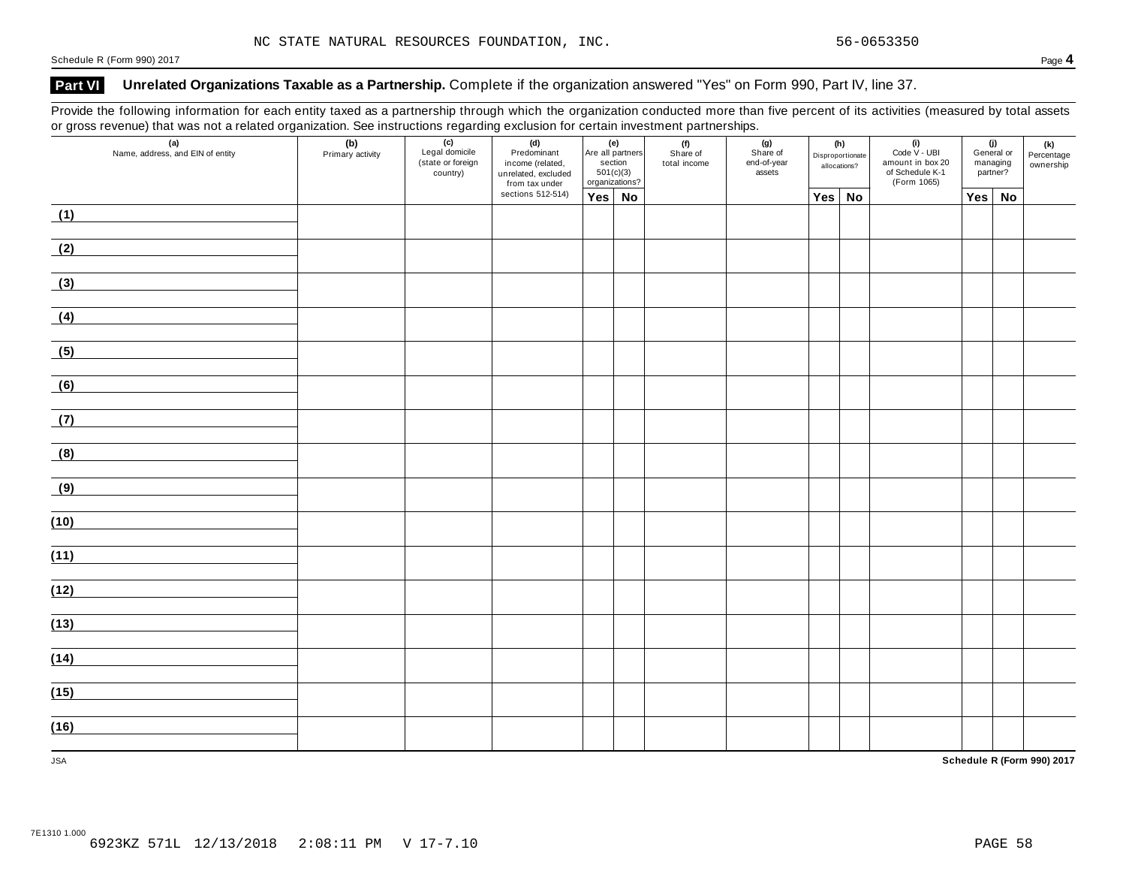#### **Part VI Unrelated Organizations Taxable as a Partnership.** Complete if the organization answered "Yes" on Form 990, Part IV, line 37.

Provide the following information for each entity taxed as a partnership through which the organization conducted more than five percent of its activities (measured by total assets or gross revenue) that was not a related organization. See instructions regarding exclusion for certain investment partnerships.

| $\overline{a}$<br>Name, address, and EIN of entity | (b)<br>Primary activity | (c)<br>Legal domicile<br>(state or foreign<br>country) |                   |               | (d)<br>Predominant<br>income (related,<br>unrelated, excluded<br>from tax under |  | (e)<br>Are all partners<br>section<br>501(c)(3)<br>organizations? | (f)<br>Share of<br>total income | (g)<br>Share of<br>end-of-year<br>assets | (h)<br>Disproportionate<br>allocations? |     | $(i)$<br>Code $\vee$ - UBI<br>amount in box 20<br>of Schedule K-1<br>(Form 1065) | (j)<br>General or<br>managing<br>partner? |  | (k)<br>Percentage<br>ownership |
|----------------------------------------------------|-------------------------|--------------------------------------------------------|-------------------|---------------|---------------------------------------------------------------------------------|--|-------------------------------------------------------------------|---------------------------------|------------------------------------------|-----------------------------------------|-----|----------------------------------------------------------------------------------|-------------------------------------------|--|--------------------------------|
|                                                    |                         |                                                        | sections 512-514) | $Yes \mid No$ |                                                                                 |  |                                                                   |                                 | Yes No                                   |                                         | Yes | No                                                                               |                                           |  |                                |
| (1)                                                |                         |                                                        |                   |               |                                                                                 |  |                                                                   |                                 |                                          |                                         |     |                                                                                  |                                           |  |                                |
| (2)                                                |                         |                                                        |                   |               |                                                                                 |  |                                                                   |                                 |                                          |                                         |     |                                                                                  |                                           |  |                                |
| (3)                                                |                         |                                                        |                   |               |                                                                                 |  |                                                                   |                                 |                                          |                                         |     |                                                                                  |                                           |  |                                |
| (4)                                                |                         |                                                        |                   |               |                                                                                 |  |                                                                   |                                 |                                          |                                         |     |                                                                                  |                                           |  |                                |
| (5)                                                |                         |                                                        |                   |               |                                                                                 |  |                                                                   |                                 |                                          |                                         |     |                                                                                  |                                           |  |                                |
| (6)                                                |                         |                                                        |                   |               |                                                                                 |  |                                                                   |                                 |                                          |                                         |     |                                                                                  |                                           |  |                                |
| (7)                                                |                         |                                                        |                   |               |                                                                                 |  |                                                                   |                                 |                                          |                                         |     |                                                                                  |                                           |  |                                |
| (8)                                                |                         |                                                        |                   |               |                                                                                 |  |                                                                   |                                 |                                          |                                         |     |                                                                                  |                                           |  |                                |
| (9)                                                |                         |                                                        |                   |               |                                                                                 |  |                                                                   |                                 |                                          |                                         |     |                                                                                  |                                           |  |                                |
| (10)                                               |                         |                                                        |                   |               |                                                                                 |  |                                                                   |                                 |                                          |                                         |     |                                                                                  |                                           |  |                                |
| (11)                                               |                         |                                                        |                   |               |                                                                                 |  |                                                                   |                                 |                                          |                                         |     |                                                                                  |                                           |  |                                |
| (12)                                               |                         |                                                        |                   |               |                                                                                 |  |                                                                   |                                 |                                          |                                         |     |                                                                                  |                                           |  |                                |
| (13)                                               |                         |                                                        |                   |               |                                                                                 |  |                                                                   |                                 |                                          |                                         |     |                                                                                  |                                           |  |                                |
| (14)                                               |                         |                                                        |                   |               |                                                                                 |  |                                                                   |                                 |                                          |                                         |     |                                                                                  |                                           |  |                                |
| (15)                                               |                         |                                                        |                   |               |                                                                                 |  |                                                                   |                                 |                                          |                                         |     |                                                                                  |                                           |  |                                |
| (16)                                               |                         |                                                        |                   |               |                                                                                 |  |                                                                   |                                 |                                          |                                         |     |                                                                                  |                                           |  |                                |
| <b>JSA</b>                                         |                         |                                                        |                   |               |                                                                                 |  |                                                                   |                                 |                                          |                                         |     |                                                                                  | Schedule R (Form 990) 2017                |  |                                |